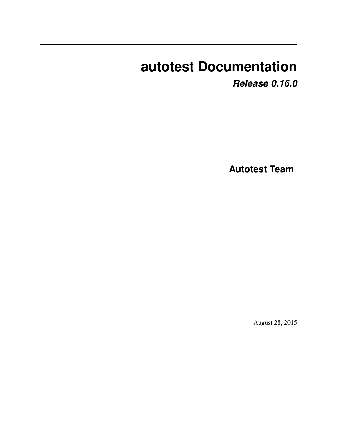# **autotest Documentation**

*Release 0.16.0*

**Autotest Team**

August 28, 2015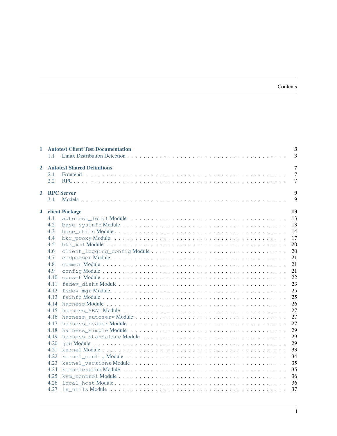### Contents

| $\mathbf{1}$ | 1.1                                                                                                 | <b>Autotest Client Test Documentation</b> | $\overline{\mathbf{3}}$<br>3                                                                 |
|--------------|-----------------------------------------------------------------------------------------------------|-------------------------------------------|----------------------------------------------------------------------------------------------|
| $\mathbf{2}$ | 2.1<br>2.2                                                                                          | <b>Autotest Shared Definitions</b>        | 7<br>$\overline{7}$<br>$\overline{7}$                                                        |
| $\mathbf{3}$ | 3.1                                                                                                 | <b>RPC Server</b>                         | 9<br>9                                                                                       |
| 4            | 4.1<br>4.2<br>4.3<br>4.4<br>4.5<br>4.6<br>4.7<br>4.8<br>4.9<br>4.10<br>4.11<br>4.12<br>4.13<br>4.14 | client Package                            | 13<br>13<br>13<br>14<br>17<br>20<br>20<br>21<br>21<br>21<br>22<br>23<br>25<br>25<br>26<br>27 |
|              | 4.16<br>4.17<br>4.18<br>4.19<br>4.20<br>4.21<br>4.22<br>4.23<br>4.24<br>4.25                        |                                           | 27<br>27<br>29<br>29<br>29<br>33<br>34<br>35<br>35<br>36                                     |
|              | 4.26<br>4.27                                                                                        |                                           | 36<br>37                                                                                     |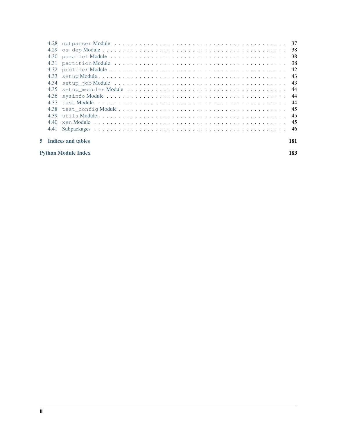|    | 4.29 |                           |     |
|----|------|---------------------------|-----|
|    |      |                           | -38 |
|    |      |                           | -38 |
|    |      |                           | 42  |
|    | 4.33 |                           | 43  |
|    | 4.34 |                           | 43  |
|    | 4.35 |                           | 44  |
|    |      |                           | 44  |
|    |      |                           | -44 |
|    |      |                           | 45  |
|    |      |                           | 45  |
|    | 4.40 |                           | -45 |
|    |      |                           |     |
| 5. |      | <b>Indices and tables</b> | 181 |

[Python Module Index](#page-186-0) 183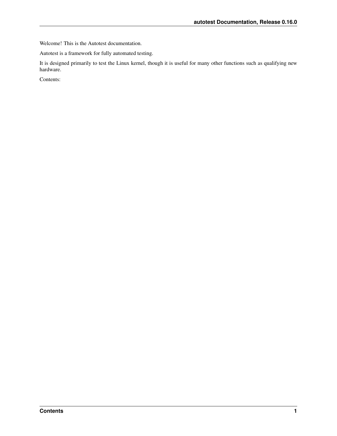Welcome! This is the Autotest documentation.

Autotest is a framework for fully automated testing.

It is designed primarily to test the Linux kernel, though it is useful for many other functions such as qualifying new hardware.

Contents: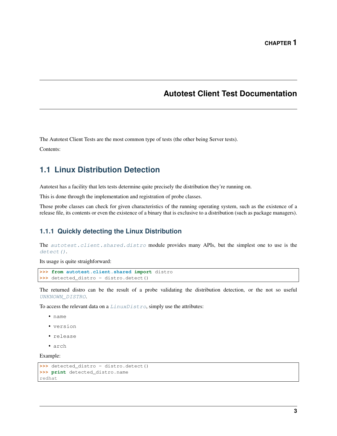# **Autotest Client Test Documentation**

<span id="page-6-0"></span>The Autotest Client Tests are the most common type of tests (the other being Server tests).

Contents:

# <span id="page-6-1"></span>**1.1 Linux Distribution Detection**

Autotest has a facility that lets tests determine quite precisely the distribution they're running on.

This is done through the implementation and registration of probe classes.

Those probe classes can check for given characteristics of the running operating system, such as the existence of a release file, its contents or even the existence of a binary that is exclusive to a distribution (such as package managers).

### **1.1.1 Quickly detecting the Linux Distribution**

The [autotest.client.shared.distro](#page-6-1) module provides many APIs, but the simplest one to use is the [detect\(\)](#page-9-0).

Its usage is quite straighforward:

```
>>> from autotest.client.shared import distro
>>> detected_distro = distro.detect()
```
The returned distro can be the result of a probe validating the distribution detection, or the not so useful [UNKNOWN\\_DISTRO](#page-7-0).

To access the relevant data on a  $LinuxDistro$ , simply use the attributes:

- name
- version
- release
- arch

Example:

```
>>> detected_distro = distro.detect()
>>> print detected_distro.name
redhat
```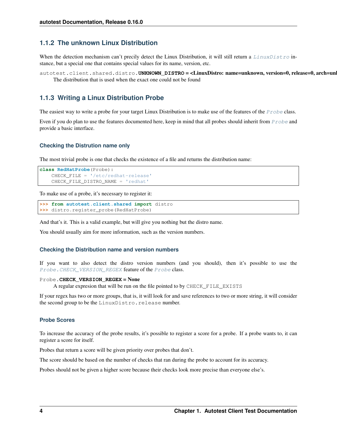### **1.1.2 The unknown Linux Distribution**

When the detection mechanism can't precily detect the Linux Distribution, it will still return a [LinuxDistro](#page-8-0) instance, but a special one that contains special values for its name, version, etc.

<span id="page-7-0"></span>autotest.client.shared.distro.UNKNOWN\_DISTRO = <LinuxDistro: name=unknown, version=0, release=0, arch=un The distribution that is used when the exact one could not be found

### **1.1.3 Writing a Linux Distribution Probe**

The easiest way to write a probe for your target Linux Distribution is to make use of the features of the  $Prob$  class.

Even if you do plan to use the features documented here, keep in mind that all probes should inherit from [Probe](#page-8-1) and provide a basic interface.

### **Checking the Distrution name only**

The most trivial probe is one that checks the existence of a file and returns the distribution name:

```
class RedHatProbe(Probe):
    CHECK_FILE = '/etc/redhat-release'
    CHECK_FILE_DISTRO_NAME = 'redhat'
```
To make use of a probe, it's necessary to register it:

```
>>> from autotest.client.shared import distro
>>> distro.register_probe(RedHatProbe)
```
And that's it. This is a valid example, but will give you nothing but the distro name.

You should usually aim for more information, such as the version numbers.

#### **Checking the Distribution name and version numbers**

If you want to also detect the distro version numbers (and you should), then it's possible to use the [Probe](#page-8-1). CHECK\_VERSION\_REGEX feature of the Probe class.

#### <span id="page-7-1"></span>Probe.**CHECK\_VERSION\_REGEX** = None

A regular expresion that will be run on the file pointed to by CHECK\_FILE\_EXISTS

If your regex has two or more groups, that is, it will look for and save references to two or more string, it will consider the second group to be the LinuxDistro.release number.

#### **Probe Scores**

To increase the accuracy of the probe results, it's possible to register a score for a probe. If a probe wants to, it can register a score for itself.

Probes that return a score will be given priority over probes that don't.

The score should be based on the number of checks that ran during the probe to account for its accuracy.

Probes should not be given a higher score because their checks look more precise than everyone else's.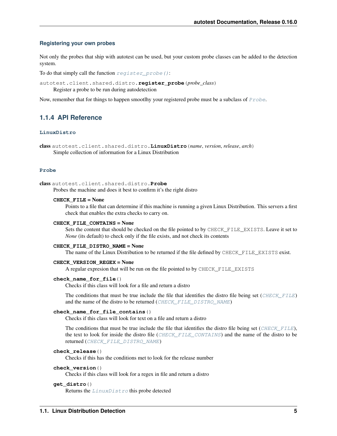### **Registering your own probes**

Not only the probes that ship with autotest can be used, but your custom probe classes can be added to the detection system.

<span id="page-8-2"></span>To do that simply call the function  $register\_probe()$ :

autotest.client.shared.distro.**register\_probe**(*probe\_class*) Register a probe to be run during autodetection

Now, remember that for things to happen smootlhy your registered probe must be a subclass of [Probe](#page-8-1).

### **1.1.4 API Reference**

### **LinuxDistro**

<span id="page-8-0"></span>class autotest.client.shared.distro.**LinuxDistro**(*name*, *version*, *release*, *arch*) Simple collection of information for a Linux Distribution

### **Probe**

<span id="page-8-3"></span><span id="page-8-1"></span>class autotest.client.shared.distro.**Probe** Probes the machine and does it best to confirm it's the right distro

### **CHECK\_FILE** = None

Points to a file that can determine if this machine is running a given Linux Distribution. This servers a first check that enables the extra checks to carry on.

#### <span id="page-8-5"></span>**CHECK\_FILE\_CONTAINS** = None

Sets the content that should be checked on the file pointed to by CHECK\_FILE\_EXISTS. Leave it set to *None* (its default) to check only if the file exists, and not check its contents

#### <span id="page-8-4"></span>**CHECK\_FILE\_DISTRO\_NAME** = None

The name of the Linux Distribution to be returned if the file defined by CHECK FILE EXISTS exist.

### **CHECK\_VERSION\_REGEX** = None

A regular expresion that will be run on the file pointed to by CHECK\_FILE\_EXISTS

### **check\_name\_for\_file**()

Checks if this class will look for a file and return a distro

The conditions that must be true include the file that identifies the distro file being set ([CHECK\\_FILE](#page-8-3)) and the name of the distro to be returned ([CHECK\\_FILE\\_DISTRO\\_NAME](#page-8-4))

#### **check\_name\_for\_file\_contains**()

Checks if this class will look for text on a file and return a distro

The conditions that must be true include the file that identifies the distro file being set (CHECK FILE), the text to look for inside the distro file ([CHECK\\_FILE\\_CONTAINS](#page-8-5)) and the name of the distro to be returned ([CHECK\\_FILE\\_DISTRO\\_NAME](#page-8-4))

### **check\_release**()

Checks if this has the conditions met to look for the release number

#### **check\_version**()

Checks if this class will look for a regex in file and return a distro

### **get\_distro**()

Returns the [LinuxDistro](#page-8-0) this probe detected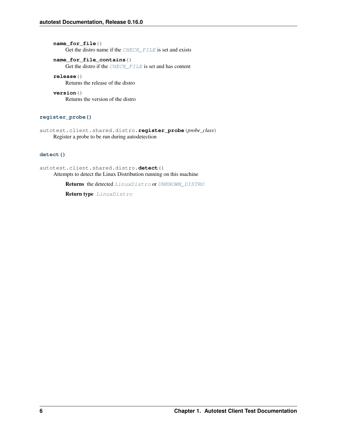**name\_for\_file**() Get the distro name if the [CHECK\\_FILE](#page-8-3) is set and exists

### **name\_for\_file\_contains**()

Get the distro if the [CHECK\\_FILE](#page-8-3) is set and has content

### **release**()

Returns the release of the distro

**version**() Returns the version of the distro

### **register\_probe()**

autotest.client.shared.distro.**register\_probe**(*probe\_class*) Register a probe to be run during autodetection

### **detect()**

<span id="page-9-0"></span>autotest.client.shared.distro.**detect**() Attempts to detect the Linux Distribution running on this machine

Returns the detected [LinuxDistro](#page-8-0) or [UNKNOWN\\_DISTRO](#page-7-0)

Return type [LinuxDistro](#page-8-0)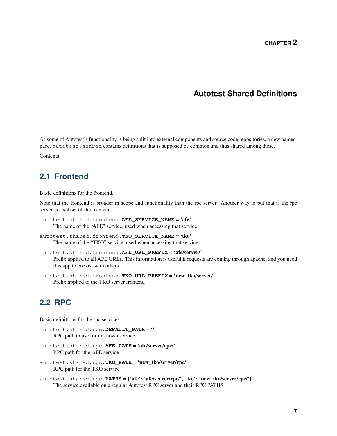# **Autotest Shared Definitions**

<span id="page-10-0"></span>As some of Autotest's functionality is being split into external components and source code repositories, a new namespace, autotest. shared contains definitions that is supposed be common and thus shared among these.

Contents:

# <span id="page-10-1"></span>**2.1 Frontend**

Basic definitions for the frontend.

Note that the frontend is broader in scope and functionality than the rpc server. Another way to put that is the rpc server is a subset of the frontend.

```
autotest.shared.frontend.AFE SERVICE NAME = 'afe'
     The name of the "AFE" service, used when accessing that service
```
- autotest.shared.frontend.**TKO\_SERVICE\_NAME** = 'tko' The name of the "TKO" service, used when accessing that service
- autotest.shared.frontend.**AFE\_URL\_PREFIX** = 'afe/server/' Prefix applied to all AFE URLs. This information is useful if requests are coming through apache, and you need this app to coexist with others
- autotest.shared.frontend.**TKO\_URL\_PREFIX** = 'new\_tko/server/' Prefix applied to the TKO server frontend

# <span id="page-10-2"></span>**2.2 RPC**

Basic definitions for the rpc services.

```
autotest.shared.rpc.DEFAULT_PATH = '/'
     RPC path to use for unknown service
```

```
autotest.shared.rpc.AFE_PATH = 'afe/server/rpc/'
     RPC path for the AFE service
```

```
autotest.shared.rpc.TKO_PATH = 'new_tko/server/rpc/'
     RPC path for the TKO service
```

```
autotest.shared.rpc.PATHS = {'afe': 'afe/server/rpc','tko': 'new_tko/server/rpc'}
     The service available on a regular Autotest RPC server and their RPC PATHS
```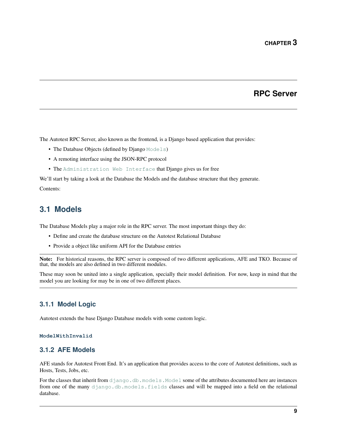# **RPC Server**

<span id="page-12-0"></span>The Autotest RPC Server, also known as the frontend, is a Django based application that provides:

- The Database Objects (defined by Django [Models](http://docs.djangoproject.com/en/dev/topics/db/models/#module-django.db.models))
- A remoting interface using the JSON-RPC protocol
- The [Administration Web Interface](http://docs.djangoproject.com/en/dev/ref/contrib/admin/#module-django.contrib.admin) that Django gives us for free

We'll start by taking a look at the Database the Models and the database structure that they generate. Contents:

## <span id="page-12-1"></span>**3.1 Models**

The Database Models play a major role in the RPC server. The most important things they do:

- Define and create the database structure on the Autotest Relational Database
- Provide a object like uniform API for the Database entries

Note: For historical reasons, the RPC server is composed of two different applications, AFE and TKO. Because of that, the models are also defined in two different modules.

These may soon be united into a single application, specially their model definition. For now, keep in mind that the model you are looking for may be in one of two different places.

### **3.1.1 Model Logic**

Autotest extends the base Django Database models with some custom logic.

### **ModelWithInvalid**

### **3.1.2 AFE Models**

AFE stands for Autotest Front End. It's an application that provides access to the core of Autotest definitions, such as Hosts, Tests, Jobs, etc.

For the classes that inherit from [django.db.models.Model](http://docs.djangoproject.com/en/dev/ref/models/instances/#django.db.models.Model) some of the attributes documented here are instances from one of the many [django.db.models.fields](http://docs.djangoproject.com/en/dev/ref/models/fields/#module-django.db.models.fields) classes and will be mapped into a field on the relational database.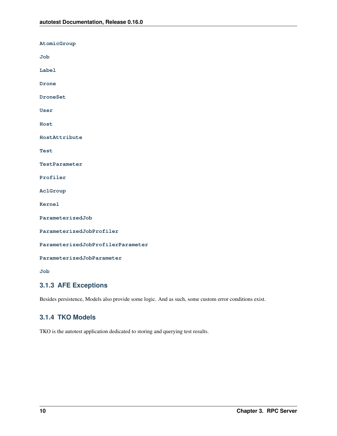**AtomicGroup Job Label Drone DroneSet User Host HostAttribute Test TestParameter Profiler AclGroup Kernel ParameterizedJob ParameterizedJobProfiler ParameterizedJobProfilerParameter ParameterizedJobParameter Job**

### **3.1.3 AFE Exceptions**

Besides persistence, Models also provide some logic. And as such, some custom error conditions exist.

### **3.1.4 TKO Models**

TKO is the autotest application dedicated to storing and querying test results.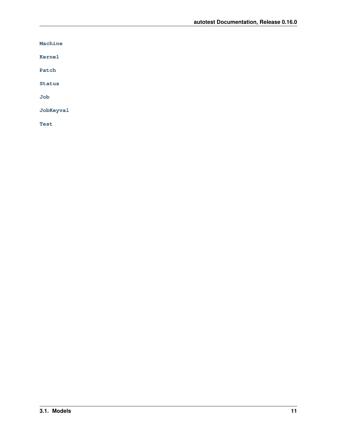**Machine**

**Kernel**

**Patch**

**Status**

**Job**

**JobKeyval**

**Test**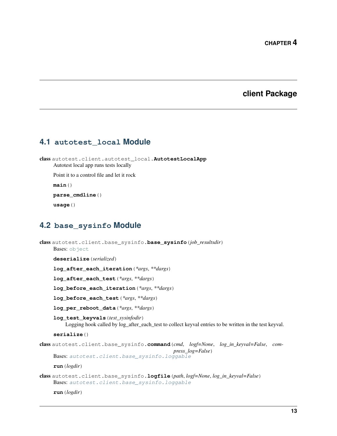### **client Package**

### <span id="page-16-1"></span><span id="page-16-0"></span>**4.1 autotest\_local Module**

class autotest.client.autotest\_local.**AutotestLocalApp** Autotest local app runs tests locally Point it to a control file and let it rock

**main**()

**parse\_cmdline**()

**usage**()

# <span id="page-16-2"></span>**4.2 base\_sysinfo Module**

```
class autotest.client.base_sysinfo.base_sysinfo(job_resultsdir)
    object
    deserialize(serialized)
    log_after_each_iteration(*args, **dargs)
    log_after_each_test(*args, **dargs)
    log_before_each_iteration(*args, **dargs)
    log_before_each_test(*args, **dargs)
    log_per_reboot_data(*args, **dargs)
    log_test_keyvals(test_sysinfodir)
         Logging hook called by log_after_each_test to collect keyval entries to be written in the test keyval.
    serialize()
class autotest.client.base_sysinfo.command(cmd, logf=None, log_in_keyval=False, com-
                                                press_log=False)
    Bases: autotest.client.base_sysinfo.loggable
    run(logdir)
class autotest.client.base_sysinfo.logfile(path, logf=None, log_in_keyval=False)
    Bases: autotest.client.base_sysinfo.loggable
    run(logdir)
```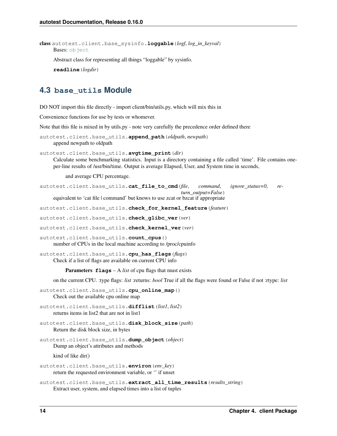class autotest.client.base\_sysinfo.**loggable**(*logf*, *log\_in\_keyval*) Bases: [object](http://docs.python.org/library/functions.html#object)

Abstract class for representing all things "loggable" by sysinfo.

**readline**(*logdir*)

# <span id="page-17-0"></span>**4.3 base\_utils Module**

DO NOT import this file directly - import client/bin/utils.py, which will mix this in

Convenience functions for use by tests or whomever.

Note that this file is mixed in by utils.py - note very carefully the precedence order defined there

```
autotest.client.base_utils.append_path(oldpath, newpath)
    append newpath to oldpath
```

```
autotest.client.base_utils.avgtime_print(dir)
```
Calculate some benchmarking statistics. Input is a directory containing a file called 'time'. File contains oneper-line results of /usr/bin/time. Output is average Elapsed, User, and System time in seconds,

and average CPU percentage.

autotest.client.base\_utils.**cat\_file\_to\_cmd**(*file*, *command*, *ignore\_status=0*, *return\_output=False*) equivalent to 'cat file | command' but knows to use zcat or bzcat if appropriate

autotest.client.base\_utils.**check\_for\_kernel\_feature**(*feature*)

autotest.client.base\_utils.**check\_glibc\_ver**(*ver*)

autotest.client.base\_utils.**check\_kernel\_ver**(*ver*)

autotest.client.base\_utils.**count\_cpus**() number of CPUs in the local machine according to /proc/cpuinfo

autotest.client.base\_utils.**cpu\_has\_flags**(*flags*) Check if a list of flags are available on current CPU info

Parameters **flags** – A *list* of cpu flags that must exists

on the current CPU. :type flags: *list* :returns: *bool* True if all the flags were found or False if not :rtype: *list*

autotest.client.base\_utils.**cpu\_online\_map**() Check out the available cpu online map

```
autotest.client.base_utils.difflist(list1, list2)
     returns items in list2 that are not in list1
```
autotest.client.base\_utils.**disk\_block\_size**(*path*) Return the disk block size, in bytes

autotest.client.base\_utils.**dump\_object**(*object*) Dump an object's attributes and methods

kind of like dir()

autotest.client.base\_utils.**environ**(*env\_key*) return the requested environment variable, or '' if unset

autotest.client.base\_utils.**extract\_all\_time\_results**(*results\_string*) Extract user, system, and elapsed times into a list of tuples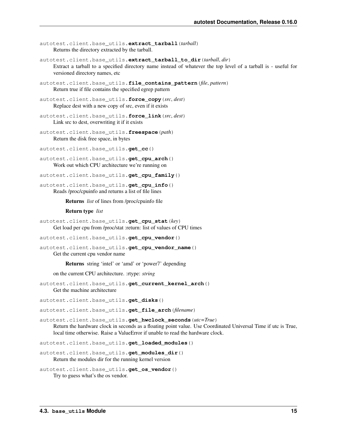```
autotest.client.base_utils.extract_tarball(tarball)
     Returns the directory extracted by the tarball.
```
autotest.client.base\_utils.**extract\_tarball\_to\_dir**(*tarball*, *dir*) Extract a tarball to a specified directory name instead of whatever the top level of a tarball is - useful for versioned directory names, etc

```
autotest.client.base_utils.file_contains_pattern(file, pattern)
     Return true if file contains the specified egrep pattern
```
autotest.client.base\_utils.**force\_copy**(*src*, *dest*) Replace dest with a new copy of src, even if it exists

```
autotest.client.base_utils.force_link(src, dest)
     Link src to dest, overwriting it if it exists
```

```
autotest.client.base_utils.freespace(path)
     Return the disk free space, in bytes
```
autotest.client.base\_utils.**get\_cc**()

```
autotest.client.base_utils.get_cpu_arch()
    Work out which CPU architecture we're running on
```

```
autotest.client.base_utils.get_cpu_family()
```
autotest.client.base\_utils.**get\_cpu\_info**() Reads /proc/cpuinfo and returns a list of file lines

Returns *list* of lines from /proc/cpuinfo file

#### Return type *list*

autotest.client.base\_utils.**get\_cpu\_stat**(*key*) Get load per cpu from /proc/stat :return: list of values of CPU times

autotest.client.base\_utils.**get\_cpu\_vendor**()

```
autotest.client.base_utils.get_cpu_vendor_name()
    Get the current cpu vendor name
```
Returns string 'intel' or 'amd' or 'power7' depending

on the current CPU architecture. :rtype: *string*

autotest.client.base\_utils.**get\_current\_kernel\_arch**() Get the machine architecture

autotest.client.base\_utils.**get\_disks**()

autotest.client.base\_utils.**get\_file\_arch**(*filename*)

autotest.client.base\_utils.**get\_hwclock\_seconds**(*utc=True*) Return the hardware clock in seconds as a floating point value. Use Coordinated Universal Time if utc is True, local time otherwise. Raise a ValueError if unable to read the hardware clock.

autotest.client.base\_utils.**get\_loaded\_modules**()

autotest.client.base\_utils.**get\_modules\_dir**() Return the modules dir for the running kernel version

```
autotest.client.base_utils.get_os_vendor()
    Try to guess what's the os vendor.
```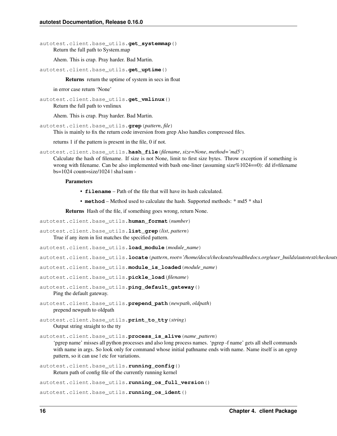autotest.client.base\_utils.**get\_systemmap**() Return the full path to System.map

Ahem. This is crap. Pray harder. Bad Martin.

```
autotest.client.base_utils.get_uptime()
```
Returns return the uptime of system in secs in float

in error case return 'None'

autotest.client.base\_utils.**get\_vmlinux**() Return the full path to vmlinux

Ahem. This is crap. Pray harder. Bad Martin.

autotest.client.base\_utils.**grep**(*pattern*, *file*) This is mainly to fix the return code inversion from grep Also handles compressed files.

returns 1 if the pattern is present in the file, 0 if not.

autotest.client.base\_utils.**hash\_file**(*filename*, *size=None*, *method='md5'*)

Calculate the hash of filename. If size is not None, limit to first size bytes. Throw exception if something is wrong with filename. Can be also implemented with bash one-liner (assuming size%1024==0): dd if=filename  $bs=1024$  count=size/1024 | sha1sum -

### **Parameters**

- **filename** Path of the file that will have its hash calculated.
- **method** Method used to calculate the hash. Supported methods: \* md5 \* sha1

Returns Hash of the file, if something goes wrong, return None.

autotest.client.base\_utils.**human\_format**(*number*)

autotest.client.base\_utils.**list\_grep**(*list*, *pattern*)

True if any item in list matches the specified pattern.

autotest.client.base\_utils.**load\_module**(*module\_name*)

autotest.client.base\_utils.**locate**(*pattern*, *root='/home/docs/checkouts/readthedocs.org/user\_builds/autotest/checkouts/0.16.0/documentation/source'*)

autotest.client.base\_utils.**module\_is\_loaded**(*module\_name*)

autotest.client.base\_utils.**pickle\_load**(*filename*)

autotest.client.base\_utils.**ping\_default\_gateway**() Ping the default gateway.

autotest.client.base\_utils.**prepend\_path**(*newpath*, *oldpath*) prepend newpath to oldpath

autotest.client.base\_utils.**print\_to\_tty**(*string*) Output string straight to the tty

autotest.client.base\_utils.**process\_is\_alive**(*name\_pattern*)

'pgrep name' misses all python processes and also long process names. 'pgrep -f name' gets all shell commands with name in args. So look only for command whose initial pathname ends with name. Name itself is an egrep pattern, so it can use | etc for variations.

autotest.client.base\_utils.**running\_config**() Return path of config file of the currently running kernel

autotest.client.base\_utils.**running\_os\_full\_version**()

autotest.client.base\_utils.**running\_os\_ident**()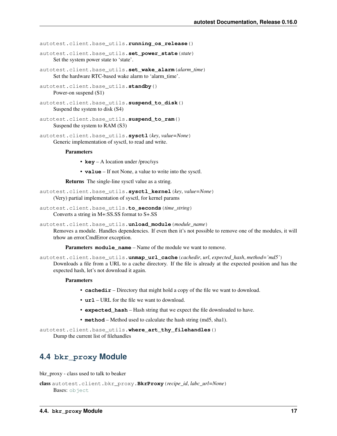autotest.client.base utils.running os release()

- autotest.client.base\_utils.**set\_power\_state**(*state*) Set the system power state to 'state'.
- autotest.client.base\_utils.**set\_wake\_alarm**(*alarm\_time*) Set the hardware RTC-based wake alarm to 'alarm time'.

```
autotest.client.base_utils.standby()
    Power-on suspend (S1)
```

```
autotest.client.base_utils.suspend_to_disk()
    Suspend the system to disk (S4)
```

```
autotest.client.base_utils.suspend_to_ram()
    Suspend the system to RAM (S3)
```

```
autotest.client.base_utils.sysctl(key, value=None)
     Generic implementation of sysctl, to read and write.
```
#### **Parameters**

- **key** A location under /proc/sys
- **value** If not None, a value to write into the sysctl.

Returns The single-line sysctl value as a string.

```
autotest.client.base_utils.sysctl_kernel(key, value=None)
     (Very) partial implementation of sysctl, for kernel params
```
autotest.client.base\_utils.**to\_seconds**(*time\_string*) Converts a string in M+:SS.SS format to S+.SS

autotest.client.base\_utils.**unload\_module**(*module\_name*) Removes a module. Handles dependencies. If even then it's not possible to remove one of the modules, it will trhow an error.CmdError exception.

Parameters module name – Name of the module we want to remove.

autotest.client.base\_utils.**unmap\_url\_cache**(*cachedir*, *url*, *expected\_hash*, *method='md5'*) Downloads a file from a URL to a cache directory. If the file is already at the expected position and has the expected hash, let's not download it again.

#### Parameters

- **cachedir** Directory that might hold a copy of the file we want to download.
- **url** URL for the file we want to download.
- **expected hash** Hash string that we expect the file downloaded to have.
- **method** Method used to calculate the hash string (md5, sha1).

autotest.client.base\_utils.**where\_art\_thy\_filehandles**() Dump the current list of filehandles

# <span id="page-20-0"></span>**4.4 bkr\_proxy Module**

bkr\_proxy - class used to talk to beaker

```
class autotest.client.bkr_proxy.BkrProxy(recipe_id, labc_url=None)
    Bases: object
```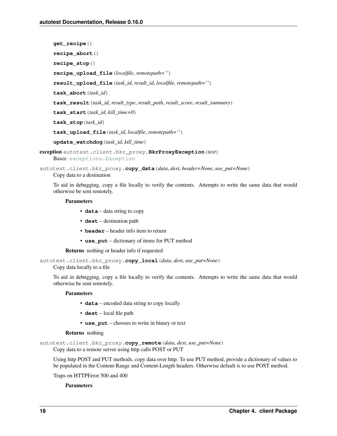**get\_recipe**() **recipe\_abort**() **recipe\_stop**() **recipe\_upload\_file**(*localfile*, *remotepath=''*) **result\_upload\_file**(*task\_id*, *result\_id*, *localfile*, *remotepath=''*) **task\_abort**(*task\_id*) **task\_result**(*task\_id*, *result\_type*, *result\_path*, *result\_score*, *result\_summary*) **task\_start**(*task\_id*, *kill\_time=0*) **task\_stop**(*task\_id*) **task\_upload\_file**(*task\_id*, *localfile*, *remotepath=''*)

**update\_watchdog**(*task\_id*, *kill\_time*)

```
exception autotest.client.bkr_proxy.BkrProxyException(text)
    Bases: exceptions.Exception
```
autotest.client.bkr\_proxy.**copy\_data**(*data*, *dest*, *header=None*, *use\_put=None*) Copy data to a destination

To aid in debugging, copy a file locally to verify the contents. Attempts to write the same data that would otherwise be sent remotely.

### Parameters

- **data** data string to copy
- **dest** destination path
- **header** header info item to return
- **use\_put** dictionary of items for PUT method

Returns nothing or header info if requested

```
autotest.client.bkr_proxy.copy_local(data, dest, use_put=None)
```
Copy data locally to a file

To aid in debugging, copy a file locally to verify the contents. Attempts to write the same data that would otherwise be sent remotely.

#### **Parameters**

- **data** encoded data string to copy locally
- **dest** local file path
- **use\_put** chooses to write in binary or text

### Returns nothing

```
autotest.client.bkr_proxy.copy_remote(data, dest, use_put=None)
```
Copy data to a remote server using http calls POST or PUT

Using http POST and PUT methods, copy data over http. To use PUT method, provide a dictionary of values to be populated in the Content-Range and Content-Length headers. Otherwise default is to use POST method.

Traps on HTTPError 500 and 400

### **Parameters**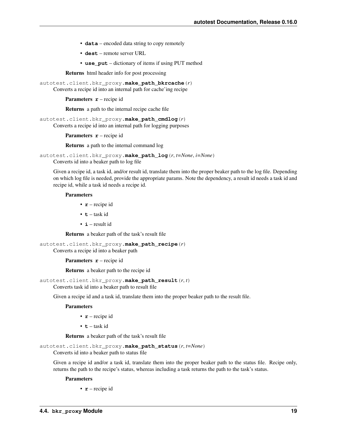- **data** encoded data string to copy remotely
- **dest** remote server URL
- **use\_put** dictionary of items if using PUT method

Returns html header info for post processing

autotest.client.bkr\_proxy.**make\_path\_bkrcache**(*r*)

Converts a recipe id into an internal path for cache'ing recipe

Parameters **r** – recipe id

Returns a path to the internal recipe cache file

autotest.client.bkr\_proxy.**make\_path\_cmdlog**(*r*)

Converts a recipe id into an internal path for logging purposes

**Parameters**  $\mathbf{r}$  **– recipe id** 

Returns a path to the internal command log

autotest.client.bkr\_proxy.**make\_path\_log**(*r*, *t=None*, *i=None*)

Converts id into a beaker path to log file

Given a recipe id, a task id, and/or result id, translate them into the proper beaker path to the log file. Depending on which log file is needed, provide the appropriate params. Note the dependency, a result id needs a task id and recipe id, while a task id needs a recipe id.

#### **Parameters**

- **r** recipe id
- $\cdot$  **t** task id
- **i** result id

Returns a beaker path of the task's result file

autotest.client.bkr\_proxy.**make\_path\_recipe**(*r*) Converts a recipe id into a beaker path

**Parameters <b>r** – recipe id

Returns a beaker path to the recipe id

autotest.client.bkr\_proxy.**make\_path\_result**(*r*, *t*)

Converts task id into a beaker path to result file

Given a recipe id and a task id, translate them into the proper beaker path to the result file.

#### Parameters

- **r** recipe id
- $\cdot$  **t** task id

Returns a beaker path of the task's result file

autotest.client.bkr\_proxy.**make\_path\_status**(*r*, *t=None*)

Converts id into a beaker path to status file

Given a recipe id and/or a task id, translate them into the proper beaker path to the status file. Recipe only, returns the path to the recipe's status, whereas including a task returns the path to the task's status.

#### **Parameters**

• **r** – recipe id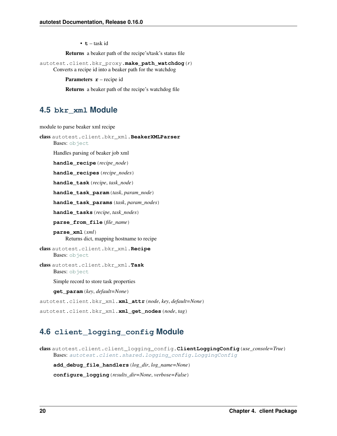• **t** – task id

Returns a beaker path of the recipe's/task's status file

autotest.client.bkr\_proxy.**make\_path\_watchdog**(*r*) Converts a recipe id into a beaker path for the watchdog

**Parameters**  $\mathbf{r}$  **– recipe id** 

Returns a beaker path of the recipe's watchdog file

### <span id="page-23-0"></span>**4.5 bkr\_xml Module**

module to parse beaker xml recipe

```
class autotest.client.bkr_xml.BeakerXMLParser
```
Bases: [object](http://docs.python.org/library/functions.html#object)

Handles parsing of beaker job xml

**handle\_recipe**(*recipe\_node*)

**handle\_recipes**(*recipe\_nodes*)

**handle\_task**(*recipe*, *task\_node*)

**handle\_task\_param**(*task*, *param\_node*)

**handle\_task\_params**(*task*, *param\_nodes*)

**handle\_tasks**(*recipe*, *task\_nodes*)

**parse\_from\_file**(*file\_name*)

**parse\_xml**(*xml*) Returns dict, mapping hostname to recipe

class autotest.client.bkr\_xml.**Recipe** Bases: [object](http://docs.python.org/library/functions.html#object)

class autotest.client.bkr\_xml.**Task** Bases: [object](http://docs.python.org/library/functions.html#object)

Simple record to store task properties

**get\_param**(*key*, *default=None*)

autotest.client.bkr\_xml.**xml\_attr**(*node*, *key*, *default=None*)

autotest.client.bkr\_xml.**xml\_get\_nodes**(*node*, *tag*)

# <span id="page-23-1"></span>**4.6 client\_logging\_config Module**

class autotest.client.client\_logging\_config.**ClientLoggingConfig**(*use\_console=True*) Bases: [autotest.client.shared.logging\\_config.LoggingConfig](#page-96-0)

**add\_debug\_file\_handlers**(*log\_dir*, *log\_name=None*)

**configure\_logging**(*results\_dir=None*, *verbose=False*)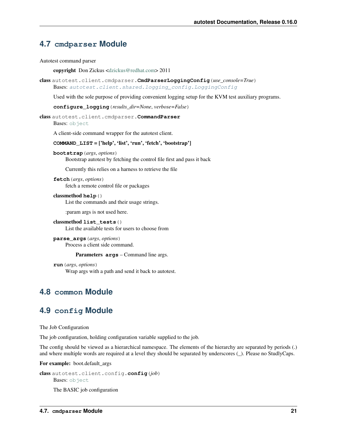# <span id="page-24-0"></span>**4.7 cmdparser Module**

Autotest command parser

copyright Don Zickus [<dzickus@redhat.com>](mailto:dzickus@redhat.com) 2011

class autotest.client.cmdparser.**CmdParserLoggingConfig**(*use\_console=True*) Bases: [autotest.client.shared.logging\\_config.LoggingConfig](#page-96-0)

Used with the sole purpose of providing convenient logging setup for the KVM test auxiliary programs.

**configure\_logging**(*results\_dir=None*, *verbose=False*)

class autotest.client.cmdparser.**CommandParser**

Bases: [object](http://docs.python.org/library/functions.html#object)

A client-side command wrapper for the autotest client.

### **COMMAND\_LIST** = ['help', 'list', 'run', 'fetch', 'bootstrap']

**bootstrap**(*args*, *options*)

Bootstrap autotest by fetching the control file first and pass it back

Currently this relies on a harness to retrieve the file

**fetch**(*args*, *options*) fetch a remote control file or packages

classmethod **help**() List the commands and their usage strings.

:param args is not used here.

classmethod **list\_tests**() List the available tests for users to choose from

**parse\_args**(*args*, *options*) Process a client side command.

Parameters **args** – Command line args.

**run**(*args*, *options*) Wrap args with a path and send it back to autotest.

# <span id="page-24-1"></span>**4.8 common Module**

# <span id="page-24-2"></span>**4.9 config Module**

The Job Configuration

The job configuration, holding configuration variable supplied to the job.

The config should be viewed as a hierarchical namespace. The elements of the hierarchy are separated by periods (.) and where multiple words are required at a level they should be separated by underscores (\_). Please no StudlyCaps.

For example: boot.default\_args

```
class autotest.client.config.config(job)
    Bases: object
```
The BASIC job configuration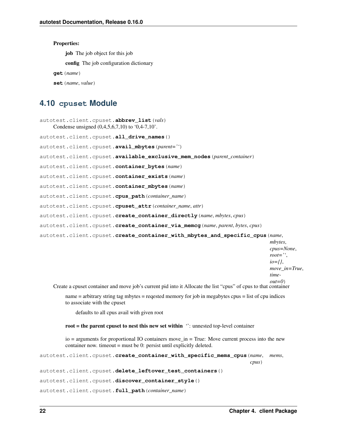### Properties:

job The job object for this job

config The job configuration dictionary

**get**(*name*)

**set**(*name*, *value*)

### <span id="page-25-0"></span>**4.10 cpuset Module**

```
autotest.client.cpuset.abbrev_list(vals)
    Condense unsigned (0,4,5,6,7,10) to '0,4-7,10'.
autotest.client.cpuset.all_drive_names()
autotest.client.cpuset.avail_mbytes(parent='')
autotest.client.cpuset.available_exclusive_mem_nodes(parent_container)
autotest.client.cpuset.container_bytes(name)
autotest.client.cpuset.container_exists(name)
autotest.client.cpuset.container_mbytes(name)
autotest.client.cpuset.cpus_path(container_name)
autotest.client.cpuset.cpuset_attr(container_name, attr)
autotest.client.cpuset.create_container_directly(name, mbytes, cpus)
autotest.client.cpuset.create_container_via_memcg(name, parent, bytes, cpus)
autotest.client.cpuset.create_container_with_mbytes_and_specific_cpus(name,
                                                                             mbytes,
                                                                             cpus=None,
                                                                             root='',
```
*io={}*, *move\_in=True*,

*time-*

*out=0*)

Create a cpuset container and move job's current pid into it Allocate the list "cpus" of cpus to that container

name = arbitrary string tag mbytes = reqested memory for job in megabytes cpus = list of cpu indices to associate with the cpuset

defaults to all cpus avail with given root

### root = the parent cpuset to nest this new set within  $\degree$ : unnested top-level container

io = arguments for proportional IO containers move\_in = True: Move current process into the new container now. timeout = must be 0: persist until explicitly deleted.

```
autotest.client.cpuset.create_container_with_specific_mems_cpus(name, mems,
```
*cpus*)

```
autotest.client.cpuset.delete_leftover_test_containers()
```

```
autotest.client.cpuset.discover_container_style()
```

```
autotest.client.cpuset.full_path(container_name)
```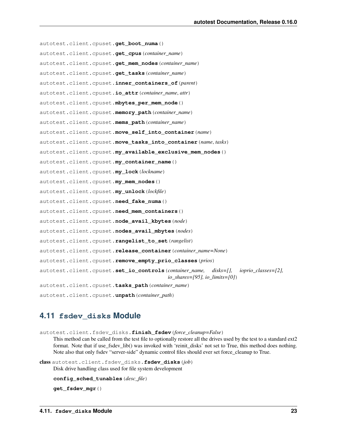autotest.client.cpuset.**get\_boot\_numa**() autotest.client.cpuset.**get\_cpus**(*container\_name*) autotest.client.cpuset.**get\_mem\_nodes**(*container\_name*) autotest.client.cpuset.**get\_tasks**(*container\_name*) autotest.client.cpuset.**inner\_containers\_of**(*parent*) autotest.client.cpuset.**io\_attr**(*container\_name*, *attr*) autotest.client.cpuset.**mbytes\_per\_mem\_node**() autotest.client.cpuset.**memory\_path**(*container\_name*) autotest.client.cpuset.**mems\_path**(*container\_name*) autotest.client.cpuset.**move\_self\_into\_container**(*name*) autotest.client.cpuset.**move\_tasks\_into\_container**(*name*, *tasks*) autotest.client.cpuset.**my\_available\_exclusive\_mem\_nodes**() autotest.client.cpuset.**my\_container\_name**() autotest.client.cpuset.**my\_lock**(*lockname*) autotest.client.cpuset.**my\_mem\_nodes**() autotest.client.cpuset.**my\_unlock**(*lockfile*) autotest.client.cpuset.**need\_fake\_numa**() autotest.client.cpuset.**need\_mem\_containers**() autotest.client.cpuset.**node\_avail\_kbytes**(*node*) autotest.client.cpuset.**nodes\_avail\_mbytes**(*nodes*) autotest.client.cpuset.**rangelist\_to\_set**(*rangelist*) autotest.client.cpuset.**release\_container**(*container\_name=None*) autotest.client.cpuset.**remove\_empty\_prio\_classes**(*prios*) autotest.client.cpuset.**set\_io\_controls**(*container\_name, disks=[], ioprio\_classes=[2], io\_shares=[95], io\_limits=[0]*) autotest.client.cpuset.**tasks\_path**(*container\_name*) autotest.client.cpuset.**unpath**(*container\_path*)

### <span id="page-26-0"></span>**4.11 fsdev\_disks Module**

autotest.client.fsdev\_disks.**finish\_fsdev**(*force\_cleanup=False*)

This method can be called from the test file to optionally restore all the drives used by the test to a standard ext2 format. Note that if use\_fsdev\_lib() was invoked with 'reinit\_disks' not set to True, this method does nothing. Note also that only fsdev "server-side" dynamic control files should ever set force\_cleanup to True.

class autotest.client.fsdev\_disks.**fsdev\_disks**(*job*) Disk drive handling class used for file system development

```
config_sched_tunables(desc_file)
```
**get\_fsdev\_mgr**()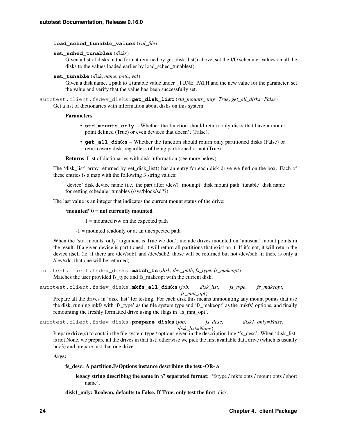### **load\_sched\_tunable\_values**(*val\_file*)

### **set\_sched\_tunables**(*disks*)

Given a list of disks in the format returned by get\_disk\_list() above, set the I/O scheduler values on all the disks to the values loaded earlier by load\_sched\_tunables().

#### **set\_tunable**(*disk*, *name*, *path*, *val*)

Given a disk name, a path to a tunable value under TUNE PATH and the new value for the parameter, set the value and verify that the value has been successfully set.

autotest.client.fsdev\_disks.**get\_disk\_list**(*std\_mounts\_only=True*, *get\_all\_disks=False*) Get a list of dictionaries with information about disks on this system.

### Parameters

- **std\_mounts\_only** Whether the function should return only disks that have a mount point defined (True) or even devices that doesn't (False).
- **get\_all\_disks** Whether the function should return only partitioned disks (False) or return every disk, regardless of being partitioned or not (True).

Returns List of dictionaries with disk information (see more below).

The 'disk list' array returned by get disk list() has an entry for each disk drive we find on the box. Each of these entries is a map with the following 3 string values:

'device' disk device name (i.e. the part after /dev/) 'mountpt' disk mount path 'tunable' disk name for setting scheduler tunables (/sys/block/sd??)

The last value is an integer that indicates the current mount status of the drive:

### 'mounted' 0 = not currently mounted

 $1 =$  mounted r/w on the expected path

-1 = mounted readonly or at an unexpected path

When the 'std\_mounts\_only' argument is True we don't include drives mounted on 'unusual' mount points in the result. If a given device is partitioned, it will return all partitions that exist on it. If it's not, it will return the device itself (ie, if there are /dev/sdb1 and /dev/sdb2, those will be returned but not /dev/sdb. if there is only a /dev/sdc, that one will be returned).

autotest.client.fsdev\_disks.**match\_fs**(*disk*, *dev\_path*, *fs\_type*, *fs\_makeopt*) Matches the user provided fs\_type and fs\_makeopt with the current disk.

autotest.client.fsdev\_disks.**mkfs\_all\_disks**(*job*, *disk\_list*, *fs\_type*, *fs\_makeopt*, *fs\_mnt\_opt*)

Prepare all the drives in 'disk\_list' for testing. For each disk this means unmounting any mount points that use the disk, running mkfs with 'fs\_type' as the file system type and 'fs\_makeopt' as the 'mkfs' options, and finally remounting the freshly formatted drive using the flags in 'fs\_mnt\_opt'.

autotest.client.fsdev\_disks.**prepare\_disks**(*job*, *fs\_desc*, *disk1\_only=False*, *disk\_list=None*)

Prepare drive(s) to contain the file system type / options given in the description line 'fs\_desc'. When 'disk\_list' is not None, we prepare all the drives in that list; otherwise we pick the first available data drive (which is usually hdc3) and prepare just that one drive.

Args:

### fs\_desc: A partition.FsOptions instance describing the test -OR- a

legacy string describing the same in '/' separated format: 'fstype / mkfs opts / mount opts / short name'.

disk1 only: Boolean, defaults to False. If True, only test the first disk.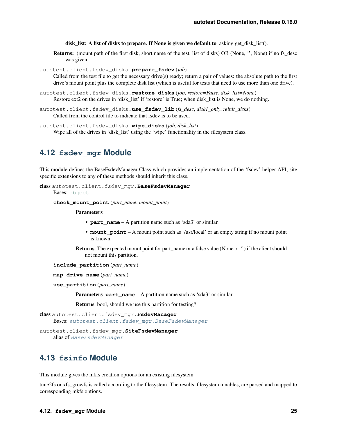disk list: A list of disks to prepare. If None is given we default to asking get disk list().

Returns: (mount path of the first disk, short name of the test, list of disks) OR (None, '', None) if no fs\_desc was given.

autotest.client.fsdev\_disks.**prepare\_fsdev**(*job*)

Called from the test file to get the necessary drive(s) ready; return a pair of values: the absolute path to the first drive's mount point plus the complete disk list (which is useful for tests that need to use more than one drive).

- autotest.client.fsdev\_disks.**restore\_disks**(*job*, *restore=False*, *disk\_list=None*) Restore ext2 on the drives in 'disk\_list' if 'restore' is True; when disk\_list is None, we do nothing.
- autotest.client.fsdev\_disks.**use\_fsdev\_lib**(*fs\_desc*, *disk1\_only*, *reinit\_disks*) Called from the control file to indicate that fsdev is to be used.

autotest.client.fsdev\_disks.**wipe\_disks**(*job*, *disk\_list*) Wipe all of the drives in 'disk list' using the 'wipe' functionality in the filesystem class.

### <span id="page-28-0"></span>**4.12 fsdev\_mgr Module**

This module defines the BaseFsdevManager Class which provides an implementation of the 'fsdev' helper API; site specific extensions to any of these methods should inherit this class.

```
class autotest.client.fsdev_mgr.BaseFsdevManager
```
Bases: [object](http://docs.python.org/library/functions.html#object)

**check\_mount\_point**(*part\_name*, *mount\_point*)

Parameters

- **part\_name** A partition name such as 'sda3' or similar.
- **mount\_point** A mount point such as '/usr/local' or an empty string if no mount point is known.

Returns The expected mount point for part\_name or a false value (None or '') if the client should not mount this partition.

**include\_partition**(*part\_name*)

```
map_drive_name(part_name)
```

```
use_partition(part_name)
```
**Parameters part name** – A partition name such as 'sda3' or similar.

Returns bool, should we use this partition for testing?

class autotest.client.fsdev\_mgr.**FsdevManager** Bases: [autotest.client.fsdev\\_mgr.BaseFsdevManager](#page-28-2)

autotest.client.fsdev\_mgr.**SiteFsdevManager** alias of [BaseFsdevManager](#page-28-2)

# <span id="page-28-1"></span>**4.13 fsinfo Module**

This module gives the mkfs creation options for an existing filesystem.

tune2fs or xfs\_growfs is called according to the filesystem. The results, filesystem tunables, are parsed and mapped to corresponding mkfs options.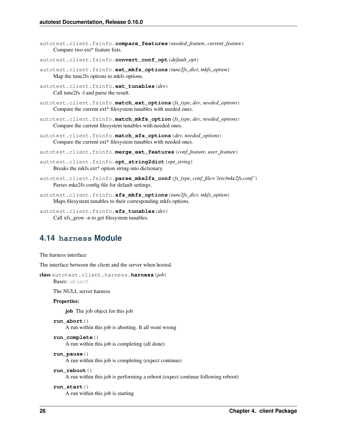```
autotest.client.fsinfo.compare_features(needed_feature, current_feature)
     Compare two ext* feature lists.
autotest.client.fsinfo.convert_conf_opt(default_opt)
autotest.client.fsinfo.ext_mkfs_options(tune2fs_dict, mkfs_option)
     Map the tune2fs options to mkfs options.
autotest.client.fsinfo.ext_tunables(dev)
     Call tune2fs -l and parse the result.
autotest.client.fsinfo.match_ext_options(fs_type, dev, needed_options)
     Compare the current ext* filesystem tunables with needed ones.
autotest.client.fsinfo.match_mkfs_option(fs_type, dev, needed_options)
     Compare the current filesystem tunables with needed ones.
autotest.client.fsinfo.match_xfs_options(dev, needed_options)
     Compare the current ext* filesystem tunables with needed ones.
autotest.client.fsinfo.merge_ext_features(conf_feature, user_feature)
autotest.client.fsinfo.opt_string2dict(opt_string)
     Breaks the mkfs.ext* option string into dictionary.
autotest.client.fsinfo.parse_mke2fs_conf(fs_type, conf_file='/etc/mke2fs.conf ')
     Parses mke2fs config file for default settings.
autotest.client.fsinfo.xfs_mkfs_options(tune2fs_dict, mkfs_option)
     Maps filesystem tunables to their corresponding mkfs options.
```

```
autotest.client.fsinfo.xfs_tunables(dev)
     Call xfs_grow -n to get filesystem tunables.
```
# <span id="page-29-0"></span>**4.14 harness Module**

The harness interface

<span id="page-29-1"></span>The interface between the client and the server when hosted.

```
class autotest.client.harness.harness(job)
```
Bases: [object](http://docs.python.org/library/functions.html#object)

The NULL server harness

#### Properties:

job The job object for this job

```
run_abort()
```
A run within this job is aborting. It all went wrong

```
run_complete()
```
A run within this job is completing (all done)

```
run_pause()
```
A run within this job is completing (expect continue)

```
run_reboot()
```
A run within this job is performing a reboot (expect continue following reboot)

```
run_start()
     A run within this job is starting
```
**26 Chapter 4. client Package**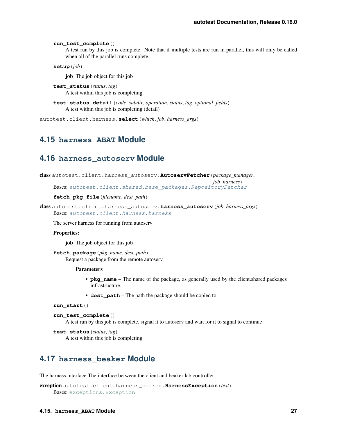**run\_test\_complete**()

A test run by this job is complete. Note that if multiple tests are run in parallel, this will only be called when all of the parallel runs complete.

**setup**(*job*)

job The job object for this job

```
test_status(status, tag)
     A test within this job is completing
```
**test\_status\_detail**(*code*, *subdir*, *operation*, *status*, *tag*, *optional\_fields*) A test within this job is completing (detail)

autotest.client.harness.**select**(*which*, *job*, *harness\_args*)

### <span id="page-30-0"></span>**4.15 harness\_ABAT Module**

### <span id="page-30-1"></span>**4.16 harness\_autoserv Module**

```
class autotest.client.harness_autoserv.AutoservFetcher(package_manager,
                                                         job_harness)
    Bases: autotest.client.shared.base_packages.RepositoryFetcher
```
### **fetch\_pkg\_file**(*filename*, *dest\_path*)

```
class autotest.client.harness_autoserv.harness_autoserv(job, harness_args)
    Bases: autotest.client.harness.harness
```
The server harness for running from autoserv

#### Properties:

job The job object for this job

```
fetch_package(pkg_name, dest_path)
     Request a package from the remote autoserv.
```
#### Parameters

- **pkg** name The name of the package, as generally used by the client.shared.packages infrastructure.
- **dest\_path** The path the package should be copied to.

```
run_start()
```

```
run_test_complete()
```
A test run by this job is complete, signal it to autoserv and wait for it to signal to continue

```
test_status(status, tag)
     A test within this job is completing
```
# <span id="page-30-2"></span>**4.17 harness\_beaker Module**

The harness interface The interface between the client and beaker lab controller.

```
exception autotest.client.harness_beaker.HarnessException(text)
    Bases: exceptions.Exception
```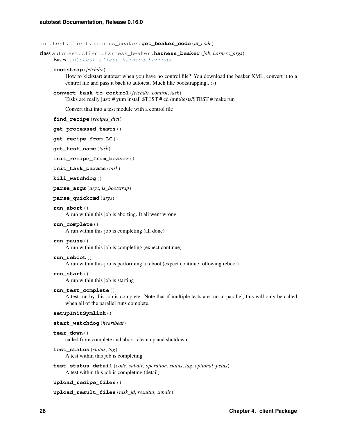autotest.client.harness\_beaker.**get\_beaker\_code**(*at\_code*)

class autotest.client.harness\_beaker.**harness\_beaker**(*job*, *harness\_args*)

Bases: [autotest.client.harness.harness](#page-29-1)

### **bootstrap**(*fetchdir*)

How to kickstart autotest when you have no control file? You download the beaker XML, convert it to a control file and pass it back to autotest. Much like bootstrapping.. :-)

```
convert_task_to_control(fetchdir, control, task)
     Tasks are really just: # yum install $TEST # cd /mnt/tests/$TEST # make run
```
Convert that into a test module with a control file

**find\_recipe**(*recipes\_dict*)

```
get_processed_tests()
```

```
get_recipe_from_LC()
```
**get\_test\_name**(*task*)

**init\_recipe\_from\_beaker**()

**init\_task\_params**(*task*)

**kill\_watchdog**()

```
parse_args(args, is_bootstrap)
```

```
parse_quickcmd(args)
```
### **run\_abort**()

A run within this job is aborting. It all went wrong

### **run\_complete**()

A run within this job is completing (all done)

#### **run\_pause**()

A run within this job is completing (expect continue)

### **run\_reboot**()

A run within this job is performing a reboot (expect continue following reboot)

#### **run\_start**()

A run within this job is starting

#### **run\_test\_complete**()

A test run by this job is complete. Note that if multiple tests are run in parallel, this will only be called when all of the parallel runs complete.

#### **setupInitSymlink**()

```
start_watchdog(heartbeat)
```
### **tear\_down**()

called from complete and abort. clean up and shutdown

#### **test\_status**(*status*, *tag*)

A test within this job is completing

**test\_status\_detail**(*code*, *subdir*, *operation*, *status*, *tag*, *optional\_fields*) A test within this job is completing (detail)

```
upload_recipe_files()
```
**upload\_result\_files**(*task\_id*, *resultid*, *subdir*)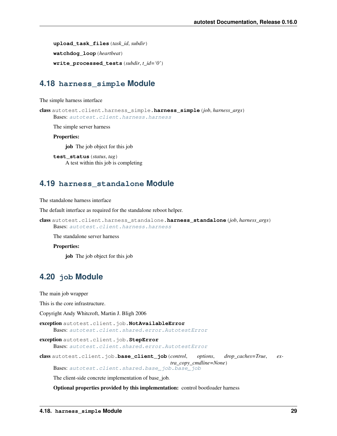**upload\_task\_files**(*task\_id*, *subdir*) **watchdog\_loop**(*heartbeat*) **write\_processed\_tests**(*subdir*, *t\_id='0'*)

### <span id="page-32-0"></span>**4.18 harness\_simple Module**

The simple harness interface

```
class autotest.client.harness_simple.harness_simple(job, harness_args)
    Bases: autotest.client.harness.harness
```
The simple server harness

Properties:

job The job object for this job

**test\_status**(*status*, *tag*) A test within this job is completing

### <span id="page-32-1"></span>**4.19 harness\_standalone Module**

The standalone harness interface

The default interface as required for the standalone reboot helper.

```
class autotest.client.harness_standalone.harness_standalone(job, harness_args)
    Bases: autotest.client.harness.harness
```
The standalone server harness

### Properties:

job The job object for this job

# <span id="page-32-2"></span>**4.20 job Module**

The main job wrapper

This is the core infrastructure.

Copyright Andy Whitcroft, Martin J. Bligh 2006

exception autotest.client.job.**NotAvailableError** Bases: [autotest.client.shared.error.AutotestError](#page-86-0)

exception autotest.client.job.**StepError**

Bases: [autotest.client.shared.error.AutotestError](#page-86-0)

<span id="page-32-3"></span>class autotest.client.job.**base\_client\_job**(*control*, *options*, *drop\_caches=True*, *extra\_copy\_cmdline=None*) Bases: [autotest.client.shared.base\\_job.base\\_job](#page-67-0)

The client-side concrete implementation of base\_job.

Optional properties provided by this implementation: control bootloader harness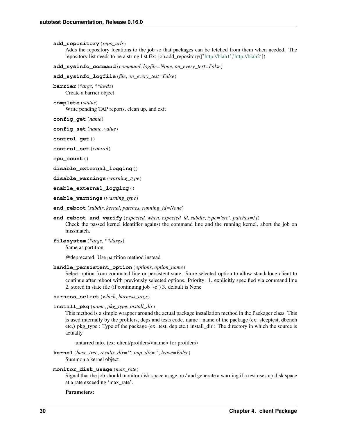```
add_repository(repo_urls)
```
Adds the repository locations to the job so that packages can be fetched from them when needed. The repository list needs to be a string list Ex: job.add\_repository([['http://blah1','http://blah2'](http://blah1)])

**add\_sysinfo\_command**(*command*, *logfile=None*, *on\_every\_test=False*)

**add\_sysinfo\_logfile**(*file*, *on\_every\_test=False*)

```
barrier(*args, **kwds)
     Create a barrier object
```
**complete**(*status*) Write pending TAP reports, clean up, and exit

**config\_get**(*name*)

**config\_set**(*name*, *value*)

**control\_get**()

**control\_set**(*control*)

**cpu\_count**()

```
disable_external_logging()
```
**disable\_warnings**(*warning\_type*)

**enable\_external\_logging**()

**enable\_warnings**(*warning\_type*)

**end\_reboot**(*subdir*, *kernel*, *patches*, *running\_id=None*)

```
end_reboot_and_verify(expected_when, expected_id, subdir, type='src', patches=[])
     Check the passed kernel identifier against the command line and the running kernel, abort the job on
     missmatch.
```
**filesystem**(*\*args*, *\*\*dargs*) Same as partition

@deprecated: Use partition method instead

```
handle_persistent_option(options, option_name)
```
Select option from command line or persistent state. Store selected option to allow standalone client to continue after reboot with previously selected options. Priority: 1. explicitly specified via command line 2. stored in state file (if continuing job '-c') 3. default is None

**harness\_select**(*which*, *harness\_args*)

**install\_pkg**(*name*, *pkg\_type*, *install\_dir*)

This method is a simple wrapper around the actual package installation method in the Packager class. This is used internally by the profilers, deps and tests code. name : name of the package (ex: sleeptest, dbench etc.) pkg\_type : Type of the package (ex: test, dep etc.) install\_dir : The directory in which the source is actually

untarred into. (ex: client/profilers/<name> for profilers)

**kernel**(*base\_tree*, *results\_dir=''*, *tmp\_dir=''*, *leave=False*) Summon a kernel object

```
monitor_disk_usage(max_rate)
```
Signal that the job should monitor disk space usage on / and generate a warning if a test uses up disk space at a rate exceeding 'max\_rate'.

Parameters: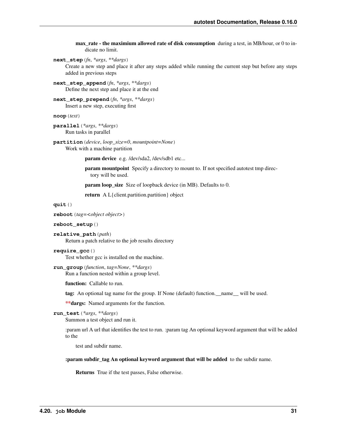max rate - the maximium allowed rate of disk consumption during a test, in MB/hour, or 0 to indicate no limit.

**next\_step**(*fn*, *\*args*, *\*\*dargs*)

Create a new step and place it after any steps added while running the current step but before any steps added in previous steps

**next\_step\_append**(*fn*, *\*args*, *\*\*dargs*) Define the next step and place it at the end

**next\_step\_prepend**(*fn*, *\*args*, *\*\*dargs*) Insert a new step, executing first

**noop**(*text*)

**parallel**(*\*args*, *\*\*dargs*) Run tasks in parallel

**partition**(*device*, *loop\_size=0*, *mountpoint=None*) Work with a machine partition

param device e.g. /dev/sda2, /dev/sdb1 etc...

param mountpoint Specify a directory to mount to. If not specified autotest tmp directory will be used.

param loop\_size Size of loopback device (in MB). Defaults to 0.

return A L{client.partition.partition} object

**quit**()

**reboot**(*tag=<object object>*)

#### **reboot\_setup**()

**relative\_path**(*path*) Return a patch relative to the job results directory

```
require_gcc()
```
Test whether gcc is installed on the machine.

### **run\_group**(*function*, *tag=None*, *\*\*dargs*)

Run a function nested within a group level.

function: Callable to run.

tag: An optional tag name for the group. If None (default) function.\_\_name\_\_ will be used.

\*\*dargs: Named arguments for the function.

### **run\_test**(*\*args*, *\*\*dargs*)

Summon a test object and run it.

:param url A url that identifies the test to run. :param tag An optional keyword argument that will be added to the

test and subdir name.

### :param subdir\_tag An optional keyword argument that will be added to the subdir name.

Returns True if the test passes, False otherwise.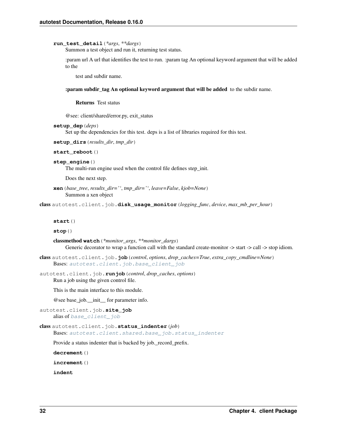#### **run\_test\_detail**(*\*args*, *\*\*dargs*)

Summon a test object and run it, returning test status.

:param url A url that identifies the test to run. :param tag An optional keyword argument that will be added to the

test and subdir name.

#### :param subdir\_tag An optional keyword argument that will be added to the subdir name.

Returns Test status

@see: client/shared/error.py, exit\_status

```
setup_dep(deps)
```
Set up the dependencies for this test. deps is a list of libraries required for this test.

**setup\_dirs**(*results\_dir*, *tmp\_dir*)

```
start_reboot()
```

```
step_engine()
```
The multi-run engine used when the control file defines step\_init.

Does the next step.

```
xen(base_tree, results_dir='', tmp_dir='', leave=False, kjob=None)
     Summon a xen object
```
class autotest.client.job.**disk\_usage\_monitor**(*logging\_func*, *device*, *max\_mb\_per\_hour*)

**start**()

**stop**()

classmethod **watch**(*\*monitor\_args*, *\*\*monitor\_dargs*) Generic decorator to wrap a function call with the standard create-monitor -> start -> call -> stop idiom.

- class autotest.client.job.**job**(*control*, *options*, *drop\_caches=True*, *extra\_copy\_cmdline=None*) Bases: [autotest.client.job.base\\_client\\_job](#page-32-3)
- autotest.client.job.**runjob**(*control*, *drop\_caches*, *options*) Run a job using the given control file.

This is the main interface to this module.

@see base\_job.\_\_init\_\_ for parameter info.

```
autotest.client.job.site_job
   base_client_job
```

```
class autotest.client.job.status_indenter(job)
```
Bases: [autotest.client.shared.base\\_job.status\\_indenter](#page-73-0)

Provide a status indenter that is backed by job.\_record\_prefix.

**decrement**()

**increment**()

**indent**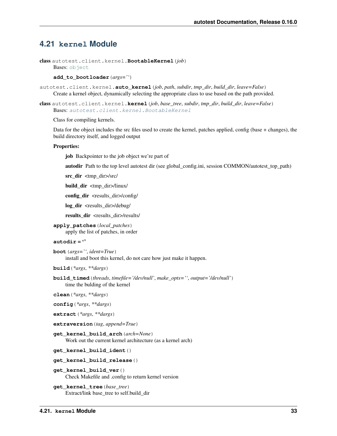# **4.21 kernel Module**

```
class autotest.client.kernel.BootableKernel(job)
    object
```
**add\_to\_bootloader**(*args=''*)

autotest.client.kernel.**auto\_kernel**(*job*, *path*, *subdir*, *tmp\_dir*, *build\_dir*, *leave=False*) Create a kernel object, dynamically selecting the appropriate class to use based on the path provided.

<span id="page-36-1"></span>class autotest.client.kernel.**kernel**(*job*, *base\_tree*, *subdir*, *tmp\_dir*, *build\_dir*, *leave=False*) Bases: [autotest.client.kernel.BootableKernel](#page-36-0)

Class for compiling kernels.

Data for the object includes the src files used to create the kernel, patches applied, config (base + changes), the build directory itself, and logged output

#### Properties:

**job** Backpointer to the job object we're part of

autodir Path to the top level autotest dir (see global\_config.ini, session COMMON/autotest\_top\_path)

src\_dir <tmp\_dir>/src/

build\_dir <tmp\_dir>/linux/

config\_dir <results\_dir>/config/

log\_dir <results\_dir>/debug/

results dir <results dir>/results/

**apply\_patches**(*local\_patches*) apply the list of patches, in order

# **autodir** = ''

**boot**(*args=''*, *ident=True*) install and boot this kernel, do not care how just make it happen.

**build**(*\*args*, *\*\*dargs*)

**build\_timed**(*threads*, *timefile='/dev/null'*, *make\_opts=''*, *output='/dev/null'*) time the bulding of the kernel

**clean**(*\*args*, *\*\*dargs*)

```
config(*args, **dargs)
```
**extract**(*\*args*, *\*\*dargs*)

```
extraversion(tag, append=True)
```
**get\_kernel\_build\_arch**(*arch=None*) Work out the current kernel architecture (as a kernel arch)

**get\_kernel\_build\_ident**()

**get\_kernel\_build\_release**()

```
get_kernel_build_ver()
    Check Makefile and .config to return kernel version
```

```
get_kernel_tree(base_tree)
     Extract/link base_tree to self.build_dir
```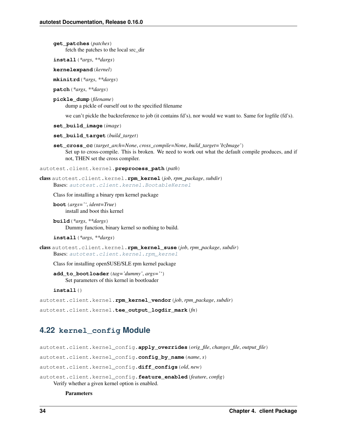**get\_patches**(*patches*) fetch the patches to the local src\_dir

**install**(*\*args*, *\*\*dargs*)

```
kernelexpand(kernel)
```
**mkinitrd**(*\*args*, *\*\*dargs*)

**patch**(*\*args*, *\*\*dargs*)

**pickle\_dump**(*filename*)

dump a pickle of ourself out to the specified filename

we can't pickle the backreference to job (it contains fd's), nor would we want to. Same for logfile (fd's).

```
set_build_image(image)
```

```
set_build_target(build_target)
```
**set\_cross\_cc**(*target\_arch=None*, *cross\_compile=None*, *build\_target='bzImage'*) Set up to cross-compile. This is broken. We need to work out what the default compile produces, and if not, THEN set the cross compiler.

<span id="page-37-0"></span>autotest.client.kernel.**preprocess\_path**(*path*)

```
class autotest.client.kernel.rpm_kernel(job, rpm_package, subdir)
    Bases: autotest.client.kernel.BootableKernel
```
Class for installing a binary rpm kernel package

**boot**(*args=''*, *ident=True*) install and boot this kernel

**build**(*\*args*, *\*\*dargs*) Dummy function, binary kernel so nothing to build.

```
install(*args, **dargs)
```

```
class autotest.client.kernel.rpm_kernel_suse(job, rpm_package, subdir)
    Bases: autotest.client.kernel.rpm_kernel
```
Class for installing openSUSE/SLE rpm kernel package

**add\_to\_bootloader**(*tag='dummy'*, *args=''*) Set parameters of this kernel in bootloader

**install**()

```
autotest.client.kernel.rpm_kernel_vendor(job, rpm_package, subdir)
```

```
autotest.client.kernel.tee_output_logdir_mark(fn)
```
# **4.22 kernel\_config Module**

```
autotest.client.kernel_config.apply_overrides(orig_file, changes_file, output_file)
autotest.client.kernel_config.config_by_name(name, s)
autotest.client.kernel_config.diff_configs(old, new)
autotest.client.kernel_config.feature_enabled(feature, config)
    Verify whether a given kernel option is enabled.
```
## **Parameters**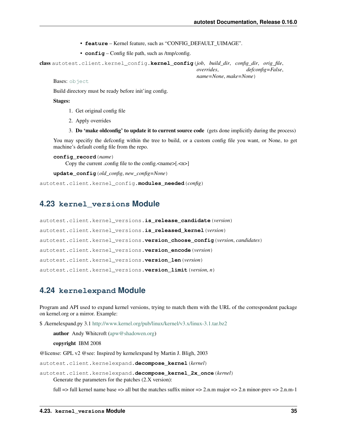- **feature** Kernel feature, such as "CONFIG\_DEFAULT\_UIMAGE".
- **config** Config file path, such as /tmp/config.

```
class autotest.client.kernel_config.kernel_config(job, build_dir, config_dir, orig_file,
                                                       overrides, defconfig=False,
                                                       name=None, make=None)
```
Bases: [object](http://docs.python.org/library/functions.html#object)

Build directory must be ready before init'ing config.

# Stages:

- 1. Get original config file
- 2. Apply overrides
- 3. Do 'make oldconfig' to update it to current source code (gets done implicitly during the process)

You may specifiy the defconfig within the tree to build, or a custom config file you want, or None, to get machine's default config file from the repo.

```
config_record(name)
```
Copy the current .config file to the config.<name>[.<n>]

**update\_config**(*old\_config*, *new\_config=None*)

autotest.client.kernel\_config.**modules\_needed**(*config*)

# **4.23 kernel\_versions Module**

```
autotest.client.kernel_versions.is_release_candidate(version)
autotest.client.kernel_versions.is_released_kernel(version)
autotest.client.kernel_versions.version_choose_config(version, candidates)
autotest.client.kernel_versions.version_encode(version)
autotest.client.kernel_versions.version_len(version)
autotest.client.kernel_versions.version_limit(version, n)
```
# **4.24 kernelexpand Module**

Program and API used to expand kernel versions, trying to match them with the URL of the correspondent package on kernel.org or a mirror. Example:

\$ ./kernelexpand.py 3.1 <http://www.kernel.org/pub/linux/kernel/v3.x/linux-3.1.tar.bz2>

author Andy Whitcroft [\(apw@shadowen.org\)](mailto:apw@shadowen.org)

copyright IBM 2008

@license: GPL v2 @see: Inspired by kernelexpand by Martin J. Bligh, 2003

autotest.client.kernelexpand.**decompose\_kernel**(*kernel*)

autotest.client.kernelexpand.**decompose\_kernel\_2x\_once**(*kernel*) Generate the parameters for the patches (2.X version):

full  $\Rightarrow$  full kernel name base  $\Rightarrow$  all but the matches suffix minor  $\Rightarrow$  2.n.m major  $\Rightarrow$  2.n minor-prev  $\Rightarrow$  2.n.m-1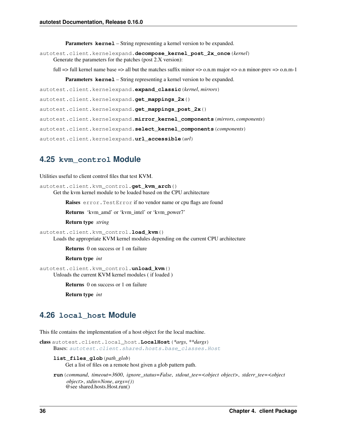Parameters **kernel** – String representing a kernel version to be expanded.

autotest.client.kernelexpand.**decompose\_kernel\_post\_2x\_once**(*kernel*) Generate the parameters for the patches (post 2.X version):

full  $\Rightarrow$  full kernel name base  $\Rightarrow$  all but the matches suffix minor  $\Rightarrow$  o.n.m major  $\Rightarrow$  o.n minor-prev  $\Rightarrow$  o.n.m-1

**Parameters kernel** – String representing a kernel version to be expanded.

autotest.client.kernelexpand.**expand\_classic**(*kernel*, *mirrors*)

autotest.client.kernelexpand.**get\_mappings\_2x**()

autotest.client.kernelexpand.**get\_mappings\_post\_2x**()

autotest.client.kernelexpand.**mirror\_kernel\_components**(*mirrors*, *components*)

autotest.client.kernelexpand.**select\_kernel\_components**(*components*)

autotest.client.kernelexpand.**url\_accessible**(*url*)

# **4.25 kvm\_control Module**

Utilities useful to client control files that test KVM.

autotest.client.kvm\_control.**get\_kvm\_arch**() Get the kvm kernel module to be loaded based on the CPU architecture

Raises error. TestError if no vendor name or cpu flags are found

Returns 'kvm\_amd' or 'kvm\_intel' or 'kvm\_power7'

Return type *string*

```
autotest.client.kvm_control.load_kvm()
     Loads the appropriate KVM kernel modules depending on the current CPU architecture
```
Returns 0 on success or 1 on failure

Return type *int*

autotest.client.kvm\_control.**unload\_kvm**() Unloads the current KVM kernel modules ( if loaded )

Returns 0 on success or 1 on failure

Return type *int*

# **4.26 local\_host Module**

This file contains the implementation of a host object for the local machine.

class autotest.client.local\_host.**LocalHost**(*\*args*, *\*\*dargs*) Bases: [autotest.client.shared.hosts.base\\_classes.Host](#page-153-0)

```
list_files_glob(path_glob)
```
Get a list of files on a remote host given a glob pattern path.

**run**(*command*, *timeout=3600*, *ignore\_status=False*, *stdout\_tee=<object object>*, *stderr\_tee=<object object>*, *stdin=None*, *args=()*) @see shared.hosts.Host.run()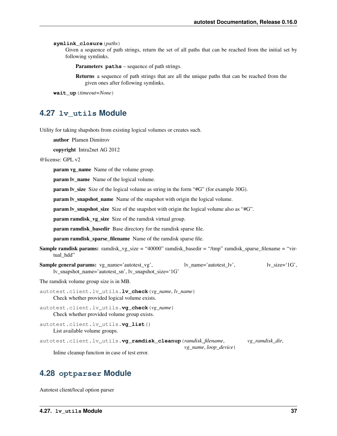**symlink\_closure**(*paths*)

Given a sequence of path strings, return the set of all paths that can be reached from the initial set by following symlinks.

Parameters **paths** – sequence of path strings.

Returns a sequence of path strings that are all the unique paths that can be reached from the given ones after following symlinks.

**wait\_up**(*timeout=None*)

# **4.27 lv\_utils Module**

Utility for taking shapshots from existing logical volumes or creates such.

author Plamen Dimitrov

copyright Intra2net AG 2012

@license: GPL v2

param vg\_name Name of the volume group.

**param lv\_name** Name of the logical volume.

param lv\_size Size of the logical volume as string in the form "#G" (for example 30G).

param lv\_snapshot\_name Name of the snapshot with origin the logical volume.

param lv\_snapshot\_size Size of the snapshot with origin the logical volume also as "#G".

**param ramdisk\_vg\_size** Size of the ramdisk virtual group.

param ramdisk\_basedir Base directory for the ramdisk sparse file.

param ramdisk\_sparse\_filename Name of the ramdisk sparse file.

- Sample ramdisk params: ramdisk\_vg\_size = "40000" ramdisk\_basedir = "/tmp" ramdisk\_sparse\_filename = "virtual hdd"
- Sample general params: vg\_name='autotest\_vg', lv\_name='autotest\_lv', lv\_size='1G', lv\_snapshot\_name='autotest\_sn', lv\_snapshot\_size='1G'

The ramdisk volume group size is in MB.

- autotest.client.lv\_utils.**lv\_check**(*vg\_name*, *lv\_name*) Check whether provided logical volume exists.
- autotest.client.lv\_utils.**vg\_check**(*vg\_name*) Check whether provided volume group exists.

autotest.client.lv\_utils.**vg\_list**() List available volume groups.

autotest.client.lv\_utils.**vg\_ramdisk\_cleanup**(*ramdisk\_filename*, *vg\_ramdisk\_dir*,

*vg\_name*, *loop\_device*)

Inline cleanup function in case of test error.

# **4.28 optparser Module**

Autotest client/local option parser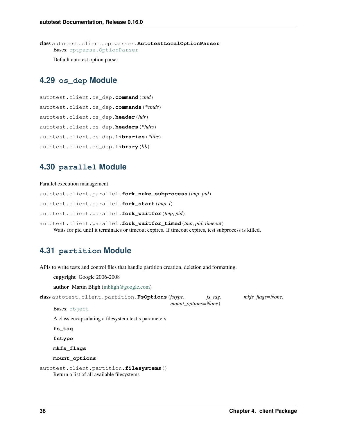class autotest.client.optparser.**AutotestLocalOptionParser** Bases: [optparse.OptionParser](http://docs.python.org/library/optparse.html#optparse.OptionParser)

Default autotest option parser

# **4.29 os\_dep Module**

```
autotest.client.os_dep.command(cmd)
autotest.client.os_dep.commands(*cmds)
autotest.client.os_dep.header(hdr)
autotest.client.os_dep.headers(*hdrs)
autotest.client.os_dep.libraries(*libs)
autotest.client.os_dep.library(lib)
```
# **4.30 parallel Module**

## Parallel execution management

autotest.client.parallel.**fork\_nuke\_subprocess**(*tmp*, *pid*) autotest.client.parallel.**fork\_start**(*tmp*, *l*) autotest.client.parallel.**fork\_waitfor**(*tmp*, *pid*) autotest.client.parallel.**fork\_waitfor\_timed**(*tmp*, *pid*, *timeout*)

Waits for pid until it terminates or timeout expires. If timeout expires, test subprocess is killed.

# **4.31 partition Module**

APIs to write tests and control files that handle partition creation, deletion and formatting.

copyright Google 2006-2008

author Martin Bligh [\(mbligh@google.com\)](mailto:mbligh@google.com)

class autotest.client.partition.**FsOptions**(*fstype*, *fs\_tag*, *mkfs\_flags=None*, *mount\_options=None*)

Bases: [object](http://docs.python.org/library/functions.html#object)

A class encapsulating a filesystem test's parameters.

**fs\_tag**

**fstype**

**mkfs\_flags**

**mount\_options**

autotest.client.partition.**filesystems**() Return a list of all available filesystems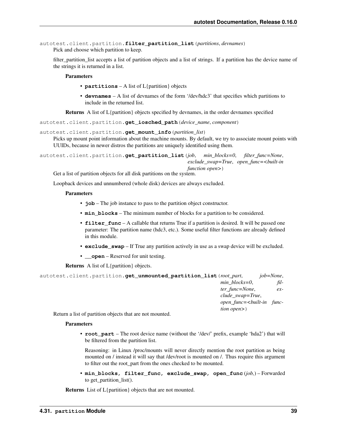```
autotest.client.partition.filter_partition_list(partitions, devnames)
    Pick and choose which partition to keep.
```
filter\_partition\_list accepts a list of partition objects and a list of strings. If a partition has the device name of the strings it is returned in a list.

Parameters

- **partitions** A list of L{partition} objects
- **devnames** A list of devnames of the form '/dev/hdc3' that specifies which partitions to include in the returned list.

Returns A list of L{partition} objects specified by devnames, in the order devnames specified

autotest.client.partition.**get\_iosched\_path**(*device\_name*, *component*)

```
autotest.client.partition.get_mount_info(partition_list)
```
Picks up mount point information about the machine mounts. By default, we try to associate mount points with UUIDs, because in newer distros the partitions are uniquely identified using them.

autotest.client.partition.**get\_partition\_list**(*job*, *min\_blocks=0*, *filter\_func=None*, *exclude\_swap=True*, *open\_func=<built-in function open>*)

Get a list of partition objects for all disk partitions on the system.

Loopback devices and unnumbered (whole disk) devices are always excluded.

## **Parameters**

- **job** The job instance to pass to the partition object constructor.
- **min blocks** The minimum number of blocks for a partition to be considered.
- **filter\_func** A callable that returns True if a partition is desired. It will be passed one parameter: The partition name (hdc3, etc.). Some useful filter functions are already defined in this module.
- **exclude\_swap** If True any partition actively in use as a swap device will be excluded.
- **\_\_open** Reserved for unit testing.

Returns A list of L{partition} objects.

| autotest.client.partition.qet unmounted partition list (root part, |                               | <i>iob</i> =None, |
|--------------------------------------------------------------------|-------------------------------|-------------------|
|                                                                    | $min \, blocks = 0$ ,         | fil-              |
|                                                                    | ter func=None,                | $ex-$             |
|                                                                    | clude swap=True,              |                   |
|                                                                    | open_func=<br>>built-in func- |                   |
|                                                                    | <i>tion open</i> $>$ )        |                   |
| Datom a list of condition ablacts that are not married.            |                               |                   |

Return a list of partition objects that are not mounted.

## **Parameters**

• **root** part – The root device name (without the '/dev/' prefix, example 'hda2') that will be filtered from the partition list.

Reasoning: in Linux /proc/mounts will never directly mention the root partition as being mounted on / instead it will say that /dev/root is mounted on /. Thus require this argument to filter out the root\_part from the ones checked to be mounted.

• **min\_blocks, filter\_func, exclude\_swap, open\_func** (*job,*) – Forwarded to get\_partition\_list().

Returns List of L{partition} objects that are not mounted.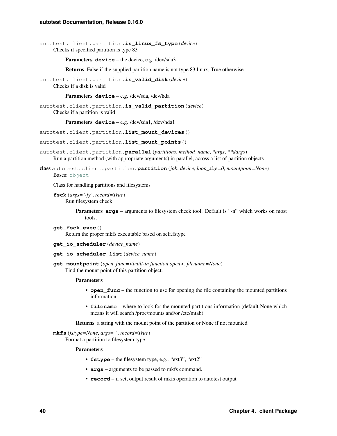autotest.client.partition.**is\_linux\_fs\_type**(*device*) Checks if specified partition is type 83

Parameters device – the device, e.g. /dev/sda3

Returns False if the supplied partition name is not type 83 linux, True otherwise

autotest.client.partition.**is\_valid\_disk**(*device*) Checks if a disk is valid

Parameters **device** – e.g. /dev/sda, /dev/hda

autotest.client.partition.**is\_valid\_partition**(*device*) Checks if a partition is valid

Parameters **device** – e.g. /dev/sda1, /dev/hda1

autotest.client.partition.**list\_mount\_devices**()

autotest.client.partition.**list\_mount\_points**()

autotest.client.partition.**parallel**(*partitions*, *method\_name*, *\*args*, *\*\*dargs*) Run a partition method (with appropriate arguments) in parallel, across a list of partition objects

class autotest.client.partition.**partition**(*job*, *device*, *loop\_size=0*, *mountpoint=None*) Bases: [object](http://docs.python.org/library/functions.html#object)

Class for handling partitions and filesystems

**fsck**(*args='-fy'*, *record=True*) Run filesystem check

> **Parameters**  $\arg s$  – arguments to filesystem check tool. Default is "-n" which works on most tools.

- **get\_fsck\_exec**() Return the proper mkfs executable based on self.fstype
- **get\_io\_scheduler**(*device\_name*)
- **get\_io\_scheduler\_list**(*device\_name*)
- **get\_mountpoint**(*open\_func=<built-in function open>*, *filename=None*) Find the mount point of this partition object.

#### Parameters

- **open\_func** the function to use for opening the file containing the mounted partitions information
- **filename** where to look for the mounted partitions information (default None which means it will search /proc/mounts and/or /etc/mtab)

Returns a string with the mount point of the partition or None if not mounted

**mkfs**(*fstype=None*, *args=''*, *record=True*) Format a partition to filesystem type

Parameters

- **fstype** the filesystem type, e.g.. "ext3", "ext2"
- **args** arguments to be passed to mkfs command.
- **record** if set, output result of mkfs operation to autotest output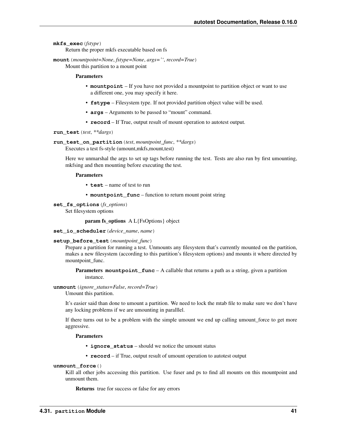# **mkfs\_exec**(*fstype*)

Return the proper mkfs executable based on fs

**mount**(*mountpoint=None*, *fstype=None*, *args=''*, *record=True*)

Mount this partition to a mount point

# Parameters

- **mountpoint** If you have not provided a mountpoint to partition object or want to use a different one, you may specify it here.
- **fstype** Filesystem type. If not provided partition object value will be used.
- **args** Arguments to be passed to "mount" command.
- **record** If True, output result of mount operation to autotest output.

### **run\_test**(*test*, *\*\*dargs*)

## **run\_test\_on\_partition**(*test*, *mountpoint\_func*, *\*\*dargs*)

Executes a test fs-style (umount,mkfs,mount,test)

Here we unmarshal the args to set up tags before running the test. Tests are also run by first umounting, mkfsing and then mounting before executing the test.

## Parameters

- **test** name of test to run
- **mountpoint** func function to return mount point string

### **set\_fs\_options**(*fs\_options*)

Set filesystem options

param fs\_options A L{FsOptions} object

**set\_io\_scheduler**(*device\_name*, *name*)

### **setup\_before\_test**(*mountpoint\_func*)

Prepare a partition for running a test. Unmounts any filesystem that's currently mounted on the partition, makes a new filesystem (according to this partition's filesystem options) and mounts it where directed by mountpoint\_func.

**Parameters mountpoint func** – A callable that returns a path as a string, given a partition instance.

# **unmount**(*ignore\_status=False*, *record=True*)

Umount this partition.

It's easier said than done to umount a partition. We need to lock the mtab file to make sure we don't have any locking problems if we are umounting in paralllel.

If there turns out to be a problem with the simple umount we end up calling umount\_force to get more aggressive.

## **Parameters**

- **ignore\_status** should we notice the umount status
- **record** if True, output result of umount operation to autotest output

# **unmount\_force**()

Kill all other jobs accessing this partition. Use fuser and ps to find all mounts on this mountpoint and unmount them.

Returns true for success or false for any errors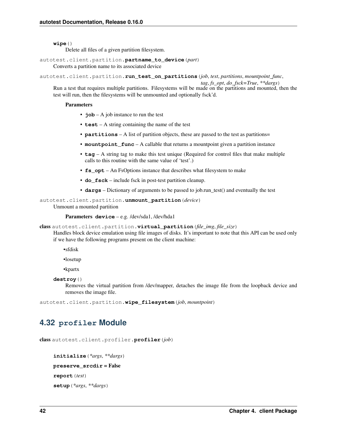**wipe**()

Delete all files of a given partition filesystem.

autotest.client.partition.**partname\_to\_device**(*part*)

Converts a partition name to its associated device

autotest.client.partition.**run\_test\_on\_partitions**(*job*, *test*, *partitions*, *mountpoint\_func*,

*tag*, *fs\_opt*, *do\_fsck=True*, *\*\*dargs*)

Run a test that requires multiple partitions. Filesystems will be made on the partitions and mounted, then the test will run, then the filesystems will be unmounted and optionally fsck'd.

### **Parameters**

- **job** A job instance to run the test
- **test** A string containing the name of the test
- **partitions** A list of partition objects, these are passed to the test as partitions=
- **mountpoint** func A callable that returns a mountpoint given a partition instance
- **tag** A string tag to make this test unique (Required for control files that make multiple calls to this routine with the same value of 'test'.)
- **fs** opt An FsOptions instance that describes what filesystem to make
- **do\_fsck** include fsck in post-test partition cleanup.
- **dargs** Dictionary of arguments to be passed to job.run\_test() and eventually the test

## autotest.client.partition.**unmount\_partition**(*device*)

Unmount a mounted partition

## Parameters **device** – e.g. /dev/sda1, /dev/hda1

class autotest.client.partition.**virtual\_partition**(*file\_img*, *file\_size*)

Handles block device emulation using file images of disks. It's important to note that this API can be used only if we have the following programs present on the client machine:

•sfdisk

•losetup

•kpartx

**destroy**()

Removes the virtual partition from /dev/mapper, detaches the image file from the loopback device and removes the image file.

autotest.client.partition.**wipe\_filesystem**(*job*, *mountpoint*)

# **4.32 profiler Module**

<span id="page-45-0"></span>class autotest.client.profiler.**profiler**(*job*)

```
initialize(*args, **dargs)
preserve_srcdir = False
report(test)
setup(*args, **dargs)
```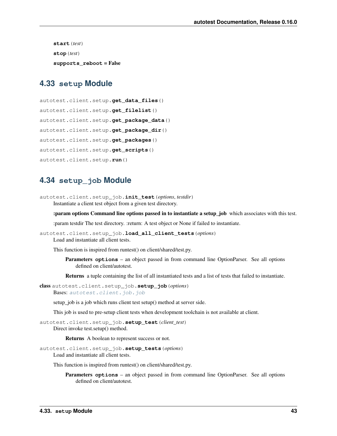**start**(*test*) **stop**(*test*) **supports\_reboot** = False

# **4.33 setup Module**

```
autotest.client.setup.get_data_files()
autotest.client.setup.get_filelist()
autotest.client.setup.get_package_data()
autotest.client.setup.get_package_dir()
autotest.client.setup.get_packages()
autotest.client.setup.get_scripts()
autotest.client.setup.run()
```
# **4.34 setup\_job Module**

autotest.client.setup\_job.**init\_test**(*options*, *testdir*) Instantiate a client test object from a given test directory.

:param options Command line options passed in to instantiate a setup job which associates with this test.

:param testdir The test directory. :return: A test object or None if failed to instantiate.

autotest.client.setup\_job.**load\_all\_client\_tests**(*options*) Load and instantiate all client tests.

This function is inspired from runtest() on client/shared/test.py.

Parameters **options** – an object passed in from command line OptionParser. See all options defined on client/autotest.

Returns a tuple containing the list of all instantiated tests and a list of tests that failed to instantiate.

class autotest.client.setup\_job.**setup\_job**(*options*)

Bases: [autotest.client.job.job](#page-35-0)

setup\_job is a job which runs client test setup() method at server side.

This job is used to pre-setup client tests when development toolchain is not available at client.

autotest.client.setup\_job.**setup\_test**(*client\_test*) Direct invoke test.setup() method.

Returns A boolean to represent success or not.

autotest.client.setup\_job.**setup\_tests**(*options*)

Load and instantiate all client tests.

This function is inspired from runtest() on client/shared/test.py.

Parameters **options** – an object passed in from command line OptionParser. See all options defined on client/autotest.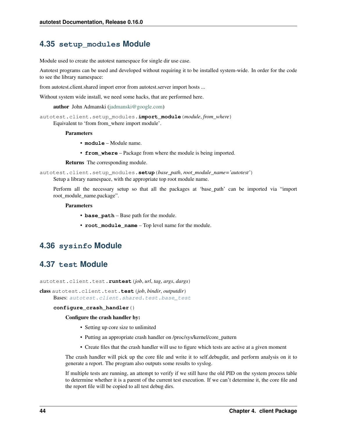# **4.35 setup\_modules Module**

Module used to create the autotest namespace for single dir use case.

Autotest programs can be used and developed without requiring it to be installed system-wide. In order for the code to see the library namespace:

from autotest.client.shared import error from autotest.server import hosts ...

Without system wide install, we need some hacks, that are performed here.

author John Admanski [\(jadmanski@google.com\)](mailto:jadmanski@google.com)

autotest.client.setup\_modules.**import\_module**(*module*, *from\_where*) Equivalent to 'from from\_where import module'.

#### Parameters

- **module** Module name.
- **from\_where** Package from where the module is being imported.

Returns The corresponding module.

autotest.client.setup\_modules.**setup**(*base\_path*, *root\_module\_name='autotest'*) Setup a library namespace, with the appropriate top root module name.

Perform all the necessary setup so that all the packages at 'base\_path' can be imported via "import root\_module\_name.package".

#### **Parameters**

- **base\_path** Base path for the module.
- **root** module name Top level name for the module.

# **4.36 sysinfo Module**

# **4.37 test Module**

autotest.client.test.**runtest**(*job*, *url*, *tag*, *args*, *dargs*)

class autotest.client.test.**test**(*job*, *bindir*, *outputdir*) Bases: [autotest.client.shared.test.base\\_test](#page-126-0)

### **configure\_crash\_handler**()

## Configure the crash handler by:

- Setting up core size to unlimited
- Putting an appropriate crash handler on /proc/sys/kernel/core\_pattern
- Create files that the crash handler will use to figure which tests are active at a given moment

The crash handler will pick up the core file and write it to self.debugdir, and perform analysis on it to generate a report. The program also outputs some results to syslog.

If multiple tests are running, an attempt to verify if we still have the old PID on the system process table to determine whether it is a parent of the current test execution. If we can't determine it, the core file and the report file will be copied to all test debug dirs.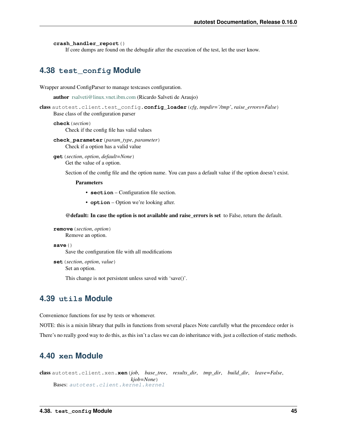```
crash_handler_report()
```
If core dumps are found on the debugdir after the execution of the test, let the user know.

# **4.38 test\_config Module**

Wrapper around ConfigParser to manage testcases configuration.

author [rsalveti@linux.vnet.ibm.com](mailto:rsalveti@linux.vnet.ibm.com) (Ricardo Salveti de Araujo)

```
class autotest.client.test_config.config_loader(cfg, tmpdir='/tmp', raise_errors=False)
     Base class of the configuration parser
```
## **check**(*section*)

Check if the config file has valid values

- **check\_parameter**(*param\_type*, *parameter*) Check if a option has a valid value
- **get**(*section*, *option*, *default=None*) Get the value of a option.

Section of the config file and the option name. You can pass a default value if the option doesn't exist.

Parameters

- **section** Configuration file section.
- **option** Option we're looking after.

@default: In case the option is not available and raise\_errors is set to False, return the default.

```
remove(section, option)
     Remove an option.
```
**save**()

Save the configuration file with all modifications

**set**(*section*, *option*, *value*) Set an option.

This change is not persistent unless saved with 'save()'.

# **4.39 utils Module**

Convenience functions for use by tests or whomever.

NOTE: this is a mixin library that pulls in functions from several places Note carefully what the precendece order is There's no really good way to do this, as this isn't a class we can do inheritance with, just a collection of static methods.

# **4.40 xen Module**

class autotest.client.xen.**xen**(*job*, *base\_tree*, *results\_dir*, *tmp\_dir*, *build\_dir*, *leave=False*, *kjob=None*) Bases: [autotest.client.kernel.kernel](#page-36-1)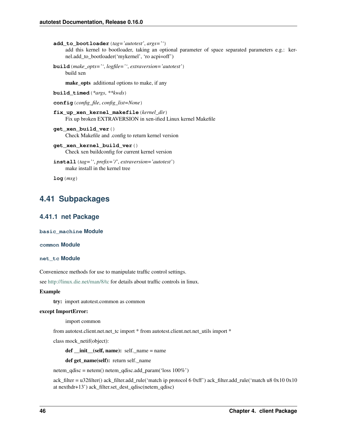```
add_to_bootloader(tag='autotest', args='')
     add this kernel to bootloader, taking an optional parameter of space separated parameters e.g.: ker-
     nel.add_to_bootloader('mykernel', 'ro acpi=off')
```
**build**(*make\_opts=''*, *logfile=''*, *extraversion='autotest'*) build xen

make opts additional options to make, if any

```
build_timed(*args, **kwds)
```
**config**(*config\_file*, *config\_list=None*)

```
fix_up_xen_kernel_makefile(kernel_dir)
    Fix up broken EXTRAVERSION in xen-ified Linux kernel Makefile
```

```
get_xen_build_ver()
     Check Makefile and .config to return kernel version
```
- **get\_xen\_kernel\_build\_ver**() Check xen buildconfig for current kernel version
- **install**(*tag=''*, *prefix='/'*, *extraversion='autotest'*) make install in the kernel tree

**log**(*msg*)

# **4.41 Subpackages**

# **4.41.1 net Package**

**basic\_machine Module**

**common Module**

```
net_tc Module
```
Convenience methods for use to manipulate traffic control settings.

see <http://linux.die.net/man/8/tc> for details about traffic controls in linux.

### Example

try: import autotest.common as common

## except ImportError:

import common

from autotest.client.net.net\_tc import \* from autotest.client.net.net\_utils import \*

class mock\_netif(object):

def \_\_init\_\_(self, name): self.\_name = name

def get\_name(self): return self.\_name

netem\_qdisc = netem() netem\_qdisc.add\_param('loss 100%')

ack\_filter = u32filter() ack\_filter.add\_rule('match ip protocol 6 0xff') ack\_filter.add\_rule('match u8 0x10 0x10 at nexthdr+13') ack\_filter.set\_dest\_qdisc(netem\_qdisc)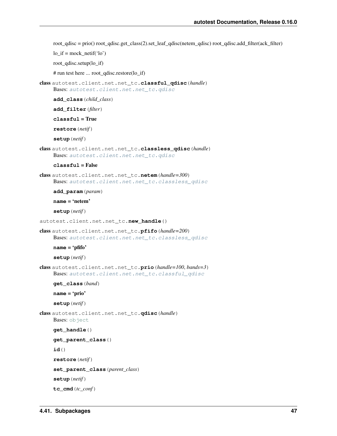root  $qdisc = \text{prio}$  root  $qdisc.get$  class(2).set leaf  $qdisc(netem qdisc)$  root  $qdisc.add$  filter(ack filter)

 $\text{lo\_if} = \text{mock\_netif('lo')}$ 

root\_qdisc.setup(lo\_if)

# run test here ... root\_qdisc.restore(lo\_if)

<span id="page-50-2"></span>class autotest.client.net.net\_tc.**classful\_qdisc**(*handle*) Bases: [autotest.client.net.net\\_tc.qdisc](#page-50-0)

**add\_class**(*child\_class*)

**add\_filter**(*filter*)

**classful** = True

**restore**(*netif*)

**setup**(*netif*)

```
class autotest.client.net.net_tc.classless_qdisc(handle)
    Bases: autotest.client.net.net tc.qdisc
```
## **classful** = False

class autotest.client.net.net\_tc.**netem**(*handle=300*) Bases: [autotest.client.net.net\\_tc.classless\\_qdisc](#page-50-1)

**add\_param**(*param*)

**name** = 'netem'

**setup**(*netif*)

```
autotest.client.net.net_tc.new_handle()
```
class autotest.client.net.net\_tc.**pfifo**(*handle=200*) Bases: [autotest.client.net.net\\_tc.classless\\_qdisc](#page-50-1)

**name** = 'pfifo'

**setup**(*netif*)

class autotest.client.net.net\_tc.**prio**(*handle=100*, *bands=3*) Bases: [autotest.client.net.net\\_tc.classful\\_qdisc](#page-50-2)

**get\_class**(*band*)

```
name = 'prio'
```
**setup**(*netif*)

<span id="page-50-0"></span>class autotest.client.net.net\_tc.**qdisc**(*handle*) Bases: [object](http://docs.python.org/library/functions.html#object)

#### **get\_handle**()

```
get_parent_class()
```
**id**()

**restore**(*netif*)

**set\_parent\_class**(*parent\_class*)

**setup**(*netif*)

**tc\_cmd**(*tc\_conf*)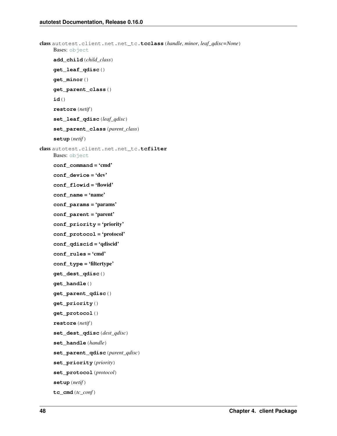```
class autotest.client.net.net_tc.tcclass(handle, minor, leaf_qdisc=None)
    Bases: object
    add_child(child_class)
    get_leaf_qdisc()
    get_minor()
    get_parent_class()
    id()
    restore(netif)
    set_leaf_qdisc(leaf_qdisc)
    set_parent_class(parent_class)
    setup(netif)
class autotest.client.net.net_tc.tcfilter
    object
    conf_command = 'cmd'
    conf_device = 'dev'
    conf_flowid = 'flowid'
    conf_name = 'name'
    conf_params = 'params'
    conf_parent = 'parent'
    conf_priority = 'priority'
    conf_protocol = 'protocol'
    conf_qdiscid = 'qdiscid'
    conf_rules = 'cmd'
    conf_type = 'filtertype'
    get_dest_qdisc()
    get_handle()
    get_parent_qdisc()
    get_priority()
    get_protocol()
    restore(netif)
    set_dest_qdisc(dest_qdisc)
    set_handle(handle)
    set_parent_qdisc(parent_qdisc)
    set_priority(priority)
    set_protocol(protocol)
    setup(netif)
    tc_cmd(tc_conf)
```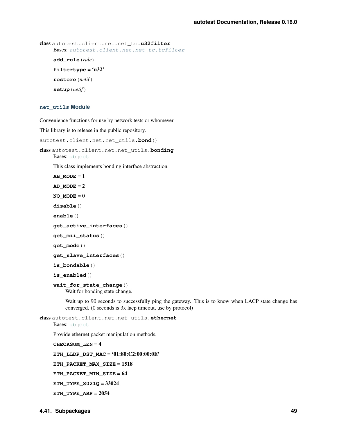```
class autotest.client.net.net_tc.u32filter
    Bases: autotest.client.net.net tc.tcfilter
    add_rule(rule)
    filtertype = 'u32'
    restore(netif)
    setup(netif)
```
## **net\_utils Module**

Convenience functions for use by network tests or whomever.

This library is to release in the public repository.

```
autotest.client.net.net_utils.bond()
```
class autotest.client.net.net\_utils.**bonding** Bases: [object](http://docs.python.org/library/functions.html#object)

This class implements bonding interface abstraction.

```
AB MODE = 1
AD MODE = 2NO MODE = 0disable()
enable()
get_active_interfaces()
get_mii_status()
get_mode()
get_slave_interfaces()
is_bondable()
is_enabled()
wait_for_state_change()
```
Wait for bonding state change.

Wait up to 90 seconds to successfully ping the gateway. This is to know when LACP state change has converged. (0 seconds is 3x lacp timeout, use by protocol)

class autotest.client.net.net\_utils.**ethernet** Bases: [object](http://docs.python.org/library/functions.html#object)

Provide ethernet packet manipulation methods.

**CHECKSUM\_LEN** = 4 **ETH\_LLDP\_DST\_MAC** = '01:80:C2:00:00:0E' **ETH\_PACKET\_MAX\_SIZE** = 1518 **ETH\_PACKET\_MIN\_SIZE** = 64 **ETH\_TYPE\_8021Q** = 33024

**ETH\_TYPE\_ARP** = 2054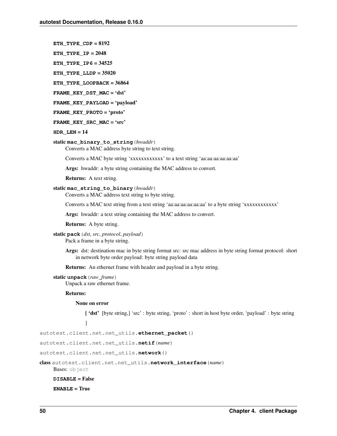- **ETH\_TYPE\_CDP** = 8192
- **ETH\_TYPE\_IP** = 2048

**ETH\_TYPE\_IP6** = 34525

**ETH\_TYPE\_LLDP** = 35020

**ETH\_TYPE\_LOOPBACK** = 36864

FRAME KEY DST MAC = 'dst'

**FRAME\_KEY\_PAYLOAD** = 'payload'

- **FRAME\_KEY\_PROTO** = 'proto'
- **FRAME\_KEY\_SRC\_MAC** = 'src'
- **HDR\_LEN** = 14

### static **mac\_binary\_to\_string**(*hwaddr*)

Converts a MAC address byte string to text string.

Converts a MAC byte string 'xxxxxxxxxxxx' to a text string 'aa:aa:aa:aa:aa:aa'

Args: hwaddr: a byte string containing the MAC address to convert.

Returns: A text string.

## static **mac\_string\_to\_binary**(*hwaddr*)

Converts a MAC address text string to byte string.

Converts a MAC text string from a text string 'aa:aa:aa:aa:aa:aa' to a byte string 'xxxxxxxxxxxx'

Args: hwaddr: a text string containing the MAC address to convert.

Returns: A byte string.

```
static pack(dst, src, protocol, payload)
     Pack a frame in a byte string.
```
Args: dst: destination mac in byte string format src: src mac address in byte string format protocol: short in network byte order payload: byte string payload data

Returns: An ethernet frame with header and payload in a byte string.

## static **unpack**(*raw\_frame*)

Unpack a raw ethernet frame.

### Returns:

## None on error

{ 'dst' [byte string,] 'src' : byte string, 'proto' : short in host byte order, 'payload' : byte string }

autotest.client.net.net\_utils.**ethernet\_packet**()

autotest.client.net.net\_utils.**netif**(*name*)

<span id="page-53-0"></span>autotest.client.net.net\_utils.**network**()

class autotest.client.net.net\_utils.**network\_interface**(*name*)

Bases: [object](http://docs.python.org/library/functions.html#object)

**DISABLE** = False

**ENABLE** = True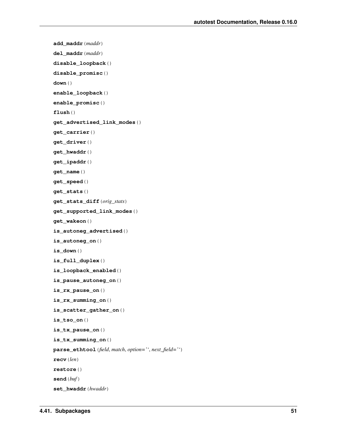```
add_maddr(maddr)
del_maddr(maddr)
disable_loopback()
disable_promisc()
down()
enable_loopback()
enable_promisc()
flush()
get_advertised_link_modes()
get_carrier()
get_driver()
get_hwaddr()
get_ipaddr()
get_name()
get_speed()
get_stats()
get_stats_diff(orig_stats)
get_supported_link_modes()
get_wakeon()
is_autoneg_advertised()
is_autoneg_on()
is_down()
is_full_duplex()
is_loopback_enabled()
is_pause_autoneg_on()
is_rx_pause_on()
is_rx_summing_on()
is_scatter_gather_on()
is_tso_on()
is_tx_pause_on()
is_tx_summing_on()
parse_ethtool(field, match, option='', next_field='')
recv(len)
restore()
send(buf)
set_hwaddr(hwaddr)
```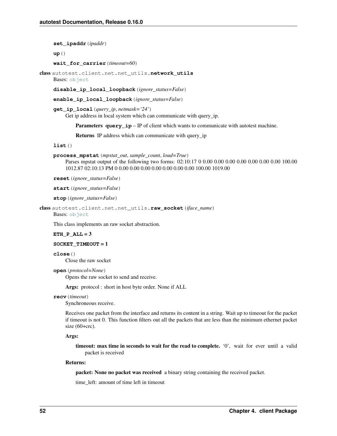**set\_ipaddr**(*ipaddr*)

**up**()

**wait\_for\_carrier**(*timeout=60*)

class autotest.client.net.net\_utils.**network\_utils** Bases: [object](http://docs.python.org/library/functions.html#object)

**disable\_ip\_local\_loopback**(*ignore\_status=False*)

**enable\_ip\_local\_loopback**(*ignore\_status=False*)

**get\_ip\_local**(*query\_ip*, *netmask='24'*) Get ip address in local system which can communicate with query\_ip.

**Parameters query\_ip** – IP of client which wants to communicate with autotest machine.

Returns IP address which can communicate with query\_ip

**list**()

**process\_mpstat**(*mpstat\_out*, *sample\_count*, *loud=True*)

Parses mpstat output of the following two forms: 02:10:17 0 0.00 0.00 0.00 0.00 0.00 0.00 0.00 100.00 1012.87 02:10:13 PM 0 0.00 0.00 0.00 0.00 0.00 0.00 0.00 100.00 1019.00

**reset**(*ignore\_status=False*)

**start**(*ignore\_status=False*)

**stop**(*ignore\_status=False*)

class autotest.client.net.net\_utils.**raw\_socket**(*iface\_name*) Bases: [object](http://docs.python.org/library/functions.html#object)

This class implements an raw socket abstraction.

# **ETH\_P\_ALL** = 3

## **SOCKET\_TIMEOUT** = 1

**close**()

Close the raw socket

**open**(*protocol=None*)

Opens the raw socket to send and receive.

Args: protocol : short in host byte order. None if ALL

## **recv**(*timeout*)

Synchroneous receive.

Receives one packet from the interface and returns its content in a string. Wait up to timeout for the packet if timeout is not 0. This function filters out all the packets that are less than the minimum ethernet packet size (60+crc).

## Args:

timeout: max time in seconds to wait for the read to complete. '0', wait for ever until a valid packet is received

# Returns:

packet: None no packet was received a binary string containing the received packet.

time\_left: amount of time left in timeout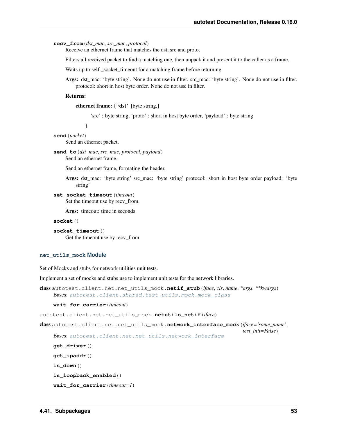**recv\_from**(*dst\_mac*, *src\_mac*, *protocol*)

Receive an ethernet frame that matches the dst, src and proto.

Filters all received packet to find a matching one, then unpack it and present it to the caller as a frame.

Waits up to self.\_socket\_timeout for a matching frame before returning.

Args: dst\_mac: 'byte string'. None do not use in filter. src\_mac: 'byte string'. None do not use in filter. protocol: short in host byte order. None do not use in filter.

### Returns:

ethernet frame: { 'dst' [byte string,]

'src' : byte string, 'proto' : short in host byte order, 'payload' : byte string

}

# **send**(*packet*)

Send an ethernet packet.

```
send_to(dst_mac, src_mac, protocol, payload)
     Send an ethernet frame.
```
Send an ethernet frame, formating the header.

Args: dst\_mac: 'byte string' src\_mac: 'byte string' protocol: short in host byte order payload: 'byte string'

```
set_socket_timeout(timeout)
```
Set the timeout use by recv\_from.

Args: timeout: time in seconds

```
socket()
```

```
socket_timeout()
    Get the timeout use by recv_from
```
#### **net\_utils\_mock Module**

Set of Mocks and stubs for network utilities unit tests.

Implement a set of mocks and stubs use to implement unit tests for the network libraries.

```
class autotest.client.net.net_utils_mock.netif_stub(iface, cls, name, *args, **kwargs)
    autotest.client.shared.test_utils.mock.mock_class
```
#### **wait\_for\_carrier**(*timeout*)

autotest.client.net.net\_utils\_mock.**netutils\_netif**(*iface*)

class autotest.client.net.net\_utils\_mock.**network\_interface\_mock**(*iface='some\_name'*,

Bases: [autotest.client.net.net\\_utils.network\\_interface](#page-53-0)

**get\_driver**() **get\_ipaddr**()

**is\_down**()

**is\_loopback\_enabled**()

```
wait_for_carrier(timeout=1)
```
*test\_init=False*)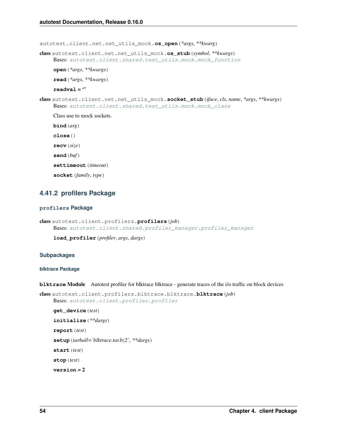autotest.client.net.net\_utils\_mock.**os\_open**(*\*args*, *\*\*kwarg*)

class autotest.client.net.net\_utils\_mock.**os\_stub**(*symbol*, *\*\*kwargs*) Bases: [autotest.client.shared.test\\_utils.mock.mock\\_function](#page-159-1)

**open**(*\*args*, *\*\*kwargs*)

**read**(*\*args*, *\*\*kwargs*)

**readval** = ''

class autotest.client.net.net\_utils\_mock.**socket\_stub**(*iface*, *cls*, *name*, *\*args*, *\*\*kwargs*) Bases: [autotest.client.shared.test\\_utils.mock.mock\\_class](#page-159-0)

Class use to mock sockets.

**bind**(*arg*) **close**()

**recv**(*size*)

**send**(*buf*)

**settimeout**(*timeout*)

**socket**(*family*, *type*)

# **4.41.2 profilers Package**

# **profilers Package**

```
class autotest.client.profilers.profilers(job)
    Bases: autotest.client.shared.profiler_manager.profiler_manager
```
**load\_profiler**(*profiler*, *args*, *dargs*)

# **Subpackages**

# **blktrace Package**

**blktrace** Module Autotest profiler for blktrace blktrace - generate traces of the i/o traffic on block devices

```
class autotest.client.profilers.blktrace.blktrace.blktrace(job)
    Bases: autotest.client.profiler.profiler
```

```
get_device(test)
initialize(**dargs)
report(test)
setup(tarball='blktrace.tar.bz2', **dargs)
start(test)
stop(test)
version = 2
```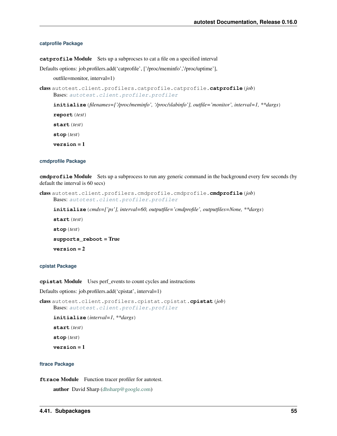## **catprofile Package**

**catprofile** Module Sets up a subprocses to cat a file on a specified interval

Defaults options: job.profilers.add('catprofile', ['/proc/meminfo','/proc/uptime'],

outfile=monitor, interval=1)

```
class autotest.client.profilers.catprofile.catprofile.catprofile(job)
    Bases: autotest.client.profiler.profiler
```
**initialize**(*filenames=['/proc/meminfo', '/proc/slabinfo'], outfile='monitor', interval=1, \*\*dargs*)

**report**(*test*)

**start**(*test*)

**stop**(*test*)

**version** = 1

### **cmdprofile Package**

**cmdprofile** Module Sets up a subprocess to run any generic command in the background every few seconds (by default the interval is 60 secs)

```
class autotest.client.profilers.cmdprofile.cmdprofile.cmdprofile(job)
    Bases: autotest.client.profiler.profiler
```
**initialize**(*cmds=['ps'], interval=60, outputfile='cmdprofile', outputfiles=None, \*\*dargs*)

**start**(*test*) **stop**(*test*) **supports\_reboot** = True **version** = 2

# **cpistat Package**

**cpistat** Module Uses perf\_events to count cycles and instructions

Defaults options: job.profilers.add('cpistat', interval=1)

```
class autotest.client.profilers.cpistat.cpistat.cpistat(job)
    Bases: autotest.client.profiler.profiler
```

```
initialize(interval=1, **dargs)
```
**start**(*test*)

**stop**(*test*)

**version** = 1

## **ftrace Package**

**ftrace Module** Function tracer profiler for autotest.

author David Sharp [\(dhsharp@google.com\)](mailto:dhsharp@google.com)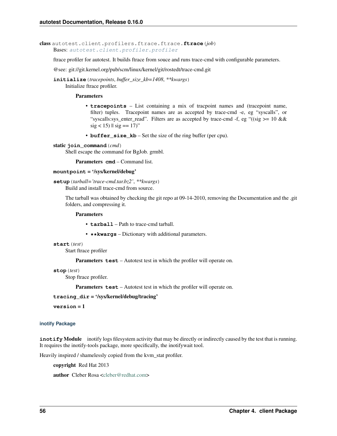class autotest.client.profilers.ftrace.ftrace.**ftrace**(*job*) Bases: [autotest.client.profiler.profiler](#page-45-0)

ftrace profiler for autotest. It builds ftrace from souce and runs trace-cmd with configurable parameters.

@see: git://git.kernel.org/pub/scm/linux/kernel/git/rostedt/trace-cmd.git

**initialize**(*tracepoints*, *buffer\_size\_kb=1408*, *\*\*kwargs*) Initialize ftrace profiler.

**Parameters** 

- **tracepoints** List containing a mix of tracpoint names and (tracepoint name, filter) tuples. Tracepoint names are as accepted by trace-cmd -e, eg "syscalls", or "syscalls:sys\_enter\_read". Filters are as accepted by trace-cmd -f, eg "((sig  $> = 10$  &&  $sig < 15$ ) || sig = 17)"
- **buffer\_size\_kb** Set the size of the ring buffer (per cpu).

static **join\_command**(*cmd*)

Shell escape the command for BgJob. grmbl.

Parameters **cmd** – Command list.

```
mountpoint = '/sys/kernel/debug'
```
**setup**(*tarball='trace-cmd.tar.bz2'*, *\*\*kwargs*)

Build and install trace-cmd from source.

The tarball was obtained by checking the git repo at 09-14-2010, removing the Documentation and the .git folders, and compressing it.

# Parameters

- **tarball** Path to trace-cmd tarball.
- **\*\*kwargs** Dictionary with additional parameters.
- **start**(*test*)

Start ftrace profiler

Parameters **test** – Autotest test in which the profiler will operate on.

```
stop(test)
```
Stop ftrace profiler.

Parameters **test** – Autotest test in which the profiler will operate on.

**tracing\_dir** = '/sys/kernel/debug/tracing'

**version** = 1

## **inotify Package**

**inotify Module** inotify logs filesystem activity that may be directly or indirectly caused by the test that is running. It requires the inotify-tools package, more specifically, the inotifywait tool.

Heavily inspired / shamelessly copied from the kvm\_stat profiler.

copyright Red Hat 2013

author Cleber Rosa [<cleber@redhat.com>](mailto:cleber@redhat.com)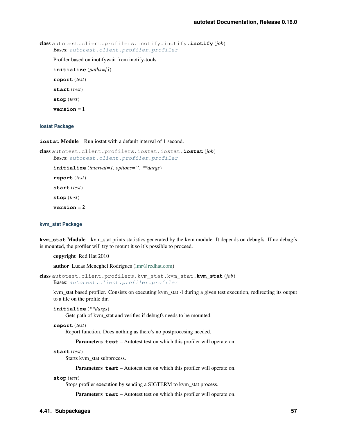```
class autotest.client.profilers.inotify.inotify.inotify(job)
    Bases: autotest.client.profiler.profiler
```
Profiler based on inotifywait from inotify-tools

**initialize**(*paths=[]*) **report**(*test*)

**start**(*test*)

**stop**(*test*)

**version** = 1

# **iostat Package**

**iostat Module** Run jostat with a default interval of 1 second.

class autotest.client.profilers.iostat.iostat.**iostat**(*job*) Bases: [autotest.client.profiler.profiler](#page-45-0)

**initialize**(*interval=1*, *options=''*, *\*\*dargs*)

**report**(*test*)

**start**(*test*)

**stop**(*test*)

**version** = 2

## **kvm\_stat Package**

**kvm** stat Module kvm stat prints statistics generated by the kvm module. It depends on debugfs. If no debugfs is mounted, the profiler will try to mount it so it's possible to proceed.

copyright Red Hat 2010

author Lucas Meneghel Rodrigues [\(lmr@redhat.com\)](mailto:lmr@redhat.com)

```
class autotest.client.profilers.kvm_stat.kvm_stat.kvm_stat(job)
    Bases: autotest.client.profiler.profiler
```
kvm\_stat based profiler. Consists on executing kvm\_stat -l during a given test execution, redirecting its output to a file on the profile dir.

```
initialize(**dargs)
```
Gets path of kvm\_stat and verifies if debugfs needs to be mounted.

```
report(test)
```
Report function. Does nothing as there's no postprocesing needed.

Parameters **test** – Autotest test on which this profiler will operate on.

**start**(*test*)

Starts kvm\_stat subprocess.

Parameters **test** – Autotest test on which this profiler will operate on.

**stop**(*test*)

Stops profiler execution by sending a SIGTERM to kvm\_stat process.

Parameters **test** – Autotest test on which this profiler will operate on.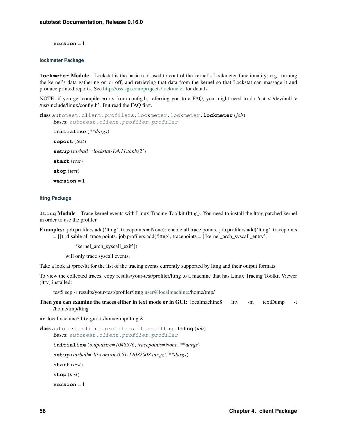**version** = 1

# **lockmeter Package**

**lockmeter** Module Lockstat is the basic tool used to control the kernel's Lockmeter functionality: e.g., turning the kernel's data gathering on or off, and retrieving that data from the kernel so that Lockstat can massage it and produce printed reports. See <http://oss.sgi.com/projects/lockmeter> for details.

NOTE: if you get compile errors from config.h, referring you to a FAQ, you might need to do 'cat < /dev/null > /usr/include/linux/config.h'. But read the FAQ first.

```
class autotest.client.profilers.lockmeter.lockmeter.lockmeter(job)
    Bases: autotest.client.profiler.profiler
    initialize(**dargs)
    report(test)
    setup(tarball='lockstat-1.4.11.tar.bz2')
    start(test)
     stop(test)
    version = 1
```
## **lttng Package**

**lttng** Module Trace kernel events with Linux Tracing Toolkit (lttng). You need to install the lttng patched kernel in order to use the profiler.

Examples: job.profilers.add('lttng', tracepoints = None): enable all trace points. job.profilers.add('lttng', tracepoints = []): disable all trace points. job.profilers.add('lttng', tracepoints = ['kernel\_arch\_syscall\_entry',

'kernel\_arch\_syscall\_exit'])

will only trace syscall events.

Take a look at /proc/ltt for the list of the tracing events currently supported by lttng and their output formats.

To view the collected traces, copy results/your-test/profiler/lttng to a machine that has Linux Tracing Toolkit Viewer (lttv) installed:

test\$ scp -r results/your-test/profiler/lttng [user@localmachine:](mailto:user@localmachine)/home/tmp/

Then you can examine the traces either in text mode or in GUI: localmachine\$ lttv -m textDump -t /home/tmp/lttng

or localmachine\$ lttv-gui -t /home/tmp/lttng &

class autotest.client.profilers.lttng.lttng.**lttng**(*job*) Bases: [autotest.client.profiler.profiler](#page-45-0)

**initialize**(*outputsize=1048576*, *tracepoints=None*, *\*\*dargs*)

**setup**(*tarball='ltt-control-0.51-12082008.tar.gz'*, *\*\*dargs*)

**start**(*test*)

**stop**(*test*)

**version** = 1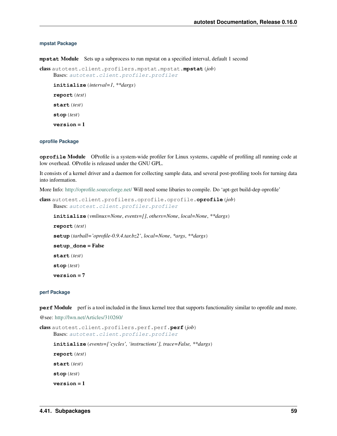# **mpstat Package**

**mpstat** Module Sets up a subprocess to run mpstat on a specified interval, default 1 second

```
class autotest.client.profilers.mpstat.mpstat.mpstat(job)
    Bases: autotest.client.profiler.profiler
```
**initialize**(*interval=1*, *\*\*dargs*) **report**(*test*) **start**(*test*) **stop**(*test*) **version** = 1

# **oprofile Package**

**oprofile** Module OProfile is a system-wide profiler for Linux systems, capable of profiling all running code at low overhead. OProfile is released under the GNU GPL.

It consists of a kernel driver and a daemon for collecting sample data, and several post-profiling tools for turning data into information.

More Info: <http://oprofile.sourceforge.net/> Will need some libaries to compile. Do 'apt-get build-dep oprofile'

```
class autotest.client.profilers.oprofile.oprofile.oprofile(job)
    Bases: autotest.client.profiler.profiler
```

```
initialize(vmlinux=None, events=[], others=None, local=None, **dargs)
report(test)
setup(tarball='oprofile-0.9.4.tar.bz2', local=None, *args, **dargs)
setup_done = False
start(test)
stop(test)
version = 7
```
## **perf Package**

**perf** Module perf is a tool included in the linux kernel tree that supports functionality similar to oprofile and more.

@see: <http://lwn.net/Articles/310260/>

```
class autotest.client.profilers.perf.perf.perf(job)
    Bases: autotest.client.profiler.profiler
    initialize(events=['cycles', 'instructions'], trace=False, **dargs)
    report(test)
    start(test)
    stop(test)
    version = 1
```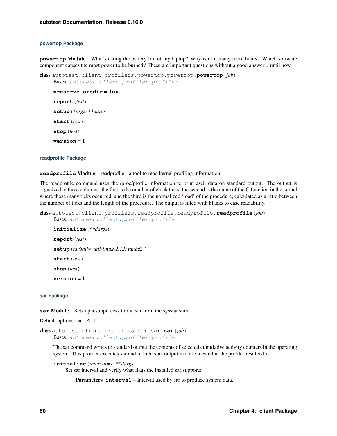### **powertop Package**

**powertop** Module What's eating the battery life of my laptop? Why isn't it many more hours? Which software component causes the most power to be burned? These are important questions without a good answer... until now.

```
class autotest.client.profilers.powertop.powertop.powertop(job)
    Bases: autotest.client.profiler.profiler
```

```
preserve_srcdir = True
report(test)
setup(*args, **dargs)
start(test)
stop(test)
```
**version** = 1

## **readprofile Package**

## **readprofile** Module readprofile - a tool to read kernel profiling information

The readprofile command uses the /proc/profile information to print ascii data on standard output. The output is organized in three columns: the first is the number of clock ticks, the second is the name of the C function in the kernel where those many ticks occurred, and the third is the normalized 'load' of the procedure, calculated as a ratio between the number of ticks and the length of the procedure. The output is filled with blanks to ease readability.

```
class autotest.client.profilers.readprofile.readprofile.readprofile(job)
    Bases: autotest.client.profiler.profiler
```

```
initialize(**dargs)
report(test)
setup(tarball='util-linux-2.12r.tar.bz2')
start(test)
stop(test)
version = 1
```
## **sar Package**

**sar Module** Sets up a subprocess to run sar from the sysstat suite

Default options: sar -A -f

class autotest.client.profilers.sar.sar.**sar**(*job*) Bases: [autotest.client.profiler.profiler](#page-45-0)

The sar command writes to standard output the contents of selected cumulative activity counters in the operating system. This profiler executes sar and redirects its output in a file located in the profiler results dir.

```
initialize(interval=1, **dargs)
```
Set sar interval and verify what flags the installed sar supports.

Parameters **interval** – Interval used by sar to produce system data.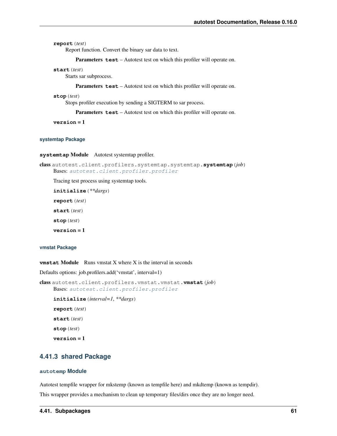```
report(test)
```
Report function. Convert the binary sar data to text.

Parameters **test** – Autotest test on which this profiler will operate on.

#### **start**(*test*)

Starts sar subprocess.

Parameters **test** – Autotest test on which this profiler will operate on.

#### **stop**(*test*)

Stops profiler execution by sending a SIGTERM to sar process.

Parameters **test** – Autotest test on which this profiler will operate on.

**version** = 1

## **systemtap Package**

**systemtap** Module Autotest systemtap profiler.

```
class autotest.client.profilers.systemtap.systemtap.systemtap(job)
    Bases: autotest.client.profiler.profiler
```
Tracing test process using systemtap tools.

**initialize**(*\*\*dargs*) **report**(*test*) **start**(*test*) **stop**(*test*) **version** = 1

## **vmstat Package**

**vmstat Module** Runs vmstat X where X is the interval in seconds

Defaults options: job.profilers.add('vmstat', interval=1)

```
class autotest.client.profilers.vmstat.vmstat.vmstat(job)
    Bases: autotest.client.profiler.profiler
    initialize(interval=1, **dargs)
    report(test)
    start(test)
    stop(test)
    version = 1
```
# **4.41.3 shared Package**

## **autotemp Module**

Autotest tempfile wrapper for mkstemp (known as tempfile here) and mkdtemp (known as tempdir).

This wrapper provides a mechanism to clean up temporary files/dirs once they are no longer need.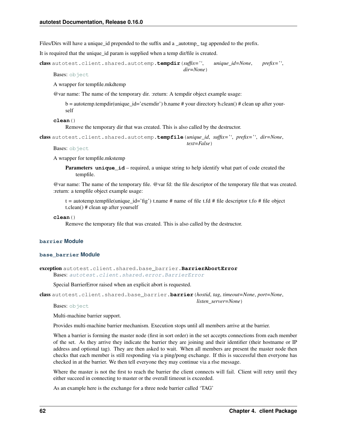Files/Dirs will have a unique id prepended to the suffix and a autotmp tag appended to the prefix.

It is required that the unique\_id param is supplied when a temp dir/file is created.

class autotest.client.shared.autotemp.**tempdir**(*suffix=''*, *unique\_id=None*, *prefix=''*, *dir=None*)

Bases: [object](http://docs.python.org/library/functions.html#object)

A wrapper for tempfile.mkdtemp

@var name: The name of the temporary dir. :return: A tempdir object example usage:

 $b =$  autotemp.tempdir(unique id='exemdir') b.name # your directory b.clean() # clean up after yourself

**clean**()

Remove the temporary dir that was created. This is also called by the destructor.

class autotest.client.shared.autotemp.**tempfile**(*unique\_id*, *suffix=''*, *prefix=''*, *dir=None*, *text=False*)

Bases: [object](http://docs.python.org/library/functions.html#object)

A wrapper for tempfile.mkstemp

**Parameters unique\_id** – required, a unique string to help identify what part of code created the tempfile.

@var name: The name of the temporary file. @var fd: the file descriptor of the temporary file that was created. :return: a tempfile object example usage:

t = autotemp.tempfile(unique\_id='fig') t.name # name of file t.fd # file descriptor t.fo # file object t.clean() # clean up after yourself

**clean**()

Remove the temporary file that was created. This is also called by the destructor.

## **barrier Module**

## **base\_barrier Module**

exception autotest.client.shared.base\_barrier.**BarrierAbortError** Bases: [autotest.client.shared.error.BarrierError](#page-88-0)

Special BarrierError raised when an explicit abort is requested.

class autotest.client.shared.base\_barrier.**barrier**(*hostid*, *tag*, *timeout=None*, *port=None*,

Bases: [object](http://docs.python.org/library/functions.html#object)

Multi-machine barrier support.

Provides multi-machine barrier mechanism. Execution stops until all members arrive at the barrier.

When a barrier is forming the master node (first in sort order) in the set accepts connections from each member of the set. As they arrive they indicate the barrier they are joining and their identifier (their hostname or IP address and optional tag). They are then asked to wait. When all members are present the master node then checks that each member is still responding via a ping/pong exchange. If this is successful then everyone has checked in at the barrier. We then tell everyone they may continue via a rlse message.

*listen\_server=None*)

Where the master is not the first to reach the barrier the client connects will fail. Client will retry until they either succeed in connecting to master or the overall timeout is exceeded.

As an example here is the exchange for a three node barrier called 'TAG'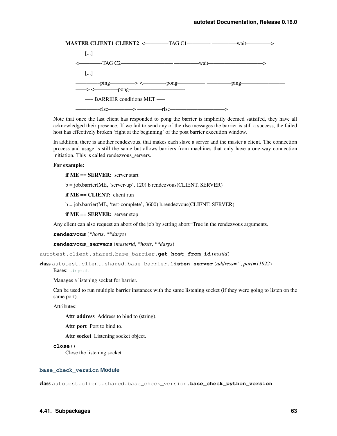

Note that once the last client has responded to pong the barrier is implicitly deemed satisifed, they have all acknowledged their presence. If we fail to send any of the rlse messages the barrier is still a success, the failed host has effectively broken 'right at the beginning' of the post barrier execution window.

In addition, there is another rendezvous, that makes each slave a server and the master a client. The connection process and usage is still the same but allows barriers from machines that only have a one-way connection initiation. This is called rendezvous servers.

## For example:

if ME == SERVER: server start

b = job.barrier(ME, 'server-up', 120) b.rendezvous(CLIENT, SERVER)

if ME == CLIENT: client run

b = job.barrier(ME, 'test-complete', 3600) b.rendezvous(CLIENT, SERVER)

if ME == SERVER: server stop

Any client can also request an abort of the job by setting abort=True in the rendezvous arguments.

**rendezvous**(*\*hosts*, *\*\*dargs*)

**rendezvous\_servers**(*masterid*, *\*hosts*, *\*\*dargs*)

autotest.client.shared.base\_barrier.**get\_host\_from\_id**(*hostid*)

class autotest.client.shared.base\_barrier.**listen\_server**(*address=''*, *port=11922*)

Bases: [object](http://docs.python.org/library/functions.html#object)

Manages a listening socket for barrier.

Can be used to run multiple barrier instances with the same listening socket (if they were going to listen on the same port).

Attributes:

Attr address Address to bind to (string).

Attr port Port to bind to.

Attr socket Listening socket object.

```
close()
```
Close the listening socket.

## **base\_check\_version Module**

class autotest.client.shared.base\_check\_version.**base\_check\_python\_version**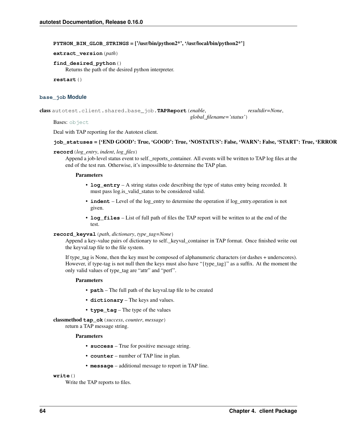PYTHON BIN GLOB STRINGS =  $\frac{1}{2}$  ('usr/bin/python2\*', '/usr/local/bin/python2\*']

**extract\_version**(*path*)

**find\_desired\_python**()

Returns the path of the desired python interpreter.

**restart**()

# **base\_job Module**

class autotest.client.shared.base\_job.**TAPReport**(*enable*, *resultdir=None*,

Bases: [object](http://docs.python.org/library/functions.html#object)

Deal with TAP reporting for the Autotest client.

# job\_statuses = {'END GOOD': True, 'GOOD': True, 'NOSTATUS': False, 'WARN': False, 'START': True, 'ERROR

*global\_filename='status'*)

# **record**(*log\_entry*, *indent*, *log\_files*)

Append a job-level status event to self.\_reports\_container. All events will be written to TAP log files at the end of the test run. Otherwise, it's impossilble to determine the TAP plan.

## Parameters

- **log\_entry** A string status code describing the type of status entry being recorded. It must pass log. is valid status to be considered valid.
- **indent** Level of the log\_entry to determine the operation if log\_entry.operation is not given.
- **log\_files** List of full path of files the TAP report will be written to at the end of the test.

# **record\_keyval**(*path*, *dictionary*, *type\_tag=None*)

Append a key-value pairs of dictionary to self.\_keyval\_container in TAP format. Once finished write out the keyval.tap file to the file system.

If type\_tag is None, then the key must be composed of alphanumeric characters (or dashes + underscores). However, if type-tag is not null then the keys must also have "{type\_tag}" as a suffix. At the moment the only valid values of type\_tag are "attr" and "perf".

# Parameters

- **path** The full path of the keyval.tap file to be created
- **dictionary** The keys and values.
- **type\_tag** The type of the values

classmethod **tap\_ok**(*success*, *counter*, *message*)

return a TAP message string.

# **Parameters**

- **success** True for positive message string.
- **counter** number of TAP line in plan.
- **message** additional message to report in TAP line.

**write**()

Write the TAP reports to files.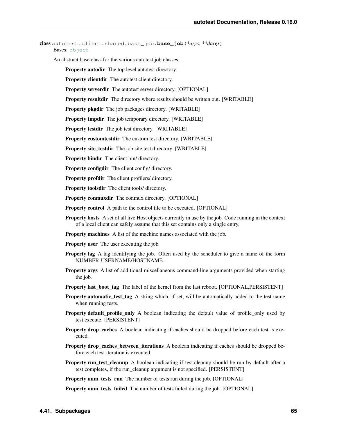```
class autotest.client.shared.base_job.base_job(*args, **dargs)
    object
```
An abstract base class for the various autotest job classes.

Property autodir The top level autotest directory.

Property clientdir The autotest client directory.

Property serverdir The autotest server directory. [OPTIONAL]

Property resultdir The directory where results should be written out. [WRITABLE]

Property pkgdir The job packages directory. [WRITABLE]

Property tmpdir The job temporary directory. [WRITABLE]

Property testdir The job test directory. [WRITABLE]

Property customtestdir The custom test directory. [WRITABLE]

Property site\_testdir The job site test directory. [WRITABLE]

Property bindir The client bin/ directory.

Property configdir The client config/ directory.

Property profdir The client profilers/ directory.

Property toolsdir The client tools/ directory.

Property conmuxdir The conmux directory. [OPTIONAL]

Property control A path to the control file to be executed. [OPTIONAL]

Property hosts A set of all live Host objects currently in use by the job. Code running in the context of a local client can safely assume that this set contains only a single entry.

Property machines A list of the machine names associated with the job.

Property user The user executing the job.

- Property tag A tag identifying the job. Often used by the scheduler to give a name of the form NUMBER-USERNAME/HOSTNAME.
- Property args A list of additional miscellaneous command-line arguments provided when starting the job.
- Property last\_boot\_tag The label of the kernel from the last reboot. [OPTIONAL,PERSISTENT]
- Property automatic\_test\_tag A string which, if set, will be automatically added to the test name when running tests.
- **Property default\_profile\_only** A boolean indicating the default value of profile\_only used by test.execute. [PERSISTENT]
- Property drop\_caches A boolean indicating if caches should be dropped before each test is executed.
- Property drop\_caches\_between\_iterations A boolean indicating if caches should be dropped before each test iteration is executed.
- Property run\_test\_cleanup A boolean indicating if test.cleanup should be run by default after a test completes, if the run\_cleanup argument is not specified. [PERSISTENT]

Property num\_tests\_run The number of tests run during the job. [OPTIONAL]

Property num\_tests\_failed The number of tests failed during the job. [OPTIONAL]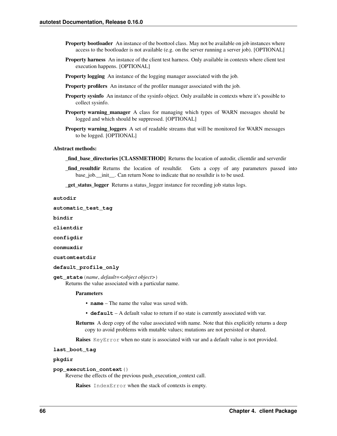- **Property bootloader** An instance of the boottool class. May not be available on job instances where access to the bootloader is not available (e.g. on the server running a server job). [OPTIONAL]
- Property harness An instance of the client test harness. Only available in contexts where client test execution happens. [OPTIONAL]
- **Property logging** An instance of the logging manager associated with the job.
- Property profilers An instance of the profiler manager associated with the job.
- Property sysinfo An instance of the sysinfo object. Only available in contexts where it's possible to collect sysinfo.
- Property warning\_manager A class for managing which types of WARN messages should be logged and which should be suppressed. [OPTIONAL]
- **Property warning loggers** A set of readable streams that will be monitored for WARN messages to be logged. [OPTIONAL]

## Abstract methods:

- find base directories [CLASSMETHOD] Returns the location of autodir, clientdir and serverdir
- \_find\_resultdir Returns the location of resultdir. Gets a copy of any parameters passed into base\_job.\_\_init\_\_. Can return None to indicate that no resultdir is to be used.

\_get\_status\_logger Returns a status\_logger instance for recording job status logs.

**autodir**

**automatic\_test\_tag**

**bindir**

**clientdir**

**configdir**

**conmuxdir**

**customtestdir**

```
default_profile_only
```
**get\_state**(*name*, *default=<object object>*)

Returns the value associated with a particular name.

### Parameters

- **name** The name the value was saved with.
- **default** A default value to return if no state is currently associated with var.
- Returns A deep copy of the value associated with name. Note that this explicitly returns a deep copy to avoid problems with mutable values; mutations are not persisted or shared.

**Raises** KeyError when no state is associated with var and a default value is not provided.

### **last\_boot\_tag**

## **pkgdir**

## **pop\_execution\_context**()

Reverse the effects of the previous push\_execution\_context call.

Raises IndexError when the stack of contexts is empty.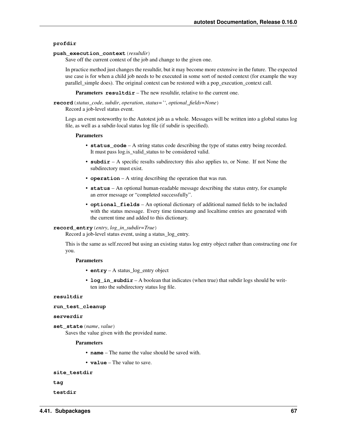# **profdir**

# **push\_execution\_context**(*resultdir*)

Save off the current context of the job and change to the given one.

In practice method just changes the resultdir, but it may become more extensive in the future. The expected use case is for when a child job needs to be executed in some sort of nested context (for example the way parallel simple does). The original context can be restored with a pop–execution context call.

**Parameters resultdir** – The new resultdir, relative to the current one.

**record**(*status\_code*, *subdir*, *operation*, *status=''*, *optional\_fields=None*)

Record a job-level status event.

Logs an event noteworthy to the Autotest job as a whole. Messages will be written into a global status log file, as well as a subdir-local status log file (if subdir is specified).

## Parameters

- **status\_code** A string status code describing the type of status entry being recorded. It must pass log.is\_valid\_status to be considered valid.
- **subdir** A specific results subdirectory this also applies to, or None. If not None the subdirectory must exist.
- **operation** A string describing the operation that was run.
- **status** An optional human-readable message describing the status entry, for example an error message or "completed successfully".
- **optional fields** An optional dictionary of additional named fields to be included with the status message. Every time timestamp and localtime entries are generated with the current time and added to this dictionary.

### **record\_entry**(*entry*, *log\_in\_subdir=True*)

Record a job-level status event, using a status\_log\_entry.

This is the same as self.record but using an existing status log entry object rather than constructing one for you.

# **Parameters**

- **entry** A status log entry object
- **log** in subdir A boolean that indicates (when true) that subdir logs should be written into the subdirectory status log file.

## **resultdir**

```
run_test_cleanup
```
## **serverdir**

**set\_state**(*name*, *value*)

Saves the value given with the provided name.

## Parameters

• **name** – The name the value should be saved with.

• **value** – The value to save.

```
site_testdir
```

```
tag
```

```
testdir
```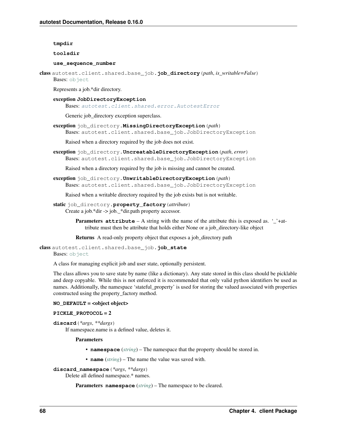## **tmpdir**

**toolsdir**

## **use\_sequence\_number**

class autotest.client.shared.base\_job.**job\_directory**(*path*, *is\_writable=False*) Bases: [object](http://docs.python.org/library/functions.html#object)

Represents a job.\*dir directory.

# exception **JobDirectoryException**

Bases: [autotest.client.shared.error.AutotestError](#page-86-0)

Generic job\_directory exception superclass.

exception job\_directory.**MissingDirectoryException**(*path*) Bases: autotest.client.shared.base\_job.JobDirectoryException

Raised when a directory required by the job does not exist.

exception job\_directory.**UncreatableDirectoryException**(*path*, *error*) Bases: autotest.client.shared.base\_job.JobDirectoryException

Raised when a directory required by the job is missing and cannot be created.

exception job\_directory.**UnwritableDirectoryException**(*path*) Bases: autotest.client.shared.base\_job.JobDirectoryException

Raised when a writable directory required by the job exists but is not writable.

- static job\_directory.**property\_factory**(*attribute*) Create a job.\*dir -> job.\_\*dir.path property accessor.
	- **Parameters attribute** A string with the name of the attribute this is exposed as. '\_'+attribute must then be attribute that holds either None or a job\_directory-like object

Returns A read-only property object that exposes a job\_directory path

class autotest.client.shared.base\_job.**job\_state** Bases: [object](http://docs.python.org/library/functions.html#object)

A class for managing explicit job and user state, optionally persistent.

The class allows you to save state by name (like a dictionary). Any state stored in this class should be picklable and deep copyable. While this is not enforced it is recommended that only valid python identifiers be used as names. Additionally, the namespace 'stateful\_property' is used for storing the valued associated with properties constructed using the property\_factory method.

# **NO\_DEFAULT** = <object object>

# **PICKLE\_PROTOCOL** = 2

**discard**(*\*args*, *\*\*dargs*)

If namespace.name is a defined value, deletes it.

# Parameters

- **namespace** (*[string](http://docs.python.org/library/string.html#module-string)*) The namespace that the property should be stored in.
- **name** (*[string](http://docs.python.org/library/string.html#module-string)*) The name the value was saved with.

```
discard_namespace(*args, **dargs)
```
Delete all defined namespace.\* names.

```
Parameters namespace (string) – The namespace to be cleared.
```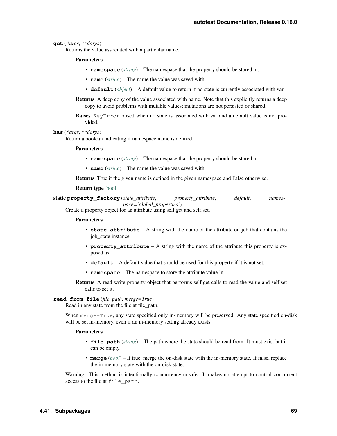### **get**(*\*args*, *\*\*dargs*)

Returns the value associated with a particular name.

### **Parameters**

- **namespace** (*[string](http://docs.python.org/library/string.html#module-string)*) The namespace that the property should be stored in.
- **name** (*[string](http://docs.python.org/library/string.html#module-string)*) The name the value was saved with.
- **default** (*[object](http://docs.python.org/library/functions.html#object)*) A default value to return if no state is currently associated with var.

Returns A deep copy of the value associated with name. Note that this explicitly returns a deep copy to avoid problems with mutable values; mutations are not persisted or shared.

Raises KeyError raised when no state is associated with var and a default value is not provided.

#### **has**(*\*args*, *\*\*dargs*)

Return a boolean indicating if namespace.name is defined.

#### **Parameters**

- **namespace** (*[string](http://docs.python.org/library/string.html#module-string)*) The namespace that the property should be stored in.
- **name** (*[string](http://docs.python.org/library/string.html#module-string)*) The name the value was saved with.

Returns True if the given name is defined in the given namespace and False otherwise.

#### Return type [bool](http://docs.python.org/library/functions.html#bool)

static **property\_factory**(*state\_attribute*, *property\_attribute*, *default*, *namespace='global\_properties'*)

Create a property object for an attribute using self.get and self.set.

#### **Parameters**

- **state\_attribute** A string with the name of the attribute on job that contains the job\_state instance.
- **property\_attribute** A string with the name of the attribute this property is exposed as.
- **default** A default value that should be used for this property if it is not set.
- **namespace** The namespace to store the attribute value in.

Returns A read-write property object that performs self.get calls to read the value and self.set calls to set it.

## **read\_from\_file**(*file\_path*, *merge=True*)

Read in any state from the file at file\_path.

When merge=True, any state specified only in-memory will be preserved. Any state specified on-disk will be set in-memory, even if an in-memory setting already exists.

#### Parameters

- **file\_path** (*[string](http://docs.python.org/library/string.html#module-string)*) The path where the state should be read from. It must exist but it can be empty.
- **merge** (*[bool](http://docs.python.org/library/functions.html#bool)*) If true, merge the on-disk state with the in-memory state. If false, replace the in-memory state with the on-disk state.

Warning: This method is intentionally concurrency-unsafe. It makes no attempt to control concurrent access to the file at file\_path.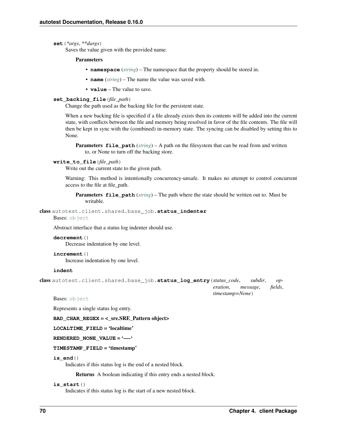### **set**(*\*args*, *\*\*dargs*)

Saves the value given with the provided name.

### Parameters

- **namespace** (*[string](http://docs.python.org/library/string.html#module-string)*) The namespace that the property should be stored in.
- **name** (*[string](http://docs.python.org/library/string.html#module-string)*) The name the value was saved with.
- **value** The value to save.

# **set\_backing\_file**(*file\_path*)

Change the path used as the backing file for the persistent state.

When a new backing file is specified if a file already exists then its contents will be added into the current state, with conflicts between the file and memory being resolved in favor of the file contents. The file will then be kept in sync with the (combined) in-memory state. The syncing can be disabled by setting this to None.

**Parameters file\_path** (*[string](http://docs.python.org/library/string.html#module-string)*) – A path on the filesystem that can be read from and written to, or None to turn off the backing store.

#### **write\_to\_file**(*file\_path*)

Write out the current state to the given path.

Warning: This method is intentionally concurrency-unsafe. It makes no attempt to control concurrent access to the file at file\_path.

**Parameters file path** (*[string](http://docs.python.org/library/string.html#module-string)*) – The path where the state should be written out to. Must be writable.

class autotest.client.shared.base\_job.**status\_indenter** Bases: [object](http://docs.python.org/library/functions.html#object)

Abstract interface that a status log indenter should use.

# **decrement**()

Decrease indentation by one level.

# **increment**()

Increase indentation by one level.

# **indent**

```
class autotest.client.shared.base_job.status_log_entry(status_code, subdir, op-
                                                           eration, message, fields,
                                                           timestamp=None)
```
Bases: [object](http://docs.python.org/library/functions.html#object)

Represents a single status log entry.

 $BAD$ <sub>\_</sub>CHAR\_REGEX = <\_sre.SRE\_Pattern object>

LOCALTIME FIELD = 'localtime'

# **RENDERED\_NONE\_VALUE** = '—-'

# **TIMESTAMP\_FIELD** = 'timestamp'

#### **is\_end**()

Indicates if this status log is the end of a nested block.

Returns A boolean indicating if this entry ends a nested block.

# **is\_start**()

Indicates if this status log is the start of a new nested block.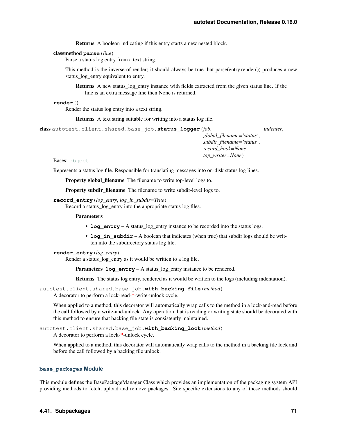Returns A boolean indicating if this entry starts a new nested block.

### classmethod **parse**(*line*)

Parse a status log entry from a text string.

This method is the inverse of render; it should always be true that parse(entry.render()) produces a new status log entry equivalent to entry.

Returns A new status\_log\_entry instance with fields extracted from the given status line. If the line is an extra message line then None is returned.

#### **render**()

Render the status log entry into a text string.

Returns A text string suitable for writing into a status log file.

```
class autotest.client.shared.base_job.status_logger(job, indenter,
```
*global\_filename='status'*, *subdir\_filename='status'*, *record\_hook=None*, *tap\_writer=None*)

Bases: [object](http://docs.python.org/library/functions.html#object)

Represents a status log file. Responsible for translating messages into on-disk status log lines.

Property global filename The filename to write top-level logs to.

Property subdir\_filename The filename to write subdir-level logs to.

# **record\_entry**(*log\_entry*, *log\_in\_subdir=True*)

Record a status\_log\_entry into the appropriate status log files.

#### **Parameters**

- **log\_entry** A status\_log\_entry instance to be recorded into the status logs.
- **log\_in\_subdir** A boolean that indicates (when true) that subdir logs should be written into the subdirectory status log file.

#### **render\_entry**(*log\_entry*)

Render a status\_log\_entry as it would be written to a log file.

Parameters  $log_{\text{entry}} - A$  status\_log\_entry instance to be rendered.

Returns The status log entry, rendered as it would be written to the logs (including indentation).

autotest.client.shared.base\_job.**with\_backing\_file**(*method*) A decorator to perform a lock-read-\*-write-unlock cycle.

When applied to a method, this decorator will automatically wrap calls to the method in a lock-and-read before the call followed by a write-and-unlock. Any operation that is reading or writing state should be decorated with this method to ensure that backing file state is consistently maintained.

autotest.client.shared.base\_job.**with\_backing\_lock**(*method*) A decorator to perform a lock-\*-unlock cycle.

When applied to a method, this decorator will automatically wrap calls to the method in a backing file lock and before the call followed by a backing file unlock.

# **base\_packages Module**

This module defines the BasePackageManager Class which provides an implementation of the packaging system API providing methods to fetch, upload and remove packages. Site specific extensions to any of these methods should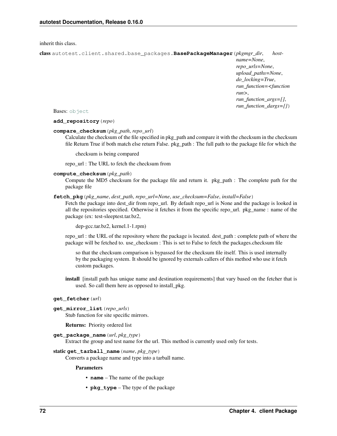<span id="page-75-0"></span>inherit this class.

class autotest.client.shared.base\_packages.**BasePackageManager**(*pkgmgr\_dir*, *host-*

*name=None*, *repo\_urls=None*, *upload\_paths=None*, *do\_locking=True*, *run\_function=<function run>*, *run\_function\_args=[]*, *run\_function\_dargs={}*)

Bases: [object](http://docs.python.org/library/functions.html#object)

**add\_repository**(*repo*)

# **compare\_checksum**(*pkg\_path*, *repo\_url*)

Calculate the checksum of the file specified in pkg\_path and compare it with the checksum in the checksum file Return True if both match else return False. pkg\_path : The full path to the package file for which the

checksum is being compared

repo\_url : The URL to fetch the checksum from

### **compute\_checksum**(*pkg\_path*)

Compute the MD5 checksum for the package file and return it. pkg\_path : The complete path for the package file

### **fetch\_pkg**(*pkg\_name*, *dest\_path*, *repo\_url=None*, *use\_checksum=False*, *install=False*)

Fetch the package into dest\_dir from repo\_url. By default repo\_url is None and the package is looked in all the repositories specified. Otherwise it fetches it from the specific repo\_url. pkg\_name : name of the package (ex: test-sleeptest.tar.bz2,

dep-gcc.tar.bz2, kernel.1-1.rpm)

repo\_url : the URL of the repository where the package is located. dest\_path : complete path of where the package will be fetched to. use\_checksum : This is set to False to fetch the packages.checksum file

so that the checksum comparison is bypassed for the checksum file itself. This is used internally by the packaging system. It should be ignored by externals callers of this method who use it fetch custom packages.

install [install path has unique name and destination requirements] that vary based on the fetcher that is used. So call them here as opposed to install\_pkg.

#### **get\_fetcher**(*url*)

**get\_mirror\_list**(*repo\_urls*)

Stub function for site specific mirrors.

Returns: Priority ordered list

#### **get\_package\_name**(*url*, *pkg\_type*)

Extract the group and test name for the url. This method is currently used only for tests.

#### static **get\_tarball\_name**(*name*, *pkg\_type*)

Converts a package name and type into a tarball name.

#### Parameters

- **name** The name of the package
- **pkg\_type** The type of the package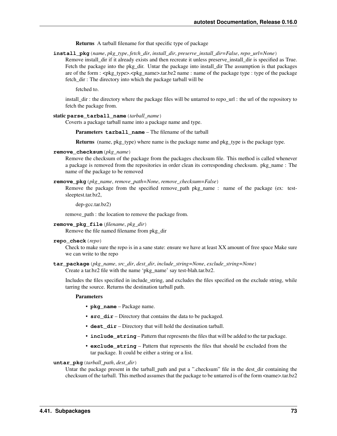Returns A tarball filename for that specific type of package

**install\_pkg**(*name*, *pkg\_type*, *fetch\_dir*, *install\_dir*, *preserve\_install\_dir=False*, *repo\_url=None*)

Remove install\_dir if it already exists and then recreate it unless preserve\_install\_dir is specified as True. Fetch the package into the pkg\_dir. Untar the package into install\_dir The assumption is that packages are of the form : <pkg\_type>.<pkg\_name>.tar.bz2 name : name of the package type : type of the package fetch\_dir : The directory into which the package tarball will be

fetched to.

install\_dir : the directory where the package files will be untarred to repo\_url : the url of the repository to fetch the package from.

#### static **parse\_tarball\_name**(*tarball\_name*)

Coverts a package tarball name into a package name and type.

Parameters **tarball** name – The filename of the tarball

Returns (name, pkg\_type) where name is the package name and pkg\_type is the package type.

### **remove\_checksum**(*pkg\_name*)

Remove the checksum of the package from the packages checksum file. This method is called whenever a package is removed from the repositories in order clean its corresponding checksum. pkg\_name : The name of the package to be removed

# **remove\_pkg**(*pkg\_name*, *remove\_path=None*, *remove\_checksum=False*)

Remove the package from the specified remove\_path pkg\_name : name of the package (ex: testsleeptest.tar.bz2,

dep-gcc.tar.bz2)

remove\_path : the location to remove the package from.

**remove\_pkg\_file**(*filename*, *pkg\_dir*)

Remove the file named filename from pkg\_dir

**repo\_check**(*repo*)

Check to make sure the repo is in a sane state: ensure we have at least XX amount of free space Make sure we can write to the repo

**tar\_package**(*pkg\_name*, *src\_dir*, *dest\_dir*, *include\_string=None*, *exclude\_string=None*) Create a tar.bz2 file with the name 'pkg\_name' say test-blah.tar.bz2.

Includes the files specified in include string, and excludes the files specified on the exclude string, while

#### Parameters

• **pkg\_name** – Package name.

tarring the source. Returns the destination tarball path.

- **src** dir Directory that contains the data to be packaged.
- **dest\_dir** Directory that will hold the destination tarball.
- **include\_string** Pattern that represents the files that will be added to the tar package.
- **exclude\_string** Pattern that represents the files that should be excluded from the tar package. It could be either a string or a list.

# **untar\_pkg**(*tarball\_path*, *dest\_dir*)

Untar the package present in the tarball\_path and put a ".checksum" file in the dest\_dir containing the checksum of the tarball. This method assumes that the package to be untarred is of the form  $\alpha$ name $\alpha$ .tar.bz2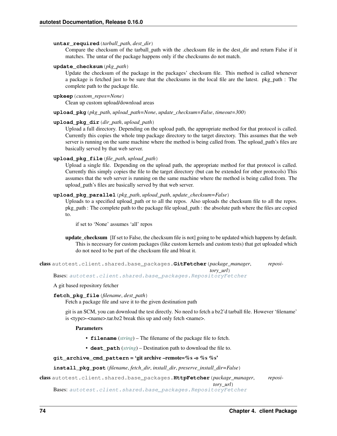# **untar\_required**(*tarball\_path*, *dest\_dir*)

Compare the checksum of the tarball\_path with the .checksum file in the dest\_dir and return False if it matches. The untar of the package happens only if the checksums do not match.

### **update\_checksum**(*pkg\_path*)

Update the checksum of the package in the packages' checksum file. This method is called whenever a package is fetched just to be sure that the checksums in the local file are the latest. pkg\_path : The complete path to the package file.

# **upkeep**(*custom\_repos=None*)

Clean up custom upload/download areas

**upload\_pkg**(*pkg\_path*, *upload\_path=None*, *update\_checksum=False*, *timeout=300*)

# **upload\_pkg\_dir**(*dir\_path*, *upload\_path*)

Upload a full directory. Depending on the upload path, the appropriate method for that protocol is called. Currently this copies the whole tmp package directory to the target directory. This assumes that the web server is running on the same machine where the method is being called from. The upload\_path's files are basically served by that web server.

# **upload\_pkg\_file**(*file\_path*, *upload\_path*)

Upload a single file. Depending on the upload path, the appropriate method for that protocol is called. Currently this simply copies the file to the target directory (but can be extended for other protocols) This assumes that the web server is running on the same machine where the method is being called from. The upload\_path's files are basically served by that web server.

### **upload\_pkg\_parallel**(*pkg\_path*, *upload\_path*, *update\_checksum=False*)

Uploads to a specified upload\_path or to all the repos. Also uploads the checksum file to all the repos. pkg\_path : The complete path to the package file upload\_path : the absolute path where the files are copied to.

if set to 'None' assumes 'all' repos

update\_checksum [If set to False, the checksum file is not] going to be updated which happens by default. This is necessary for custom packages (like custom kernels and custom tests) that get uploaded which do not need to be part of the checksum file and bloat it.

```
class autotest.client.shared.base_packages.GitFetcher(package_manager, reposi-
```
Bases: [autotest.client.shared.base\\_packages.RepositoryFetcher](#page-78-0)

# A git based repository fetcher

# **fetch\_pkg\_file**(*filename*, *dest\_path*)

Fetch a package file and save it to the given destination path

git is an SCM, you can download the test directly. No need to fetch a bz2'd tarball file. However 'filename' is <type>-<name>.tar.bz2 break this up and only fetch <name>.

# **Parameters**

- **filename** (*[string](http://docs.python.org/library/string.html#module-string)*) The filename of the package file to fetch.
- **dest\_path** (*[string](http://docs.python.org/library/string.html#module-string)*) Destination path to download the file to.

# qit archive cmd pattern = 'git archive –remote=%s -o %s %s'

# **install\_pkg\_post**(*filename*, *fetch\_dir*, *install\_dir*, *preserve\_install\_dir=False*)

class autotest.client.shared.base\_packages.**HttpFetcher**(*package\_manager*, *reposi-*

*tory\_url*)

*tory\_url*)

Bases: [autotest.client.shared.base\\_packages.RepositoryFetcher](#page-78-0)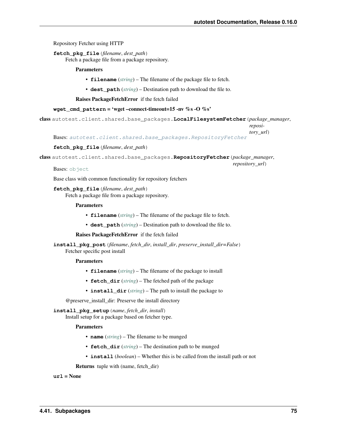Repository Fetcher using HTTP

**fetch\_pkg\_file**(*filename*, *dest\_path*)

Fetch a package file from a package repository.

### Parameters

- **filename** (*[string](http://docs.python.org/library/string.html#module-string)*) The filename of the package file to fetch.
- **dest\_path** (*[string](http://docs.python.org/library/string.html#module-string)*) Destination path to download the file to.

Raises PackageFetchError if the fetch failed

# **wget\_cmd\_pattern** = 'wget –connect-timeout=15 -nv %s -O %s'

class autotest.client.shared.base\_packages.**LocalFilesystemFetcher**(*package\_manager*,

*reposi-*

*tory\_url*)

Bases: [autotest.client.shared.base\\_packages.RepositoryFetcher](#page-78-0)

#### **fetch\_pkg\_file**(*filename*, *dest\_path*)

<span id="page-78-0"></span>class autotest.client.shared.base\_packages.**RepositoryFetcher**(*package\_manager*,

Bases: [object](http://docs.python.org/library/functions.html#object)

Base class with common functionality for repository fetchers

**fetch\_pkg\_file**(*filename*, *dest\_path*) Fetch a package file from a package repository.

#### Parameters

- **filename** (*[string](http://docs.python.org/library/string.html#module-string)*) The filename of the package file to fetch.
- **dest** path (*[string](http://docs.python.org/library/string.html#module-string)*) Destination path to download the file to.

### Raises PackageFetchError if the fetch failed

**install\_pkg\_post**(*filename*, *fetch\_dir*, *install\_dir*, *preserve\_install\_dir=False*) Fetcher specific post install

#### Parameters

- **filename** (*[string](http://docs.python.org/library/string.html#module-string)*) The filename of the package to install
- **fetch\_dir** (*[string](http://docs.python.org/library/string.html#module-string)*) The fetched path of the package
- **install\_dir** (*[string](http://docs.python.org/library/string.html#module-string)*) The path to install the package to

@preserve\_install\_dir: Preserve the install directory

#### **install\_pkg\_setup**(*name*, *fetch\_dir*, *install*)

Install setup for a package based on fetcher type.

# Parameters

- **name** (*[string](http://docs.python.org/library/string.html#module-string)*) The filename to be munged
- **fetch\_dir** (*[string](http://docs.python.org/library/string.html#module-string)*) The destination path to be munged
- **install** (*boolean*) Whether this is be called from the install path or not

Returns tuple with (name, fetch\_dir)

**url** = None

*repository\_url*)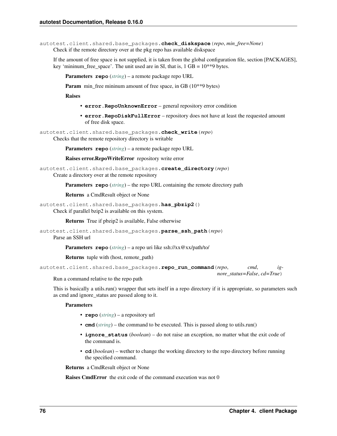autotest.client.shared.base\_packages.**check\_diskspace**(*repo*, *min\_free=None*) Check if the remote directory over at the pkg repo has available diskspace

If the amount of free space is not supplied, it is taken from the global configuration file, section [PACKAGES], key 'mininum\_free\_space'. The unit used are in SI, that is,  $1 GB = 10^{**}9$  bytes.

Parameters **repo** (*[string](http://docs.python.org/library/string.html#module-string)*) – a remote package repo URL

**Param** min\_free mininum amount of free space, in GB (10\*\*9 bytes)

Raises

- **error.RepoUnknownError** general repository error condition
- **error.RepoDiskFullError** repository does not have at least the requested amount of free disk space.

autotest.client.shared.base\_packages.**check\_write**(*repo*)

Checks that the remote repository directory is writable

Parameters **repo** (*[string](http://docs.python.org/library/string.html#module-string)*) – a remote package repo URL

Raises error.RepoWriteError repository write error

```
autotest.client.shared.base_packages.create_directory(repo)
     Create a directory over at the remote repository
```
Parameters **repo** (*[string](http://docs.python.org/library/string.html#module-string)*) – the repo URL containing the remote directory path

Returns a CmdResult object or None

```
autotest.client.shared.base_packages.has_pbzip2()
```
Check if parallel bzip2 is available on this system.

Returns True if pbzip2 is available, False otherwise

```
autotest.client.shared.base_packages.parse_ssh_path(repo)
```
Parse an SSH url

Parameters **repo** (*[string](http://docs.python.org/library/string.html#module-string)*) – a repo uri like ssh://xx@xx/path/to/

Returns tuple with (host, remote\_path)

```
autotest.client.shared.base_packages.repo_run_command(repo, cmd, ig-
                                                       nore_status=False, cd=True)
```
Run a command relative to the repo path

This is basically a utils.run() wrapper that sets itself in a repo directory if it is appropriate, so parameters such as cmd and ignore\_status are passed along to it.

#### **Parameters**

- **repo** (*[string](http://docs.python.org/library/string.html#module-string)*) a repository url
- **cmd** (*[string](http://docs.python.org/library/string.html#module-string)*) the command to be executed. This is passed along to utils.run()
- **ignore\_status** (*boolean*) do not raise an exception, no matter what the exit code of the command is.
- **cd** (*boolean*) wether to change the working directory to the repo directory before running the specified command.

Returns a CmdResult object or None

Raises CmdError the exit code of the command execution was not 0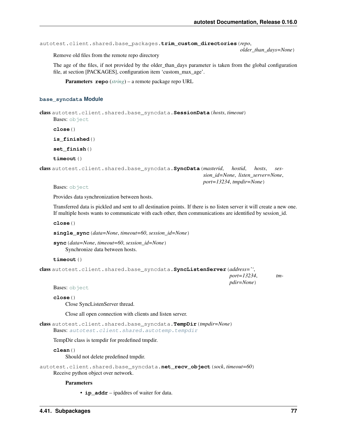autotest.client.shared.base\_packages.**trim\_custom\_directories**(*repo*,

*older\_than\_days=None*)

Remove old files from the remote repo directory

The age of the files, if not provided by the older than days parameter is taken from the global configuration file, at section [PACKAGES], configuration item 'custom\_max\_age'.

Parameters **repo** (*[string](http://docs.python.org/library/string.html#module-string)*) – a remote package repo URL

# **base\_syncdata Module**

class autotest.client.shared.base\_syncdata.**SessionData**(*hosts*, *timeout*) Bases: [object](http://docs.python.org/library/functions.html#object)

**close**()

**is\_finished**()

**set\_finish**()

**timeout**()

```
class autotest.client.shared.base_syncdata.SyncData(masterid, hostid, hosts, ses-
                                                           sion_id=None, listen_server=None,
                                                          port=13234, tmpdir=None)
```
Bases: [object](http://docs.python.org/library/functions.html#object)

Provides data synchronization between hosts.

Transferred data is pickled and sent to all destination points. If there is no listen server it will create a new one. If multiple hosts wants to communicate with each other, then communications are identified by session\_id.

**close**()

**single\_sync**(*data=None*, *timeout=60*, *session\_id=None*)

**sync**(*data=None*, *timeout=60*, *session\_id=None*) Synchronize data between hosts.

**timeout**()

class autotest.client.shared.base\_syncdata.**SyncListenServer**(*address=''*,

*port=13234*, *tmpdir=None*)

Bases: [object](http://docs.python.org/library/functions.html#object)

**close**()

Close SyncListenServer thread.

Close all open connection with clients and listen server.

class autotest.client.shared.base\_syncdata.**TempDir**(*tmpdir=None*) Bases: [autotest.client.shared.autotemp.tempdir](#page-65-0)

TempDir class is tempdir for predefined tmpdir.

**clean**()

Should not delete predefined tmpdir.

```
autotest.client.shared.base_syncdata.net_recv_object(sock, timeout=60)
    Receive python object over network.
```
**Parameters** 

• **ip\_addr** – ipaddres of waiter for data.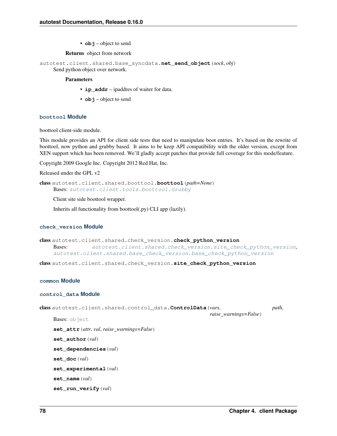• **obj** – object to send

# Returns object from network

autotest.client.shared.base\_syncdata.**net\_send\_object**(*sock*, *obj*)

# Send python object over network.

# **Parameters**

- **ip\_addr** ipaddres of waiter for data.
- **obj** object to send

# **boottool Module**

boottool client-side module.

This module provides an API for client side tests that need to manipulate boot entries. It's based on the rewrite of boottool, now python and grubby based. It aims to be keep API compatibility with the older version, except from XEN support which has been removed. We'll gladly accept patches that provide full coverage for this mode/feature.

Copyright 2009 Google Inc. Copyright 2012 Red Hat, Inc.

```
Released under the GPL v2
```
class autotest.client.shared.boottool.**boottool**(*path=None*) Bases: [autotest.client.tools.boottool.Grubby](#page-175-0)

Client site side boottool wrapper.

Inherits all functionality from boottool(.py) CLI app (lazily).

# **check\_version Module**

class autotest.client.shared.check\_version.**check\_python\_version** Bases: [autotest.client.shared.check\\_version.site\\_check\\_python\\_version](#page-81-0), [autotest.client.shared.base\\_check\\_version.base\\_check\\_python\\_version](#page-66-0)

<span id="page-81-0"></span>class autotest.client.shared.check\_version.**site\_check\_python\_version**

# **common Module**

# **control\_data Module**

```
class autotest.client.shared.control_data.ControlData(vars, path,
                                                       raise_warnings=False)
    object
    set_attr(attr, val, raise_warnings=False)
    set_author(val)
    set_dependencies(val)
    set_doc(val)
    set_experimental(val)
    set_name(val)
    set_run_verify(val)
```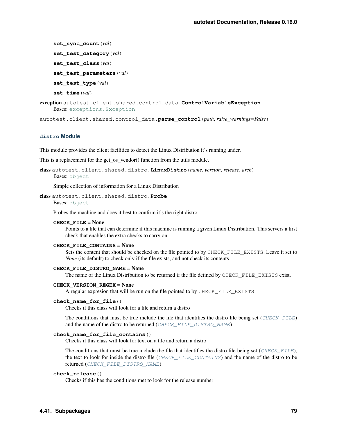**set\_sync\_count**(*val*) **set\_test\_category**(*val*) **set\_test\_class**(*val*) **set\_test\_parameters**(*val*) **set\_test\_type**(*val*) **set\_time**(*val*) exception autotest.client.shared.control\_data.**ControlVariableException** Bases: [exceptions.Exception](http://docs.python.org/library/exceptions.html#exceptions.Exception)

autotest.client.shared.control\_data.**parse\_control**(*path*, *raise\_warnings=False*)

### **distro Module**

This module provides the client facilities to detect the Linux Distribution it's running under.

This is a replacement for the get\_os\_vendor() function from the utils module.

class autotest.client.shared.distro.**LinuxDistro**(*name*, *version*, *release*, *arch*) Bases: [object](http://docs.python.org/library/functions.html#object)

Simple collection of information for a Linux Distribution

class autotest.client.shared.distro.**Probe**

Bases: [object](http://docs.python.org/library/functions.html#object)

Probes the machine and does it best to confirm it's the right distro

#### **CHECK\_FILE** = None

Points to a file that can determine if this machine is running a given Linux Distribution. This servers a first check that enables the extra checks to carry on.

# **CHECK\_FILE\_CONTAINS** = None

Sets the content that should be checked on the file pointed to by CHECK\_FILE\_EXISTS. Leave it set to *None* (its default) to check only if the file exists, and not check its contents

#### **CHECK\_FILE\_DISTRO\_NAME** = None

The name of the Linux Distribution to be returned if the file defined by CHECK\_FILE\_EXISTS exist.

## **CHECK\_VERSION\_REGEX** = None

A regular expresion that will be run on the file pointed to by CHECK\_FILE\_EXISTS

#### **check\_name\_for\_file**()

Checks if this class will look for a file and return a distro

The conditions that must be true include the file that identifies the distro file being set ([CHECK\\_FILE](#page-8-0)) and the name of the distro to be returned ([CHECK\\_FILE\\_DISTRO\\_NAME](#page-8-1))

### **check\_name\_for\_file\_contains**()

Checks if this class will look for text on a file and return a distro

The conditions that must be true include the file that identifies the distro file being set ([CHECK\\_FILE](#page-8-0)), the text to look for inside the distro file ([CHECK\\_FILE\\_CONTAINS](#page-8-2)) and the name of the distro to be returned ([CHECK\\_FILE\\_DISTRO\\_NAME](#page-8-1))

#### **check\_release**()

Checks if this has the conditions met to look for the release number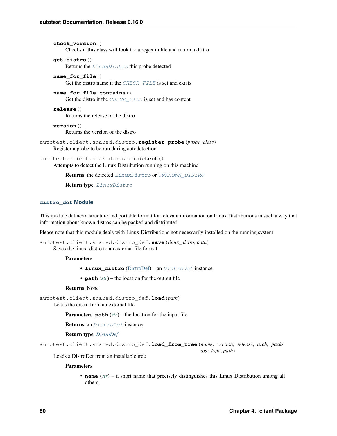```
check_version()
          Checks if this class will look for a regex in file and return a distro
     get_distro()
          Returns the LinuxDistro this probe detected
     name_for_file()
          Get the distro name if the CHECK FILE is set and exists
     name_for_file_contains()
          Get the distro if the CHECK_FILE is set and has content
     release()
          Returns the release of the distro
     version()
          Returns the version of the distro
autotest.client.shared.distro.register_probe(probe_class)
     Register a probe to be run during autodetection
autotest.client.shared.distro.detect()
```
Attempts to detect the Linux Distribution running on this machine

Returns the detected [LinuxDistro](#page-8-3) or [UNKNOWN\\_DISTRO](#page-7-0)

Return type [LinuxDistro](#page-8-3)

# **distro\_def Module**

This module defines a structure and portable format for relevant information on Linux Distributions in such a way that information about known distros can be packed and distributed.

Please note that this module deals with Linux Distributions not necessarily installed on the running system.

```
autotest.client.shared.distro_def.save(linux_distro, path)
     Saves the linux_distro to an external file format
```
**Parameters** 

- **linux\_distro** [\(DistroDef\)](#page-84-0) an [DistroDef](#page-84-0) instance
- **path** (*[str](http://docs.python.org/library/functions.html#str)*) the location for the output file

#### Returns None

autotest.client.shared.distro\_def.**load**(*path*)

Loads the distro from an external file

Parameters **path** (*[str](http://docs.python.org/library/functions.html#str)*) – the location for the input file

Returns an [DistroDef](#page-84-0) instance

# Return type *[DistroDef](#page-84-0)*

```
autotest.client.shared.distro_def.load_from_tree(name, version, release, arch, pack-
                                                         age_type, path)
```
Loads a DistroDef from an installable tree

# **Parameters**

• **name** (*[str](http://docs.python.org/library/functions.html#str)*) – a short name that precisely distinguishes this Linux Distribution among all others.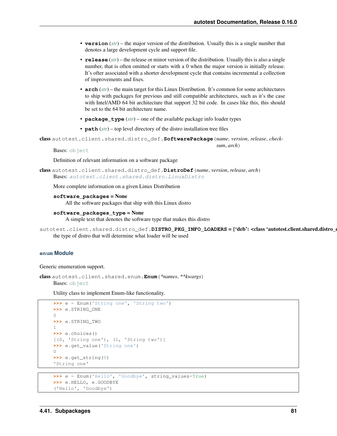*sum*, *arch*)

- **version** (*[str](http://docs.python.org/library/functions.html#str)*) the major version of the distribution. Usually this is a single number that denotes a large development cycle and support file.
- **release** (*[str](http://docs.python.org/library/functions.html#str)*) the release or minor version of the distribution. Usually this is also a single number, that is often omitted or starts with a 0 when the major version is initially release. It's ofter associated with a shorter development cycle that contains incremental a collection of improvements and fixes.
- **arch** (*[str](http://docs.python.org/library/functions.html#str)*) the main target for this Linux Distribution. It's common for some architectures to ship with packages for previous and still compatible architectures, such as it's the case with Intel/AMD 64 bit architecture that support 32 bit code. In cases like this, this should be set to the 64 bit architecture name.
- **package\_type** (*[str](http://docs.python.org/library/functions.html#str)*) one of the available package info loader types
- **path** (*[str](http://docs.python.org/library/functions.html#str)*) top level directory of the distro installation tree files

```
class autotest.client.shared.distro_def.SoftwarePackage(name, version, release, check-
```
Bases: [object](http://docs.python.org/library/functions.html#object)

Definition of relevant information on a software package

```
class autotest.client.shared.distro_def.DistroDef(name, version, release, arch)
    Bases: autotest.client.shared.distro.LinuxDistro
```
More complete information on a given Linux Distribution

## **software\_packages** = None

All the software packages that ship with this Linux distro

#### **software\_packages\_type** = None

A simple text that denotes the software type that makes this distro

```
autotest.client.shared.distro_def.DISTRO_PKG_INFO_LOADERS = {'deb': <class 'autotest.client.shared.distro_def
     the type of distro that will determine what loader will be used
```
# **enum Module**

Generic enumeration support.

class autotest.client.shared.enum.**Enum**(*\*names*, *\*\*kwargs*) Bases: [object](http://docs.python.org/library/functions.html#object)

Utility class to implement Enum-like functionality.

```
>>> e = Enum('String one', 'String two')
>>> e.STRING_ONE
\bigcirc>>> e.STRING_TWO
1
>>> e.choices()
[(0, 'String one'), (1, 'String two')]
>>> e.get_value('String one')
0
>>> e.get_string(0)
'String one'
```

```
>>> e = Enum('Hello', 'Goodbye', string_values=True)
>>> e.HELLO, e.GOODBYE
('Hello', 'Goodbye')
```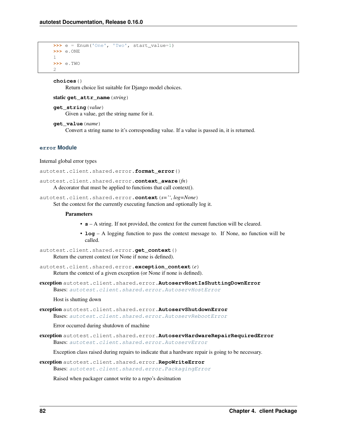```
>>> e = Enum('One', 'Two', start_value=1)
>>> e.ONE
1
>>> e.TWO
2
```
**choices**()

Return choice list suitable for Django model choices.

```
static get_attr_name(string)
```
**get\_string**(*value*) Given a value, get the string name for it.

**get\_value**(*name*) Convert a string name to it's corresponding value. If a value is passed in, it is returned.

# **error Module**

#### Internal global error types

```
autotest.client.shared.error.format_error()
```
autotest.client.shared.error.**context\_aware**(*fn*)

A decorator that must be applied to functions that call context().

autotest.client.shared.error.**context**(*s=''*, *log=None*) Set the context for the currently executing function and optionally log it.

### **Parameters**

- **s** A string. If not provided, the context for the current function will be cleared.
- **log** A logging function to pass the context message to. If None, no function will be called.

```
autotest.client.shared.error.get_context()
     Return the current context (or None if none is defined).
```
autotest.client.shared.error.**exception\_context**(*e*) Return the context of a given exception (or None if none is defined).

exception autotest.client.shared.error.**AutoservHostIsShuttingDownError** Bases: [autotest.client.shared.error.AutoservHostError](#page-87-0)

Host is shutting down

exception autotest.client.shared.error.**AutoservShutdownError** Bases: [autotest.client.shared.error.AutoservRebootError](#page-86-0)

Error occurred during shutdown of machine

exception autotest.client.shared.error.**AutoservHardwareRepairRequiredError** Bases: [autotest.client.shared.error.AutoservError](#page-87-1)

Exception class raised during repairs to indicate that a hardware repair is going to be necessary.

exception autotest.client.shared.error.**RepoWriteError** Bases: [autotest.client.shared.error.PackagingError](#page-88-0)

Raised when packager cannot write to a repo's desitnation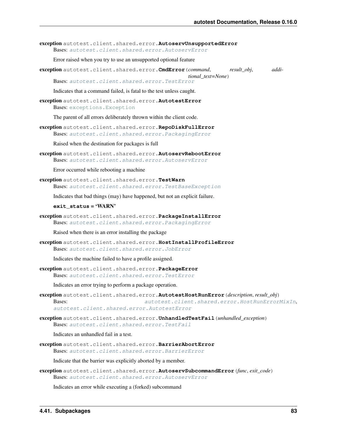exception autotest.client.shared.error.**AutoservUnsupportedError** Bases: [autotest.client.shared.error.AutoservError](#page-87-1)

Error raised when you try to use an unsupported optional feature

exception autotest.client.shared.error.**CmdError**(*command*, *result\_obj*, *additional\_text=None*) Bases: [autotest.client.shared.error.TestError](#page-88-1)

Indicates that a command failed, is fatal to the test unless caught.

<span id="page-86-1"></span>exception autotest.client.shared.error.**AutotestError** Bases: [exceptions.Exception](http://docs.python.org/library/exceptions.html#exceptions.Exception)

The parent of all errors deliberately thrown within the client code.

exception autotest.client.shared.error.**RepoDiskFullError** Bases: [autotest.client.shared.error.PackagingError](#page-88-0)

Raised when the destination for packages is full

<span id="page-86-0"></span>exception autotest.client.shared.error.**AutoservRebootError** Bases: [autotest.client.shared.error.AutoservError](#page-87-1)

Error occurred while rebooting a machine

exception autotest.client.shared.error.**TestWarn** Bases: [autotest.client.shared.error.TestBaseException](#page-87-2)

Indicates that bad things (may) have happened, but not an explicit failure.

#### **exit\_status** = 'WARN'

exception autotest.client.shared.error.**PackageInstallError** Bases: [autotest.client.shared.error.PackagingError](#page-88-0)

Raised when there is an error installing the package

exception autotest.client.shared.error.**HostInstallProfileError** Bases: [autotest.client.shared.error.JobError](#page-88-2)

Indicates the machine failed to have a profile assigned.

exception autotest.client.shared.error.**PackageError** Bases: [autotest.client.shared.error.TestError](#page-88-1)

Indicates an error trying to perform a package operation.

- exception autotest.client.shared.error.**AutotestHostRunError**(*description*, *result\_obj*) Bases: [autotest.client.shared.error.HostRunErrorMixIn](#page-89-0), [autotest.client.shared.error.AutotestError](#page-86-1)
- exception autotest.client.shared.error.**UnhandledTestFail**(*unhandled\_exception*) Bases: [autotest.client.shared.error.TestFail](#page-88-3)

Indicates an unhandled fail in a test.

exception autotest.client.shared.error.**BarrierAbortError** Bases: [autotest.client.shared.error.BarrierError](#page-88-4)

Indicate that the barrier was explicitly aborted by a member.

exception autotest.client.shared.error.**AutoservSubcommandError**(*func*, *exit\_code*) Bases: [autotest.client.shared.error.AutoservError](#page-87-1)

<span id="page-86-2"></span>Indicates an error while executing a (forked) subcommand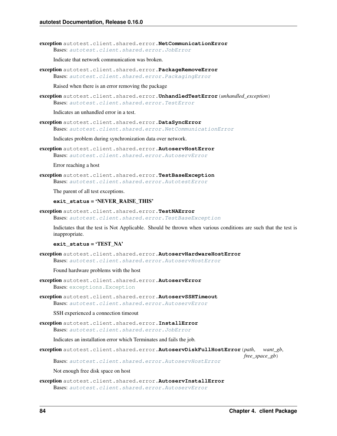exception autotest.client.shared.error.**NetCommunicationError** Bases: [autotest.client.shared.error.JobError](#page-88-2)

Indicate that network communication was broken.

exception autotest.client.shared.error.**PackageRemoveError** Bases: [autotest.client.shared.error.PackagingError](#page-88-0)

Raised when there is an error removing the package

exception autotest.client.shared.error.**UnhandledTestError**(*unhandled\_exception*) Bases: [autotest.client.shared.error.TestError](#page-88-1)

Indicates an unhandled error in a test.

exception autotest.client.shared.error.**DataSyncError** Bases: [autotest.client.shared.error.NetCommunicationError](#page-86-2)

Indicates problem during synchronization data over network.

<span id="page-87-0"></span>exception autotest.client.shared.error.**AutoservHostError** Bases: [autotest.client.shared.error.AutoservError](#page-87-1)

Error reaching a host

<span id="page-87-2"></span>exception autotest.client.shared.error.**TestBaseException** Bases: [autotest.client.shared.error.AutotestError](#page-86-1)

The parent of all test exceptions.

### **exit\_status** = 'NEVER\_RAISE\_THIS'

exception autotest.client.shared.error.**TestNAError**

Bases: [autotest.client.shared.error.TestBaseException](#page-87-2)

Indictates that the test is Not Applicable. Should be thrown when various conditions are such that the test is inappropriate.

**exit\_status** = 'TEST\_NA'

exception autotest.client.shared.error.**AutoservHardwareHostError** Bases: [autotest.client.shared.error.AutoservHostError](#page-87-0)

Found hardware problems with the host

<span id="page-87-1"></span>exception autotest.client.shared.error.**AutoservError** Bases: [exceptions.Exception](http://docs.python.org/library/exceptions.html#exceptions.Exception)

exception autotest.client.shared.error.**AutoservSSHTimeout** Bases: [autotest.client.shared.error.AutoservError](#page-87-1)

SSH experienced a connection timeout

exception autotest.client.shared.error.**InstallError** Bases: [autotest.client.shared.error.JobError](#page-88-2)

Indicates an installation error which Terminates and fails the job.

exception autotest.client.shared.error.**AutoservDiskFullHostError**(*path*, *want\_gb*,

*free\_space\_gb*) Bases: [autotest.client.shared.error.AutoservHostError](#page-87-0)

Not enough free disk space on host

exception autotest.client.shared.error.**AutoservInstallError** Bases: [autotest.client.shared.error.AutoservError](#page-87-1)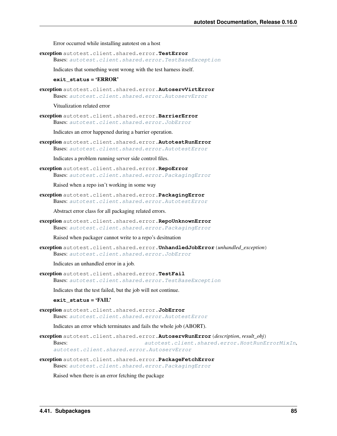Error occurred while installing autotest on a host

<span id="page-88-1"></span>exception autotest.client.shared.error.**TestError** Bases: [autotest.client.shared.error.TestBaseException](#page-87-2)

Indicates that something went wrong with the test harness itself.

#### **exit\_status** = 'ERROR'

exception autotest.client.shared.error.**AutoservVirtError** Bases: [autotest.client.shared.error.AutoservError](#page-87-1)

Vitualization related error

<span id="page-88-4"></span>exception autotest.client.shared.error.**BarrierError** Bases: [autotest.client.shared.error.JobError](#page-88-2)

Indicates an error happened during a barrier operation.

exception autotest.client.shared.error.**AutotestRunError** Bases: [autotest.client.shared.error.AutotestError](#page-86-1)

Indicates a problem running server side control files.

exception autotest.client.shared.error.**RepoError** Bases: [autotest.client.shared.error.PackagingError](#page-88-0)

Raised when a repo isn't working in some way

<span id="page-88-0"></span>exception autotest.client.shared.error.**PackagingError** Bases: [autotest.client.shared.error.AutotestError](#page-86-1)

Abstract error class for all packaging related errors.

exception autotest.client.shared.error.**RepoUnknownError** Bases: [autotest.client.shared.error.PackagingError](#page-88-0)

Raised when packager cannot write to a repo's desitnation

exception autotest.client.shared.error.**UnhandledJobError**(*unhandled\_exception*) Bases: [autotest.client.shared.error.JobError](#page-88-2)

Indicates an unhandled error in a job.

<span id="page-88-3"></span>exception autotest.client.shared.error.**TestFail** Bases: [autotest.client.shared.error.TestBaseException](#page-87-2)

Indicates that the test failed, but the job will not continue.

### **exit\_status** = 'FAIL'

<span id="page-88-2"></span>exception autotest.client.shared.error.**JobError** Bases: [autotest.client.shared.error.AutotestError](#page-86-1)

Indicates an error which terminates and fails the whole job (ABORT).

- <span id="page-88-5"></span>exception autotest.client.shared.error.**AutoservRunError**(*description*, *result\_obj*) Bases: [autotest.client.shared.error.HostRunErrorMixIn](#page-89-0), [autotest.client.shared.error.AutoservError](#page-87-1)
- exception autotest.client.shared.error.**PackageFetchError** Bases: [autotest.client.shared.error.PackagingError](#page-88-0)

Raised when there is an error fetching the package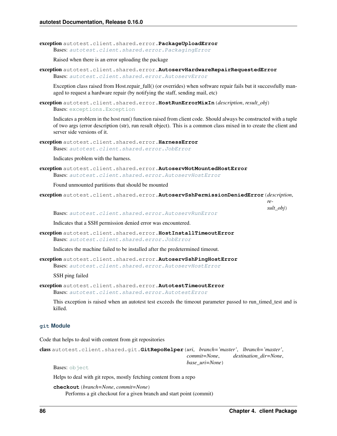exception autotest.client.shared.error.**PackageUploadError** Bases: [autotest.client.shared.error.PackagingError](#page-88-0)

Raised when there is an error uploading the package

exception autotest.client.shared.error.**AutoservHardwareRepairRequestedError** Bases: [autotest.client.shared.error.AutoservError](#page-87-1)

Exception class raised from Host.repair\_full() (or overrides) when software repair fails but it successfully managed to request a hardware repair (by notifying the staff, sending mail, etc)

<span id="page-89-0"></span>exception autotest.client.shared.error.**HostRunErrorMixIn**(*description*, *result\_obj*) Bases: [exceptions.Exception](http://docs.python.org/library/exceptions.html#exceptions.Exception)

Indicates a problem in the host run() function raised from client code. Should always be constructed with a tuple of two args (error description (str), run result object). This is a common class mixed in to create the client and server side versions of it.

exception autotest.client.shared.error.**HarnessError** Bases: [autotest.client.shared.error.JobError](#page-88-2)

Indicates problem with the harness.

exception autotest.client.shared.error.**AutoservNotMountedHostError** Bases: [autotest.client.shared.error.AutoservHostError](#page-87-0)

Found unmounted partitions that should be mounted

exception autotest.client.shared.error.**AutoservSshPermissionDeniedError**(*description*,

*result\_obj*)

Bases: [autotest.client.shared.error.AutoservRunError](#page-88-5)

Indicates that a SSH permission denied error was encountered.

exception autotest.client.shared.error.**HostInstallTimeoutError** Bases: [autotest.client.shared.error.JobError](#page-88-2)

Indicates the machine failed to be installed after the predetermined timeout.

exception autotest.client.shared.error.**AutoservSshPingHostError** Bases: [autotest.client.shared.error.AutoservHostError](#page-87-0)

SSH ping failed

exception autotest.client.shared.error.**AutotestTimeoutError** Bases: [autotest.client.shared.error.AutotestError](#page-86-1)

This exception is raised when an autotest test exceeds the timeout parameter passed to run\_timed\_test and is killed.

# **git Module**

Code that helps to deal with content from git repositories

```
class autotest.client.shared.git.GitRepoHelper(uri, branch='master', lbranch='master',
                                                    commit=None, destination_dir=None,
                                                    base_uri=None)
```
Bases: [object](http://docs.python.org/library/functions.html#object)

Helps to deal with git repos, mostly fetching content from a repo

```
checkout(branch=None, commit=None)
     Performs a git checkout for a given branch and start point (commit)
```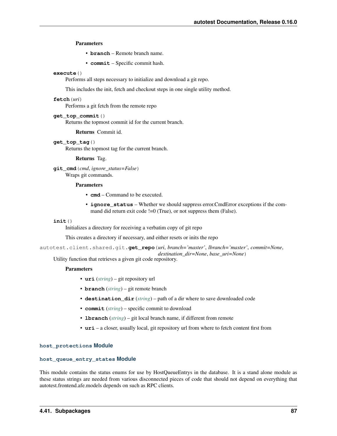Parameters

- **branch** Remote branch name.
- **commit** Specific commit hash.

# **execute**()

Performs all steps necessary to initialize and download a git repo.

This includes the init, fetch and checkout steps in one single utility method.

# **fetch**(*uri*)

Performs a git fetch from the remote repo

### **get\_top\_commit**()

Returns the topmost commit id for the current branch.

Returns Commit id.

### **get\_top\_tag**()

Returns the topmost tag for the current branch.

Returns Tag.

**git\_cmd**(*cmd*, *ignore\_status=False*) Wraps git commands.

### **Parameters**

- **cmd** Command to be executed.
- **ignore** status Whether we should suppress error.CmdError exceptions if the command did return exit code !=0 (True), or not suppress them (False).

### **init**()

Initializes a directory for receiving a verbatim copy of git repo

This creates a directory if necessary, and either resets or inits the repo

autotest.client.shared.git.**get\_repo**(*uri*, *branch='master'*, *lbranch='master'*, *commit=None*, *destination\_dir=None*, *base\_uri=None*)

Utility function that retrieves a given git code repository.

#### **Parameters**

- **uri** (*[string](http://docs.python.org/library/string.html#module-string)*) git repository url
- **branch** (*[string](http://docs.python.org/library/string.html#module-string)*) git remote branch
- **destination\_dir** (*[string](http://docs.python.org/library/string.html#module-string)*) path of a dir where to save downloaded code
- **commit** (*[string](http://docs.python.org/library/string.html#module-string)*) specific commit to download
- **lbranch** (*[string](http://docs.python.org/library/string.html#module-string)*) git local branch name, if different from remote
- **uri** a closer, usually local, git repository url from where to fetch content first from

### **host\_protections Module**

#### **host\_queue\_entry\_states Module**

This module contains the status enums for use by HostQueueEntrys in the database. It is a stand alone module as these status strings are needed from various disconnected pieces of code that should not depend on everything that autotest.frontend.afe.models depends on such as RPC clients.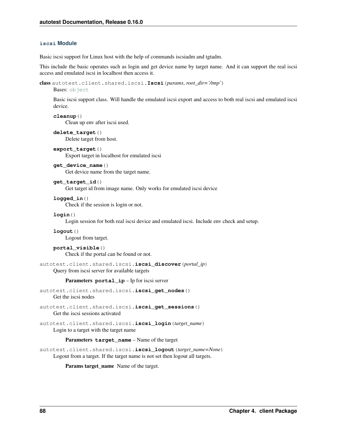# **iscsi Module**

Basic iscsi support for Linux host with the help of commands iscsiadm and tgtadm.

This include the basic operates such as login and get device name by target name. And it can support the real iscsi access and emulated iscsi in localhost then access it.

```
class autotest.client.shared.iscsi.Iscsi(params, root_dir='/tmp')
```
Bases: [object](http://docs.python.org/library/functions.html#object)

Basic iscsi support class. Will handle the emulated iscsi export and access to both real iscsi and emulated iscsi device.

**cleanup**()

Clean up env after iscsi used.

**delete\_target**() Delete target from host.

```
export_target()
     Export target in localhost for emulated iscsi
```
**get\_device\_name**() Get device name from the target name.

**get\_target\_id**()

Get target id from image name. Only works for emulated iscsi device

```
logged_in()
     Check if the session is login or not.
```
**login**()

Login session for both real iscsi device and emulated iscsi. Include env check and setup.

```
logout()
    Logout from target.
```
# **portal\_visible**()

Check if the portal can be found or not.

autotest.client.shared.iscsi.**iscsi\_discover**(*portal\_ip*)

Query from iscsi server for available targets

Parameters **portal\_ip** – Ip for iscsi server

```
autotest.client.shared.iscsi.iscsi_get_nodes()
    Get the iscsi nodes
```
autotest.client.shared.iscsi.**iscsi\_get\_sessions**() Get the iscsi sessions activated

autotest.client.shared.iscsi.**iscsi\_login**(*target\_name*) Login to a target with the target name

# Parameters **target** name – Name of the target

autotest.client.shared.iscsi.**iscsi\_logout**(*target\_name=None*) Logout from a target. If the target name is not set then logout all targets.

Params target\_name Name of the target.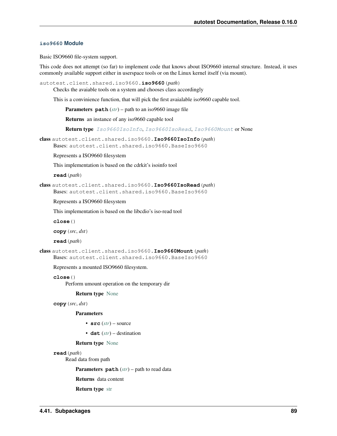# **iso9660 Module**

Basic ISO9660 file-system support.

This code does not attempt (so far) to implement code that knows about ISO9660 internal structure. Instead, it uses commonly available support either in userspace tools or on the Linux kernel itself (via mount).

```
autotest.client.shared.iso9660.iso9660(path)
```
Checks the avaiable tools on a system and chooses class accordingly

This is a convinience function, that will pick the first avaialable iso9660 capable tool.

Parameters **path** (*[str](http://docs.python.org/library/functions.html#str)*) – path to an iso9660 image file

Returns an instance of any iso9660 capable tool

Return type [Iso9660IsoInfo](#page-92-0), [Iso9660IsoRead](#page-92-1), [Iso9660Mount](#page-92-2) or None

<span id="page-92-0"></span>class autotest.client.shared.iso9660.**Iso9660IsoInfo**(*path*)

Bases: autotest.client.shared.iso9660.BaseIso9660

Represents a ISO9660 filesystem

This implementation is based on the cdrkit's isoinfo tool

**read**(*path*)

<span id="page-92-1"></span>class autotest.client.shared.iso9660.**Iso9660IsoRead**(*path*) Bases: autotest.client.shared.iso9660.BaseIso9660

Represents a ISO9660 filesystem

This implementation is based on the libcdio's iso-read tool

**close**()

**copy**(*src*, *dst*)

**read**(*path*)

<span id="page-92-2"></span>class autotest.client.shared.iso9660.**Iso9660Mount**(*path*) Bases: autotest.client.shared.iso9660.BaseIso9660

Represents a mounted ISO9660 filesystem.

**close**()

Perform umount operation on the temporary dir

Return type [None](http://docs.python.org/library/constants.html#None)

**copy**(*src*, *dst*)

**Parameters** 

- **src** (*[str](http://docs.python.org/library/functions.html#str)*) source
- **dst** (*[str](http://docs.python.org/library/functions.html#str)*) destination

# Return type [None](http://docs.python.org/library/constants.html#None)

#### **read**(*path*)

Read data from path

Parameters **path** (*[str](http://docs.python.org/library/functions.html#str)*) – path to read data

Returns data content

Return type [str](http://docs.python.org/library/functions.html#str)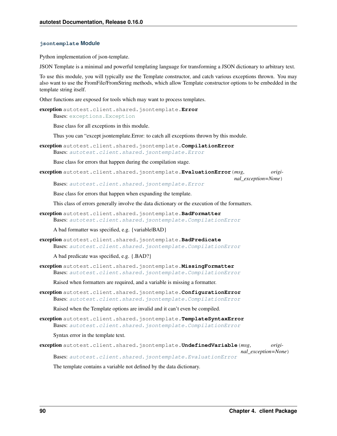### **jsontemplate Module**

Python implementation of json-template.

JSON Template is a minimal and powerful templating language for transforming a JSON dictionary to arbitrary text.

To use this module, you will typically use the Template constructor, and catch various exceptions thrown. You may also want to use the FromFile/FromString methods, which allow Template constructor options to be embedded in the template string itself.

Other functions are exposed for tools which may want to process templates.

```
exception autotest.client.shared.jsontemplate.Error
    Bases: exceptions.Exception
```
Base class for all exceptions in this module.

Thus you can "except jsontemplate.Error: to catch all exceptions thrown by this module.

<span id="page-93-1"></span>exception autotest.client.shared.jsontemplate.**CompilationError** Bases: [autotest.client.shared.jsontemplate.Error](#page-93-0)

Base class for errors that happen during the compilation stage.

```
exception autotest.client.shared.jsontemplate.EvaluationError(msg, origi-
```
Bases: [autotest.client.shared.jsontemplate.Error](#page-93-0)

*nal\_exception=None*)

Base class for errors that happen when expanding the template.

This class of errors generally involve the data dictionary or the execution of the formatters.

exception autotest.client.shared.jsontemplate.**BadFormatter** Bases: [autotest.client.shared.jsontemplate.CompilationError](#page-93-1)

A bad formatter was specified, e.g. {variable|BAD}

exception autotest.client.shared.jsontemplate.**BadPredicate** Bases: [autotest.client.shared.jsontemplate.CompilationError](#page-93-1)

A bad predicate was specified, e.g. {.BAD?}

exception autotest.client.shared.jsontemplate.**MissingFormatter** Bases: [autotest.client.shared.jsontemplate.CompilationError](#page-93-1)

Raised when formatters are required, and a variable is missing a formatter.

exception autotest.client.shared.jsontemplate.**ConfigurationError** Bases: [autotest.client.shared.jsontemplate.CompilationError](#page-93-1)

Raised when the Template options are invalid and it can't even be compiled.

exception autotest.client.shared.jsontemplate.**TemplateSyntaxError** Bases: [autotest.client.shared.jsontemplate.CompilationError](#page-93-1)

Syntax error in the template text.

exception autotest.client.shared.jsontemplate.**UndefinedVariable**(*msg*, *original\_exception=None*) Bases: [autotest.client.shared.jsontemplate.EvaluationError](#page-93-2)

The template contains a variable not defined by the data dictionary.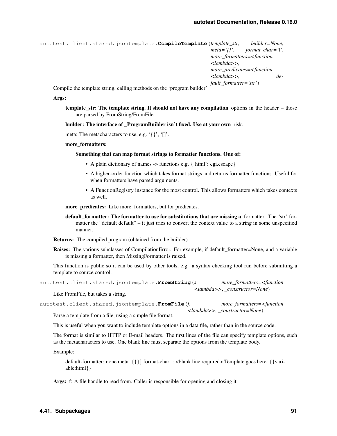```
autotest.client.shared.jsontemplate.CompileTemplate(template_str, builder=None,
                                                           meta='{}', format_char='|',
                                                           more_formatters=<function
                                                           <lambda>>,
                                                           more_predicates=<function
                                                           <lambda>>, de-
                                                           fault_formatter='str')
```
Compile the template string, calling methods on the 'program builder'.

### Args:

template\_str: The template string. It should not have any compilation options in the header – those are parsed by FromString/FromFile

builder: The interface of \_ProgramBuilder isn't fixed. Use at your own risk.

meta: The metacharacters to use, e.g. '{}', '[]'.

more formatters:

#### Something that can map format strings to formatter functions. One of:

- A plain dictionary of names -> functions e.g. {'html': cgi.escape}
- A higher-order function which takes format strings and returns formatter functions. Useful for when formatters have parsed arguments.
- A FunctionRegistry instance for the most control. This allows formatters which takes contexts as well.

more predicates: Like more formatters, but for predicates.

default formatter: The formatter to use for substitutions that are missing a formatter. The 'str' formatter the "default default" – it just tries to convert the context value to a string in some unspecified manner.

Returns: The compiled program (obtained from the builder)

Raises: The various subclasses of CompilationError. For example, if default\_formatter=None, and a variable is missing a formatter, then MissingFormatter is raised.

This function is public so it can be used by other tools, e.g. a syntax checking tool run before submitting a template to source control.

```
autotest.client.shared.jsontemplate.FromString(s, more_formatters=<function
                                                  <lambda>>, _constructor=None)
```
Like FromFile, but takes a string.

```
autotest.client.shared.jsontemplate.FromFile(f, more_formatters=<function
                                                <lambda>>, _constructor=None)
```
Parse a template from a file, using a simple file format.

This is useful when you want to include template options in a data file, rather than in the source code.

The format is similar to HTTP or E-mail headers. The first lines of the file can specify template options, such as the metacharacters to use. One blank line must separate the options from the template body.

Example:

default-formatter: none meta: {{}} format-char: : <br/> <br/> <br/> default-formates: {{variable:html}}

Args: f: A file handle to read from. Caller is responsible for opening and closing it.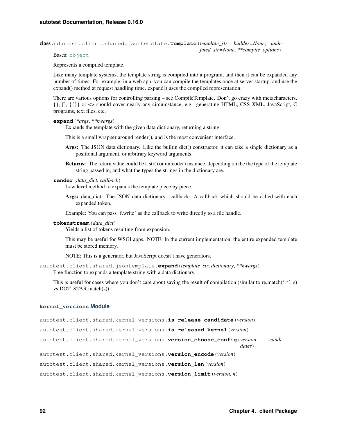class autotest.client.shared.jsontemplate.**Template**(*template\_str*, *builder=None*, *undefined\_str=None*, *\*\*compile\_options*)

Bases: [object](http://docs.python.org/library/functions.html#object)

Represents a compiled template.

Like many template systems, the template string is compiled into a program, and then it can be expanded any number of times. For example, in a web app, you can compile the templates once at server startup, and use the expand() method at request handling time. expand() uses the compiled representation.

There are various options for controlling parsing – see CompileTemplate. Don't go crazy with metacharacters. {}, [], {{}} or <> should cover nearly any circumstance, e.g. generating HTML, CSS XML, JavaScript, C programs, text files, etc.

# **expand**(*\*args*, *\*\*kwargs*)

Expands the template with the given data dictionary, returning a string.

This is a small wrapper around render(), and is the most convenient interface.

- Args: The JSON data dictionary. Like the builtin dict() constructor, it can take a single dictionary as a positional argument, or arbitrary keyword arguments.
- Returns: The return value could be a str() or unicode() instance, depending on the the type of the template string passed in, and what the types the strings in the dictionary are.

**render**(*data\_dict*, *callback*)

Low level method to expands the template piece by piece.

Args: data\_dict: The JSON data dictionary. callback: A callback which should be called with each expanded token.

Example: You can pass 'f.write' as the callback to write directly to a file handle.

#### **tokenstream**(*data\_dict*)

Yields a list of tokens resulting from expansion.

This may be useful for WSGI apps. NOTE: In the current implementation, the entire expanded template must be stored memory.

NOTE: This is a generator, but JavaScript doesn't have generators.

autotest.client.shared.jsontemplate.**expand**(*template\_str*, *dictionary*, *\*\*kwargs*) Free function to expands a template string with a data dictionary.

This is useful for cases where you don't care about saving the result of compilation (similar to re.match( $\cdot$ \*', s) vs DOT\_STAR.match(s))

# **kernel\_versions Module**

autotest.client.shared.kernel\_versions.**is\_release\_candidate**(*version*)

autotest.client.shared.kernel\_versions.**is\_released\_kernel**(*version*)

autotest.client.shared.kernel\_versions.**version\_choose\_config**(*version*, *candi-*

*dates*)

autotest.client.shared.kernel\_versions.**version\_encode**(*version*)

autotest.client.shared.kernel\_versions.**version\_len**(*version*)

autotest.client.shared.kernel\_versions.**version\_limit**(*version*, *n*)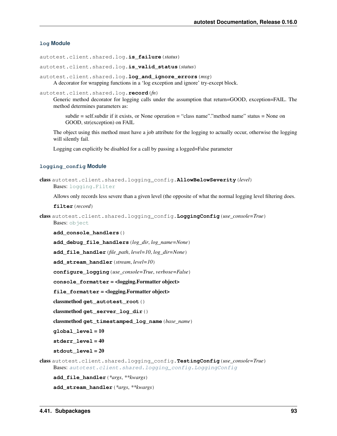# **log Module**

autotest.client.shared.log.**is\_failure**(*status*)

autotest.client.shared.log.**is\_valid\_status**(*status*)

```
autotest.client.shared.log.log_and_ignore_errors(msg)
     A decorator for wrapping functions in a 'log exception and ignore' try-except block.
```
autotest.client.shared.log.**record**(*fn*)

Generic method decorator for logging calls under the assumption that return=GOOD, exception=FAIL. The method determines parameters as:

subdir = self.subdir if it exists, or None operation = "class name"."method name" status = None on GOOD, str(exception) on FAIL

The object using this method must have a job attribute for the logging to actually occur, otherwise the logging will silently fail.

Logging can explicitly be disabled for a call by passing a logged=False parameter

# **logging\_config Module**

```
class autotest.client.shared.logging_config.AllowBelowSeverity(level)
    Bases: logging.Filter
```
Allows only records less severe than a given level (the opposite of what the normal logging level filtering does.

**filter**(*record*)

```
class autotest.client.shared.logging_config.LoggingConfig(use_console=True)
    Bases: object
```
**add\_console\_handlers**()

**add\_debug\_file\_handlers**(*log\_dir*, *log\_name=None*)

**add\_file\_handler**(*file\_path*, *level=10*, *log\_dir=None*)

**add\_stream\_handler**(*stream*, *level=10*)

**configure\_logging**(*use\_console=True*, *verbose=False*)

**console\_formatter** = <logging.Formatter object>

file formatter = <logging.Formatter object>

classmethod **get\_autotest\_root**()

classmethod **get\_server\_log\_dir**()

classmethod **get\_timestamped\_log\_name**(*base\_name*)

**global\_level** = 10

**stderr\_level** = 40

**stdout\_level** = 20

class autotest.client.shared.logging\_config.**TestingConfig**(*use\_console=True*) Bases: [autotest.client.shared.logging\\_config.LoggingConfig](#page-96-0)

**add\_file\_handler**(*\*args*, *\*\*kwargs*)

**add\_stream\_handler**(*\*args*, *\*\*kwargs*)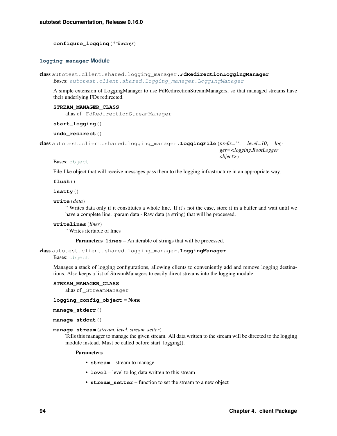**configure\_logging**(*\*\*kwargs*)

### **logging\_manager Module**

```
class autotest.client.shared.logging_manager.FdRedirectionLoggingManager
    Bases: autotest.client.shared.logging_manager.LoggingManager
```
A simple extension of LoggingManager to use FdRedirectionStreamManagers, so that managed streams have their underlying FDs redirected.

**STREAM\_MANAGER\_CLASS**

alias of \_FdRedirectionStreamManager

**start\_logging**()

**undo\_redirect**()

<span id="page-97-1"></span>class autotest.client.shared.logging\_manager.**LoggingFile**(*prefix=''*, *level=10*, *logger=<logging.RootLogger object>*)

Bases: [object](http://docs.python.org/library/functions.html#object)

File-like object that will receive messages pass them to the logging infrastructure in an appropriate way.

**flush**()

**isatty**()

**write**(*data*)

" Writes data only if it constitutes a whole line. If it's not the case, store it in a buffer and wait until we have a complete line. : param data - Raw data (a string) that will be processed.

```
writelines(lines)
```
" Writes itertable of lines

Parameters **lines** – An iterable of strings that will be processed.

<span id="page-97-0"></span>class autotest.client.shared.logging\_manager.**LoggingManager**

Bases: [object](http://docs.python.org/library/functions.html#object)

Manages a stack of logging configurations, allowing clients to conveniently add and remove logging destinations. Also keeps a list of StreamManagers to easily direct streams into the logging module.

#### **STREAM\_MANAGER\_CLASS**

alias of \_StreamManager

**logging\_config\_object** = None

**manage\_stderr**()

**manage\_stdout**()

**manage\_stream**(*stream*, *level*, *stream\_setter*)

Tells this manager to manage the given stream. All data written to the stream will be directed to the logging module instead. Must be called before start\_logging().

#### Parameters

- **stream** stream to manage
- **level** level to log data written to this stream
- **stream\_setter** function to set the stream to a new object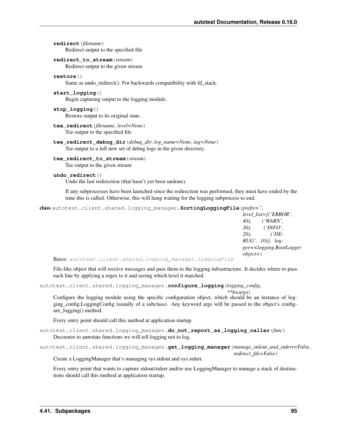**redirect**(*filename*) Redirect output to the specified file

# **redirect\_to\_stream**(*stream*)

Redirect output to the given stream

### **restore**()

Same as undo redirect(). For backwards compatibility with fd\_stack.

# **start\_logging**()

Begin capturing output to the logging module.

#### **stop\_logging**()

Restore output to its original state.

#### **tee\_redirect**(*filename*, *level=None*) Tee output to the specified file

**tee\_redirect\_debug\_dir**(*debug\_dir*, *log\_name=None*, *tag=None*) Tee output to a full new set of debug logs in the given directory.

#### **tee\_redirect\_to\_stream**(*stream*)

Tee output to the given stream

#### **undo\_redirect**()

Undo the last redirection (that hasn't yet been undone).

If any subprocesses have been launched since the redirection was performed, they must have ended by the time this is called. Otherwise, this will hang waiting for the logging subprocess to end.

```
class autotest.client.shared.logging_manager.SortingLoggingFile(prefix='',
```
*level\_list=[('ERROR', 40), ('WARN', 30), ('INFO', 20), ('DE-BUG', 10)], logger=<logging.RootLogger object>*)

Bases: [autotest.client.shared.logging\\_manager.LoggingFile](#page-97-1)

File-like object that will receive messages and pass them to the logging infrastructure. It decides where to pass each line by applying a regex to it and seeing which level it matched.

autotest.client.shared.logging\_manager.**configure\_logging**(*logging\_config*,

```
**kwargs)
```
Configure the logging module using the specific configuration object, which should be an instance of logging\_config.LoggingConfig (usually of a subclass). Any keyword args will be passed to the object's configure\_logging() method.

Every entry point should call this method at application startup.

autotest.client.shared.logging\_manager.**do\_not\_report\_as\_logging\_caller**(*func*) Decorator to annotate functions we will tell logging not to log.

```
autotest.client.shared.logging_manager.get_logging_manager(manage_stdout_and_stderr=False,
                                                                   redirect_fds=False)
```
Create a LoggingManager that's managing sys.stdout and sys.stderr.

Every entry point that wants to capture stdout/stderr and/or use LoggingManager to manage a stack of destinations should call this method at application startup.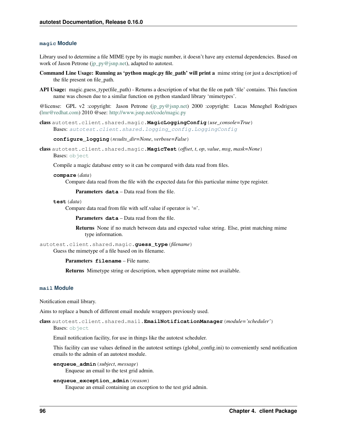#### **magic Module**

Library used to determine a file MIME type by its magic number, it doesn't have any external dependencies. Based on work of Jason Petrone [\(jp\\_py@jsnp.net\)](mailto:jp_py@jsnp.net), adapted to autotest.

- Command Line Usage: Running as 'python magic.py file\_path' will print a mime string (or just a description) of the file present on file\_path.
- API Usage: magic.guess\_type(file\_path) Returns a description of what the file on path 'file' contains. This function name was chosen due to a similar function on python standard library 'mimetypes'.

@license: GPL v2 :copyright: Jason Petrone [\(jp\\_py@jsnp.net\)](mailto:jp_py@jsnp.net) 2000 :copyright: Lucas Meneghel Rodrigues [\(lmr@redhat.com\)](mailto:lmr@redhat.com) 2010 @see: <http://www.jsnp.net/code/magic.py>

class autotest.client.shared.magic.**MagicLoggingConfig**(*use\_console=True*) Bases: [autotest.client.shared.logging\\_config.LoggingConfig](#page-96-0)

#### **configure\_logging**(*results\_dir=None*, *verbose=False*)

class autotest.client.shared.magic.**MagicTest**(*offset*, *t*, *op*, *value*, *msg*, *mask=None*) Bases: [object](http://docs.python.org/library/functions.html#object)

Compile a magic database entry so it can be compared with data read from files.

#### **compare**(*data*)

Compare data read from the file with the expected data for this particular mime type register.

Parameters **data** – Data read from the file.

#### **test**(*data*)

Compare data read from file with self.value if operator is '='.

Parameters **data** – Data read from the file.

Returns None if no match between data and expected value string. Else, print matching mime type information.

```
autotest.client.shared.magic.guess_type(filename)
     Guess the mimetype of a file based on its filename.
```
Parameters **filename** – File name.

Returns Mimetype string or description, when appropriate mime not available.

# **mail Module**

Notification email library.

Aims to replace a bunch of different email module wrappers previously used.

class autotest.client.shared.mail.**EmailNotificationManager**(*module='scheduler'*) Bases: [object](http://docs.python.org/library/functions.html#object)

Email notification facility, for use in things like the autotest scheduler.

This facility can use values defined in the autotest settings (global\_config.ini) to conveniently send notification emails to the admin of an autotest module.

**enqueue\_admin**(*subject*, *message*)

Enqueue an email to the test grid admin.

# **enqueue\_exception\_admin**(*reason*)

Enqueue an email containing an exception to the test grid admin.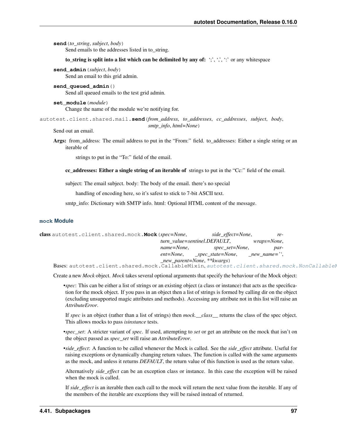**send**(*to\_string*, *subject*, *body*)

Send emails to the addresses listed in to string.

### to\_string is split into a list which can be delimited by any of:  $\langle \cdot, \cdot, \cdot, \cdot \rangle$  or any whitespace

**send\_admin**(*subject*, *body*)

Send an email to this grid admin.

```
send_queued_admin()
     Send all queued emails to the test grid admin.
```
**set\_module**(*module*) Change the name of the module we're notifying for.

autotest.client.shared.mail.**send**(*from\_address*, *to\_addresses*, *cc\_addresses*, *subject*, *body*, *smtp\_info*, *html=None*)

Send out an email.

Args: from address: The email address to put in the "From:" field. to addresses: Either a single string or an iterable of

strings to put in the "To:" field of the email.

cc addresses: Either a single string of an iterable of strings to put in the "Cc:" field of the email.

subject: The email subject. body: The body of the email. there's no special

handling of encoding here, so it's safest to stick to 7-bit ASCII text.

smtp info: Dictionary with SMTP info. html: Optional HTML content of the message.

# **mock Module**

<span id="page-100-0"></span>

| class autotest.client.shared.mock.Mock (spec=None,                                        |                                | side_effect=None,                                    | re-                 |  |
|-------------------------------------------------------------------------------------------|--------------------------------|------------------------------------------------------|---------------------|--|
|                                                                                           | turn value=sentinel.DEFAULT,   |                                                      | <i>wraps=None</i> , |  |
|                                                                                           | name=None.                     | spec_set=None,                                       | par-                |  |
|                                                                                           |                                | $ent = None,$ $spec\_state = None,$ $new\_name =$ ", |                     |  |
|                                                                                           | $_new\_parent=None, **kwargs)$ |                                                      |                     |  |
| Bases: autotest.client.shared.mock.CallableMixin.autotest.client.shared.mock.NonCallableM |                                |                                                      |                     |  |

Create a new *Mock* object. *Mock* takes several optional arguments that specify the behaviour of the Mock object:

•*spec*: This can be either a list of strings or an existing object (a class or instance) that acts as the specification for the mock object. If you pass in an object then a list of strings is formed by calling dir on the object (excluding unsupported magic attributes and methods). Accessing any attribute not in this list will raise an *AttributeError*.

If *spec* is an object (rather than a list of strings) then *mock.\_\_class\_\_* returns the class of the spec object. This allows mocks to pass *isinstance* tests.

•*spec\_set*: A stricter variant of *spec*. If used, attempting to *set* or get an attribute on the mock that isn't on the object passed as *spec\_set* will raise an *AttributeError*.

•*side\_effect*: A function to be called whenever the Mock is called. See the *side\_effect* attribute. Useful for raising exceptions or dynamically changing return values. The function is called with the same arguments as the mock, and unless it returns *DEFAULT*, the return value of this function is used as the return value.

Alternatively *side\_effect* can be an exception class or instance. In this case the exception will be raised when the mock is called.

If *side\_effect* is an iterable then each call to the mock will return the next value from the iterable. If any of the members of the iterable are exceptions they will be raised instead of returned.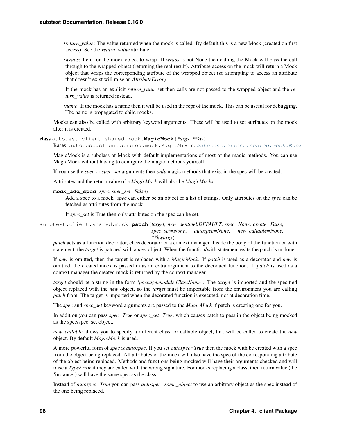•*return\_value*: The value returned when the mock is called. By default this is a new Mock (created on first access). See the *return\_value* attribute.

•*wraps*: Item for the mock object to wrap. If *wraps* is not None then calling the Mock will pass the call through to the wrapped object (returning the real result). Attribute access on the mock will return a Mock object that wraps the corresponding attribute of the wrapped object (so attempting to access an attribute that doesn't exist will raise an *AttributeError*).

If the mock has an explicit *return\_value* set then calls are not passed to the wrapped object and the *return\_value* is returned instead.

•*name*: If the mock has a name then it will be used in the repr of the mock. This can be useful for debugging. The name is propagated to child mocks.

Mocks can also be called with arbitrary keyword arguments. These will be used to set attributes on the mock after it is created.

```
class autotest.client.shared.mock.MagicMock(*args, **kw)
```
Bases: autotest.client.shared.mock.MagicMixin.[autotest.client.shared.mock.Mock](#page-100-0)

MagicMock is a subclass of Mock with default implementations of most of the magic methods. You can use MagicMock without having to configure the magic methods yourself.

If you use the *spec* or *spec\_set* arguments then *only* magic methods that exist in the spec will be created.

Attributes and the return value of a *MagicMock* will also be *MagicMocks*.

# **mock\_add\_spec**(*spec*, *spec\_set=False*)

Add a spec to a mock. *spec* can either be an object or a list of strings. Only attributes on the *spec* can be fetched as attributes from the mock.

If *spec\_set* is True then only attributes on the spec can be set.

autotest.client.shared.mock.**patch**(*target*, *new=sentinel.DEFAULT*, *spec=None*, *create=False*, *spec\_set=None*, *autospec=None*, *new\_callable=None*, *\*\*kwargs*)

*patch* acts as a function decorator, class decorator or a context manager. Inside the body of the function or with statement, the *target* is patched with a *new* object. When the function/with statement exits the patch is undone.

If *new* is omitted, then the target is replaced with a *MagicMock*. If *patch* is used as a decorator and *new* is omitted, the created mock is passed in as an extra argument to the decorated function. If *patch* is used as a context manager the created mock is returned by the context manager.

*target* should be a string in the form *'package.module.ClassName'*. The *target* is imported and the specified object replaced with the *new* object, so the *target* must be importable from the environment you are calling *patch* from. The target is imported when the decorated function is executed, not at decoration time.

The *spec* and *spec\_set* keyword arguments are passed to the *MagicMock* if patch is creating one for you.

In addition you can pass *spec=True* or *spec\_set=True*, which causes patch to pass in the object being mocked as the spec/spec\_set object.

*new\_callable* allows you to specify a different class, or callable object, that will be called to create the *new* object. By default *MagicMock* is used.

A more powerful form of *spec* is *autospec*. If you set *autospec=True* then the mock with be created with a spec from the object being replaced. All attributes of the mock will also have the spec of the corresponding attribute of the object being replaced. Methods and functions being mocked will have their arguments checked and will raise a *TypeError* if they are called with the wrong signature. For mocks replacing a class, their return value (the 'instance') will have the same spec as the class.

Instead of *autospec=True* you can pass *autospec=some\_object* to use an arbitrary object as the spec instead of the one being replaced.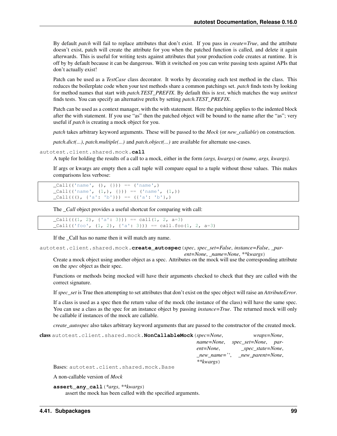By default *patch* will fail to replace attributes that don't exist. If you pass in *create=True*, and the attribute doesn't exist, patch will create the attribute for you when the patched function is called, and delete it again afterwards. This is useful for writing tests against attributes that your production code creates at runtime. It is off by by default because it can be dangerous. With it switched on you can write passing tests against APIs that don't actually exist!

Patch can be used as a *TestCase* class decorator. It works by decorating each test method in the class. This reduces the boilerplate code when your test methods share a common patchings set. *patch* finds tests by looking for method names that start with *patch.TEST\_PREFIX*. By default this is *test*, which matches the way *unittest* finds tests. You can specify an alternative prefix by setting *patch.TEST\_PREFIX*.

Patch can be used as a context manager, with the with statement. Here the patching applies to the indented block after the with statement. If you use "as" then the patched object will be bound to the name after the "as"; very useful if *patch* is creating a mock object for you.

*patch* takes arbitrary keyword arguments. These will be passed to the *Mock* (or *new\_callable*) on construction.

*patch.dict(...)*, *patch.multiple(...)* and *patch.object(...)* are available for alternate use-cases.

```
autotest.client.shared.mock.call
```
A tuple for holding the results of a call to a mock, either in the form *(args, kwargs)* or *(name, args, kwargs)*.

If args or kwargs are empty then a call tuple will compare equal to a tuple without those values. This makes comparisons less verbose:

```
\_Call( ('name', (), {})) == ('name',)
\text{Call}((\text{'name'}, (1,), \{\})) = ('\text{'name'}, (1,))\text{Call}((\begin{pmatrix}0, & \{a': 'b'\}\end{pmatrix}) = (\{a': 'b'\},\)
```
The *\_Call* object provides a useful shortcut for comparing with call:

```
cl1((1, 2), {a': 3}) = cal1(1, 2, a=3)cl1(('foo', (1, 2), { 'a': 3} )) == call.foo(1, 2, a=3)
```
If the \_Call has no name then it will match any name.

autotest.client.shared.mock.**create\_autospec**(*spec*, *spec\_set=False*, *instance=False*, *\_par-*

*ent=None*, *\_name=None*, *\*\*kwargs*)

Create a mock object using another object as a spec. Attributes on the mock will use the corresponding attribute on the *spec* object as their spec.

Functions or methods being mocked will have their arguments checked to check that they are called with the correct signature.

If *spec\_set* is True then attempting to set attributes that don't exist on the spec object will raise an *AttributeError*.

If a class is used as a spec then the return value of the mock (the instance of the class) will have the same spec. You can use a class as the spec for an instance object by passing *instance=True*. The returned mock will only be callable if instances of the mock are callable.

*create\_autospec* also takes arbitrary keyword arguments that are passed to the constructor of the created mock.

```
class autotest.client.shared.mock.NonCallableMock(spec=None, wraps=None,
                                                   name=None, spec_set=None, par-
                                                   ent=None, _spec_state=None,
                                                   _new_name='', _new_parent=None,
                                                   **kwargs)
```
Bases: autotest.client.shared.mock.Base

A non-callable version of *Mock*

```
assert_any_call(*args, **kwargs)
     assert the mock has been called with the specified arguments.
```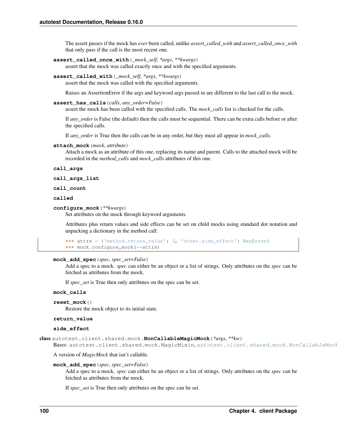The assert passes if the mock has *ever* been called, unlike *assert\_called\_with* and *assert\_called\_once\_with* that only pass if the call is the most recent one.

```
assert_called_once_with(_mock_self, *args, **kwargs)
```
assert that the mock was called exactly once and with the specified arguments.

**assert\_called\_with**(*\_mock\_self*, *\*args*, *\*\*kwargs*)

assert that the mock was called with the specified arguments.

Raises an AssertionError if the args and keyword args passed in are different to the last call to the mock.

**assert\_has\_calls**(*calls*, *any\_order=False*)

assert the mock has been called with the specified calls. The *mock\_calls* list is checked for the calls.

If *any\_order* is False (the default) then the calls must be sequential. There can be extra calls before or after the specified calls.

If *any\_order* is True then the calls can be in any order, but they must all appear in *mock\_calls*.

### **attach\_mock**(*mock*, *attribute*)

Attach a mock as an attribute of this one, replacing its name and parent. Calls to the attached mock will be recorded in the *method\_calls* and *mock\_calls* attributes of this one.

#### **call\_args**

#### **call\_args\_list**

#### **call\_count**

# **called**

# **configure\_mock**(*\*\*kwargs*)

Set attributes on the mock through keyword arguments.

Attributes plus return values and side effects can be set on child mocks using standard dot notation and unpacking a dictionary in the method call:

```
>>> attrs = {'method.return_value': 3, 'other.side_effect': KeyError}
>>> mock.configure_mock(**attrs)
```
#### **mock\_add\_spec**(*spec*, *spec\_set=False*)

Add a spec to a mock. *spec* can either be an object or a list of strings. Only attributes on the *spec* can be fetched as attributes from the mock.

If *spec\_set* is True then only attributes on the spec can be set.

#### **mock\_calls**

```
reset_mock()
```
Restore the mock object to its initial state.

#### **return\_value**

### **side\_effect**

class autotest.client.shared.mock.**NonCallableMagicMock**(*\*args*, *\*\*kw*)

```
autotest.client.shared.mock.NonCallableMock
```
A version of *MagicMock* that isn't callable.

#### **mock\_add\_spec**(*spec*, *spec\_set=False*)

Add a spec to a mock. *spec* can either be an object or a list of strings. Only attributes on the *spec* can be fetched as attributes from the mock.

If *spec\_set* is True then only attributes on the spec can be set.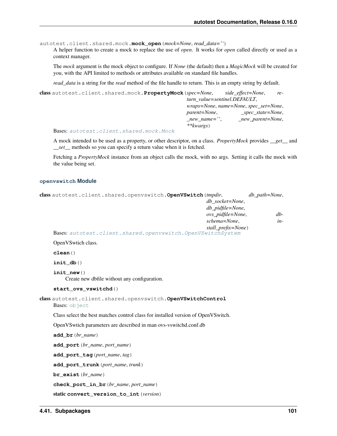autotest.client.shared.mock.**mock\_open**(*mock=None*, *read\_data=''*)

A helper function to create a mock to replace the use of *open*. It works for *open* called directly or used as a context manager.

The *mock* argument is the mock object to configure. If *None* (the default) then a *MagicMock* will be created for you, with the API limited to methods or attributes available on standard file handles.

*read\_data* is a string for the *read* method of the file handle to return. This is an empty string by default.

class autotest.client.shared.mock.**PropertyMock**(*spec=None*, *side\_effect=None*, *return\_value=sentinel.DEFAULT*, *wraps=None*, *name=None*, *spec\_set=None*, *parent=None*, *\_spec\_state=None*, *\_new\_name=''*, *\_new\_parent=None*, *\*\*kwargs*)

Bases: [autotest.client.shared.mock.Mock](#page-100-0)

A mock intended to be used as a property, or other descriptor, on a class. *PropertyMock* provides *\_\_get\_\_* and *\_\_set\_\_* methods so you can specify a return value when it is fetched.

Fetching a *PropertyMock* instance from an object calls the mock, with no args. Setting it calls the mock with the value being set.

# **openvswitch Module**

<span id="page-104-0"></span>

| class autotest.client.shared.openvswitch.OpenVSwitch(tmpdir,                      | db_socket=None,<br>db_pidfile=None,<br>ovs_pidfile=None,<br>schema=None,<br>stall_prefix=None) | db_path=None,<br>$db-$<br>in- |  |  |
|-----------------------------------------------------------------------------------|------------------------------------------------------------------------------------------------|-------------------------------|--|--|
| Bases: autotest.client.shared.openvswitch.OpenVSwitchSystem                       |                                                                                                |                               |  |  |
| OpenVSwtich class.                                                                |                                                                                                |                               |  |  |
| clean()                                                                           |                                                                                                |                               |  |  |
| init db()                                                                         |                                                                                                |                               |  |  |
| init new $()$<br>Create new dbfile without any configuration.                     |                                                                                                |                               |  |  |
| start_ovs_vswitchd()                                                              |                                                                                                |                               |  |  |
| class autotest.client.shared.openvswitch.OpenVSwitchControl<br>Bases: object      |                                                                                                |                               |  |  |
| Class select the best matches control class for installed version of OpenVSwitch. |                                                                                                |                               |  |  |
| OpenVS wtich parameters are described in man ovs-vs witchd.conf.db                |                                                                                                |                               |  |  |
| $add\_br(br_name)$                                                                |                                                                                                |                               |  |  |
| add_port (br_name, port_name)                                                     |                                                                                                |                               |  |  |
| add_port_tag(port_name, tag)                                                      |                                                                                                |                               |  |  |
| add_port_trunk(port_name,trunk)                                                   |                                                                                                |                               |  |  |
| $br\_exist(br_name)$                                                              |                                                                                                |                               |  |  |
| check_port_in_br(br_name,port_name)                                               |                                                                                                |                               |  |  |
| static convert_version_to_int (version)                                           |                                                                                                |                               |  |  |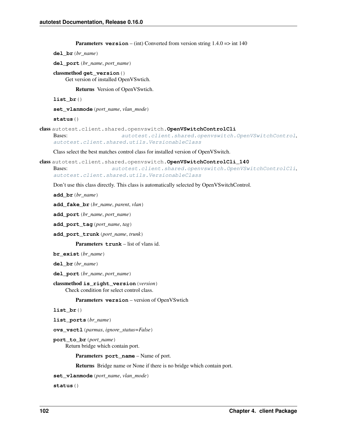```
Parameters version – (int) Converted from version string 1.4.0 => int 140
```

```
del_br(br_name)
```
**del\_port**(*br\_name*, *port\_name*)

classmethod **get\_version**() Get version of installed OpenVSwtich.

Returns Version of OpenVSwtich.

**list\_br**()

**set\_vlanmode**(*port\_name*, *vlan\_mode*)

**status**()

```
class autotest.client.shared.openvswitch.OpenVSwitchControlCli
```

```
Bases: autotest.client.shared.openvswitch.OpenVSwitchControl,
autotest.client.shared.utils.VersionableClass
```
Class select the best matches control class for installed version of OpenVSwitch.

```
class autotest.client.shared.openvswitch.OpenVSwitchControlCli_140
   autotest.client.shared.openvswitch.OpenVSwitchControlCli,
   autotest.client.shared.utils.VersionableClass
```
Don't use this class directly. This class is automatically selected by OpenVSwitchControl.

**add\_br**(*br\_name*)

**add\_fake\_br**(*br\_name*, *parent*, *vlan*)

**add\_port**(*br\_name*, *port\_name*)

**add\_port\_tag**(*port\_name*, *tag*)

**add\_port\_trunk**(*port\_name*, *trunk*)

Parameters **trunk** – list of vlans id.

**br\_exist**(*br\_name*)

**del\_br**(*br\_name*)

**del\_port**(*br\_name*, *port\_name*)

```
classmethod is_right_version(version)
```
Check condition for select control class.

Parameters **version** – version of OpenVSwtich

**list\_br**()

**list\_ports**(*br\_name*)

**ovs\_vsctl**(*parmas*, *ignore\_status=False*)

**port\_to\_br**(*port\_name*) Return bridge which contain port.

Parameters **port\_name** – Name of port.

Returns Bridge name or None if there is no bridge which contain port.

**set\_vlanmode**(*port\_name*, *vlan\_mode*)

<span id="page-105-1"></span>**status**()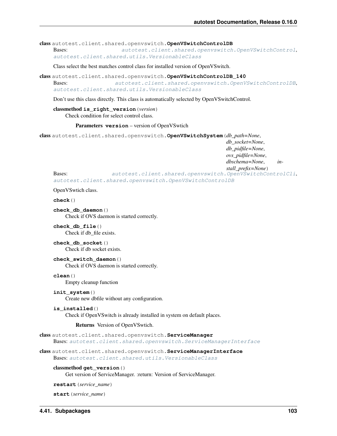class autotest.client.shared.openvswitch.**OpenVSwitchControlDB**

Bases: [autotest.client.shared.openvswitch.OpenVSwitchControl](#page-104-0), [autotest.client.shared.utils.VersionableClass](#page-130-0)

Class select the best matches control class for installed version of OpenVSwitch.

class autotest.client.shared.openvswitch.**OpenVSwitchControlDB\_140**

Bases: [autotest.client.shared.openvswitch.OpenVSwitchControlDB](#page-105-1), [autotest.client.shared.utils.VersionableClass](#page-130-0)

Don't use this class directly. This class is automatically selected by OpenVSwitchControl.

### classmethod **is\_right\_version**(*version*) Check condition for select control class.

#### Parameters **version** – version of OpenVSwtich

<span id="page-106-0"></span>class autotest.client.shared.openvswitch.**OpenVSwitchSystem**(*db\_path=None*,

*db\_socket=None*, *db\_pidfile=None*, *ovs\_pidfile=None*, *dbschema=None*, *in-*

*stall\_prefix=None*)

Bases: [autotest.client.shared.openvswitch.OpenVSwitchControlCli](#page-105-0), [autotest.client.shared.openvswitch.OpenVSwitchControlDB](#page-105-1)

OpenVSwtich class.

**check**()

**check\_db\_daemon**() Check if OVS daemon is started correctly.

**check\_db\_file**() Check if db\_file exists.

**check\_db\_socket**() Check if db socket exists.

**check\_switch\_daemon**() Check if OVS daemon is started correctly.

**clean**()

Empty cleanup function

**init\_system**()

Create new dbfile without any configuration.

**is\_installed**()

Check if OpenVSwitch is already installed in system on default places.

#### Returns Version of OpenVSwtich.

class autotest.client.shared.openvswitch.**ServiceManager**

Bases: [autotest.client.shared.openvswitch.ServiceManagerInterface](#page-106-1)

<span id="page-106-1"></span>class autotest.client.shared.openvswitch.**ServiceManagerInterface** Bases: [autotest.client.shared.utils.VersionableClass](#page-130-0)

### classmethod **get\_version**()

Get version of ServiceManager. :return: Version of ServiceManager.

**restart**(*service\_name*)

**start**(*service\_name*)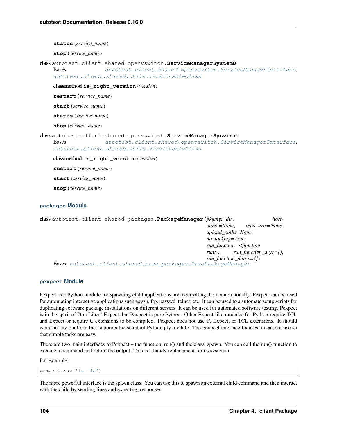**status**(*service\_name*)

**stop**(*service\_name*)

class autotest.client.shared.openvswitch.**ServiceManagerSystemD**

Bases: [autotest.client.shared.openvswitch.ServiceManagerInterface](#page-106-1), [autotest.client.shared.utils.VersionableClass](#page-130-0)

classmethod **is\_right\_version**(*version*)

**restart**(*service\_name*)

**start**(*service\_name*)

**status**(*service\_name*)

**stop**(*service\_name*)

class autotest.client.shared.openvswitch.**ServiceManagerSysvinit**

Bases: [autotest.client.shared.openvswitch.ServiceManagerInterface](#page-106-1), [autotest.client.shared.utils.VersionableClass](#page-130-0)

classmethod **is\_right\_version**(*version*)

**restart**(*service\_name*)

**start**(*service\_name*)

**stop**(*service\_name*)

# **packages Module**

class autotest.client.shared.packages.**PackageManager**(*pkgmgr\_dir*, *hostname=None*, *repo\_urls=None*, *upload\_paths=None*, *do\_locking=True*, *run\_function=<function run>*, *run\_function\_args=[]*, *run\_function\_dargs={}*) Bases: [autotest.client.shared.base\\_packages.BasePackageManager](#page-75-0)

# **pexpect Module**

Pexpect is a Python module for spawning child applications and controlling them automatically. Pexpect can be used for automating interactive applications such as ssh, ftp, passwd, telnet, etc. It can be used to a automate setup scripts for duplicating software package installations on different servers. It can be used for automated software testing. Pexpect is in the spirit of Don Libes' Expect, but Pexpect is pure Python. Other Expect-like modules for Python require TCL and Expect or require C extensions to be compiled. Pexpect does not use C, Expect, or TCL extensions. It should work on any platform that supports the standard Python pty module. The Pexpect interface focuses on ease of use so that simple tasks are easy.

There are two main interfaces to Pexpect – the function, run() and the class, spawn. You can call the run() function to execute a command and return the output. This is a handy replacement for os.system().

For example:

pexpect.run('ls -la')

The more powerful interface is the spawn class. You can use this to spawn an external child command and then interact with the child by sending lines and expecting responses.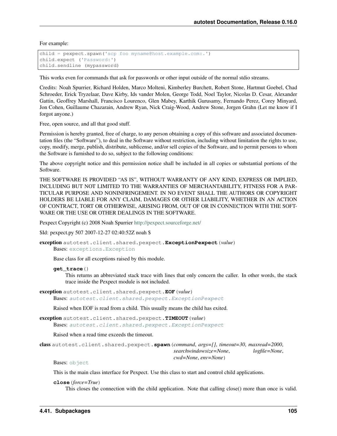For example:

```
child = pexpect.spawn('scp foo myname@host.example.com:.')
child.expect ('Password:')
child.sendline (mypassword)
```
This works even for commands that ask for passwords or other input outside of the normal stdio streams.

Credits: Noah Spurrier, Richard Holden, Marco Molteni, Kimberley Burchett, Robert Stone, Hartmut Goebel, Chad Schroeder, Erick Tryzelaar, Dave Kirby, Ids vander Molen, George Todd, Noel Taylor, Nicolas D. Cesar, Alexander Gattin, Geoffrey Marshall, Francisco Lourenco, Glen Mabey, Karthik Gurusamy, Fernando Perez, Corey Minyard, Jon Cohen, Guillaume Chazarain, Andrew Ryan, Nick Craig-Wood, Andrew Stone, Jorgen Grahn (Let me know if I forgot anyone.)

Free, open source, and all that good stuff.

Permission is hereby granted, free of charge, to any person obtaining a copy of this software and associated documentation files (the "Software"), to deal in the Software without restriction, including without limitation the rights to use, copy, modify, merge, publish, distribute, sublicense, and/or sell copies of the Software, and to permit persons to whom the Software is furnished to do so, subject to the following conditions:

The above copyright notice and this permission notice shall be included in all copies or substantial portions of the Software.

THE SOFTWARE IS PROVIDED "AS IS", WITHOUT WARRANTY OF ANY KIND, EXPRESS OR IMPLIED, INCLUDING BUT NOT LIMITED TO THE WARRANTIES OF MERCHANTABILITY, FITNESS FOR A PAR-TICULAR PURPOSE AND NONINFRINGEMENT. IN NO EVENT SHALL THE AUTHORS OR COPYRIGHT HOLDERS BE LIABLE FOR ANY CLAIM, DAMAGES OR OTHER LIABILITY, WHETHER IN AN ACTION OF CONTRACT, TORT OR OTHERWISE, ARISING FROM, OUT OF OR IN CONNECTION WITH THE SOFT-WARE OR THE USE OR OTHER DEALINGS IN THE SOFTWARE.

Pexpect Copyright (c) 2008 Noah Spurrier <http://pexpect.sourceforge.net/>

\$Id: pexpect.py 507 2007-12-27 02:40:52Z noah \$

<span id="page-108-0"></span>exception autotest.client.shared.pexpect.**ExceptionPexpect**(*value*) Bases: [exceptions.Exception](http://docs.python.org/library/exceptions.html#exceptions.Exception)

Base class for all exceptions raised by this module.

# **get\_trace**()

This returns an abbreviated stack trace with lines that only concern the caller. In other words, the stack trace inside the Pexpect module is not included.

```
exception autotest.client.shared.pexpect.EOF(value)
```
Bases: [autotest.client.shared.pexpect.ExceptionPexpect](#page-108-0)

Raised when EOF is read from a child. This usually means the child has exited.

exception autotest.client.shared.pexpect.**TIMEOUT**(*value*)

Bases: [autotest.client.shared.pexpect.ExceptionPexpect](#page-108-0)

Raised when a read time exceeds the timeout.

<span id="page-108-1"></span>class autotest.client.shared.pexpect.**spawn**(*command*, *args=[]*, *timeout=30*, *maxread=2000*, *searchwindowsize=None*, *logfile=None*, *cwd=None*, *env=None*)

Bases: [object](http://docs.python.org/library/functions.html#object)

This is the main class interface for Pexpect. Use this class to start and control child applications.

**close**(*force=True*)

This closes the connection with the child application. Note that calling close() more than once is valid.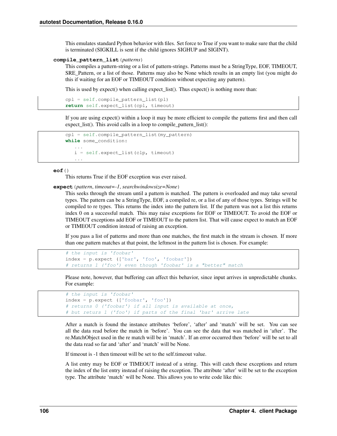This emulates standard Python behavior with files. Set force to True if you want to make sure that the child is terminated (SIGKILL is sent if the child ignores SIGHUP and SIGINT).

# **compile\_pattern\_list**(*patterns*)

This compiles a pattern-string or a list of pattern-strings. Patterns must be a StringType, EOF, TIMEOUT, SRE\_Pattern, or a list of those. Patterns may also be None which results in an empty list (you might do this if waiting for an EOF or TIMEOUT condition without expecting any pattern).

This is used by expect() when calling expect\_list(). Thus expect() is nothing more than:

```
cpl = self.compile_pattern_list(pl)
return self.expect_list(cpl, timeout)
```
If you are using expect() within a loop it may be more efficient to compile the patterns first and then call expect\_list(). This avoid calls in a loop to compile\_pattern\_list():

```
cpl = self.compile_pattern_list(my_pattern)
while some_condition:
   ...
   i = self.expect_list(clp, timeout)
   ...
```
## **eof**()

This returns True if the EOF exception was ever raised.

**expect**(*pattern*, *timeout=-1*, *searchwindowsize=None*)

This seeks through the stream until a pattern is matched. The pattern is overloaded and may take several types. The pattern can be a StringType, EOF, a compiled re, or a list of any of those types. Strings will be compiled to re types. This returns the index into the pattern list. If the pattern was not a list this returns index 0 on a successful match. This may raise exceptions for EOF or TIMEOUT. To avoid the EOF or TIMEOUT exceptions add EOF or TIMEOUT to the pattern list. That will cause expect to match an EOF or TIMEOUT condition instead of raising an exception.

If you pass a list of patterns and more than one matches, the first match in the stream is chosen. If more than one pattern matches at that point, the leftmost in the pattern list is chosen. For example:

```
# the input is 'foobar'
index = p.expect (['bar', 'foo', 'foobar'])
# returns 1 ('foo') even though 'foobar' is a "better" match
```
Please note, however, that buffering can affect this behavior, since input arrives in unpredictable chunks. For example:

```
# the input is 'foobar'
index = p.expect (['foobar', 'foo'])
# returns 0 ('foobar') if all input is available at once,
# but returs 1 ('foo') if parts of the final 'bar' arrive late
```
After a match is found the instance attributes 'before', 'after' and 'match' will be set. You can see all the data read before the match in 'before'. You can see the data that was matched in 'after'. The re.MatchObject used in the re match will be in 'match'. If an error occurred then 'before' will be set to all the data read so far and 'after' and 'match' will be None.

If timeout is -1 then timeout will be set to the self.timeout value.

A list entry may be EOF or TIMEOUT instead of a string. This will catch these exceptions and return the index of the list entry instead of raising the exception. The attribute 'after' will be set to the exception type. The attribute 'match' will be None. This allows you to write code like this: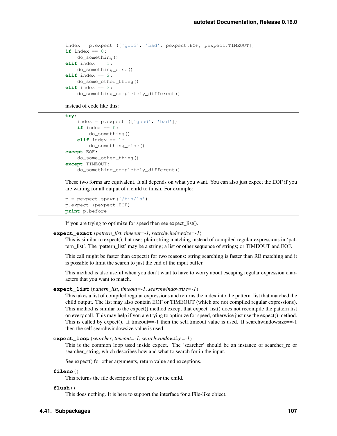```
index = p.expect (['good', 'bad', pexpect.EOF, pexpect.TIMEOUT])
if index == 0:
   do_something()
elif index == 1:
   do_something_else()
elif index == 2:
   do_some_other_thing()
elif index == 3:
   do_something_completely_different()
```
instead of code like this:

```
try:
    index = p_{\text{.}expect} (['good', 'bad'])if index == 0:
        do_something()
    elif index == 1:
        do_something_else()
except EOF:
    do_some_other_thing()
except TIMEOUT:
    do_something_completely_different()
```
These two forms are equivalent. It all depends on what you want. You can also just expect the EOF if you are waiting for all output of a child to finish. For example:

```
p = pexpect.spawn('/bin/ls')
p.expect (pexpect.EOF)
print p.before
```
If you are trying to optimize for speed then see expect\_list().

## **expect\_exact**(*pattern\_list*, *timeout=-1*, *searchwindowsize=-1*)

This is similar to expect(), but uses plain string matching instead of compiled regular expressions in 'pattern\_list'. The 'pattern\_list' may be a string; a list or other sequence of strings; or TIMEOUT and EOF.

This call might be faster than expect() for two reasons: string searching is faster than RE matching and it is possible to limit the search to just the end of the input buffer.

This method is also useful when you don't want to have to worry about escaping regular expression characters that you want to match.

## **expect\_list**(*pattern\_list*, *timeout=-1*, *searchwindowsize=-1*)

This takes a list of compiled regular expressions and returns the index into the pattern\_list that matched the child output. The list may also contain EOF or TIMEOUT (which are not compiled regular expressions). This method is similar to the expect() method except that expect\_list() does not recompile the pattern list on every call. This may help if you are trying to optimize for speed, otherwise just use the expect() method. This is called by expect(). If timeout==-1 then the self.timeout value is used. If searchwindowsize==-1 then the self.searchwindowsize value is used.

**expect\_loop**(*searcher*, *timeout=-1*, *searchwindowsize=-1*)

This is the common loop used inside expect. The 'searcher' should be an instance of searcher\_re or searcher\_string, which describes how and what to search for in the input.

See expect() for other arguments, return value and exceptions.

**fileno**()

This returns the file descriptor of the pty for the child.

**flush**()

This does nothing. It is here to support the interface for a File-like object.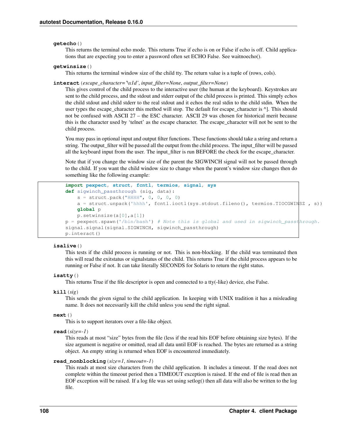# **getecho**()

This returns the terminal echo mode. This returns True if echo is on or False if echo is off. Child applications that are expecting you to enter a password often set ECHO False. See waitnoecho().

## **getwinsize**()

This returns the terminal window size of the child tty. The return value is a tuple of (rows, cols).

## **interact**(*escape\_character='\x1d'*, *input\_filter=None*, *output\_filter=None*)

This gives control of the child process to the interactive user (the human at the keyboard). Keystrokes are sent to the child process, and the stdout and stderr output of the child process is printed. This simply echos the child stdout and child stderr to the real stdout and it echos the real stdin to the child stdin. When the user types the escape\_character this method will stop. The default for escape\_character is  $\land$ ]. This should not be confused with ASCII 27 – the ESC character. ASCII 29 was chosen for historical merit because this is the character used by 'telnet' as the escape character. The escape\_character will not be sent to the child process.

You may pass in optional input and output filter functions. These functions should take a string and return a string. The output\_filter will be passed all the output from the child process. The input\_filter will be passed all the keyboard input from the user. The input\_filter is run BEFORE the check for the escape\_character.

Note that if you change the window size of the parent the SIGWINCH signal will not be passed through to the child. If you want the child window size to change when the parent's window size changes then do something like the following example:

```
import pexpect, struct, fcntl, termios, signal, sys
def sigwinch_passthrough (sig, data):
   s = struct.pack("HHHH", 0, 0, 0, 0)
   a = struct.unpack('hhhh', fcntl.ioctl(sys.stdout.fileno(), termios.TIOCGWINSZ , s))
   global p
   p.setwinsize(a[0],a[1])
p = pexpect.spawn('/bin/bash') # Note this is global and used in sigwinch_passthrough.
signal.signal(signal.SIGWINCH, sigwinch_passthrough)
p.interact()
```
# **isalive**()

This tests if the child process is running or not. This is non-blocking. If the child was terminated then this will read the exitstatus or signalstatus of the child. This returns True if the child process appears to be running or False if not. It can take literally SECONDS for Solaris to return the right status.

# **isatty**()

This returns True if the file descriptor is open and connected to a tty(-like) device, else False.

**kill**(*sig*)

This sends the given signal to the child application. In keeping with UNIX tradition it has a misleading name. It does not necessarily kill the child unless you send the right signal.

## **next**()

This is to support iterators over a file-like object.

**read**(*size=-1*)

This reads at most "size" bytes from the file (less if the read hits EOF before obtaining size bytes). If the size argument is negative or omitted, read all data until EOF is reached. The bytes are returned as a string object. An empty string is returned when EOF is encountered immediately.

#### **read\_nonblocking**(*size=1*, *timeout=-1*)

This reads at most size characters from the child application. It includes a timeout. If the read does not complete within the timeout period then a TIMEOUT exception is raised. If the end of file is read then an EOF exception will be raised. If a log file was set using setlog() then all data will also be written to the log file.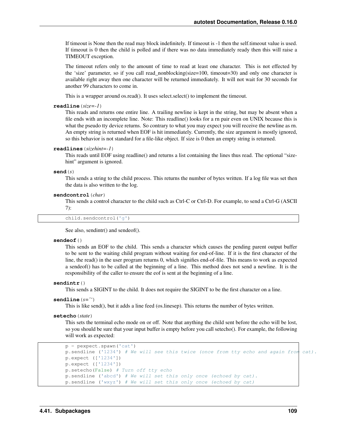If timeout is None then the read may block indefinitely. If timeout is -1 then the self.timeout value is used. If timeout is 0 then the child is polled and if there was no data immediately ready then this will raise a TIMEOUT exception.

The timeout refers only to the amount of time to read at least one character. This is not effected by the 'size' parameter, so if you call read\_nonblocking(size=100, timeout=30) and only one character is available right away then one character will be returned immediately. It will not wait for 30 seconds for another 99 characters to come in.

This is a wrapper around os.read(). It uses select.select() to implement the timeout.

## **readline**(*size=-1*)

This reads and returns one entire line. A trailing newline is kept in the string, but may be absent when a file ends with an incomplete line. Note: This readline() looks for a rn pair even on UNIX because this is what the pseudo tty device returns. So contrary to what you may expect you will receive the newline as rn. An empty string is returned when EOF is hit immediately. Currently, the size argument is mostly ignored, so this behavior is not standard for a file-like object. If size is 0 then an empty string is returned.

# **readlines**(*sizehint=-1*)

This reads until EOF using readline() and returns a list containing the lines thus read. The optional "sizehint" argument is ignored.

# **send**(*s*)

This sends a string to the child process. This returns the number of bytes written. If a log file was set then the data is also written to the log.

#### **sendcontrol**(*char*)

This sends a control character to the child such as Ctrl-C or Ctrl-D. For example, to send a Ctrl-G (ASCII 7):

child.sendcontrol('g')

See also, sendintr() and sendeof().

# **sendeof**()

This sends an EOF to the child. This sends a character which causes the pending parent output buffer to be sent to the waiting child program without waiting for end-of-line. If it is the first character of the line, the read() in the user program returns 0, which signifies end-of-file. This means to work as expected a sendeof() has to be called at the beginning of a line. This method does not send a newline. It is the responsibility of the caller to ensure the eof is sent at the beginning of a line.

#### **sendintr**()

This sends a SIGINT to the child. It does not require the SIGINT to be the first character on a line.

## **sendline**(*s=''*)

This is like send(), but it adds a line feed (os.linesep). This returns the number of bytes written.

# **setecho**(*state*)

This sets the terminal echo mode on or off. Note that anything the child sent before the echo will be lost, so you should be sure that your input buffer is empty before you call setecho(). For example, the following will work as expected:

```
p = pexpect.spawn('cat')
p.sendline ('1234') # We will see this twice (once from tty echo and again from cat).
p.expect (['1234'])
p.expect (['1234'])
p.setecho(False) # Turn off tty echo
p.sendline ('abcd') # We will set this only once (echoed by cat).
p.sendline ('wxyz') # We will set this only once (echoed by cat)
```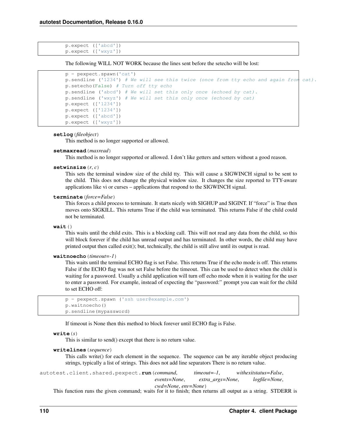```
p.expect (['abcd'])
p.expect (['wxyz'])
```
The following WILL NOT WORK because the lines sent before the setecho will be lost:

```
p = pexpect.spawn('cat')
p.sendline ('1234') # We will see this twice (once from tty echo and again from cat).
p.setecho(False) # Turn off tty echo
p.sendline ('abcd') # We will set this only once (echoed by cat).
p.sendline ('wxyz') # We will set this only once (echoed by cat)
p.expect (['1234'])
p.expect (['1234'])
p.expect (['abcd'])
p.expect (['wxyz'])
```
#### **setlog**(*fileobject*)

This method is no longer supported or allowed.

#### **setmaxread**(*maxread*)

This method is no longer supported or allowed. I don't like getters and setters without a good reason.

#### **setwinsize**(*r*, *c*)

This sets the terminal window size of the child tty. This will cause a SIGWINCH signal to be sent to the child. This does not change the physical window size. It changes the size reported to TTY-aware applications like vi or curses – applications that respond to the SIGWINCH signal.

#### **terminate**(*force=False*)

This forces a child process to terminate. It starts nicely with SIGHUP and SIGINT. If "force" is True then moves onto SIGKILL. This returns True if the child was terminated. This returns False if the child could not be terminated.

## **wait**()

This waits until the child exits. This is a blocking call. This will not read any data from the child, so this will block forever if the child has unread output and has terminated. In other words, the child may have printed output then called exit(); but, technically, the child is still alive until its output is read.

#### **waitnoecho**(*timeout=-1*)

This waits until the terminal ECHO flag is set False. This returns True if the echo mode is off. This returns False if the ECHO flag was not set False before the timeout. This can be used to detect when the child is waiting for a password. Usually a child application will turn off echo mode when it is waiting for the user to enter a password. For example, instead of expecting the "password:" prompt you can wait for the child to set ECHO off:

```
p = pexpect.spawn ('ssh user@example.com')
p.waitnoecho()
p.sendline(mypassword)
```
If timeout is None then this method to block forever until ECHO flag is False.

#### **write**(*s*)

This is similar to send() except that there is no return value.

#### **writelines**(*sequence*)

This calls write() for each element in the sequence. The sequence can be any iterable object producing strings, typically a list of strings. This does not add line separators There is no return value.

autotest.client.shared.pexpect.**run**(*command*, *timeout=-1*, *withexitstatus=False*, *events=None*, *extra\_args=None*, *logfile=None*, *cwd=None*, *env=None*)

This function runs the given command; waits for it to finish; then returns all output as a string. STDERR is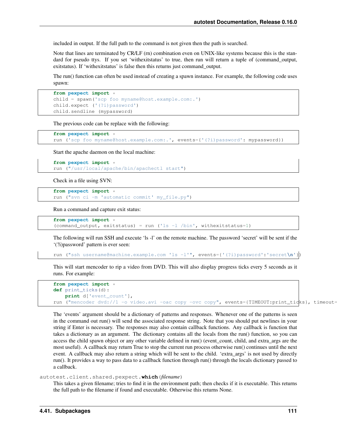included in output. If the full path to the command is not given then the path is searched.

Note that lines are terminated by CR/LF (rn) combination even on UNIX-like systems because this is the standard for pseudo ttys. If you set 'withexitstatus' to true, then run will return a tuple of (command\_output, exitstatus). If 'withexitstatus' is false then this returns just command\_output.

The run() function can often be used instead of creating a spawn instance. For example, the following code uses spawn:

```
from pexpect import *
child = spawn('scp foo myname@host.example.com:.')
child.expect ('(?i)password')
child.sendline (mypassword)
```
The previous code can be replace with the following:

```
from pexpect import *
run ('scp foo myname@host.example.com:.', events={'(?i)password': mypassword})
```
Start the apache daemon on the local machine:

```
from pexpect import *
run ("/usr/local/apache/bin/apachectl start")
```
Check in a file using SVN:

```
from pexpect import *
run ("svn ci -m 'automatic commit' my_file.py")
```
Run a command and capture exit status:

```
from pexpect import *
(command_output, exitstatus) = run ('ls -l /bin', withexitstatus=1)
```
The following will run SSH and execute 'ls -l' on the remote machine. The password 'secret' will be sent if the '(?i)password' pattern is ever seen:

```
run ("ssh username@machine.example.com 'ls -l'", events={'(?i)password':'secret\n'})
```
This will start mencoder to rip a video from DVD. This will also display progress ticks every 5 seconds as it runs. For example:

```
from pexpect import *
def print_ticks(d):
   print d['event_count'],
run ("mencoder dvd://1 -o video.avi -oac copy -ovc copy", events={TIMEOUT:print_ticks}, timeout=
```
The 'events' argument should be a dictionary of patterns and responses. Whenever one of the patterns is seen in the command out run() will send the associated response string. Note that you should put newlines in your string if Enter is necessary. The responses may also contain callback functions. Any callback is function that takes a dictionary as an argument. The dictionary contains all the locals from the run() function, so you can access the child spawn object or any other variable defined in run() (event\_count, child, and extra\_args are the most useful). A callback may return True to stop the current run process otherwise run() continues until the next event. A callback may also return a string which will be sent to the child. 'extra\_args' is not used by directly run(). It provides a way to pass data to a callback function through run() through the locals dictionary passed to a callback.

autotest.client.shared.pexpect.**which**(*filename*)

This takes a given filename; tries to find it in the environment path; then checks if it is executable. This returns the full path to the filename if found and executable. Otherwise this returns None.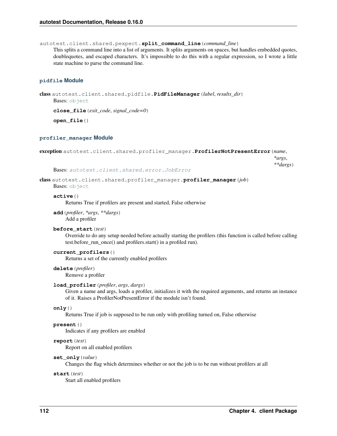autotest.client.shared.pexpect.**split\_command\_line**(*command\_line*)

This splits a command line into a list of arguments. It splits arguments on spaces, but handles embedded quotes, doublequotes, and escaped characters. It's impossible to do this with a regular expression, so I wrote a little state machine to parse the command line.

## **pidfile Module**

```
class autotest.client.shared.pidfile.PidFileManager(label, results_dir)
    object
```
**close\_file**(*exit\_code*, *signal\_code=0*)

**open\_file**()

#### **profiler\_manager Module**

```
exception autotest.client.shared.profiler_manager.ProfilerNotPresentError(name,
```
*\*args*, *\*\*dargs*)

#### Bases: [autotest.client.shared.error.JobError](#page-88-0)

class autotest.client.shared.profiler\_manager.**profiler\_manager**(*job*)

Bases: [object](http://docs.python.org/library/functions.html#object)

## **active**()

Returns True if profilers are present and started, False otherwise

**add**(*profiler*, *\*args*, *\*\*dargs*) Add a profiler

## **before\_start**(*test*)

Override to do any setup needed before actually starting the profilers (this function is called before calling test.before\_run\_once() and profilers.start() in a profiled run).

## **current\_profilers**()

Returns a set of the currently enabled profilers

# **delete**(*profiler*)

Remove a profiler

# **load\_profiler**(*profiler*, *args*, *dargs*)

Given a name and args, loads a profiler, initializes it with the required arguments, and returns an instance of it. Raises a ProfilerNotPresentError if the module isn't found.

### **only**()

Returns True if job is supposed to be run only with profiling turned on, False otherwise

#### **present**()

Indicates if any profilers are enabled

## **report**(*test*)

Report on all enabled profilers

#### **set\_only**(*value*)

Changes the flag which determines whether or not the job is to be run without profilers at all

# **start**(*test*)

Start all enabled profilers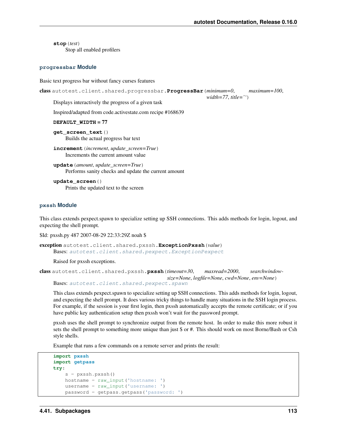*width=77*, *title=''*)

**stop**(*test*) Stop all enabled profilers

#### **progressbar Module**

Basic text progress bar without fancy curses features

```
class autotest.client.shared.progressbar.ProgressBar(minimum=0, maximum=100,
```
Displays interactively the progress of a given task

Inspired/adapted from code.activestate.com recipe #168639

**DEFAULT\_WIDTH** = 77

**get\_screen\_text**() Builds the actual progress bar text

**update**(*amount*, *update\_screen=True*) Performs sanity checks and update the current amount

**update\_screen**() Prints the updated text to the screen

## **pxssh Module**

This class extends pexpect.spawn to specialize setting up SSH connections. This adds methods for login, logout, and expecting the shell prompt.

\$Id: pxssh.py 487 2007-08-29 22:33:29Z noah \$

```
exception autotest.client.shared.pxssh.ExceptionPxssh(value)
    Bases: autotest.client.shared.pexpect.ExceptionPexpect
```
Raised for pxssh exceptions.

```
class autotest.client.shared.pxssh.pxssh(timeout=30, maxread=2000, searchwindow-
                                          size=None, logfile=None, cwd=None, env=None)
    autotest.client.shared.pexpect.spawn
```
This class extends pexpect.spawn to specialize setting up SSH connections. This adds methods for login, logout, and expecting the shell prompt. It does various tricky things to handle many situations in the SSH login process. For example, if the session is your first login, then pxssh automatically accepts the remote certificate; or if you have public key authentication setup then pxssh won't wait for the password prompt.

pxssh uses the shell prompt to synchronize output from the remote host. In order to make this more robust it sets the shell prompt to something more unique than just \$ or #. This should work on most Borne/Bash or Csh style shells.

Example that runs a few commands on a remote server and prints the result:

```
import pxssh
import getpass
try:
    s = pxssh.pxssh()
    hostname = raw_input('hostname: ')
    username = raw_input('username: ')
    password = getpass.getpass('password: ')
```
**increment**(*increment*, *update\_screen=True*) Increments the current amount value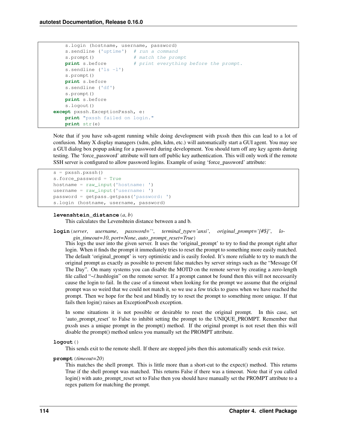```
s.login (hostname, username, password)
   s.sendline ('uptime') # run a command
   s.prompt() # match the prompt
   print s.before # print everything before the prompt.
    s.sendline ('ls -l')
   s.prompt()
   print s.before
   s.sendline ('df')
   s.prompt()
   print s.before
   s.logout()
except pxssh.ExceptionPxssh, e:
   print "pxssh failed on login."
   print str(e)
```
Note that if you have ssh-agent running while doing development with pxssh then this can lead to a lot of confusion. Many X display managers (xdm, gdm, kdm, etc.) will automatically start a GUI agent. You may see a GUI dialog box popup asking for a password during development. You should turn off any key agents during testing. The 'force\_password' attribute will turn off public key authentication. This will only work if the remote SSH server is configured to allow password logins. Example of using 'force\_password' attribute:

```
s = pxssh.pxssh()
s.force_password = True
hostname = raw_input('hostname: ')
username = raw_input('username: ')
password = getpass.getpass('password: ')
s.login (hostname, username, password)
```
# **levenshtein\_distance**(*a*, *b*)

This calculates the Levenshtein distance between a and b.

# **login**(*server*, *username*, *password=''*, *terminal\_type='ansi'*, *original\_prompt='[#\$]'*, *login\_timeout=10*, *port=None*, *auto\_prompt\_reset=True*)

This logs the user into the given server. It uses the 'original\_prompt' to try to find the prompt right after login. When it finds the prompt it immediately tries to reset the prompt to something more easily matched. The default 'original\_prompt' is very optimistic and is easily fooled. It's more reliable to try to match the original prompt as exactly as possible to prevent false matches by server strings such as the "Message Of The Day". On many systems you can disable the MOTD on the remote server by creating a zero-length file called "~/.hushlogin" on the remote server. If a prompt cannot be found then this will not necessarily cause the login to fail. In the case of a timeout when looking for the prompt we assume that the original prompt was so weird that we could not match it, so we use a few tricks to guess when we have reached the prompt. Then we hope for the best and blindly try to reset the prompt to something more unique. If that fails then login() raises an ExceptionPxssh exception.

In some situations it is not possible or desirable to reset the original prompt. In this case, set 'auto prompt reset' to False to inhibit setting the prompt to the UNIQUE PROMPT. Remember that pxssh uses a unique prompt in the prompt() method. If the original prompt is not reset then this will disable the prompt() method unless you manually set the PROMPT attribute.

# **logout**()

This sends exit to the remote shell. If there are stopped jobs then this automatically sends exit twice.

# **prompt**(*timeout=20*)

This matches the shell prompt. This is little more than a short-cut to the expect() method. This returns True if the shell prompt was matched. This returns False if there was a timeout. Note that if you called login() with auto\_prompt\_reset set to False then you should have manually set the PROMPT attribute to a regex pattern for matching the prompt.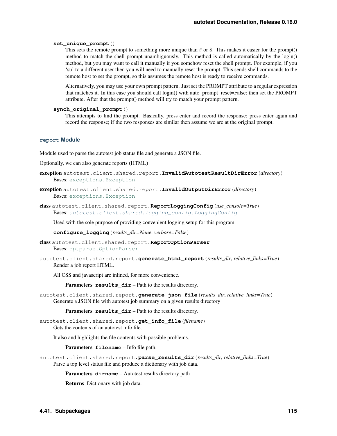## **set\_unique\_prompt**()

This sets the remote prompt to something more unique than # or \$. This makes it easier for the prompt() method to match the shell prompt unambiguously. This method is called automatically by the login() method, but you may want to call it manually if you somehow reset the shell prompt. For example, if you 'su' to a different user then you will need to manually reset the prompt. This sends shell commands to the remote host to set the prompt, so this assumes the remote host is ready to receive commands.

Alternatively, you may use your own prompt pattern. Just set the PROMPT attribute to a regular expression that matches it. In this case you should call login() with auto\_prompt\_reset=False; then set the PROMPT attribute. After that the prompt() method will try to match your prompt pattern.

#### **synch\_original\_prompt**()

This attempts to find the prompt. Basically, press enter and record the response; press enter again and record the response; if the two responses are similar then assume we are at the original prompt.

# **report Module**

Module used to parse the autotest job status file and generate a JSON file.

Optionally, we can also generate reports (HTML)

- exception autotest.client.shared.report.**InvalidAutotestResultDirError**(*directory*) Bases: [exceptions.Exception](http://docs.python.org/library/exceptions.html#exceptions.Exception)
- exception autotest.client.shared.report.**InvalidOutputDirError**(*directory*) Bases: [exceptions.Exception](http://docs.python.org/library/exceptions.html#exceptions.Exception)
- class autotest.client.shared.report.**ReportLoggingConfig**(*use\_console=True*) Bases: [autotest.client.shared.logging\\_config.LoggingConfig](#page-96-0)

Used with the sole purpose of providing convenient logging setup for this program.

**configure\_logging**(*results\_dir=None*, *verbose=False*)

class autotest.client.shared.report.**ReportOptionParser** Bases: [optparse.OptionParser](http://docs.python.org/library/optparse.html#optparse.OptionParser)

autotest.client.shared.report.**generate\_html\_report**(*results\_dir*, *relative\_links=True*) Render a job report HTML.

All CSS and javascript are inlined, for more convenience.

Parameters **results\_dir** – Path to the results directory.

autotest.client.shared.report.**generate\_json\_file**(*results\_dir*, *relative\_links=True*) Generate a JSON file with autotest job summary on a given results directory

Parameters results\_dir - Path to the results directory.

autotest.client.shared.report.**get\_info\_file**(*filename*) Gets the contents of an autotest info file.

It also and highlights the file contents with possible problems.

Parameters **filename** – Info file path.

autotest.client.shared.report.**parse\_results\_dir**(*results\_dir*, *relative\_links=True*) Parse a top level status file and produce a dictionary with job data.

Parameters **dirname** – Autotest results directory path

Returns Dictionary with job data.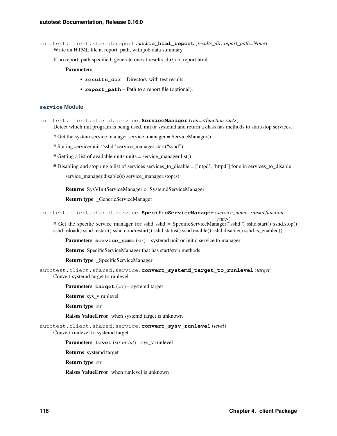autotest.client.shared.report.**write\_html\_report**(*results\_dir*, *report\_path=None*) Write an HTML file at report\_path, with job data summary.

If no report\_path specified, generate one at results\_dir/job\_report.html.

## **Parameters**

- **results** dir Directory with test results.
- **report\_path** Path to a report file (optional).

# **service Module**

autotest.client.shared.service.**ServiceManager**(*run=<function run>*)

Detect which init program is being used, init or systemd and return a class has methods to start/stop services.

# Get the system service manager service\_manager = ServiceManager()

# Stating service/unit "sshd" service\_manager.start("sshd")

# Getting a list of available units units = service\_manager.list()

# Disabling and stopping a list of services services\_to\_disable = ['ntpd', 'httpd'] for s in services\_to\_disable:

service manager.disable(s) service manager.stop(s)

Returns SysVInitServiceManager or SystemdServiceManager

Return type \_GenericServiceManager

autotest.client.shared.service.**SpecificServiceManager**(*service\_name*, *run=<function*

*run>*) # Get the specific service manager for sshd sshd = SpecificServiceManager("sshd") sshd.start() sshd.stop() sshd.reload() sshd.restart() sshd.condrestart() sshd.status() sshd.enable() sshd.disable() sshd.is\_enabled()

Parameters **service\_name** (*[str](http://docs.python.org/library/functions.html#str)*) – systemd unit or init.d service to manager

Returns SpecificServiceManager that has start/stop methods

Return type \_SpecificServiceManager

autotest.client.shared.service.**convert\_systemd\_target\_to\_runlevel**(*target*) Convert systemd target to runlevel.

Parameters **target** (*[str](http://docs.python.org/library/functions.html#str)*) – systemd target

Returns sys\_v runlevel

Return type [str](http://docs.python.org/library/functions.html#str)

Raises ValueError when systemd target is unknown

autotest.client.shared.service.**convert\_sysv\_runlevel**(*level*)

Convert runlevel to systemd target.

Parameters **level** (*str or int*) – sys\_v runlevel

Returns systemd target

Return type [str](http://docs.python.org/library/functions.html#str)

Raises ValueError when runlevel is unknown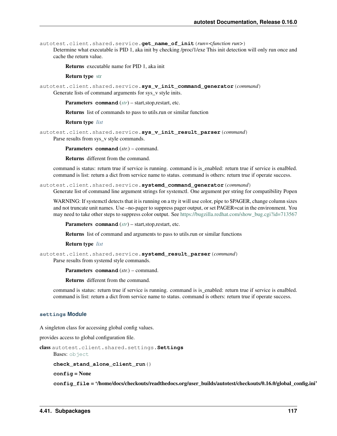autotest.client.shared.service.**get\_name\_of\_init**(*run=<function run>*)

Determine what executable is PID 1, aka init by checking /proc/1/exe This init detection will only run once and cache the return value.

Returns executable name for PID 1, aka init

#### Return type [str](http://docs.python.org/library/functions.html#str)

autotest.client.shared.service.**sys\_v\_init\_command\_generator**(*command*) Generate lists of command arguments for sys v style inits.

Parameters **command** (*[str](http://docs.python.org/library/functions.html#str)*) – start,stop,restart, etc.

Returns list of commands to pass to utils.run or similar function

Return type *[list](#page-55-0)*

autotest.client.shared.service.**sys\_v\_init\_result\_parser**(*command*) Parse results from sys\_v style commands.

Parameters **command** (*str.*) – command.

Returns different from the command.

command is status: return true if service is running. command is is\_enabled: return true if service is enalbled. command is list: return a dict from service name to status. command is others: return true if operate success.

autotest.client.shared.service.**systemd\_command\_generator**(*command*)

Generate list of command line argument strings for systemctl. One argument per string for compatibility Popen

WARNING: If systemctl detects that it is running on a tty it will use color, pipe to \$PAGER, change column sizes and not truncate unit names. Use –no-pager to suppress pager output, or set PAGER=cat in the environment. You may need to take other steps to suppress color output. See [https://bugzilla.redhat.com/show\\_bug.cgi?id=713567](https://bugzilla.redhat.com/show_bug.cgi?id=713567)

Parameters **command** (*[str](http://docs.python.org/library/functions.html#str)*) – start,stop,restart, etc.

Returns list of command and arguments to pass to utils.run or similar functions

Return type *[list](#page-55-0)*

autotest.client.shared.service.**systemd\_result\_parser**(*command*) Parse results from systemd style commands.

Parameters **command** (*str.*) – command.

Returns different from the command.

command is status: return true if service is running. command is is\_enabled: return true if service is enalbled. command is list: return a dict from service name to status. command is others: return true if operate success.

#### **settings Module**

A singleton class for accessing global config values.

provides access to global configuration file.

```
class autotest.client.shared.settings.Settings
    Bases: object
    check_stand_alone_client_run()
    config = None
```
config file = '/home/docs/checkouts/readthedocs.org/user\_builds/autotest/checkouts/0.16.0/global\_config.ini'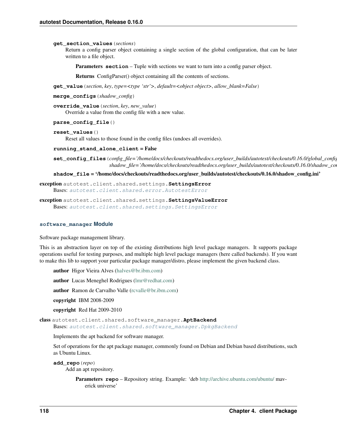#### **get\_section\_values**(*sections*)

Return a config parser object containing a single section of the global configuration, that can be later written to a file object.

**Parameters section** – Tuple with sections we want to turn into a config parser object.

Returns ConfigParser() object containing all the contents of sections.

**get\_value**(*section*, *key*, *type=<type 'str'>*, *default=<object object>*, *allow\_blank=False*)

```
merge_configs(shadow_config)
```
**override\_value**(*section*, *key*, *new\_value*) Override a value from the config file with a new value.

#### **parse\_config\_file**()

#### **reset\_values**()

Reset all values to those found in the config files (undoes all overrides).

## **running\_stand\_alone\_client** = False

**set\_config\_files**(*config\_file='/home/docs/checkouts/readthedocs.org/user\_builds/autotest/checkouts/0.16.0/global\_config.ini'*, *shadow\_file='/home/docs/checkouts/readthedocs.org/user\_builds/autotest/checkouts/0.16.0/shadow\_config.ini'*)

**shadow\_file** = '/home/docs/checkouts/readthedocs.org/user\_builds/autotest/checkouts/0.16.0/shadow\_config.ini'

<span id="page-121-0"></span>exception autotest.client.shared.settings.**SettingsError** Bases: [autotest.client.shared.error.AutotestError](#page-86-0)

exception autotest.client.shared.settings.**SettingsValueError** Bases: [autotest.client.shared.settings.SettingsError](#page-121-0)

# **software\_manager Module**

Software package management library.

This is an abstraction layer on top of the existing distributions high level package managers. It supports package operations useful for testing purposes, and multiple high level package managers (here called backends). If you want to make this lib to support your particular package manager/distro, please implement the given backend class.

author Higor Vieira Alves [\(halves@br.ibm.com\)](mailto:halves@br.ibm.com)

author Lucas Meneghel Rodrigues [\(lmr@redhat.com\)](mailto:lmr@redhat.com)

author Ramon de Carvalho Valle [\(rcvalle@br.ibm.com\)](mailto:rcvalle@br.ibm.com)

copyright IBM 2008-2009

copyright Red Hat 2009-2010

class autotest.client.shared.software\_manager.**AptBackend** Bases: [autotest.client.shared.software\\_manager.DpkgBackend](#page-122-0)

Implements the apt backend for software manager.

Set of operations for the apt package manager, commonly found on Debian and Debian based distributions, such as Ubuntu Linux.

**add\_repo**(*repo*) Add an apt repository.

> Parameters **repo** – Repository string. Example: 'deb <http://archive.ubuntu.com/ubuntu/> maverick universe'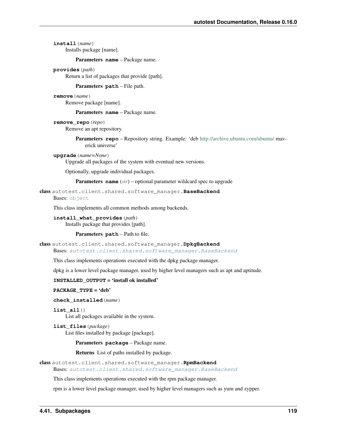# **install**(*name*)

Installs package [name].

#### Parameters **name** – Package name.

#### **provides**(*path*)

Return a list of packages that provide [path].

### Parameters **path** – File path.

# **remove**(*name*)

Remove package [name].

Parameters **name** – Package name.

# **remove\_repo**(*repo*)

Remove an apt repository.

Parameters **repo** – Repository string. Example: 'deb <http://archive.ubuntu.com/ubuntu/> maverick universe'

#### **upgrade**(*name=None*)

Upgrade all packages of the system with eventual new versions.

Optionally, upgrade individual packages.

Parameters **name** (*[str](http://docs.python.org/library/functions.html#str)*) – optional parameter wildcard spec to upgrade

## <span id="page-122-1"></span>class autotest.client.shared.software\_manager.**BaseBackend**

Bases: [object](http://docs.python.org/library/functions.html#object)

This class implements all common methods among backends.

## **install\_what\_provides**(*path*)

Installs package that provides [path].

# Parameters **path** – Path to file.

<span id="page-122-0"></span>class autotest.client.shared.software\_manager.**DpkgBackend**

Bases: [autotest.client.shared.software\\_manager.BaseBackend](#page-122-1)

This class implements operations executed with the dpkg package manager.

dpkg is a lower level package manager, used by higher level managers such as apt and aptitude.

# **INSTALLED\_OUTPUT** = 'install ok installed'

PACKAGE TYPE = 'deb'

**check\_installed**(*name*)

```
list_all()
```
List all packages available in the system.

**list\_files**(*package*) List files installed by package [package].

Parameters **package** – Package name.

Returns List of paths installed by package.

<span id="page-122-2"></span>class autotest.client.shared.software\_manager.**RpmBackend**

Bases: [autotest.client.shared.software\\_manager.BaseBackend](#page-122-1)

This class implements operations executed with the rpm package manager.

rpm is a lower level package manager, used by higher level managers such as yum and zypper.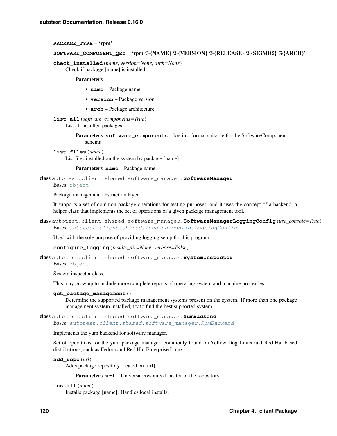# **PACKAGE\_TYPE** = 'rpm'

# **SOFTWARE\_COMPONENT\_QRY** = 'rpm %{NAME} %{VERSION} %{RELEASE} %{SIGMD5} %{ARCH}'

**check\_installed**(*name*, *version=None*, *arch=None*)

Check if package [name] is installed.

# Parameters

- **name** Package name.
- **version** Package version.
- **arch** Package architecture.

# **list\_all**(*software\_components=True*)

List all installed packages.

Parameters **software\_components** – log in a format suitable for the SoftwareComponent schema

**list\_files**(*name*)

List files installed on the system by package [name].

Parameters **name** – Package name.

class autotest.client.shared.software\_manager.**SoftwareManager**

Bases: [object](http://docs.python.org/library/functions.html#object)

Package management abstraction layer.

It supports a set of common package operations for testing purposes, and it uses the concept of a backend, a helper class that implements the set of operations of a given package management tool.

class autotest.client.shared.software\_manager.**SoftwareManagerLoggingConfig**(*use\_console=True*) Bases: [autotest.client.shared.logging\\_config.LoggingConfig](#page-96-0)

Used with the sole purpose of providing logging setup for this program.

**configure\_logging**(*results\_dir=None*, *verbose=False*)

class autotest.client.shared.software\_manager.**SystemInspector** Bases: [object](http://docs.python.org/library/functions.html#object)

System inspector class.

This may grow up to include more complete reports of operating system and machine properties.

# **get\_package\_management**()

Determine the supported package management systems present on the system. If more than one package management system installed, try to find the best supported system.

# class autotest.client.shared.software\_manager.**YumBackend**

Bases: [autotest.client.shared.software\\_manager.RpmBackend](#page-122-2)

Implements the yum backend for software manager.

Set of operations for the yum package manager, commonly found on Yellow Dog Linux and Red Hat based distributions, such as Fedora and Red Hat Enterprise Linux.

**add\_repo**(*url*)

Adds package repository located on [url].

Parameters  $ur1$  – Universal Resource Locator of the repository.

# **install**(*name*)

Installs package [name]. Handles local installs.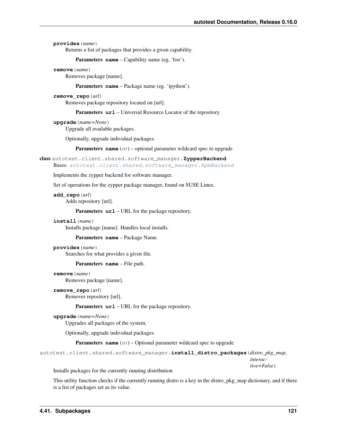**provides**(*name*)

Returns a list of packages that provides a given capability.

Parameters **name** – Capability name (eg, 'foo').

**remove**(*name*)

Removes package [name].

Parameters **name** – Package name (eg. 'ipython').

# **remove\_repo**(*url*)

Removes package repository located on [url].

Parameters  $ur1$  – Universal Resource Locator of the repository.

## **upgrade**(*name=None*)

Upgrade all available packages.

Optionally, upgrade individual packages.

Parameters **name** (*[str](http://docs.python.org/library/functions.html#str)*) – optional parameter wildcard spec to upgrade

class autotest.client.shared.software\_manager.**ZypperBackend** Bases: [autotest.client.shared.software\\_manager.RpmBackend](#page-122-2)

Implements the zypper backend for software manager.

Set of operations for the zypper package manager, found on SUSE Linux.

#### **add\_repo**(*url*)

Adds repository [url].

Parameters **url** – URL for the package repository.

## **install**(*name*)

Installs package [name]. Handles local installs.

Parameters **name** – Package Name.

# **provides**(*name*)

Searches for what provides a given file.

Parameters **name** – File path.

```
remove(name)
```
Removes package [name].

#### **remove\_repo**(*url*)

Removes repository [url].

Parameters **url** – URL for the package repository.

```
upgrade(name=None)
```
Upgrades all packages of the system.

Optionally, upgrade individual packages.

Parameters **name** (*[str](http://docs.python.org/library/functions.html#str)*) – Optional parameter wildcard spec to upgrade

```
autotest.client.shared.software_manager.install_distro_packages(distro_pkg_map,
```
*interactive=False*)

Installs packages for the currently running distribution

This utility function checks if the currently running distro is a key in the distro\_pkg\_map dictionary, and if there is a list of packages set as its value.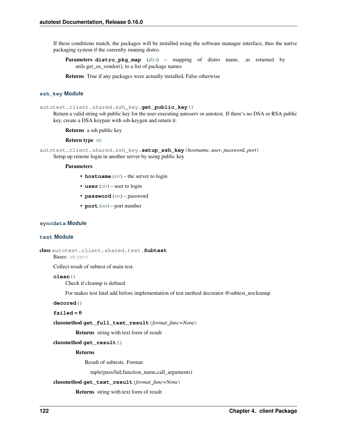If these conditions match, the packages will be installed using the software manager interface, thus the native packaging system if the currenlty running distro.

Parameters **distro\_pkg\_map** (*[dict](http://docs.python.org/library/stdtypes.html#dict)*) – mapping of distro name, as returned by utils.get\_os\_vendor(), to a list of package names

Returns True if any packages were actually installed, False otherwise

# **ssh\_key Module**

autotest.client.shared.ssh\_key.qet public key()

Return a valid string ssh public key for the user executing autoserv or autotest. If there's no DSA or RSA public key, create a DSA keypair with ssh-keygen and return it.

Returns a ssh public key

Return type [str](http://docs.python.org/library/functions.html#str)

autotest.client.shared.ssh\_key.**setup\_ssh\_key**(*hostname*, *user*, *password*, *port*) Setup up remote login in another server by using public key

## **Parameters**

- **hostname** (*[str](http://docs.python.org/library/functions.html#str)*) the server to login
- **user** (*[str](http://docs.python.org/library/functions.html#str)*) user to login
- **password** (*[str](http://docs.python.org/library/functions.html#str)*) password
- **port** (*[int](http://docs.python.org/library/functions.html#int)*) port number

## **syncdata Module**

## **test Module**

```
class autotest.client.shared.test.Subtest
```
Bases: [object](http://docs.python.org/library/functions.html#object)

Collect result of subtest of main test.

**clean**()

Check if cleanup is defined.

For makes test fatal add before implementation of test method decorator @subtest\_nocleanup

**decored**()

 $failed = 0$ 

classmethod **get\_full\_text\_result**(*format\_func=None*)

Returns string with text form of result

classmethod **get\_result**()

Returns

Result of subtests. Format:

tuple(pass/fail,function\_name,call\_arguments)

```
classmethod get_text_result(format_func=None)
```
Returns string with text form of result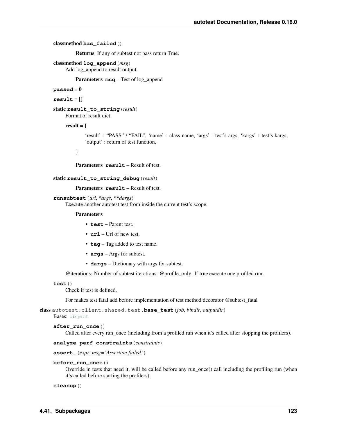# classmethod **has\_failed**()

Returns If any of subtest not pass return True.

## classmethod **log\_append**(*msg*)

Add log\_append to result output.

Parameters **msg** – Test of log\_append

#### $passed = 0$

```
result = []
```
static **result\_to\_string**(*result*) Format of result dict.

#### result  $=$  {

'result' : "PASS" / "FAIL", 'name' : class name, 'args' : test's args, 'kargs' : test's kargs, 'output' : return of test function,

}

Parameters **result** – Result of test.

```
static result_to_string_debug(result)
```
Parameters **result** – Result of test.

```
runsubtest(url, *args, **dargs)
```
Execute another autotest test from inside the current test's scope.

#### **Parameters**

- **test** Parent test.
- **url** Url of new test.
- **tag** Tag added to test name.
- **args** Args for subtest.
- **dargs** Dictionary with args for subtest.

@iterations: Number of subtest iterations. @profile\_only: If true execute one profiled run.

## **test**()

Check if test is defined.

For makes test fatal add before implementation of test method decorator @subtest\_fatal

class autotest.client.shared.test.**base\_test**(*job*, *bindir*, *outputdir*)

Bases: [object](http://docs.python.org/library/functions.html#object)

```
after_run_once()
```
Called after every run\_once (including from a profiled run when it's called after stopping the profilers).

# **analyze\_perf\_constraints**(*constraints*)

**assert\_**(*expr*, *msg='Assertion failed.'*)

**before\_run\_once**()

Override in tests that need it, will be called before any run\_once() call including the profiling run (when it's called before starting the profilers).

```
cleanup()
```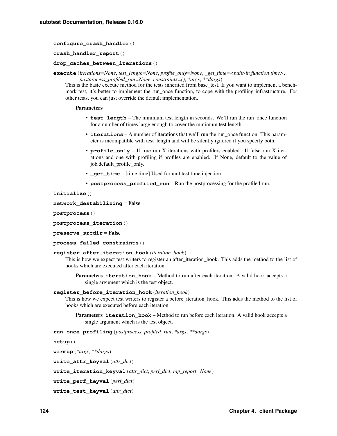**configure\_crash\_handler**()

**crash\_handler\_report**()

## **drop\_caches\_between\_iterations**()

**execute**(*iterations=None*, *test\_length=None*, *profile\_only=None*, *\_get\_time=<built-in function time>*, *postprocess\_profiled\_run=None*, *constraints=()*, *\*args*, *\*\*dargs*)

This is the basic execute method for the tests inherited from base\_test. If you want to implement a benchmark test, it's better to implement the run once function, to cope with the profiling infrastructure. For other tests, you can just override the default implementation.

## Parameters

- **test\_length** The minimum test length in seconds. We'll run the run\_once function for a number of times large enough to cover the minimum test length.
- **iterations** A number of iterations that we'll run the run\_once function. This parameter is incompatible with test\_length and will be silently ignored if you specify both.
- **profile\_only** If true run X iterations with profilers enabled. If false run X iterations and one with profiling if profiles are enabled. If None, default to the value of job.default\_profile\_only.
- **qet** time [time.time] Used for unit test time injection.
- **postprocess\_profiled\_run** Run the postprocessing for the profiled run.

**initialize**()

```
network_destabilizing = False
```
**postprocess**()

**postprocess\_iteration**()

**preserve\_srcdir** = False

```
process_failed_constraints()
```
#### **register\_after\_iteration\_hook**(*iteration\_hook*)

This is how we expect test writers to register an after iteration hook. This adds the method to the list of hooks which are executed after each iteration.

Parameters **iteration\_hook** – Method to run after each iteration. A valid hook accepts a single argument which is the test object.

#### **register\_before\_iteration\_hook**(*iteration\_hook*)

This is how we expect test writers to register a before\_iteration\_hook. This adds the method to the list of hooks which are executed before each iteration.

Parameters **iteration\_hook** – Method to run before each iteration. A valid hook accepts a single argument which is the test object.

**run\_once\_profiling**(*postprocess\_profiled\_run*, *\*args*, *\*\*dargs*)

```
setup()
```
**warmup**(*\*args*, *\*\*dargs*)

**write\_attr\_keyval**(*attr\_dict*)

**write\_iteration\_keyval**(*attr\_dict*, *perf\_dict*, *tap\_report=None*)

**write\_perf\_keyval**(*perf\_dict*)

```
write_test_keyval(attr_dict)
```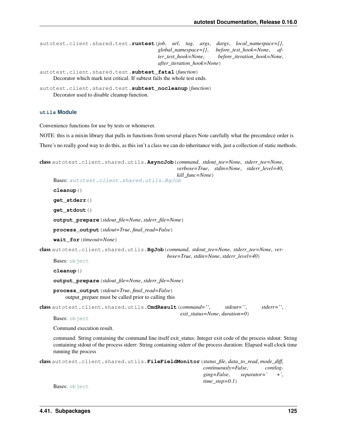```
autotest.client.shared.test.runtest(job, url, tag, args, dargs, local_namespace={},
                                           global_namespace={}, before_test_hook=None, af-
                                           ter_test_hook=None, before_iteration_hook=None,
                                           after_iteration_hook=None)
```

```
autotest.client.shared.test.subtest_fatal(function)
     Decorator which mark test critical. If subtest fails the whole test ends.
```

```
autotest.client.shared.test.subtest_nocleanup(function)
     Decorator used to disable cleanup function.
```
# **utils Module**

Convenience functions for use by tests or whomever.

NOTE: this is a mixin library that pulls in functions from several places Note carefully what the precendece order is

There's no really good way to do this, as this isn't a class we can do inheritance with, just a collection of static methods.

```
class autotest.client.shared.utils.AsyncJob(command, stdout_tee=None, stderr_tee=None,
                                                    verbose=True, stdin=None, stderr_level=40,
                                                    kill_func=None)
     Bases: autotest.client.shared.utils.BgJob
     cleanup()
     get_stderr()
     get_stdout()
     output_prepare(stdout_file=None, stderr_file=None)
     process_output(stdout=True, final_read=False)
     wait_for(timeout=None)
class autotest.client.shared.utils.BgJob(command, stdout_tee=None, stderr_tee=None, ver-
                                                bose=True, stdin=None, stderr_level=40)
     object
     cleanup()
     output_prepare(stdout_file=None, stderr_file=None)
     process_output(stdout=True, final_read=False)
         output_prepare must be called prior to calling this
class autotest.client.shared.utils.CmdResult(command='', stdout='', stderr='',
                                                     exit_status=None, duration=0)
     object
     Command execution result.
     command: String containing the command line itself exit_status: Integer exit code of the process stdout: String
     containing stdout of the process stderr: String containing stderr of the process duration: Elapsed wall clock time
     running the process
class autotest.client.shared.utils.FileFieldMonitor(status_file, data_to_read, mode_diff,
                                                              continuously=False, contlog-
                                                              ging=False, separator=' +',
```
*time\_step=0.1*)

Bases: [object](http://docs.python.org/library/functions.html#object)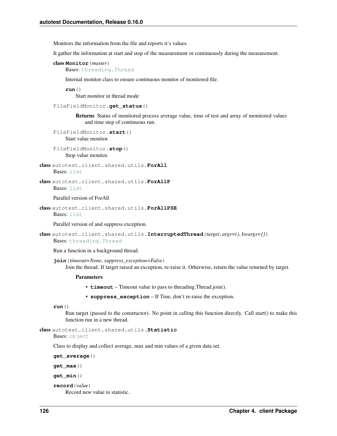Monitors the information from the file and reports it's values.

It gather the information at start and stop of the measurement or continuously during the measurement.

```
class Monitor(master)
    Bases: threading.Thread
```
Internal monitor class to ensure continuous monitor of monitored file.

**run**()

Start monitor in thread mode

```
FileFieldMonitor.get_status()
```
Returns Status of monitored process average value, time of test and array of monitored values and time step of continuous run.

```
FileFieldMonitor.start()
    Start value monitor.
```

```
FileFieldMonitor.stop()
    Stop value monitor.
```

```
class autotest.client.shared.utils.ForAll
    Bases: list
```
class autotest.client.shared.utils.**ForAllP** Bases: [list](http://docs.python.org/library/functions.html#list)

Parallel version of ForAll

```
class autotest.client.shared.utils.ForAllPSE
    Bases: list
```
Parallel version of and suppress exception.

```
class autotest.client.shared.utils.InterruptedThread(target, args=(), kwargs={})
    Bases: threading.Thread
```
Run a function in a background thread.

**join**(*timeout=None*, *suppress\_exception=False*) Join the thread. If target raised an exception, re-raise it. Otherwise, return the value returned by target.

#### **Parameters**

- **timeout** Timeout value to pass to threading.Thread.join().
- **suppress\_exception** If True, don't re-raise the exception.

```
run()
```
Run target (passed to the constructor). No point in calling this function directly. Call start() to make this function run in a new thread.

class autotest.client.shared.utils.**Statistic**

Bases: [object](http://docs.python.org/library/functions.html#object)

Class to display and collect average, max and min values of a given data set.

**get\_average**()

**get\_max**()

**get\_min**()

**record**(*value*)

Record new value to statistic.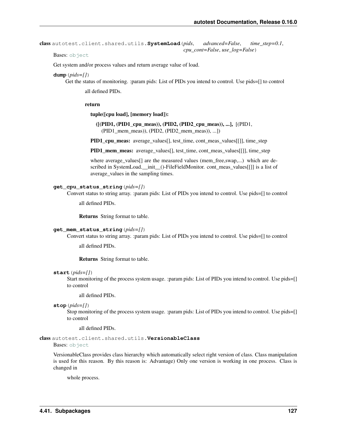```
class autotest.client.shared.utils.SystemLoad(pids, advanced=False, time_step=0.1,
                                                   cpu_cont=False, use_log=False)
```
Bases: [object](http://docs.python.org/library/functions.html#object)

Get system and/or process values and return average value of load.

#### **dump**(*pids=[]*)

Get the status of monitoring. :param pids: List of PIDs you intend to control. Use pids=[] to control

all defined PIDs.

#### return

tuple([cpu load], [memory load]):

```
([(PID1, (PID1_cpu_meas)), (PID2, (PID2_cpu_meas)), ...], [(PID1,
  (PID1_mem_meas)), (PID2, (PID2_mem_meas)), ...])
```
**PID1** cpu meas: average values $[$ ], test time, cont meas values $[$ ]], time step

PID1\_mem\_meas: average\_values[], test\_time, cont\_meas\_values[[]], time\_step

where average\_values[] are the measured values (mem\_free,swap,...) which are described in SystemLoad. \_init \_()-FileFieldMonitor. cont\_meas\_values[[]] is a list of average\_values in the sampling times.

# **get\_cpu\_status\_string**(*pids=[]*)

Convert status to string array. :param pids: List of PIDs you intend to control. Use pids=[] to control

all defined PIDs.

Returns String format to table.

## **get\_mem\_status\_string**(*pids=[]*)

Convert status to string array. :param pids: List of PIDs you intend to control. Use pids=[] to control

all defined PIDs.

Returns String format to table.

#### **start**(*pids=[]*)

Start monitoring of the process system usage. :param pids: List of PIDs you intend to control. Use pids=[] to control

all defined PIDs.

```
stop(pids=[])
```
Stop monitoring of the process system usage. :param pids: List of PIDs you intend to control. Use pids=[] to control

all defined PIDs.

```
class autotest.client.shared.utils.VersionableClass
```
Bases: [object](http://docs.python.org/library/functions.html#object)

VersionableClass provides class hierarchy which automatically select right version of class. Class manipulation is used for this reason. By this reason is: Advantage) Only one version is working in one process. Class is changed in

whole process.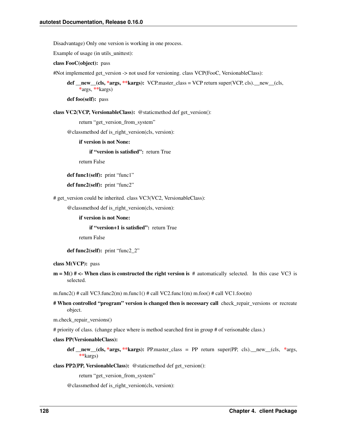Disadvantage) Only one version is working in one process.

Example of usage (in utils\_unittest):

class FooC(object): pass

#Not implemented get\_version -> not used for versioning. class VCP(FooC, VersionableClass):

def new (cls, \*args, \*\*kargs): VCP.master class = VCP return super(VCP, cls). new (cls, \*args, \*\*kargs)

def foo(self): pass

class VC2(VCP, VersionableClass): @staticmethod def get\_version():

return "get\_version\_from\_system"

@classmethod def is\_right\_version(cls, version):

if version is not None:

if "version is satisfied": return True

return False

def func1(self): print "func1"

def func2(self): print "func2"

# get\_version could be inherited. class VC3(VC2, VersionableClass):

@classmethod def is\_right\_version(cls, version):

if version is not None:

if "version+1 is satisfied": return True

return False

def func2(self): print "func2\_2"

class M(VCP): pass

 $m = M()$  # <- When class is constructed the right version is # automatically selected. In this case VC3 is selected.

m.func2() # call VC3.func2(m) m.func1() # call VC2.func1(m) m.foo() # call VC1.foo(m)

# When controlled "program" version is changed then is necessary call check repair versions or recreate object.

m.check\_repair\_versions()

# priority of class. (change place where is method searched first in group # of verisonable class.)

## class PP(VersionableClass):

def  $\text{new}$  (cls, \*args, \*\*kargs): PP.master\_class = PP return super(PP, cls). new (cls, \*args, \*\*kargs)

class PP2(PP, VersionableClass): @staticmethod def get\_version():

return "get\_version\_from\_system"

@classmethod def is\_right\_version(cls, version):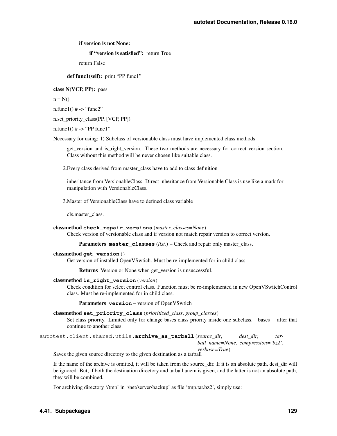if version is not None:

if "version is satisfied": return True

return False

def func1(self): print "PP func1"

class N(VCP, PP): pass

 $n = N()$ 

 $n$ .func1()  $# \rightarrow$  "func2"

n.set\_priority\_class(PP, [VCP, PP])

n.func1()  $# \rightarrow "PP$  func1"

Necessary for using: 1) Subclass of versionable class must have implemented class methods

get\_version and is\_right\_version. These two methods are necessary for correct version section. Class without this method will be never chosen like suitable class.

2.Every class derived from master\_class have to add to class definition

inheritance from VersionableClass. Direct inheritance from Versionable Class is use like a mark for manipulation with VersionableClass.

3.Master of VersionableClass have to defined class variable

cls.master\_class.

#### classmethod **check\_repair\_versions**(*master\_classes=None*)

Check version of versionable class and if version not match repair version to correct version.

Parameters **master\_classes** (*list.*) – Check and repair only master\_class.

#### classmethod **get\_version**()

Get version of installed OpenVSwtich. Must be re-implemented for in child class.

Returns Version or None when get version is unsuccessful.

# classmethod **is\_right\_version**(*version*)

Check condition for select control class. Function must be re-implemented in new OpenVSwitchControl class. Must be re-implemented for in child class.

Parameters **version** – version of OpenVSwtich

# classmethod **set\_priority\_class**(*prioritized\_class*, *group\_classes*)

Set class priority. Limited only for change bases class priority inside one subclass.\_\_bases\_\_ after that continue to another class.

autotest.client.shared.utils.**archive\_as\_tarball**(*source\_dir*, *dest\_dir*, *tarball\_name=None*, *compression='bz2'*, *verbose=True*)

Saves the given source directory to the given destination as a tarball

If the name of the archive is omitted, it will be taken from the source dir. If it is an absolute path, dest dir will be ignored. But, if both the destination directory and tarball anem is given, and the latter is not an absolute path, they will be combined.

For archiving directory '/tmp' in '/net/server/backup' as file 'tmp.tar.bz2', simply use: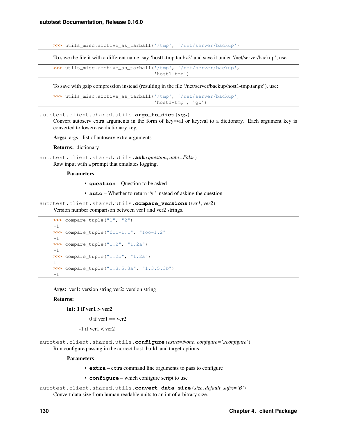**>>>** utils\_misc.archive\_as\_tarball('/tmp', '/net/server/backup')

To save the file it with a different name, say 'host1-tmp.tar.bz2' and save it under '/net/server/backup', use:

```
>>> utils_misc.archive_as_tarball('/tmp', '/net/server/backup',
                                   'host1-tmp')
```
To save with gzip compression instead (resulting in the file '/net/server/backup/host1-tmp.tar.gz'), use:

```
>>> utils_misc.archive_as_tarball('/tmp', '/net/server/backup',
                                  'host1-tmp', 'gz')
```
autotest.client.shared.utils.**args\_to\_dict**(*args*)

Convert autoserv extra arguments in the form of key=val or key:val to a dictionary. Each argument key is converted to lowercase dictionary key.

Args: args - list of autoserv extra arguments.

Returns: dictionary

```
autotest.client.shared.utils.ask(question, auto=False)
     Raw input with a prompt that emulates logging.
```
**Parameters** 

- **question** Question to be asked
- **auto** Whether to return "y" instead of asking the question

autotest.client.shared.utils.**compare\_versions**(*ver1*, *ver2*) Version number comparison between ver1 and ver2 strings.

```
>>> compare_tuple("1", "2")
-1
>>> compare_tuple("foo-1.1", "foo-1.2")
-1
>>> compare_tuple("1.2", "1.2a")
-1
>>> compare_tuple("1.2b", "1.2a")
1
>>> compare_tuple("1.3.5.3a", "1.3.5.3b")
-1
```
Args: ver1: version string ver2: version string

## Returns:

# int: 1 if  $vert > ver2$

 $0$  if ver1 = ver2

 $-1$  if ver1  $<$  ver2

autotest.client.shared.utils.**configure**(*extra=None*, *configure='./configure'*) Run configure passing in the correct host, build, and target options.

#### Parameters

- **extra** extra command line arguments to pass to configure
- **configure** which configure script to use

```
autotest.client.shared.utils.convert_data_size(size, default_sufix='B')
     Convert data size from human readable units to an int of arbitrary size.
```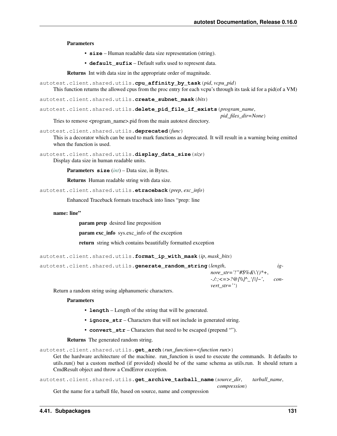Parameters

- **size** Human readable data size representation (string).
- **default\_sufix** Default sufix used to represent data.

Returns Int with data size in the appropriate order of magnitude.

```
autotest.client.shared.utils.cpu_affinity_by_task(pid, vcpu_pid)
     This function returns the allowed cpus from the proc entry for each vcpu's through its task id for a pid(of a VM)
```
autotest.client.shared.utils.**create\_subnet\_mask**(*bits*)

```
autotest.client.shared.utils.delete_pid_file_if_exists(program_name,
```
*pid\_files\_dir=None*) Tries to remove <program\_name>.pid from the main autotest directory.

autotest.client.shared.utils.**deprecated**(*func*)

This is a decorator which can be used to mark functions as deprecated. It will result in a warning being emitted when the function is used.

```
autotest.client.shared.utils.display_data_size(size)
     Display data size in human readable units.
```
Parameters **size** (*[int](http://docs.python.org/library/functions.html#int)*) – Data size, in Bytes.

Returns Human readable string with data size.

autotest.client.shared.utils.**etraceback**(*prep*, *exc\_info*)

Enhanced Traceback formats traceback into lines "prep: line

## name: line"

param prep desired line preposition

param exc\_info sys.exc\_info of the exception

return string which contains beautifully formatted exception

```
autotest.client.shared.utils.format_ip_with_mask(ip, mask_bits)
```
autotest.client.shared.utils.**generate\_random\_string**(*length*, *ignore\_str='!"#\$%&\'()\*+*, *-./:;<=>?@[\\]^\_'{|}~'*, *convert\_str=''*)

Return a random string using alphanumeric characters.

#### **Parameters**

- **length** Length of the string that will be generated.
- **ignore\_str** Characters that will not include in generated string.
- **convert\_str** Characters that need to be escaped (prepend "").

Returns The generated random string.

autotest.client.shared.utils.**get\_arch**(*run\_function=<function run>*)

Get the hardware architecture of the machine. run\_function is used to execute the commands. It defaults to utils.run() but a custom method (if provided) should be of the same schema as utils.run. It should return a CmdResult object and throw a CmdError exception.

```
autotest.client.shared.utils.get_archive_tarball_name(source_dir, tarball_name,
                                                           compression)
```
Get the name for a tarball file, based on source, name and compression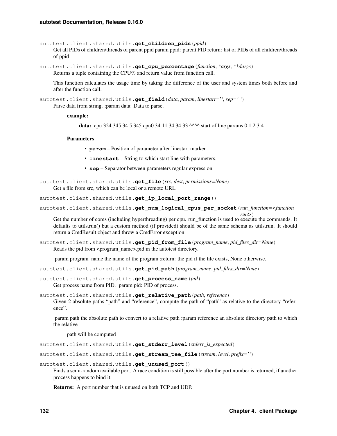autotest.client.shared.utils.**get\_children\_pids**(*ppid*)

Get all PIDs of children/threads of parent ppid param ppid: parent PID return: list of PIDs of all children/threads of ppid

autotest.client.shared.utils.**get\_cpu\_percentage**(*function*, *\*args*, *\*\*dargs*) Returns a tuple containing the CPU% and return value from function call.

This function calculates the usage time by taking the difference of the user and system times both before and after the function call.

autotest.client.shared.utils.**get\_field**(*data*, *param*, *linestart=''*, *sep=' '*)

Parse data from string. :param data: Data to parse.

#### example:

data: cpu 324 345 34 5 345 cpu0 34 11 34 34 33 ^^^^ start of line params 0 1 2 3 4

#### Parameters

• **param** – Position of parameter after linestart marker.

- **linestart** String to which start line with parameters.
- **sep** Separator between parameters regular expression.

autotest.client.shared.utils.**get\_file**(*src*, *dest*, *permissions=None*) Get a file from src, which can be local or a remote URL

autotest.client.shared.utils.**get\_ip\_local\_port\_range**()

autotest.client.shared.utils.**get\_num\_logical\_cpus\_per\_socket**(*run\_function=<function*

*run>*) Get the number of cores (including hyperthreading) per cpu. run\_function is used to execute the commands. It defaults to utils.run() but a custom method (if provided) should be of the same schema as utils.run. It should return a CmdResult object and throw a CmdError exception.

autotest.client.shared.utils.**get\_pid\_from\_file**(*program\_name*, *pid\_files\_dir=None*) Reads the pid from <program\_name>.pid in the autotest directory.

:param program\_name the name of the program :return: the pid if the file exists, None otherwise.

autotest.client.shared.utils.**get\_pid\_path**(*program\_name*, *pid\_files\_dir=None*)

autotest.client.shared.utils.**get\_process\_name**(*pid*) Get process name from PID. :param pid: PID of process.

autotest.client.shared.utils.**get\_relative\_path**(*path*, *reference*)

Given 2 absolute paths "path" and "reference", compute the path of "path" as relative to the directory "reference".

:param path the absolute path to convert to a relative path :param reference an absolute directory path to which the relative

path will be computed

autotest.client.shared.utils.**get\_stderr\_level**(*stderr\_is\_expected*)

autotest.client.shared.utils.**get\_stream\_tee\_file**(*stream*, *level*, *prefix=''*)

autotest.client.shared.utils.**get\_unused\_port**()

Finds a semi-random available port. A race condition is still possible after the port number is returned, if another process happens to bind it.

Returns: A port number that is unused on both TCP and UDP.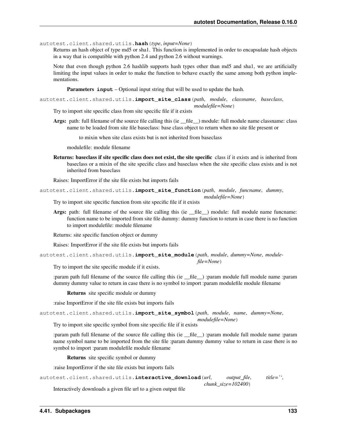autotest.client.shared.utils.**hash**(*type*, *input=None*)

Returns an hash object of type md5 or sha1. This function is implemented in order to encapsulate hash objects in a way that is compatible with python 2.4 and python 2.6 without warnings.

Note that even though python 2.6 hashlib supports hash types other than md5 and sha1, we are artificially limiting the input values in order to make the function to behave exactly the same among both python implementations.

Parameters **input** – Optional input string that will be used to update the hash.

autotest.client.shared.utils.**import\_site\_class**(*path*, *module*, *classname*, *baseclass*, *modulefile=None*)

Try to import site specific class from site specific file if it exists

Args: path: full filename of the source file calling this (ie \_\_file \_\_) module: full module name classname: class name to be loaded from site file baseclass: base class object to return when no site file present or

to mixin when site class exists but is not inherited from baseclass

modulefile: module filename

Returns: baseclass if site specific class does not exist, the site specific class if it exists and is inherited from baseclass or a mixin of the site specific class and baseclass when the site specific class exists and is not inherited from baseclass

Raises: ImportError if the site file exists but imports fails

autotest.client.shared.utils.**import\_site\_function**(*path*, *module*, *funcname*, *dummy*, *modulefile=None*)

Try to import site specific function from site specific file if it exists

Args: path: full filename of the source file calling this (ie  $_{\text{file}}$ ) module: full module name funcname: function name to be imported from site file dummy: dummy function to return in case there is no function to import modulefile: module filename

Returns: site specific function object or dummy

Raises: ImportError if the site file exists but imports fails

autotest.client.shared.utils.**import\_site\_module**(*path*, *module*, *dummy=None*, *modulefile=None*)

Try to import the site specific module if it exists.

:param path full filename of the source file calling this (ie \_\_file\_\_) :param module full module name :param dummy dummy value to return in case there is no symbol to import :param modulefile module filename

Returns site specific module or dummy

:raise ImportError if the site file exists but imports fails

autotest.client.shared.utils.**import\_site\_symbol**(*path*, *module*, *name*, *dummy=None*,

*modulefile=None*)

Try to import site specific symbol from site specific file if it exists

:param path full filename of the source file calling this (ie \_\_file\_\_) :param module full module name :param name symbol name to be imported from the site file :param dummy dummy value to return in case there is no symbol to import :param modulefile module filename

Returns site specific symbol or dummy

:raise ImportError if the site file exists but imports fails

```
autotest.client.shared.utils.interactive_download(url, output_file, title='',
                                                      chunk_size=102400)
```
Interactively downloads a given file url to a given output file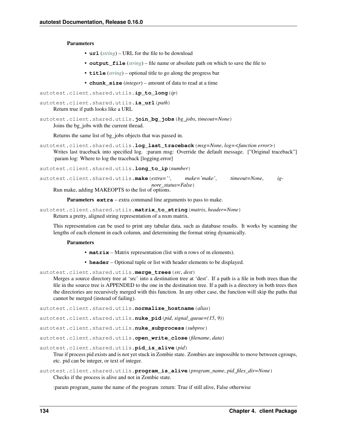**Parameters** 

- **url** (*[string](http://docs.python.org/library/string.html#module-string)*) URL for the file to be download
- **output\_file** (*[string](http://docs.python.org/library/string.html#module-string)*) file name or absolute path on which to save the file to
- **title** (*[string](http://docs.python.org/library/string.html#module-string)*) optional title to go along the progress bar
- **chunk\_size** (*integer*) amount of data to read at a time

```
autotest.client.shared.utils.ip_to_long(ip)
```

```
autotest.client.shared.utils.is_url(path)
     Return true if path looks like a URL
```
autotest.client.shared.utils.**join\_bg\_jobs**(*bg\_jobs*, *timeout=None*) Joins the bg\_jobs with the current thread.

Returns the same list of bg\_jobs objects that was passed in.

autotest.client.shared.utils.**log\_last\_traceback**(*msg=None*, *log=<function error>*) Writes last traceback into specified log. :param msg: Override the default message. ["Original traceback"] :param log: Where to log the traceback [logging.error]

autotest.client.shared.utils.**long\_to\_ip**(*number*)

autotest.client.shared.utils.**make**(*extra=''*, *make='make'*, *timeout=None*, *ignore\_status=False*) Run make, adding MAKEOPTS to the list of options.

Parameters **extra** – extra command line arguments to pass to make.

```
autotest.client.shared.utils.matrix_to_string(matrix, header=None)
     Return a pretty, aligned string representation of a nxm matrix.
```
This representation can be used to print any tabular data, such as database results. It works by scanning the lengths of each element in each column, and determining the format string dynamically.

#### **Parameters**

- **matrix** Matrix representation (list with n rows of m elements).
- **header** Optional tuple or list with header elements to be displayed.

autotest.client.shared.utils.**merge\_trees**(*src*, *dest*)

Merges a source directory tree at 'src' into a destination tree at 'dest'. If a path is a file in both trees than the file in the source tree is APPENDED to the one in the destination tree. If a path is a directory in both trees then the directories are recursively merged with this function. In any other case, the function will skip the paths that cannot be merged (instead of failing).

autotest.client.shared.utils.**normalize\_hostname**(*alias*)

autotest.client.shared.utils.**nuke\_pid**(*pid*, *signal\_queue=(15*, *9)*)

autotest.client.shared.utils.**nuke\_subprocess**(*subproc*)

autotest.client.shared.utils.**open\_write\_close**(*filename*, *data*)

autotest.client.shared.utils.**pid\_is\_alive**(*pid*)

True if process pid exists and is not yet stuck in Zombie state. Zombies are impossible to move between cgroups, etc. pid can be integer, or text of integer.

autotest.client.shared.utils.**program\_is\_alive**(*program\_name*, *pid\_files\_dir=None*) Checks if the process is alive and not in Zombie state.

:param program\_name the name of the program :return: True if still alive, False otherwise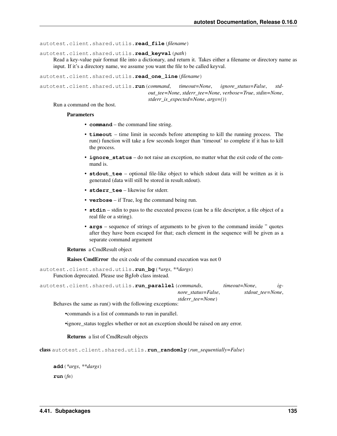autotest.client.shared.utils.**read\_file**(*filename*)

```
autotest.client.shared.utils.read_keyval(path)
```
Read a key-value pair format file into a dictionary, and return it. Takes either a filename or directory name as input. If it's a directory name, we assume you want the file to be called keyval.

autotest.client.shared.utils.**read\_one\_line**(*filename*)

```
autotest.client.shared.utils.run(command, timeout=None, ignore_status=False, std-
                                        out_tee=None, stderr_tee=None, verbose=True, stdin=None,
                                        stderr_is_expected=None, args=())
```
Run a command on the host.

#### **Parameters**

- **command** the command line string.
- **timeout** time limit in seconds before attempting to kill the running process. The run() function will take a few seconds longer than 'timeout' to complete if it has to kill the process.
- **ignore\_status** do not raise an exception, no matter what the exit code of the command is.
- **stdout\_tee** optional file-like object to which stdout data will be written as it is generated (data will still be stored in result.stdout).
- **stderr\_tee** likewise for stderr.
- **verbose** if True, log the command being run.
- **stdin** stdin to pass to the executed process (can be a file descriptor, a file object of a real file or a string).
- **args** sequence of strings of arguments to be given to the command inside " quotes after they have been escaped for that; each element in the sequence will be given as a separate command argument

Returns a CmdResult object

Raises CmdError the exit code of the command execution was not 0

autotest.client.shared.utils.**run\_bg**(*\*args*, *\*\*dargs*) Function deprecated. Please use BgJob class instead.

| autotest.client.shared.utils.run parallel(commands, |                    | timeout=None, | $l$ g-           |
|-----------------------------------------------------|--------------------|---------------|------------------|
|                                                     | nore status=False. |               | stdout tee=None. |
|                                                     | stderr tee=None)   |               |                  |

Behaves the same as run() with the following exceptions:

- •commands is a list of commands to run in parallel.
- •ignore\_status toggles whether or not an exception should be raised on any error.

Returns a list of CmdResult objects

```
class autotest.client.shared.utils.run_randomly(run_sequentially=False)
```

```
add(*args, **dargs)
run(fn)
```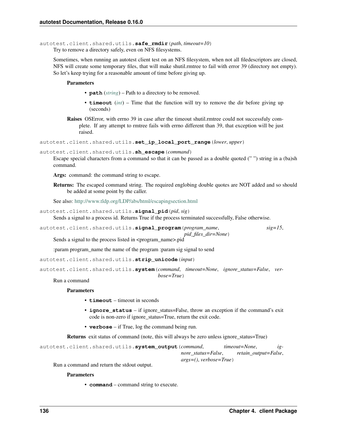autotest.client.shared.utils.**safe\_rmdir**(*path*, *timeout=10*)

Try to remove a directory safely, even on NFS filesystems.

Sometimes, when running an autotest client test on an NFS filesystem, when not all filedescriptors are closed, NFS will create some temporary files, that will make shutil.rmtree to fail with error 39 (directory not empty). So let's keep trying for a reasonable amount of time before giving up.

## Parameters

- **path** (*[string](http://docs.python.org/library/string.html#module-string)*) Path to a directory to be removed.
- **timeout** (*[int](http://docs.python.org/library/functions.html#int)*) Time that the function will try to remove the dir before giving up (seconds)
- Raises OSError, with errno 39 in case after the timeout shutil.rmtree could not successfuly complete. If any attempt to rmtree fails with errno different than 39, that exception will be just raised.

```
autotest.client.shared.utils.set_ip_local_port_range(lower, upper)
```

```
autotest.client.shared.utils.sh_escape(command)
```
Escape special characters from a command so that it can be passed as a double quoted (" ") string in a (ba)sh command.

Args: command: the command string to escape.

Returns: The escaped command string. The required englobing double quotes are NOT added and so should be added at some point by the caller.

See also: <http://www.tldp.org/LDP/abs/html/escapingsection.html>

```
autotest.client.shared.utils.signal_pid(pid, sig)
```
Sends a signal to a process id. Returns True if the process terminated successfully, False otherwise.

```
autotest.client.shared.utils.signal_program(program_name, sig=15,
```
*pid\_files\_dir=None*)

Sends a signal to the process listed in <program\_name>.pid

:param program\_name the name of the program :param sig signal to send

```
autotest.client.shared.utils.strip_unicode(input)
```

```
autotest.client.shared.utils.system(command, timeout=None, ignore_status=False, ver-
```
*bose=True*)

# Run a command

# **Parameters**

- **timeout** timeout in seconds
- **ignore\_status** if ignore\_status=False, throw an exception if the command's exit code is non-zero if ignore\_status=True, return the exit code.
- **verbose** if True, log the command being run.

Returns exit status of command (note, this will always be zero unless ignore\_status=True)

```
autotest.client.shared.utils.system_output(command, timeout=None, ig-
                                              nore_status=False, retain_output=False,
                                              args=(), verbose=True)
```
Run a command and return the stdout output.

#### **Parameters**

• **command** – command string to execute.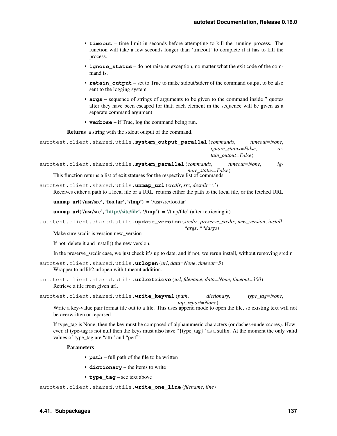- **timeout** time limit in seconds before attempting to kill the running process. The function will take a few seconds longer than 'timeout' to complete if it has to kill the process.
- **ignore\_status** do not raise an exception, no matter what the exit code of the command is.
- **retain** output set to True to make stdout/stderr of the command output to be also sent to the logging system
- **args** sequence of strings of arguments to be given to the command inside " quotes after they have been escaped for that; each element in the sequence will be given as a separate command argument
- **verbose** if True, log the command being run.

Returns a string with the stdout output of the command.

```
autotest.client.shared.utils.system_output_parallel(commands, timeout=None,
                                                        ignore_status=False, re-
                                                        tain_output=False)
```

```
autotest.client.shared.utils.system_parallel(commands, timeout=None, ig-
                                               nore_status=False)
```
This function returns a list of exit statuses for the respective list of commands.

autotest.client.shared.utils.**unmap\_url**(*srcdir*, *src*, *destdir='.'*)

Receives either a path to a local file or a URL. returns either the path to the local file, or the fetched URL

```
unmap url('usr/src', 'foo.tar', '/tmp') = '/usr/src/foo.tar'
```
unmap\_url('/usr/src', ['http://site/file'](http://site/file), '/tmp') = '/tmp/file' (after retrieving it)

autotest.client.shared.utils.**update\_version**(*srcdir*, *preserve\_srcdir*, *new\_version*, *install*,

```
*args, **dargs)
```
Make sure srcdir is version new\_version

If not, delete it and install() the new version.

In the preserve\_srcdir case, we just check it's up to date, and if not, we rerun install, without removing srcdir

```
autotest.client.shared.utils.urlopen(url, data=None, timeout=5)
     Wrapper to urllib2.urlopen with timeout addition.
```
autotest.client.shared.utils.**urlretrieve**(*url*, *filename*, *data=None*, *timeout=300*) Retrieve a file from given url.

```
autotest.client.shared.utils.write_keyval(path, dictionary, type_tag=None,
```
*tap\_report=None*)

Write a key-value pair format file out to a file. This uses append mode to open the file, so existing text will not be overwritten or reparsed.

If type\_tag is None, then the key must be composed of alphanumeric characters (or dashes+underscores). However, if type-tag is not null then the keys must also have "{type\_tag}" as a suffix. At the moment the only valid values of type\_tag are "attr" and "perf".

#### **Parameters**

- **path** full path of the file to be written
- **dictionary** the items to write
- **type\_tag** see text above

```
autotest.client.shared.utils.write_one_line(filename, line)
```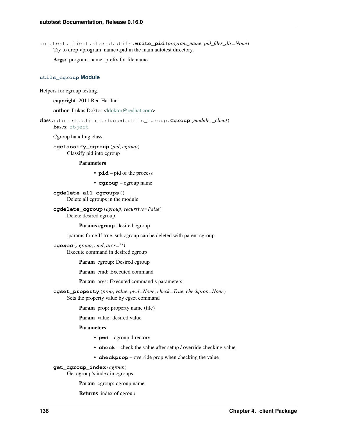autotest.client.shared.utils.**write\_pid**(*program\_name*, *pid\_files\_dir=None*) Try to drop <program\_name>.pid in the main autotest directory.

Args: program\_name: prefix for file name

#### **utils\_cgroup Module**

Helpers for cgroup testing.

copyright 2011 Red Hat Inc.

author Lukas Doktor [<ldoktor@redhat.com>](mailto:ldoktor@redhat.com)

class autotest.client.shared.utils\_cgroup.**Cgroup**(*module*, *\_client*) Bases: [object](http://docs.python.org/library/functions.html#object)

Cgroup handling class.

**cgclassify\_cgroup**(*pid*, *cgroup*) Classify pid into cgroup

# Parameters

- **pid** pid of the process
- **cgroup** cgroup name

**cgdelete\_all\_cgroups**() Delete all cgroups in the module

# **cgdelete\_cgroup**(*cgroup*, *recursive=False*)

Delete desired cgroup.

# Params cgroup desired cgroup

:params force:If true, sub cgroup can be deleted with parent cgroup

**cgexec**(*cgroup*, *cmd*, *args=''*)

Execute command in desired cgroup

Param cgroup: Desired cgroup

Param cmd: Executed command

Param args: Executed command's parameters

**cgset\_property**(*prop*, *value*, *pwd=None*, *check=True*, *checkprop=None*) Sets the property value by cgset command

Param prop: property name (file)

Param value: desired value

# Parameters

- **pwd** cgroup directory
- **check** check the value after setup / override checking value
- **checkprop** override prop when checking the value

#### **get\_cgroup\_index**(*cgroup*)

Get cgroup's index in cgroups

Param cgroup: cgroup name

Returns index of cgroup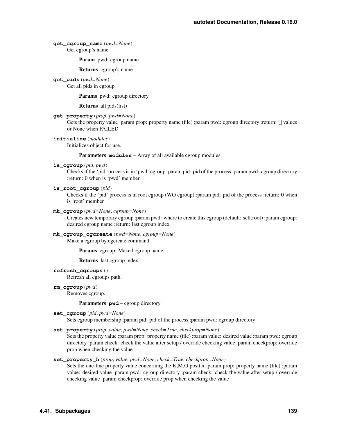## **get\_cgroup\_name**(*pwd=None*) Get cgroup's name

Param pwd: cgroup name

Returns cgroup's name

**get\_pids**(*pwd=None*) Get all pids in cgroup

Params pwd: cgroup directory

Returns all pids(list)

#### **get\_property**(*prop*, *pwd=None*)

Gets the property value :param prop: property name (file) :param pwd: cgroup directory :return: [] values or None when FAILED

**initialize**(*modules*)

Initializes object for use.

Parameters **modules** – Array of all available cgroup modules.

#### **is\_cgroup**(*pid*, *pwd*)

Checks if the 'pid' process is in 'pwd' cgroup :param pid: pid of the process :param pwd: cgroup directory :return: 0 when is 'pwd' member

## **is\_root\_cgroup**(*pid*)

Checks if the 'pid' process is in root cgroup (WO cgroup) :param pid: pid of the process :return: 0 when is 'root' member

# **mk\_cgroup**(*pwd=None*, *cgroup=None*)

Creates new temporary cgroup :param pwd: where to create this cgroup (default: self.root) :param cgroup: desired cgroup name :return: last cgroup index

#### **mk\_cgroup\_cgcreate**(*pwd=None*, *cgroup=None*) Make a cgroup by cgcreate command

Params cgroup: Maked cgroup name

Returns last cgroup index

# **refresh\_cgroups**()

Refresh all cgroups path.

**rm\_cgroup**(*pwd*)

Removes cgroup.

#### Parameters **pwd** – cgroup directory.

```
set_cgroup(pid, pwd=None)
```
Sets cgroup membership :param pid: pid of the process :param pwd: cgroup directory

# **set\_property**(*prop*, *value*, *pwd=None*, *check=True*, *checkprop=None*)

Sets the property value :param prop: property name (file) :param value: desired value :param pwd: cgroup directory :param check: check the value after setup / override checking value :param checkprop: override prop when checking the value

# **set\_property\_h**(*prop*, *value*, *pwd=None*, *check=True*, *checkprop=None*)

Sets the one-line property value concerning the K,M,G postfix :param prop: property name (file) :param value: desired value :param pwd: cgroup directory :param check: check the value after setup / override checking value :param checkprop: override prop when checking the value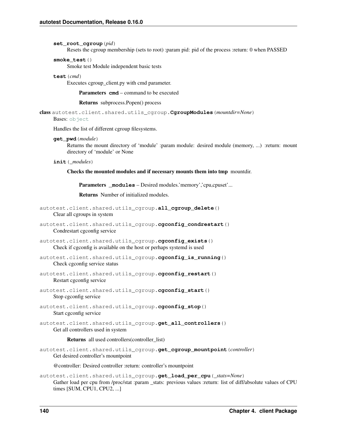#### **set\_root\_cgroup**(*pid*)

Resets the cgroup membership (sets to root) :param pid: pid of the process :return: 0 when PASSED

# **smoke\_test**()

Smoke test Module independent basic tests

### **test**(*cmd*)

Executes cgroup client.py with cmd parameter.

Parameters **cmd** – command to be executed

Returns subprocess.Popen() process

class autotest.client.shared.utils\_cgroup.**CgroupModules**(*mountdir=None*) Bases: [object](http://docs.python.org/library/functions.html#object)

Handles the list of different cgroup filesystems.

# **get\_pwd**(*module*)

Returns the mount directory of 'module' :param module: desired module (memory, ...) :return: mount directory of 'module' or None

#### **init**(*\_modules*)

Checks the mounted modules and if necessary mounts them into tmp mountdir.

Parameters \_modules – Desired modules.'memory','cpu,cpuset'...

Returns Number of initialized modules.

```
autotest.client.shared.utils_cgroup.all_cgroup_delete()
    Clear all cgroups in system
```

```
autotest.client.shared.utils_cgroup.cgconfig_condrestart()
    Condrestart cgconfig service
```
- autotest.client.shared.utils\_cgroup.**cgconfig\_exists**() Check if cgconfig is available on the host or perhaps systemd is used
- autotest.client.shared.utils\_cgroup.**cgconfig\_is\_running**() Check cgconfig service status
- autotest.client.shared.utils\_cgroup.**cgconfig\_restart**() Restart cgconfig service
- autotest.client.shared.utils\_cgroup.**cgconfig\_start**() Stop cgconfig service

autotest.client.shared.utils\_cgroup.cqconfig\_stop() Start cgconfig service

autotest.client.shared.utils\_cgroup.**get\_all\_controllers**() Get all controllers used in system

#### Returns all used controllers(controller\_list)

autotest.client.shared.utils\_cgroup.**get\_cgroup\_mountpoint**(*controller*) Get desired controller's mountpoint

@controller: Desired controller :return: controller's mountpoint

autotest.client.shared.utils\_cgroup.**get\_load\_per\_cpu**(*\_stats=None*) Gather load per cpu from /proc/stat :param stats: previous values :return: list of diff/absolute values of CPU times [SUM, CPU1, CPU2, ...]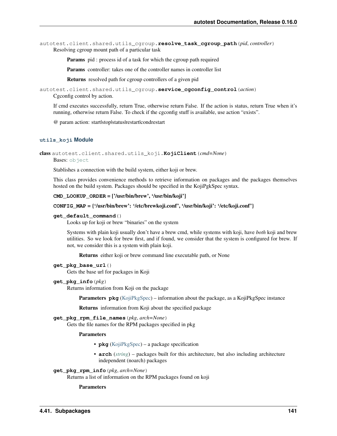autotest.client.shared.utils\_cgroup.**resolve\_task\_cgroup\_path**(*pid*, *controller*) Resolving cgroup mount path of a particular task

Params pid : process id of a task for which the cgroup path required

Params controller: takes one of the controller names in controller list

Returns resolved path for cgroup controllers of a given pid

autotest.client.shared.utils\_cgroup.**service\_cgconfig\_control**(*action*) Cgconfig control by action.

If cmd executes successfully, return True, otherwise return False. If the action is status, return True when it's running, otherwise return False. To check if the cgconfig stuff is available, use action "exists".

@ param action: start|stop|status|restart|condrestart

## **utils\_koji Module**

```
class autotest.client.shared.utils_koji.KojiClient(cmd=None)
```
Bases: [object](http://docs.python.org/library/functions.html#object)

Stablishes a connection with the build system, either koji or brew.

This class provides convenience methods to retrieve information on packages and the packages themselves hosted on the build system. Packages should be specified in the KojiPgkSpec syntax.

## **CMD\_LOOKUP\_ORDER** = ['/usr/bin/brew', '/usr/bin/koji']

#### **CONFIG\_MAP** = {'/usr/bin/brew': '/etc/brewkoji.conf', '/usr/bin/koji': '/etc/koji.conf'}

#### **get\_default\_command**()

Looks up for koji or brew "binaries" on the system

Systems with plain koji usually don't have a brew cmd, while systems with koji, have *both* koji and brew utilities. So we look for brew first, and if found, we consider that the system is configured for brew. If not, we consider this is a system with plain koji.

Returns either koji or brew command line executable path, or None

## **get\_pkg\_base\_url**()

Gets the base url for packages in Koji

## **get\_pkg\_info**(*pkg*)

Returns information from Koji on the package

Parameters **pkg** [\(KojiPkgSpec\)](#page-146-0) – information about the package, as a KojiPkgSpec instance

Returns information from Koji about the specified package

# **get\_pkg\_rpm\_file\_names**(*pkg*, *arch=None*)

Gets the file names for the RPM packages specified in pkg

## Parameters

- **pkg** [\(KojiPkgSpec\)](#page-146-0) a package specification
- **arch** (*[string](http://docs.python.org/library/string.html#module-string)*) packages built for this architecture, but also including architecture independent (noarch) packages

#### **get\_pkg\_rpm\_info**(*pkg*, *arch=None*)

Returns a list of information on the RPM packages found on koji

# Parameters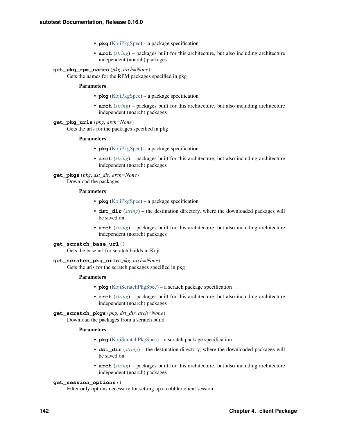- **pkg** [\(KojiPkgSpec\)](#page-146-0) a package specification
- **arch** (*[string](http://docs.python.org/library/string.html#module-string)*) packages built for this architecture, but also including architecture independent (noarch) packages

# **get\_pkg\_rpm\_names**(*pkg*, *arch=None*)

Gets the names for the RPM packages specified in pkg

## Parameters

- **pkg** [\(KojiPkgSpec\)](#page-146-0) a package specification
- **arch** (*[string](http://docs.python.org/library/string.html#module-string)*) packages built for this architecture, but also including architecture independent (noarch) packages

# **get\_pkg\_urls**(*pkg*, *arch=None*)

Gets the urls for the packages specified in pkg

# Parameters

- **pkg** [\(KojiPkgSpec\)](#page-146-0) a package specification
- **arch** (*[string](http://docs.python.org/library/string.html#module-string)*) packages built for this architecture, but also including architecture independent (noarch) packages

# **get\_pkgs**(*pkg*, *dst\_dir*, *arch=None*)

Download the packages

## Parameters

- **pkg** [\(KojiPkgSpec\)](#page-146-0) a package specification
- **dst\_dir** (*[string](http://docs.python.org/library/string.html#module-string)*) the destination directory, where the downloaded packages will be saved on
- **arch** (*[string](http://docs.python.org/library/string.html#module-string)*) packages built for this architecture, but also including architecture independent (noarch) packages

# **get\_scratch\_base\_url**()

Gets the base url for scratch builds in Koji

# **get\_scratch\_pkg\_urls**(*pkg*, *arch=None*)

Gets the urls for the scratch packages specified in pkg

#### Parameters

- **pkg** [\(KojiScratchPkgSpec\)](#page-148-0) a scratch package specification
- **arch** (*[string](http://docs.python.org/library/string.html#module-string)*) packages built for this architecture, but also including architecture independent (noarch) packages

# **get\_scratch\_pkgs**(*pkg*, *dst\_dir*, *arch=None*)

Download the packages from a scratch build

# Parameters

- **pkg** [\(KojiScratchPkgSpec\)](#page-148-0) a scratch package specification
- **dst\_dir** (*[string](http://docs.python.org/library/string.html#module-string)*) the destination directory, where the downloaded packages will be saved on
- **arch** (*[string](http://docs.python.org/library/string.html#module-string)*) packages built for this architecture, but also including architecture independent (noarch) packages

# **get\_session\_options**()

Filter only options necessary for setting up a cobbler client session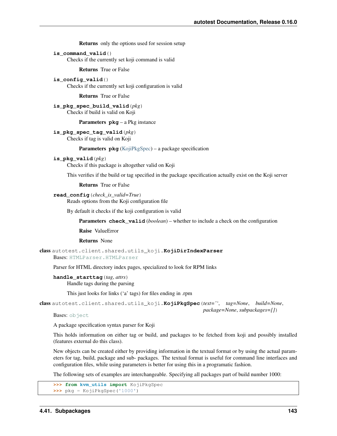Returns only the options used for session setup

**is\_command\_valid**()

Checks if the currently set koji command is valid

Returns True or False

is config valid() Checks if the currently set koji configuration is valid

Returns True or False

```
is_pkg_spec_build_valid(pkg)
     Checks if build is valid on Koji
```
Parameters **pkg** – a Pkg instance

**is\_pkg\_spec\_tag\_valid**(*pkg*) Checks if tag is valid on Koji

Parameters  $pkg$  [\(KojiPkgSpec\)](#page-146-0) – a package specification

#### **is\_pkg\_valid**(*pkg*)

Checks if this package is altogether valid on Koji

This verifies if the build or tag specified in the package specification actually exist on the Koji server

Returns True or False

#### **read\_config**(*check\_is\_valid=True*)

Reads options from the Koji configuration file

By default it checks if the koji configuration is valid

Parameters **check\_valid** (*boolean*) – whether to include a check on the configuration

Raise ValueError

Returns None

class autotest.client.shared.utils\_koji.**KojiDirIndexParser** Bases: [HTMLParser.HTMLParser](http://docs.python.org/library/htmlparser.html#HTMLParser.HTMLParser)

Parser for HTML directory index pages, specialized to look for RPM links

#### **handle\_starttag**(*tag*, *attrs*)

Handle tags during the parsing

This just looks for links ('a' tags) for files ending in .rpm

<span id="page-146-0"></span>class autotest.client.shared.utils\_koji.**KojiPkgSpec**(*text=''*, *tag=None*, *build=None*, *package=None*, *subpackages=[]*)

Bases: [object](http://docs.python.org/library/functions.html#object)

A package specification syntax parser for Koji

This holds information on either tag or build, and packages to be fetched from koji and possibly installed (features external do this class).

New objects can be created either by providing information in the textual format or by using the actual parameters for tag, build, package and sub- packages. The textual format is useful for command line interfaces and configuration files, while using parameters is better for using this in a programatic fashion.

The following sets of examples are interchangeable. Specifying all packages part of build number 1000:

```
>>> from kvm_utils import KojiPkgSpec
>>> pkg = KojiPkgSpec('1000')
```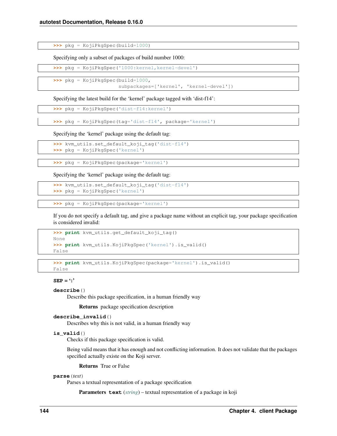**>>>** pkg = KojiPkgSpec(build=1000)

Specifying only a subset of packages of build number 1000:

**>>>** pkg = KojiPkgSpec('1000:kernel,kernel-devel')

**>>>** pkg = KojiPkgSpec(build=1000,

subpackages=['kernel', 'kernel-devel'])

Specifying the latest build for the 'kernel' package tagged with 'dist-f14':

**>>>** pkg = KojiPkgSpec('dist-f14:kernel')

**>>>** pkg = KojiPkgSpec(tag='dist-f14', package='kernel')

Specifying the 'kernel' package using the default tag:

**>>>** kvm\_utils.set\_default\_koji\_tag('dist-f14') **>>>** pkg = KojiPkgSpec('kernel')

**>>>** pkg = KojiPkgSpec(package='kernel')

Specifying the 'kernel' package using the default tag:

```
>>> kvm_utils.set_default_koji_tag('dist-f14')
>>> pkg = KojiPkgSpec('kernel')
```

```
>>> pkg = KojiPkgSpec(package='kernel')
```
If you do not specify a default tag, and give a package name without an explicit tag, your package specification is considered invalid:

```
>>> print kvm_utils.get_default_koji_tag()
None
>>> print kvm_utils.KojiPkgSpec('kernel').is_valid()
False
```
**>>> print** kvm\_utils.KojiPkgSpec(package='kernel').is\_valid() False

**SEP** = ':'

# **describe**()

Describe this package specification, in a human friendly way

Returns package specification description

#### **describe\_invalid**()

Describes why this is not valid, in a human friendly way

# **is\_valid**()

Checks if this package specification is valid.

Being valid means that it has enough and not conflicting information. It does not validate that the packages specified actually existe on the Koji server.

Returns True or False

#### **parse**(*text*)

Parses a textual representation of a package specification

Parameters **text** (*[string](http://docs.python.org/library/string.html#module-string)*) – textual representation of a package in koji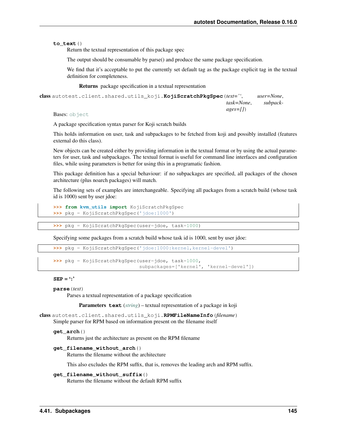**to\_text**()

Return the textual representation of this package spec

The output should be consumable by parse() and produce the same package specification.

We find that it's acceptable to put the currently set default tag as the package explicit tag in the textual definition for completeness.

Returns package specification in a textual representation

```
class autotest.client.shared.utils_koji.KojiScratchPkgSpec(text='', user=None,
                                                             task=None, subpack-
                                                             ages=[])
```
Bases: [object](http://docs.python.org/library/functions.html#object)

A package specification syntax parser for Koji scratch builds

This holds information on user, task and subpackages to be fetched from koji and possibly installed (features external do this class).

New objects can be created either by providing information in the textual format or by using the actual parameters for user, task and subpackages. The textual format is useful for command line interfaces and configuration files, while using parameters is better for using this in a programatic fashion.

This package definition has a special behaviour: if no subpackages are specified, all packages of the chosen architecture (plus noarch packages) will match.

The following sets of examples are interchangeable. Specifying all packages from a scratch build (whose task id is 1000) sent by user jdoe:

```
>>> from kvm_utils import KojiScratchPkgSpec
>>> pkg = KojiScratchPkgSpec('jdoe:1000')
```
**>>>** pkg = KojiScratchPkgSpec(user=jdoe, task=1000)

Specifying some packages from a scratch build whose task id is 1000, sent by user jdoe:

```
>>> pkg = KojiScratchPkgSpec('jdoe:1000:kernel,kernel-devel')
```

```
>>> pkg = KojiScratchPkgSpec(user=jdoe, task=1000,
                             subpackages=['kernel', 'kernel-devel'])
```
#### **SEP** = ':'

```
parse(text)
```
Parses a textual representation of a package specification

Parameters **text** (*[string](http://docs.python.org/library/string.html#module-string)*) – textual representation of a package in koji

class autotest.client.shared.utils\_koji.**RPMFileNameInfo**(*filename*) Simple parser for RPM based on information present on the filename itself

#### **get\_arch**()

Returns just the architecture as present on the RPM filename

```
get_filename_without_arch()
```
Returns the filename without the architecture

This also excludes the RPM suffix, that is, removes the leading arch and RPM suffix.

```
get_filename_without_suffix()
```
Returns the filename without the default RPM suffix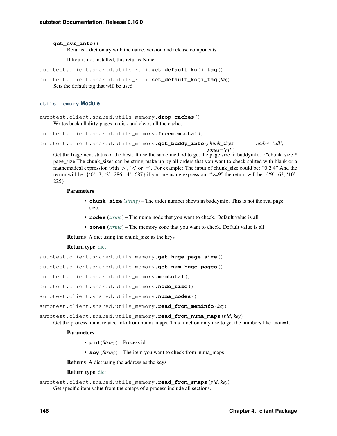# **get\_nvr\_info**()

Returns a dictionary with the name, version and release components

If koji is not installed, this returns None

```
autotest.client.shared.utils_koji.get_default_koji_tag()
```
autotest.client.shared.utils\_koji.**set\_default\_koji\_tag**(*tag*) Sets the default tag that will be used

#### **utils\_memory Module**

autotest.client.shared.utils\_memory.**drop\_caches**() Writes back all dirty pages to disk and clears all the caches.

autotest.client.shared.utils\_memory.**freememtotal**()

```
autotest.client.shared.utils_memory.get_buddy_info(chunk_sizes, nodes='all',
```
*zones='all'*) Get the fragement status of the host. It use the same method to get the page size in buddyinfo. 2^chunk\_size  $*$ page size The chunk sizes can be string make up by all orders that you want to check splited with blank or a mathematical expression with '>', '<' or '='. For example: The input of chunk\_size could be: "0 2 4" And the return will be: { '0': 3, '2': 286, '4': 687} if you are using expression: ">=9" the return will be: { '9': 63, '10': 225}

# **Parameters**

- **chunk** size (*[string](http://docs.python.org/library/string.html#module-string)*) The order number shows in buddyinfo. This is not the real page size.
- **nodes** (*[string](http://docs.python.org/library/string.html#module-string)*) The numa node that you want to check. Default value is all
- **zones** (*[string](http://docs.python.org/library/string.html#module-string)*) The memory zone that you want to check. Default value is all

Returns A dict using the chunk\_size as the keys

## Return type [dict](http://docs.python.org/library/stdtypes.html#dict)

```
autotest.client.shared.utils_memory.get_huge_page_size()
```
autotest.client.shared.utils\_memory.**get\_num\_huge\_pages**()

autotest.client.shared.utils\_memory.**memtotal**()

autotest.client.shared.utils\_memory.**node\_size**()

autotest.client.shared.utils\_memory.**numa\_nodes**()

autotest.client.shared.utils\_memory.**read\_from\_meminfo**(*key*)

autotest.client.shared.utils\_memory.**read\_from\_numa\_maps**(*pid*, *key*)

Get the process numa related info from numa\_maps. This function only use to get the numbers like anon=1.

## **Parameters**

- **pid** (*String*) Process id
- **key** (*String*) The item you want to check from numa\_maps

Returns A dict using the address as the keys

#### Return type [dict](http://docs.python.org/library/stdtypes.html#dict)

autotest.client.shared.utils\_memory.**read\_from\_smaps**(*pid*, *key*) Get specific item value from the smaps of a process include all sections.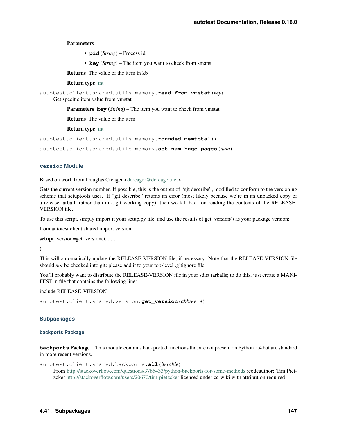## Parameters

• **pid** (*String*) – Process id

• **key** (*String*) – The item you want to check from smaps

Returns The value of the item in kb

#### Return type [int](http://docs.python.org/library/functions.html#int)

autotest.client.shared.utils\_memory.**read\_from\_vmstat**(*key*) Get specific item value from vmstat

Parameters **key** (*String*) – The item you want to check from vmstat

Returns The value of the item

#### Return type [int](http://docs.python.org/library/functions.html#int)

autotest.client.shared.utils\_memory.**rounded\_memtotal**()

autotest.client.shared.utils\_memory.**set\_num\_huge\_pages**(*num*)

# **version Module**

Based on work from Douglas Creager [<dcreager@dcreager.net>](mailto:dcreager@dcreager.net)

Gets the current version number. If possible, this is the output of "git describe", modified to conform to the versioning scheme that setuptools uses. If "git describe" returns an error (most likely because we're in an unpacked copy of a release tarball, rather than in a git working copy), then we fall back on reading the contents of the RELEASE-VERSION file.

To use this script, simply import it your setup.py file, and use the results of get\_version() as your package version:

from autotest.client.shared import version

setup( $version = get\_version(), \ldots$ 

 $\mathcal{L}$ 

This will automatically update the RELEASE-VERSION file, if necessary. Note that the RELEASE-VERSION file should *not* be checked into git; please add it to your top-level .gitignore file.

You'll probably want to distribute the RELEASE-VERSION file in your sdist tarballs; to do this, just create a MANI-FEST.in file that contains the following line:

include RELEASE-VERSION

autotest.client.shared.version.**get\_version**(*abbrev=4*)

## **Subpackages**

## **backports Package**

**backports** Package This module contains backported functions that are not present on Python 2.4 but are standard in more recent versions.

autotest.client.shared.backports.**all**(*iterable*)

From <http://stackoverflow.com/questions/3785433/python-backports-for-some-methods> :codeauthor: Tim Pietzcker <http://stackoverflow.com/users/20670/tim-pietzcker> licensed under cc-wiki with attribution required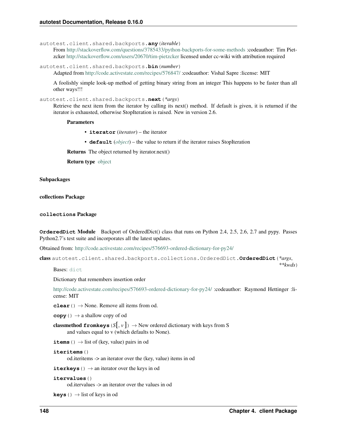autotest.client.shared.backports.**any**(*iterable*)

From <http://stackoverflow.com/questions/3785433/python-backports-for-some-methods> :codeauthor: Tim Pietzcker <http://stackoverflow.com/users/20670/tim-pietzcker> licensed under cc-wiki with attribution required

autotest.client.shared.backports.**bin**(*number*) Adapted from <http://code.activestate.com/recipes/576847/> :codeauthor: Vishal Sapre :license: MIT

A foolishly simple look-up method of getting binary string from an integer This happens to be faster than all other ways!!!

autotest.client.shared.backports.**next**(*\*args*)

Retrieve the next item from the iterator by calling its next() method. If default is given, it is returned if the iterator is exhausted, otherwise StopIteration is raised. New in version 2.6.

#### **Parameters**

- **iterator** (*iterator*) the iterator
- **default** (*[object](http://docs.python.org/library/functions.html#object)*) the value to return if the iterator raises StopIteration

Returns The object returned by iterator.next()

Return type [object](http://docs.python.org/library/functions.html#object)

# Subpackages

collections Package

#### **collections** Package

**OrderedDict** Module Backport of OrderedDict() class that runs on Python 2.4, 2.5, 2.6, 2.7 and pypy. Passes Python2.7's test suite and incorporates all the latest updates.

Obtained from: <http://code.activestate.com/recipes/576693-ordered-dictionary-for-py24/>

```
class autotest.client.shared.backports.collections.OrderedDict.OrderedDict(*args,
```
Bases: [dict](http://docs.python.org/library/stdtypes.html#dict)

Dictionary that remembers insertion order

<http://code.activestate.com/recipes/576693-ordered-dictionary-for-py24/> :codeauthor: Raymond Hettinger :license: MIT

**clear**()  $\rightarrow$  None. Remove all items from od.

**copy** ()  $\rightarrow$  a shallow copy of od

**classmethod fromkeys**  $(S |, v |) \rightarrow$  New ordered dictionary with keys from S and values equal to v (which defaults to None).

**items** ()  $\rightarrow$  list of (key, value) pairs in od

```
iteritems()
```
od.iteritems -> an iterator over the (key, value) items in od

**iterkeys** ()  $\rightarrow$  an iterator over the keys in od

```
itervalues()
```
od.itervalues -> an iterator over the values in od

**keys** ()  $\rightarrow$  list of keys in od

*\*\*kwds*)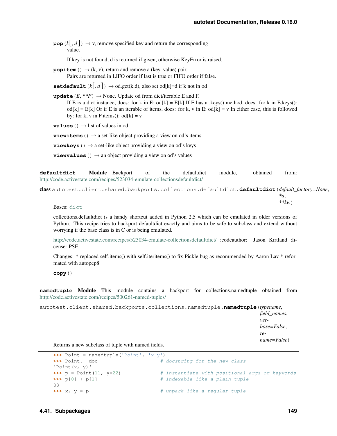**pop**  $(k, d)$   $\rightarrow$  v, remove specified key and return the corresponding value.

If key is not found, d is returned if given, otherwise KeyError is raised.

**popitem** ()  $\rightarrow$  (k, v), return and remove a (key, value) pair. Pairs are returned in LIFO order if last is true or FIFO order if false.

**setdefault**  $(k, d)$   $\rightarrow$  od.get $(k, d)$ , also set od[k]=d if k not in od

**update**  $(E, **F) \rightarrow \text{None}$ . Update od from dict/iterable E and F. If E is a dict instance, does: for k in E: od[k] = E[k] If E has a .keys() method, does: for k in E.keys():  $od[k] = E[k]$  Or if E is an iterable of items, does: for k, v in E:  $od[k] = v$  In either case, this is followed by: for k, v in F.items():  $od[k] = v$ 

**values** ()  $\rightarrow$  list of values in od

**viewitems** ()  $\rightarrow$  a set-like object providing a view on od's items

**viewkeys** ()  $\rightarrow$  a set-like object providing a view on od's keys

**viewvalues** ()  $\rightarrow$  an object providing a view on od's values

**defaultdict** Module Backport of the defaultdict module, obtained from: <http://code.activestate.com/recipes/523034-emulate-collectionsdefaultdict/>

class autotest.client.shared.backports.collections.defaultdict.**defaultdict**(*default\_factory=None*,

*\*a*, *\*\*kw*)

Bases: [dict](http://docs.python.org/library/stdtypes.html#dict)

collections.defaultdict is a handy shortcut added in Python 2.5 which can be emulated in older versions of Python. This recipe tries to backport defaultdict exactly and aims to be safe to subclass and extend without worrying if the base class is in C or is being emulated.

<http://code.activestate.com/recipes/523034-emulate-collectionsdefaultdict/> :codeauthor: Jason Kirtland :license: PSF

Changes: \* replaced self.items() with self.iteritems() to fix Pickle bug as recommended by Aaron Lav \* reformated with autopep8

**copy**()

**namedtuple** Module This module contains a backport for collections.namedtuple obtained from <http://code.activestate.com/recipes/500261-named-tuples/>

autotest.client.shared.backports.collections.namedtuple.**namedtuple**(*typename*,

*field\_names*, *verbose=False*, *rename=False*)

Returns a new subclass of tuple with named fields.

```
>>> Point = namedtuple('Point', 'x y')
>>> Point._doc__ # docstring for the new class
'Point(x, y)'
>>> p = Point(11, y=22) # instantiate with positional args or keywords
>>> p[0] + p[1] # indexable like a plain tuple
33
>>> x, y = p \Rightarrow # unpack like a regular tuple
```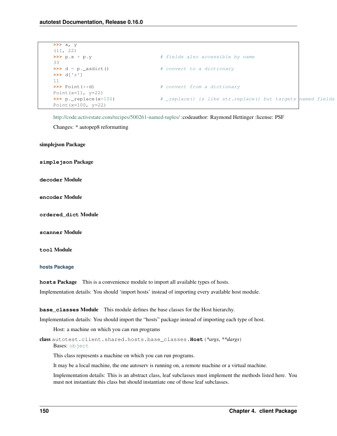```
>>> x, y
(11, 22)
>>> p.x + p.y \qquad # fields also accessible by name
33
>>> d = p._asdict() # convert to a dictionary
>>> d['x']
11
>>> Point(**d) # convert from a dictionary
Point (x=11, y=22)>>> p._replace(x=100) # _replace() is like str.replace() but targets named fields
Point(x=100, y=22)
```
<http://code.activestate.com/recipes/500261-named-tuples/> :codeauthor: Raymond Hettinger :license: PSF

Changes: \* autopep8 reformatting

simplejson Package

**simplejson** Package

**decoder** Module

**encoder** Module

**ordered\_dict** Module

**scanner** Module

**tool** Module

#### **hosts Package**

**hosts** Package This is a convenience module to import all available types of hosts.

Implementation details: You should 'import hosts' instead of importing every available host module.

**base** classes Module This module defines the base classes for the Host hierarchy.

Implementation details: You should import the "hosts" package instead of importing each type of host.

Host: a machine on which you can run programs

class autotest.client.shared.hosts.base\_classes.**Host**(*\*args*, *\*\*dargs*) Bases: [object](http://docs.python.org/library/functions.html#object)

This class represents a machine on which you can run programs.

It may be a local machine, the one autoserv is running on, a remote machine or a virtual machine.

Implementation details: This is an abstract class, leaf subclasses must implement the methods listed here. You must not instantiate this class but should instantiate one of those leaf subclasses.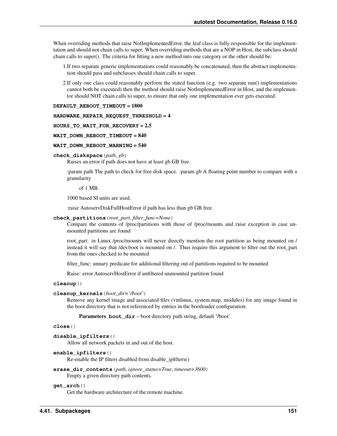When overriding methods that raise NotImplementedError, the leaf class is fully responsible for the implementation and should not chain calls to super. When overriding methods that are a NOP in Host, the subclass should chain calls to super(). The criteria for fitting a new method into one category or the other should be:

- 1.If two separate generic implementations could reasonably be concatenated, then the abstract implementation should pass and subclasses should chain calls to super.
- 2.If only one class could reasonably perform the stated function (e.g. two separate run() implementations cannot both be executed) then the method should raise NotImplementedError in Host, and the implementor should NOT chain calls to super, to ensure that only one implementation ever gets executed.

#### **DEFAULT\_REBOOT\_TIMEOUT** = 1800

#### **HARDWARE\_REPAIR\_REQUEST\_THRESHOLD** = 4

#### **HOURS\_TO\_WAIT\_FOR\_RECOVERY** = 2.5

## **WAIT\_DOWN\_REBOOT\_TIMEOUT** = 840

## **WAIT\_DOWN\_REBOOT\_WARNING** = 540

#### **check\_diskspace**(*path*, *gb*)

Raises an error if path does not have at least gb GB free.

:param path The path to check for free disk space. :param gb A floating point number to compare with a granularity

of 1 MB.

1000 based SI units are used.

:raise AutoservDiskFullHostError if path has less than gb GB free.

## **check\_partitions**(*root\_part*, *filter\_func=None*)

Compare the contents of /proc/partitions with those of /proc/mounts and raise exception in case unmounted partitions are found

root\_part: in Linux /proc/mounts will never directly mention the root partition as being mounted on / instead it will say that /dev/root is mounted on /. Thus require this argument to filter out the root\_part from the ones checked to be mounted

filter\_func: unnary predicate for additional filtering out of partitions required to be mounted

Raise: error.AutoservHostError if unfiltered unmounted partition found

#### **cleanup**()

## **cleanup\_kernels**(*boot\_dir='/boot'*)

Remove any kernel image and associated files (vmlinux, system.map, modules) for any image found in the boot directory that is not referenced by entries in the bootloader configuration.

Parameters **boot\_dir** – boot directory path string, default '/boot'

## **close**()

```
disable_ipfilters()
```
Allow all network packets in and out of the host.

#### **enable\_ipfilters**()

Re-enable the IP filters disabled from disable\_ipfilters()

# **erase\_dir\_contents**(*path*, *ignore\_status=True*, *timeout=3600*) Empty a given directory path contents.

#### **get\_arch**()

Get the hardware architecture of the remote machine.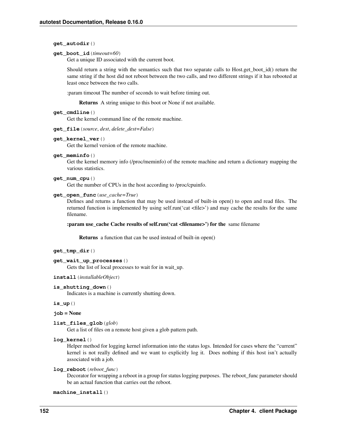## **get\_autodir**()

#### **get\_boot\_id**(*timeout=60*)

Get a unique ID associated with the current boot.

Should return a string with the semantics such that two separate calls to Host.get\_boot\_id() return the same string if the host did not reboot between the two calls, and two different strings if it has rebooted at least once between the two calls.

:param timeout The number of seconds to wait before timing out.

Returns A string unique to this boot or None if not available.

## **get\_cmdline**()

Get the kernel command line of the remote machine.

**get\_file**(*source*, *dest*, *delete\_dest=False*)

## **get\_kernel\_ver**()

Get the kernel version of the remote machine.

**get\_meminfo**()

Get the kernel memory info (/proc/meminfo) of the remote machine and return a dictionary mapping the various statistics.

## **get\_num\_cpu**()

Get the number of CPUs in the host according to /proc/cpuinfo.

## **get\_open\_func**(*use\_cache=True*)

Defines and returns a function that may be used instead of built-in open() to open and read files. The returned function is implemented by using self.run('cat <file>') and may cache the results for the same filename.

## :param use\_cache Cache results of self.run('cat <filename>') for the same filename

Returns a function that can be used instead of built-in open()

## **get\_tmp\_dir**()

#### **get\_wait\_up\_processes**()

Gets the list of local processes to wait for in wait up.

#### **install**(*installableObject*)

#### **is\_shutting\_down**()

Indicates is a machine is currently shutting down.

## **is\_up**()

# **job** = None

**list\_files\_glob**(*glob*)

Get a list of files on a remote host given a glob pattern path.

## **log\_kernel**()

Helper method for logging kernel information into the status logs. Intended for cases where the "current" kernel is not really defined and we want to explicitly log it. Does nothing if this host isn't actually associated with a job.

# **log\_reboot**(*reboot\_func*)

Decorator for wrapping a reboot in a group for status logging purposes. The reboot\_func parameter should be an actual function that carries out the reboot.

#### **machine\_install**()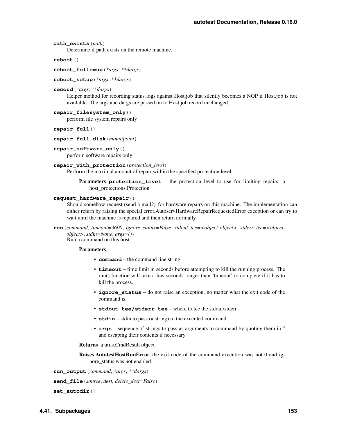```
path_exists(path)
```
Determine if path exists on the remote machine.

**reboot**()

**reboot\_followup**(*\*args*, *\*\*dargs*)

**reboot\_setup**(*\*args*, *\*\*dargs*)

**record**(*\*args*, *\*\*dargs*)

Helper method for recording status logs against Host.job that silently becomes a NOP if Host.job is not available. The args and dargs are passed on to Host.job.record unchanged.

```
repair_filesystem_only()
```
perform file system repairs only

**repair\_full**()

- **repair\_full\_disk**(*mountpoint*)
- **repair\_software\_only**()

perform software repairs only

```
repair_with_protection(protection_level)
```
Perform the maximal amount of repair within the specified protection level.

Parameters **protection\_level** – the protection level to use for limiting repairs, a host\_protections.Protection

#### **request\_hardware\_repair**()

Should somehow request (send a mail?) for hardware repairs on this machine. The implementation can either return by raising the special error.AutoservHardwareRepairRequestedError exception or can try to wait until the machine is repaired and then return normally.

**run**(*command*, *timeout=3600*, *ignore\_status=False*, *stdout\_tee=<object object>*, *stderr\_tee=<object object>*, *stdin=None*, *args=()*) Run a command on this host.

#### Parameters

- **command** the command line string
- **timeout** time limit in seconds before attempting to kill the running process. The run() function will take a few seconds longer than 'timeout' to complete if it has to kill the process.
- **ignore\_status** do not raise an exception, no matter what the exit code of the command is.
- **stdout\_tee/stderr\_tee** where to tee the stdout/stderr
- **stdin** stdin to pass (a string) to the executed command
- **args** sequence of strings to pass as arguments to command by quoting them in " and escaping their contents if necessary

#### Returns a utils.CmdResult object

Raises AutotestHostRunError the exit code of the command execution was not 0 and ignore\_status was not enabled

**run\_output**(*command*, *\*args*, *\*\*dargs*)

**send\_file**(*source*, *dest*, *delete\_dest=False*)

**set\_autodir**()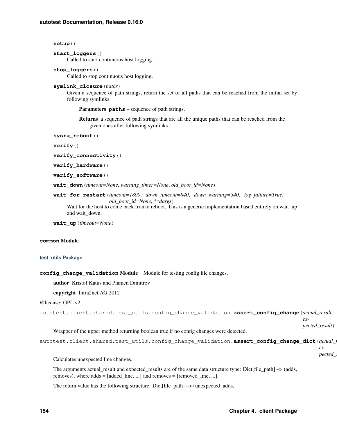**setup**()

```
start_loggers()
```
Called to start continuous host logging.

# **stop\_loggers**()

Called to stop continuous host logging.

## **symlink\_closure**(*paths*)

Given a sequence of path strings, return the set of all paths that can be reached from the initial set by following symlinks.

Parameters **paths** – sequence of path strings.

Returns a sequence of path strings that are all the unique paths that can be reached from the given ones after following symlinks.

```
sysrq_reboot()
```
**verify**()

```
verify_connectivity()
```

```
verify_hardware()
```

```
verify_software()
```

```
wait_down(timeout=None, warning_timer=None, old_boot_id=None)
```
**wait\_for\_restart**(*timeout=1800*, *down\_timeout=840*, *down\_warning=540*, *log\_failure=True*, *old\_boot\_id=None*, *\*\*dargs*)

Wait for the host to come back from a reboot. This is a generic implementation based entirely on wait\_up and wait\_down.

**wait\_up**(*timeout=None*)

# **common** Module

# **test\_utils Package**

**config\_change\_validation** Module Module for testing config file changes.

author Kristof Katus and Plamen Dimitrov

# copyright Intra2net AG 2012

```
@license: GPL v2
```
autotest.client.shared.test\_utils.config\_change\_validation.**assert\_config\_change**(*actual\_result*,

*expected\_result*)

# Wrapper of the upper method returning boolean true if no config changes were detected.

```
autotest.client.shared.test_utils.config_change_validation.assert_config_change_dict(actual_result,
```
*ex* $pected$ 

Calculates unexpected line changes.

The arguments actual\_result and expected\_results are of the same data structure type: Dict[file\_path] –> (adds, removes), where adds  $=$  [added line, ...] and removes  $=$  [removed line, ...].

The return value has the following structure: Dict[file\_path]  $\rightarrow$  (unexpected\_adds,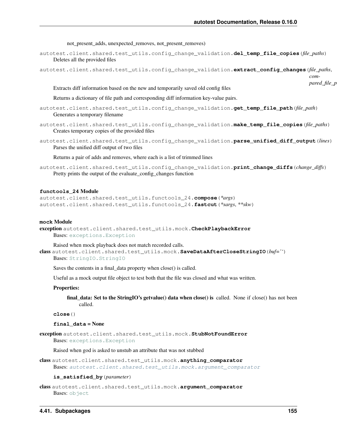not present adds, unexpected removes, not present removes)

autotest.client.shared.test\_utils.config\_change\_validation.**del\_temp\_file\_copies**(*file\_paths*) Deletes all the provided files

autotest.client.shared.test\_utils.config\_change\_validation.**extract\_config\_changes**(*file\_paths*,

```
pared_file_p
```
*com-*

Extracts diff information based on the new and temporarily saved old config files

Returns a dictionary of file path and corresponding diff information key-value pairs.

- autotest.client.shared.test\_utils.config\_change\_validation.**get\_temp\_file\_path**(*file\_path*) Generates a temporary filename
- autotest.client.shared.test\_utils.config\_change\_validation.**make\_temp\_file\_copies**(*file\_paths*) Creates temporary copies of the provided files
- autotest.client.shared.test\_utils.config\_change\_validation.**parse\_unified\_diff\_output**(*lines*) Parses the unified diff output of two files

Returns a pair of adds and removes, where each is a list of trimmed lines

autotest.client.shared.test\_utils.config\_change\_validation.**print\_change\_diffs**(*change\_diffs*) Pretty prints the output of the evaluate\_config\_changes function

## **functools\_24** Module

autotest.client.shared.test\_utils.functools\_24.**compose**(*\*args*) autotest.client.shared.test\_utils.functools\_24.**fastcut**(*\*sargs*, *\*\*skw*)

#### **mock** Module

exception autotest.client.shared.test\_utils.mock.**CheckPlaybackError** Bases: [exceptions.Exception](http://docs.python.org/library/exceptions.html#exceptions.Exception)

Raised when mock playback does not match recorded calls.

class autotest.client.shared.test\_utils.mock.**SaveDataAfterCloseStringIO**(*buf=''*)

Bases: [StringIO.StringIO](http://docs.python.org/library/stringio.html#StringIO.StringIO)

Saves the contents in a final\_data property when close() is called.

Useful as a mock output file object to test both that the file was closed and what was written.

## Properties:

final data: Set to the StringIO's getvalue() data when close() is called. None if close() has not been called.

**close**()

#### **final\_data** = None

exception autotest.client.shared.test\_utils.mock.**StubNotFoundError** Bases: [exceptions.Exception](http://docs.python.org/library/exceptions.html#exceptions.Exception)

Raised when god is asked to unstub an attribute that was not stubbed

class autotest.client.shared.test\_utils.mock.**anything\_comparator** Bases: [autotest.client.shared.test\\_utils.mock.argument\\_comparator](#page-158-0)

#### **is\_satisfied\_by**(*parameter*)

<span id="page-158-0"></span>class autotest.client.shared.test\_utils.mock.**argument\_comparator** Bases: [object](http://docs.python.org/library/functions.html#object)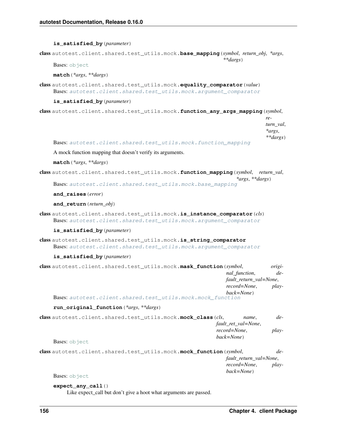#### **is\_satisfied\_by**(*parameter*)

<span id="page-159-1"></span>class autotest.client.shared.test\_utils.mock.**base\_mapping**(*symbol*, *return\_obj*, *\*args*, *\*\*dargs*)

Bases: [object](http://docs.python.org/library/functions.html#object)

## **match**(*\*args*, *\*\*dargs*)

class autotest.client.shared.test\_utils.mock.**equality\_comparator**(*value*) Bases: [autotest.client.shared.test\\_utils.mock.argument\\_comparator](#page-158-0)

#### **is\_satisfied\_by**(*parameter*)

class autotest.client.shared.test\_utils.mock.**function\_any\_args\_mapping**(*symbol*,

*return\_val*, *\*args*, *\*\*dargs*)

Bases: [autotest.client.shared.test\\_utils.mock.function\\_mapping](#page-159-0)

A mock function mapping that doesn't verify its arguments.

## **match**(*\*args*, *\*\*dargs*)

<span id="page-159-0"></span>class autotest.client.shared.test\_utils.mock.**function\_mapping**(*symbol*, *return\_val*, *\*args*, *\*\*dargs*)

Bases: [autotest.client.shared.test\\_utils.mock.base\\_mapping](#page-159-1)

#### **and\_raises**(*error*)

## **and\_return**(*return\_obj*)

class autotest.client.shared.test\_utils.mock.**is\_instance\_comparator**(*cls*) Bases: [autotest.client.shared.test\\_utils.mock.argument\\_comparator](#page-158-0)

#### **is\_satisfied\_by**(*parameter*)

class autotest.client.shared.test\_utils.mock.**is\_string\_comparator** Bases: [autotest.client.shared.test\\_utils.mock.argument\\_comparator](#page-158-0)

#### **is\_satisfied\_by**(*parameter*)

| class autotest.client.shared.test utils.mock.mask function (symbol, |                        |  |
|---------------------------------------------------------------------|------------------------|--|
| nal function,                                                       | $de-$                  |  |
|                                                                     | fault_return_val=None, |  |
| record=None,                                                        | <i>play-</i>           |  |
| back=None)                                                          |                        |  |
| <b>Bases:</b> autotest.client.shared.test utils.mock.mock function  |                        |  |

#### **run\_original\_function**(*\*args*, *\*\*dargs*)

| class autotest.client.shared.test utils.mock.mock class (cls, |            | name.                                        | $de-$ |
|---------------------------------------------------------------|------------|----------------------------------------------|-------|
|                                                               |            | fault_ret_val=None,<br>record=None.<br>play- |       |
|                                                               |            |                                              |       |
|                                                               | back=None) |                                              |       |
| Dogoot also $\pm$ and $\pm$                                   |            |                                              |       |

```
Bases: object
```

```
class autotest.client.shared.test_utils.mock.mock_function(symbol, de-
                                                           fault_return_val=None,
                                                           record=None, play-
                                                           back=None)
```
Bases: [object](http://docs.python.org/library/functions.html#object)

#### **expect\_any\_call**()

Like expect\_call but don't give a hoot what arguments are passed.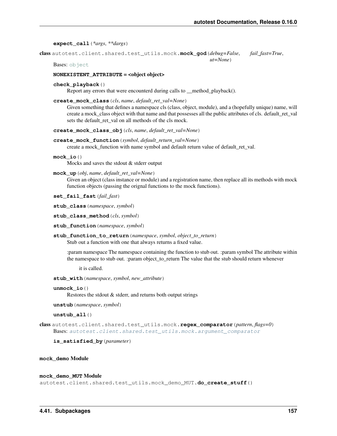*ut=None*)

**expect\_call**(*\*args*, *\*\*dargs*)

class autotest.client.shared.test\_utils.mock.**mock\_god**(*debug=False*, *fail\_fast=True*,

Bases: [object](http://docs.python.org/library/functions.html#object)

#### **NONEXISTENT ATTRIBUTE** = <object object>

## **check\_playback**()

Report any errors that were encounterd during calls to \_\_method\_playback().

**create\_mock\_class**(*cls*, *name*, *default\_ret\_val=None*)

Given something that defines a namespace cls (class, object, module), and a (hopefully unique) name, will create a mock\_class object with that name and that possesses all the public attributes of cls. default\_ret\_val sets the default ret val on all methods of the cls mock.

**create\_mock\_class\_obj**(*cls*, *name*, *default\_ret\_val=None*)

**create\_mock\_function**(*symbol*, *default\_return\_val=None*)

create a mock function with name symbol and default return value of default ret val.

**mock\_io**()

Mocks and saves the stdout & stderr output

**mock\_up**(*obj*, *name*, *default\_ret\_val=None*)

Given an object (class instance or module) and a registration name, then replace all its methods with mock function objects (passing the orignal functions to the mock functions).

**set\_fail\_fast**(*fail\_fast*)

**stub\_class**(*namespace*, *symbol*)

- **stub\_class\_method**(*cls*, *symbol*)
- **stub\_function**(*namespace*, *symbol*)
- **stub\_function\_to\_return**(*namespace*, *symbol*, *object\_to\_return*) Stub out a function with one that always returns a fixed value.

:param namespace The namespace containing the function to stub out. :param symbol The attribute within the namespace to stub out. :param object to return The value that the stub should return whenever

it is called.

**stub\_with**(*namespace*, *symbol*, *new\_attribute*)

**unmock\_io**()

Restores the stdout & stderr, and returns both output strings

**unstub**(*namespace*, *symbol*)

**unstub\_all**()

class autotest.client.shared.test\_utils.mock.**regex\_comparator**(*pattern*, *flags=0*) Bases: [autotest.client.shared.test\\_utils.mock.argument\\_comparator](#page-158-0)

**is\_satisfied\_by**(*parameter*)

#### **mock\_demo** Module

**mock\_demo\_MUT** Module

autotest.client.shared.test\_utils.mock\_demo\_MUT.**do\_create\_stuff**()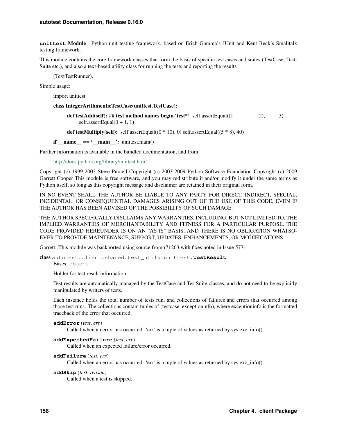**unittest** Module Python unit testing framework, based on Erich Gamma's JUnit and Kent Beck's Smalltalk testing framework.

This module contains the core framework classes that form the basis of specific test cases and suites (TestCase, Test-Suite etc.), and also a text-based utility class for running the tests and reporting the results

(TextTestRunner).

Simple usage:

import unittest

class IntegerArithmenticTestCase(unittest.TestCase):

def testAdd(self): ## test method names begin 'test\*' self.assertEqual( $(1 + 2)$ , 3) self.assertEqual $(0 + 1, 1)$ 

def testMultiply(self): self.assertEqual( $(0 * 10)$ , 0) self.assertEqual( $(5 * 8)$ , 40)

 $if \text{_name} == ' \text{main}$ : unittest.main()

Further information is available in the bundled documentation, and from

<http://docs.python.org/library/unittest.html>

Copyright (c) 1999-2003 Steve Purcell Copyright (c) 2003-2009 Python Software Foundation Copyright (c) 2009 Garrett Cooper This module is free software, and you may redistribute it and/or modify it under the same terms as Python itself, so long as this copyright message and disclaimer are retained in their original form.

IN NO EVENT SHALL THE AUTHOR BE LIABLE TO ANY PARTY FOR DIRECT, INDIRECT, SPECIAL, INCIDENTAL, OR CONSEQUENTIAL DAMAGES ARISING OUT OF THE USE OF THIS CODE, EVEN IF THE AUTHOR HAS BEEN ADVISED OF THE POSSIBILITY OF SUCH DAMAGE.

THE AUTHOR SPECIFICALLY DISCLAIMS ANY WARRANTIES, INCLUDING, BUT NOT LIMITED TO, THE IMPLIED WARRANTIES OF MERCHANTABILITY AND FITNESS FOR A PARTICULAR PURPOSE. THE CODE PROVIDED HEREUNDER IS ON AN "AS IS" BASIS, AND THERE IS NO OBLIGATION WHATSO-EVER TO PROVIDE MAINTENANCE, SUPPORT, UPDATES, ENHANCEMENTS, OR MODIFICATIONS.

Garrett: This module was backported using source from r71263 with fixes noted in Issue 5771.

class autotest.client.shared.test\_utils.unittest.**TestResult**

Bases: [object](http://docs.python.org/library/functions.html#object)

Holder for test result information.

Test results are automatically managed by the TestCase and TestSuite classes, and do not need to be explicitly manipulated by writers of tests.

Each instance holds the total number of tests run, and collections of failures and errors that occurred among those test runs. The collections contain tuples of (testcase, exceptioninfo), where exceptioninfo is the formatted traceback of the error that occurred.

```
addError(test, err)
```
Called when an error has occurred. 'err' is a tuple of values as returned by sys.exc\_info().

```
addExpectedFailure(test, err)
```
Called when an expected failure/error occurred.

```
addFailure(test, err)
```
Called when an error has occurred. 'err' is a tuple of values as returned by sys.exc\_info().

```
addSkip(test, reason)
```
Called when a test is skipped.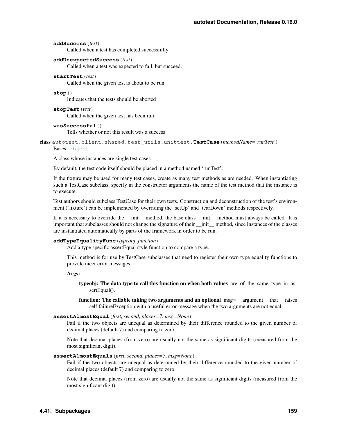#### **addSuccess**(*test*)

Called when a test has completed successfully

## **addUnexpectedSuccess**(*test*)

Called when a test was expected to fail, but succeed.

## **startTest**(*test*)

Called when the given test is about to be run

## **stop**()

Indicates that the tests should be aborted

**stopTest**(*test*) Called when the given test has been run

#### **wasSuccessful**()

Tells whether or not this result was a success

<span id="page-162-0"></span>class autotest.client.shared.test\_utils.unittest.**TestCase**(*methodName='runTest'*)

# Bases: [object](http://docs.python.org/library/functions.html#object)

A class whose instances are single test cases.

By default, the test code itself should be placed in a method named 'runTest'.

If the fixture may be used for many test cases, create as many test methods as are needed. When instantiating such a TestCase subclass, specify in the constructor arguments the name of the test method that the instance is to execute.

Test authors should subclass TestCase for their own tests. Construction and deconstruction of the test's environment ('fixture') can be implemented by overriding the 'setUp' and 'tearDown' methods respectively.

If it is necessary to override the \_\_init\_\_ method, the base class \_\_init\_\_ method must always be called. It is important that subclasses should not change the signature of their \_\_init\_\_ method, since instances of the classes are instantiated automatically by parts of the framework in order to be run.

#### **addTypeEqualityFunc**(*typeobj*, *function*)

Add a type specific assertEqual style function to compare a type.

This method is for use by TestCase subclasses that need to register their own type equality functions to provide nicer error messages.

Args:

typeobj: The data type to call this function on when both values are of the same type in assertEqual().

function: The callable taking two arguments and an optional msg= argument that raises self.failureException with a useful error message when the two arguments are not equal.

#### **assertAlmostEqual**(*first*, *second*, *places=7*, *msg=None*)

Fail if the two objects are unequal as determined by their difference rounded to the given number of decimal places (default 7) and comparing to zero.

Note that decimal places (from zero) are usually not the same as significant digits (measured from the most significant digit).

#### **assertAlmostEquals**(*first*, *second*, *places=7*, *msg=None*)

Fail if the two objects are unequal as determined by their difference rounded to the given number of decimal places (default 7) and comparing to zero.

Note that decimal places (from zero) are usually not the same as significant digits (measured from the most significant digit).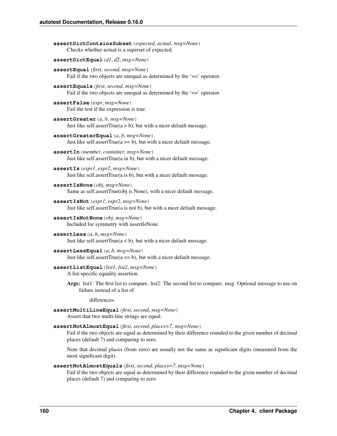```
assertDictContainsSubset(expected, actual, msg=None)
      Checks whether actual is a superset of expected.
assertDictEqual(d1, d2, msg=None)
assertEqual(first, second, msg=None)
     Fail if the two objects are unequal as determined by the '==' operator.
assertEquals(first, second, msg=None)
     Fail if the two objects are unequal as determined by the '==' operator.
assertFalse(expr, msg=None)
     Fail the test if the expression is true.
assertGreater(a, b, msg=None)
     Just like self.assertTrue(a > b), but with a nicer default message.
assertGreaterEqual(a, b, msg=None)
      Just like self.assertTrue(a \ge b), but with a nicer default message.
assertIn(member, container, msg=None)
     Just like self.assertTrue(a in b), but with a nicer default message.
assertIs(expr1, expr2, msg=None)
     Just like self.assertTrue(a is b), but with a nicer default message.
assertIsNone(obj, msg=None)
      Same as self.assertTrue(obj is None), with a nicer default message.
assertIsNot(expr1, expr2, msg=None)
     Just like self.assertTrue(a is not b), but with a nicer default message.
assertIsNotNone(obj, msg=None)
      Included for symmetry with assertIsNone.
assertLess(a, b, msg=None)
     Just like self.assertTrue(a < b), but with a nicer default message.
assertLessEqual(a, b, msg=None)
     Just like self.assertTrue(a \leq b), but with a nicer default message.
assertListEqual(list1, list2, msg=None)
     A list-specific equality assertion.
      Args: list1: The first list to compare. list2: The second list to compare. msg: Optional message to use on
           failure instead of a list of
               differences.
assertMultiLineEqual(first, second, msg=None)
      Assert that two multi-line strings are equal.
assertNotAlmostEqual(first, second, places=7, msg=None)
     Fail if the two objects are equal as determined by their difference rounded to the given number of decimal
     places (default 7) and comparing to zero.
      Note that decimal places (from zero) are usually not the same as significant digits (measured from the
      most significant digit).
```
#### **assertNotAlmostEquals**(*first*, *second*, *places=7*, *msg=None*)

Fail if the two objects are equal as determined by their difference rounded to the given number of decimal places (default 7) and comparing to zero.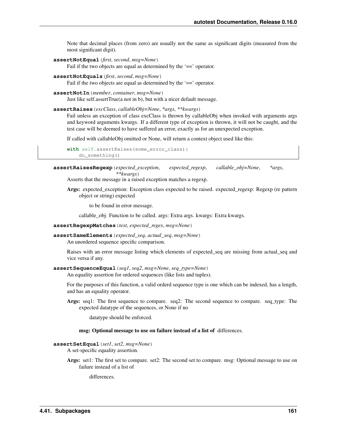Note that decimal places (from zero) are usually not the same as significant digits (measured from the most significant digit).

**assertNotEqual**(*first*, *second*, *msg=None*)

Fail if the two objects are equal as determined by the '==' operator.

**assertNotEquals**(*first*, *second*, *msg=None*)

Fail if the two objects are equal as determined by the '==' operator.

**assertNotIn**(*member*, *container*, *msg=None*)

Just like self.assertTrue(a not in b), but with a nicer default message.

**assertRaises**(*excClass*, *callableObj=None*, *\*args*, *\*\*kwargs*)

Fail unless an exception of class excClass is thrown by callableObj when invoked with arguments args and keyword arguments kwargs. If a different type of exception is thrown, it will not be caught, and the test case will be deemed to have suffered an error, exactly as for an unexpected exception.

If called with callableObj omitted or None, will return a context object used like this:

```
with self.assertRaises(some_error_class):
    do_something()
```
**assertRaisesRegexp**(*expected\_exception*, *expected\_regexp*, *callable\_obj=None*, *\*args*, *\*\*kwargs*)

Asserts that the message in a raised exception matches a regexp.

Args: expected\_exception: Exception class expected to be raised. expected\_regexp: Regexp (re pattern object or string) expected

to be found in error message.

callable\_obj: Function to be called. args: Extra args. kwargs: Extra kwargs.

- **assertRegexpMatches**(*text*, *expected\_regex*, *msg=None*)
- **assertSameElements**(*expected\_seq*, *actual\_seq*, *msg=None*) An unordered sequence specific comparison.

Raises with an error message listing which elements of expected\_seq are missing from actual\_seq and vice versa if any.

#### **assertSequenceEqual**(*seq1*, *seq2*, *msg=None*, *seq\_type=None*)

An equality assertion for ordered sequences (like lists and tuples).

For the purposes of this function, a valid orderd sequence type is one which can be indexed, has a length, and has an equality operator.

Args: seq1: The first sequence to compare. seq2: The second sequence to compare. seq\_type: The expected datatype of the sequences, or None if no

datatype should be enforced.

# msg: Optional message to use on failure instead of a list of differences.

#### **assertSetEqual**(*set1*, *set2*, *msg=None*)

A set-specific equality assertion.

Args: set1: The first set to compare. set2: The second set to compare. msg: Optional message to use on failure instead of a list of

differences.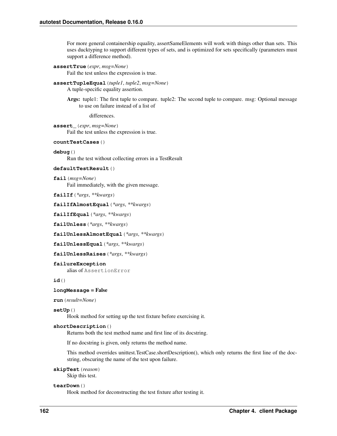For more general containership equality, assertSameElements will work with things other than sets. This uses ducktyping to support different types of sets, and is optimized for sets specifically (parameters must support a difference method).

```
assertTrue(expr, msg=None)
```
Fail the test unless the expression is true.

```
assertTupleEqual(tuple1, tuple2, msg=None)
```
A tuple-specific equality assertion.

Args: tuple1: The first tuple to compare. tuple2: The second tuple to compare. msg: Optional message to use on failure instead of a list of

differences.

**assert\_**(*expr*, *msg=None*) Fail the test unless the expression is true.

```
countTestCases()
```

```
debug()
```
Run the test without collecting errors in a TestResult

```
defaultTestResult()
```

```
fail(msg=None)
```
Fail immediately, with the given message.

**failIf**(*\*args*, *\*\*kwargs*)

```
failIfAlmostEqual(*args, **kwargs)
```
**failIfEqual**(*\*args*, *\*\*kwargs*)

**failUnless**(*\*args*, *\*\*kwargs*)

```
failUnlessAlmostEqual(*args, **kwargs)
```
**failUnlessEqual**(*\*args*, *\*\*kwargs*)

```
failUnlessRaises(*args, **kwargs)
```
# **failureException**

alias of AssertionError

**id**()

# **longMessage** = False

**run**(*result=None*)

# **setUp**()

Hook method for setting up the test fixture before exercising it.

# **shortDescription**()

Returns both the test method name and first line of its docstring.

If no docstring is given, only returns the method name.

This method overrides unittest.TestCase.shortDescription(), which only returns the first line of the docstring, obscuring the name of the test upon failure.

```
skipTest(reason)
```
Skip this test.

# <span id="page-165-0"></span>**tearDown**()

Hook method for deconstructing the test fixture after testing it.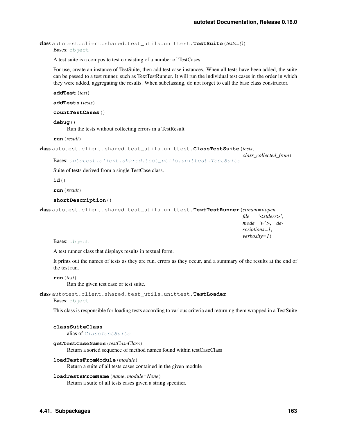class autotest.client.shared.test\_utils.unittest.**TestSuite**(*tests=()*) Bases: [object](http://docs.python.org/library/functions.html#object)

A test suite is a composite test consisting of a number of TestCases.

For use, create an instance of TestSuite, then add test case instances. When all tests have been added, the suite can be passed to a test runner, such as TextTestRunner. It will run the individual test cases in the order in which they were added, aggregating the results. When subclassing, do not forget to call the base class constructor.

```
addTest(test)
```
**addTests**(*tests*)

**countTestCases**()

#### **debug**()

Run the tests without collecting errors in a TestResult

**run**(*result*)

```
class autotest.client.shared.test_utils.unittest.ClassTestSuite(tests,
```
*class\_collected\_from*)

Bases: [autotest.client.shared.test\\_utils.unittest.TestSuite](#page-165-0)

Suite of tests derived from a single TestCase class.

**id**()

**run**(*result*)

#### **shortDescription**()

class autotest.client.shared.test\_utils.unittest.**TextTestRunner**(*stream=<open*

*file '<stderr>'*, *mode 'w'>*, *descriptions=1*, *verbosity=1*)

Bases: [object](http://docs.python.org/library/functions.html#object)

A test runner class that displays results in textual form.

It prints out the names of tests as they are run, errors as they occur, and a summary of the results at the end of the test run.

**run**(*test*)

Run the given test case or test suite.

```
class autotest.client.shared.test_utils.unittest.TestLoader
```
Bases: [object](http://docs.python.org/library/functions.html#object)

This class is responsible for loading tests according to various criteria and returning them wrapped in a TestSuite

## **classSuiteClass**

alias of [ClassTestSuite](#page-166-0)

```
getTestCaseNames(testCaseClass)
```
Return a sorted sequence of method names found within testCaseClass

```
loadTestsFromModule(module)
```
Return a suite of all tests cases contained in the given module

# **loadTestsFromName**(*name*, *module=None*)

Return a suite of all tests cases given a string specifier.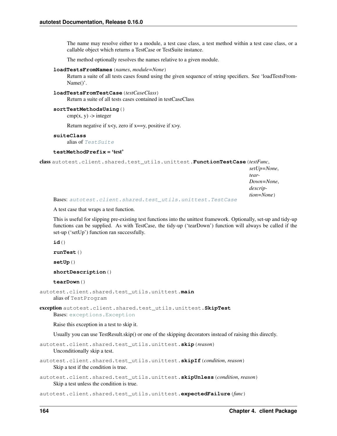The name may resolve either to a module, a test case class, a test method within a test case class, or a callable object which returns a TestCase or TestSuite instance.

The method optionally resolves the names relative to a given module.

#### **loadTestsFromNames**(*names*, *module=None*)

Return a suite of all tests cases found using the given sequence of string specifiers. See 'loadTestsFrom-Name()'.

#### **loadTestsFromTestCase**(*testCaseClass*)

Return a suite of all tests cases contained in testCaseClass

## **sortTestMethodsUsing**()

 $cmp(x, y)$  -> integer

Return negative if  $x < y$ , zero if  $x = y$ , positive if  $x > y$ .

## **suiteClass**

alias of Test Suite

# **testMethodPrefix** = 'test'

class autotest.client.shared.test\_utils.unittest.**FunctionTestCase**(*testFunc*,

*setUp=None*, *tear-Down=None*, *description=None*)

Bases: [autotest.client.shared.test\\_utils.unittest.TestCase](#page-162-0)

A test case that wraps a test function.

This is useful for slipping pre-existing test functions into the unittest framework. Optionally, set-up and tidy-up functions can be supplied. As with TestCase, the tidy-up ('tearDown') function will always be called if the set-up ('setUp') function ran successfully.

**id**()

```
runTest()
```
**setUp**()

**shortDescription**()

## **tearDown**()

```
autotest.client.shared.test_utils.unittest.main
    alias of TestProgram
```
exception autotest.client.shared.test\_utils.unittest.**SkipTest** Bases: [exceptions.Exception](http://docs.python.org/library/exceptions.html#exceptions.Exception)

Raise this exception in a test to skip it.

Usually you can use TestResult.skip() or one of the skipping decorators instead of raising this directly.

autotest.client.shared.test\_utils.unittest.**skip**(*reason*) Unconditionally skip a test.

```
autotest.client.shared.test_utils.unittest.skipIf(condition, reason)
     Skip a test if the condition is true.
```
autotest.client.shared.test\_utils.unittest.**skipUnless**(*condition*, *reason*) Skip a test unless the condition is true.

autotest.client.shared.test\_utils.unittest.**expectedFailure**(*func*)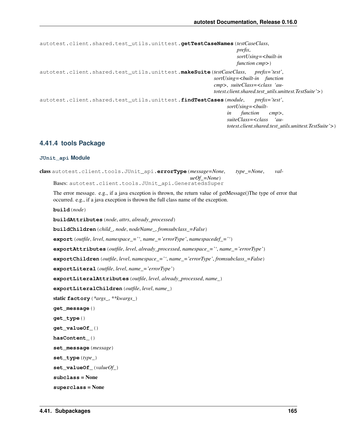```
autotest.client.shared.test_utils.unittest.getTestCaseNames(testCaseClass,
                                                                          prefix,
                                                                          sortUsing=<built-in
                                                                          function cmp>)
autotest.client.shared.test_utils.unittest.makeSuite(testCaseClass, prefix='test',
                                                                 sortUsing=<built-in function
                                                                 cmp>, suiteClass=<class 'au-
                                                                 totest.client.shared.test_utils.unittest.TestSuite'>)
autotest.client.shared.test_utils.unittest.findTestCases(module, prefix='test',
                                                                      sortUsing=<built-
                                                                      in function cmp>,
                                                                      suiteClass=<class 'au-
                                                                      totest.client.shared.test_utils.unittest.TestSuite'>)
```
# **4.41.4 tools Package**

#### **JUnit\_api Module**

```
class autotest.client.tools.JUnit_api.errorType(message=None, type_=None, val-
                                                ueOf_=None)
    Bases: autotest.client.tools.JUnit_api.GeneratedsSuper
```
The error message. e.g., if a java exception is thrown, the return value of getMessage()The type of error that occurred. e.g., if a java execption is thrown the full class name of the exception.

**build**(*node*)

**buildAttributes**(*node*, *attrs*, *already\_processed*)

**buildChildren**(*child\_*, *node*, *nodeName\_*, *fromsubclass\_=False*)

```
export(outfile, level, namespace_='', name_='errorType', namespacedef_='')
```
**exportAttributes**(*outfile*, *level*, *already\_processed*, *namespace\_=''*, *name\_='errorType'*)

**exportChildren**(*outfile*, *level*, *namespace\_=''*, *name\_='errorType'*, *fromsubclass\_=False*)

**exportLiteral**(*outfile*, *level*, *name\_='errorType'*)

**exportLiteralAttributes**(*outfile*, *level*, *already\_processed*, *name\_*)

**exportLiteralChildren**(*outfile*, *level*, *name\_*)

```
static factory(*args_, **kwargs_)
```

```
get_message()
```

```
get_type()
```

```
get_valueOf_()
```
**hasContent\_**()

```
set_message(message)
```

```
set_type(type_)
```

```
set_valueOf_(valueOf_)
```

```
subclass = None
```

```
superclass = None
```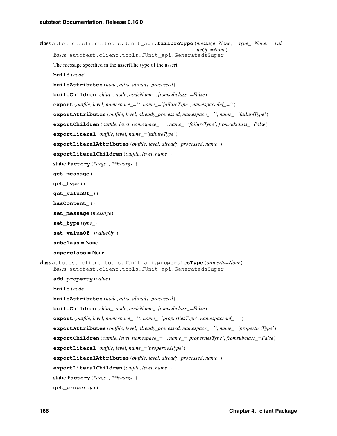```
class autotest.client.tools.JUnit_api.failureType(message=None, type_=None, val-
                                                           ueOf_=None)
     Bases: autotest.client.tools.JUnit_api.GeneratedsSuper
     The message specified in the assertThe type of the assert.
     build(node)
     buildAttributes(node, attrs, already_processed)
     buildChildren(child_, node, nodeName_, fromsubclass_=False)
     export(outfile, level, namespace_='', name_='failureType', namespacedef_='')
     exportAttributes(outfile, level, already_processed, namespace_='', name_='failureType')
     exportChildren(outfile, level, namespace_='', name_='failureType', fromsubclass_=False)
     exportLiteral(outfile, level, name_='failureType')
     exportLiteralAttributes(outfile, level, already_processed, name_)
     exportLiteralChildren(outfile, level, name_)
     static factory(*args_, **kwargs_)
     get_message()
     get_type()
     get_valueOf_()
     hasContent_()
     set_message(message)
     set_type(type_)
     set_valueOf_(valueOf_)
     subclass = None
     superclass = None
class autotest.client.tools.JUnit_api.propertiesType(property=None)
     Bases: autotest.client.tools.JUnit_api.GeneratedsSuper
     add_property(value)
     build(node)
     buildAttributes(node, attrs, already_processed)
     buildChildren(child_, node, nodeName_, fromsubclass_=False)
     export(outfile, level, namespace_='', name_='propertiesType', namespacedef_='')
     exportAttributes(outfile, level, already_processed, namespace_='', name_='propertiesType')
     exportChildren(outfile, level, namespace_='', name_='propertiesType', fromsubclass_=False)
     exportLiteral(outfile, level, name_='propertiesType')
     exportLiteralAttributes(outfile, level, already_processed, name_)
     exportLiteralChildren(outfile, level, name_)
     static factory(*args_, **kwargs_)
     get_property()
```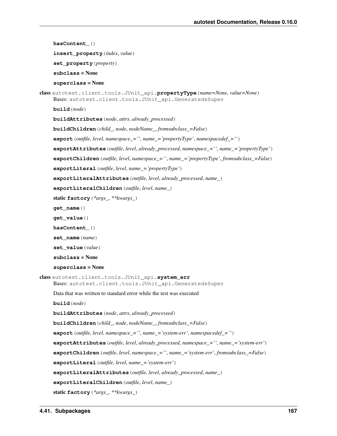```
hasContent_()
     insert_property(index, value)
     set_property(property)
     subclass = None
     superclass = None
class autotest.client.tools.JUnit_api.propertyType(name=None, value=None)
     Bases: autotest.client.tools.JUnit_api.GeneratedsSuper
     build(node)
     buildAttributes(node, attrs, already_processed)
     buildChildren(child_, node, nodeName_, fromsubclass_=False)
     export(outfile, level, namespace_='', name_='propertyType', namespacedef_='')
     exportAttributes(outfile, level, already_processed, namespace_='', name_='propertyType')
     exportChildren(outfile, level, namespace_='', name_='propertyType', fromsubclass_=False)
     exportLiteral(outfile, level, name_='propertyType')
     exportLiteralAttributes(outfile, level, already_processed, name_)
     exportLiteralChildren(outfile, level, name_)
     static factory(*args_, **kwargs_)
     get_name()
     get_value()
     hasContent_()
     set_name(name)
     set_value(value)
     subclass = None
     superclass = None
class autotest.client.tools.JUnit_api.system_err
     Bases: autotest.client.tools.JUnit_api.GeneratedsSuper
     Data that was written to standard error while the test was executed
     build(node)
     buildAttributes(node, attrs, already_processed)
     buildChildren(child_, node, nodeName_, fromsubclass_=False)
     export(outfile, level, namespace_='', name_='system-err', namespacedef_='')
     exportAttributes(outfile, level, already_processed, namespace_='', name_='system-err')
     exportChildren(outfile, level, namespace_='', name_='system-err', fromsubclass_=False)
     exportLiteral(outfile, level, name_='system-err')
     exportLiteralAttributes(outfile, level, already_processed, name_)
     exportLiteralChildren(outfile, level, name_)
     static factory(*args_, **kwargs_)
```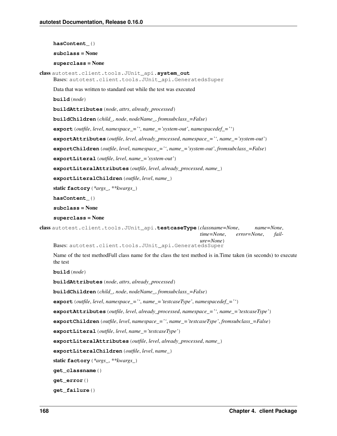**hasContent\_**() **subclass** = None **superclass** = None class autotest.client.tools.JUnit\_api.**system\_out** Bases: autotest.client.tools.JUnit\_api.GeneratedsSuper Data that was written to standard out while the test was executed **build**(*node*) **buildAttributes**(*node*, *attrs*, *already\_processed*) **buildChildren**(*child\_*, *node*, *nodeName\_*, *fromsubclass\_=False*) **export**(*outfile*, *level*, *namespace\_=''*, *name\_='system-out'*, *namespacedef\_=''*) **exportAttributes**(*outfile*, *level*, *already\_processed*, *namespace\_=''*, *name\_='system-out'*) **exportChildren**(*outfile*, *level*, *namespace\_=''*, *name\_='system-out'*, *fromsubclass\_=False*) **exportLiteral**(*outfile*, *level*, *name\_='system-out'*) **exportLiteralAttributes**(*outfile*, *level*, *already\_processed*, *name\_*) **exportLiteralChildren**(*outfile*, *level*, *name\_*) static **factory**(*\*args\_*, *\*\*kwargs\_*) **hasContent\_**() **subclass** = None **superclass** = None class autotest.client.tools.JUnit\_api.**testcaseType**(*classname=None*, *name=None*, *time=None*, *error=None*, *failure=None*) Bases: autotest.client.tools.JUnit\_api.GeneratedsSuper Name of the test methodFull class name for the class the test method is in.Time taken (in seconds) to execute the test **build**(*node*)

**buildAttributes**(*node*, *attrs*, *already\_processed*)

**buildChildren**(*child\_*, *node*, *nodeName\_*, *fromsubclass\_=False*)

**export**(*outfile*, *level*, *namespace\_=''*, *name\_='testcaseType'*, *namespacedef\_=''*)

**exportAttributes**(*outfile*, *level*, *already\_processed*, *namespace\_=''*, *name\_='testcaseType'*)

**exportChildren**(*outfile*, *level*, *namespace\_=''*, *name\_='testcaseType'*, *fromsubclass\_=False*)

**exportLiteral**(*outfile*, *level*, *name\_='testcaseType'*)

**exportLiteralAttributes**(*outfile*, *level*, *already\_processed*, *name\_*)

**exportLiteralChildren**(*outfile*, *level*, *name\_*)

static **factory**(*\*args\_*, *\*\*kwargs\_*)

**get\_classname**()

**get\_error**()

**get\_failure**()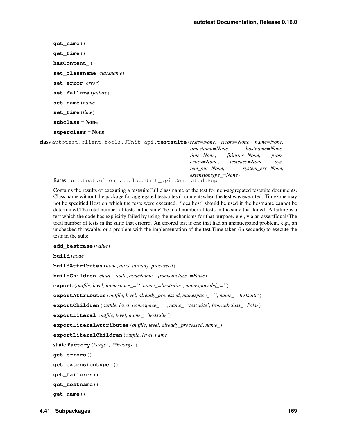**get\_name**() **get\_time**() **hasContent\_**() **set\_classname**(*classname*) **set\_error**(*error*) **set\_failure**(*failure*) **set\_name**(*name*) **set\_time**(*time*) **subclass** = None **superclass** = None

<span id="page-172-0"></span>class autotest.client.tools.JUnit\_api.**testsuite**(*tests=None*, *errors=None*, *name=None*, *timestamp=None*, *hostname=None*, *time=None*, *failures=None*, *properties=None*, *testcase=None*, *system\_out=None*, *system\_err=None*, *extensiontype\_=None*) Bases: autotest.client.tools.JUnit\_api.GeneratedsSuper

Contains the results of exexuting a testsuiteFull class name of the test for non-aggregated testsuite documents. Class name without the package for aggregated testsuites documentswhen the test was executed. Timezone may not be specified.Host on which the tests were executed. 'localhost' should be used if the hostname cannot be determined.The total number of tests in the suiteThe total number of tests in the suite that failed. A failure is a test which the code has explicitly failed by using the mechanisms for that purpose. e.g., via an assertEqualsThe total number of tests in the suite that errorrd. An errored test is one that had an unanticipated problem. e.g., an unchecked throwable; or a problem with the implementation of the test.Time taken (in seconds) to execute the tests in the suite

**add\_testcase**(*value*)

**build**(*node*)

**buildAttributes**(*node*, *attrs*, *already\_processed*)

**buildChildren**(*child\_*, *node*, *nodeName\_*, *fromsubclass\_=False*)

**export**(*outfile*, *level*, *namespace\_=''*, *name\_='testsuite'*, *namespacedef\_=''*)

**exportAttributes**(*outfile*, *level*, *already\_processed*, *namespace\_=''*, *name\_='testsuite'*)

**exportChildren**(*outfile*, *level*, *namespace\_=''*, *name\_='testsuite'*, *fromsubclass\_=False*)

```
exportLiteral(outfile, level, name_='testsuite')
```
**exportLiteralAttributes**(*outfile*, *level*, *already\_processed*, *name\_*)

**exportLiteralChildren**(*outfile*, *level*, *name\_*)

static **factory**(*\*args\_*, *\*\*kwargs\_*)

**get\_errors**()

**get\_extensiontype\_**()

**get\_failures**()

**get\_hostname**()

**get\_name**()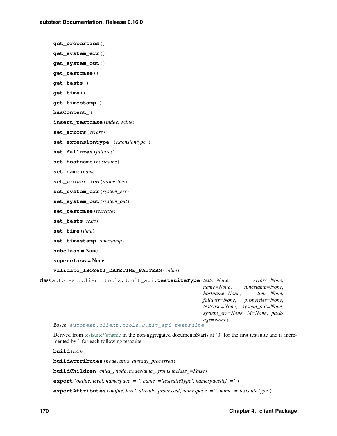```
get_properties()
```

```
get_system_err()
```

```
get_system_out()
```

```
get_testcase()
```

```
get_tests()
```

```
get_time()
```

```
get_timestamp()
```
**hasContent\_**()

**insert\_testcase**(*index*, *value*)

```
set_errors(errors)
```

```
set_extensiontype_(extensiontype_)
```

```
set_failures(failures)
```
**set\_hostname**(*hostname*)

**set\_name**(*name*)

```
set_properties(properties)
```

```
set_system_err(system_err)
```

```
set_system_out(system_out)
```

```
set_testcase(testcase)
```

```
set_tests(tests)
```

```
set_time(time)
```

```
set_timestamp(timestamp)
```

```
subclass = None
```

```
superclass = None
```
# **validate\_ISO8601\_DATETIME\_PATTERN**(*value*)

class autotest.client.tools.JUnit\_api.**testsuiteType**(*tests=None*, *errors=None*, *name=None*, *timestamp=None*, *hostname=None*, *time=None*, *failures=None*, *properties=None*, *testcase=None*, *system\_out=None*, *system\_err=None*, *id=None*, *package=None*)

Bases: [autotest.client.tools.JUnit\\_api.testsuite](#page-172-0)

Derived from [testsuite/@name](mailto:testsuite/@name) in the non-aggregated documentsStarts at '0' for the first testsuite and is incremented by 1 for each following testsuite

**build**(*node*)

**buildAttributes**(*node*, *attrs*, *already\_processed*)

**buildChildren**(*child\_*, *node*, *nodeName\_*, *fromsubclass\_=False*)

**export**(*outfile*, *level*, *namespace\_=''*, *name\_='testsuiteType'*, *namespacedef\_=''*)

**exportAttributes**(*outfile*, *level*, *already\_processed*, *namespace\_=''*, *name\_='testsuiteType'*)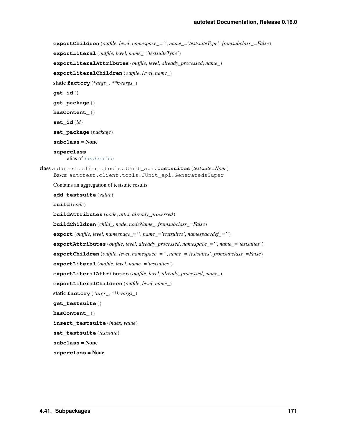```
exportChildren(outfile, level, namespace_='', name_='testsuiteType', fromsubclass_=False)
     exportLiteral(outfile, level, name_='testsuiteType')
     exportLiteralAttributes(outfile, level, already_processed, name_)
     exportLiteralChildren(outfile, level, name_)
     static factory(*args_, **kwargs_)
     get_id()
     get_package()
     hasContent_()
     set_id(id)
     set_package(package)
     subclass = None
     superclass
          alias of testsuite
class autotest.client.tools.JUnit_api.testsuites(testsuite=None)
     Bases: autotest.client.tools.JUnit_api.GeneratedsSuper
     Contains an aggregation of testsuite results
     add_testsuite(value)
     build(node)
     buildAttributes(node, attrs, already_processed)
     buildChildren(child_, node, nodeName_, fromsubclass_=False)
     export(outfile, level, namespace_='', name_='testsuites', namespacedef_='')
     exportAttributes(outfile, level, already_processed, namespace_='', name_='testsuites')
     exportChildren(outfile, level, namespace_='', name_='testsuites', fromsubclass_=False)
     exportLiteral(outfile, level, name_='testsuites')
     exportLiteralAttributes(outfile, level, already_processed, name_)
     exportLiteralChildren(outfile, level, name_)
     static factory(*args_, **kwargs_)
     get_testsuite()
     hasContent_()
     insert_testsuite(index, value)
     set_testsuite(testsuite)
     subclass = None
     superclass = None
```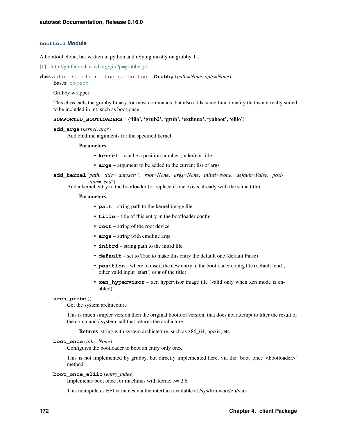# **boottool Module**

A boottool clone, but written in python and relying mostly on grubby[1].

```
[1] - http://git.fedorahosted.org/git/?p=grubby.git
```

```
class autotest.client.tools.boottool.Grubby(path=None, opts=None)
```
Bases: [object](http://docs.python.org/library/functions.html#object)

Grubby wrapper

This class calls the grubby binary for most commands, but also adds some functionality that is not really suited to be included in int, such as boot-once.

#### **SUPPORTED\_BOOTLOADERS** = ('lilo', 'grub2', 'grub', 'extlinux', 'yaboot', 'elilo')

```
add_args(kernel, args)
```
Add cmdline arguments for the specified kernel.

#### Parameters

- **kernel** can be a position number (index) or title
- **args** argument to be added to the current list of args

**add\_kernel**(*path*, *title='autoserv'*, *root=None*, *args=None*, *initrd=None*, *default=False*, *position='end'*)

Add a kernel entry to the bootloader (or replace if one exists already with the same title).

#### Parameters

- **path** string path to the kernel image file
- **title** title of this entry in the bootloader config
- **root** string of the root device
- **args** string with cmdline args
- **initrd** string path to the initrd file
- **default** set to True to make this entry the default one (default False)
- **position** where to insert the new entry in the bootloader config file (default 'end', other valid input 'start', or # of the title)
- **xen\_hypervisor** xen hypervisor image file (valid only when xen mode is enabled)

#### **arch\_probe**()

Get the system architecture

This is much simpler version then the original boottool version, that does not attempt to filter the result of the command / system call that returns the archicture.

Returns string with system archicteture, such as x86\_64, ppc64, etc

# **boot\_once**(*title=None*)

Configures the bootloader to boot an entry only once

This is not implemented by grubby, but directly implemented here, via the 'boot\_once\_<bootloader>' method.

#### **boot\_once\_elilo**(*entry\_index*)

Implements boot once for machines with kernel  $\geq$  2.6

This manipulates EFI variables via the interface available at /sys/firmware/efi/vars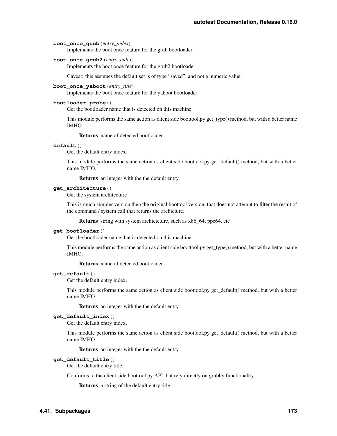## **boot\_once\_grub**(*entry\_index*)

Implements the boot once feature for the grub bootloader

# **boot\_once\_grub2**(*entry\_index*)

Implements the boot once feature for the grub2 bootloader

Caveat: this assumes the default set is of type "saved", and not a numeric value.

## **boot\_once\_yaboot**(*entry\_title*)

Implements the boot once feature for the yaboot bootloader

## **bootloader\_probe**()

Get the bootloader name that is detected on this machine

This module performs the same action as client side boottool.py get\_type() method, but with a better name IMHO.

Returns name of detected bootloader

# **default**()

Get the default entry index.

This module performs the same action as client side boottool.py get\_default() method, but with a better name IMHO.

Returns an integer with the the default entry.

## **get\_architecture**()

Get the system architecture

This is much simpler version then the original boottool version, that does not attempt to filter the result of the command / system call that returns the archicture.

Returns string with system archicteture, such as x86\_64, ppc64, etc

## **get\_bootloader**()

Get the bootloader name that is detected on this machine

This module performs the same action as client side boottool.py get\_type() method, but with a better name IMHO.

Returns name of detected bootloader

# **get\_default**()

Get the default entry index.

This module performs the same action as client side boottool.py get\_default() method, but with a better name IMHO.

Returns an integer with the the default entry.

## **get\_default\_index**()

Get the default entry index.

This module performs the same action as client side boottool.py get\_default() method, but with a better name IMHO.

Returns an integer with the the default entry.

#### **get\_default\_title**()

Get the default entry title.

Conforms to the client side boottool.py API, but rely directly on grubby functionality.

Returns a string of the default entry title.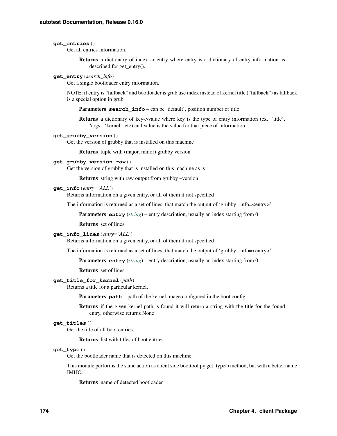#### **get\_entries**()

Get all entries information.

Returns a dictionary of index -> entry where entry is a dictionary of entry information as described for get\_entry().

## **get\_entry**(*search\_info*)

Get a single bootloader entry information.

NOTE: if entry is "fallback" and bootloader is grub use index instead of kernel title ("fallback") as fallback is a special option in grub

Parameters search\_info – can be 'default', position number or title

Returns a dictionary of key->value where key is the type of entry information (ex. 'title', 'args', 'kernel', etc) and value is the value for that piece of information.

## **get\_grubby\_version**()

Get the version of grubby that is installed on this machine

Returns tuple with (major, minor) grubby version

#### **get\_grubby\_version\_raw**()

Get the version of grubby that is installed on this machine as is

Returns string with raw output from grubby –version

#### **get\_info**(*entry='ALL'*)

Returns information on a given entry, or all of them if not specified

The information is returned as a set of lines, that match the output of 'grubby –info=<entry>'

Parameters **entry** (*[string](http://docs.python.org/library/string.html#module-string)*) – entry description, usually an index starting from 0

Returns set of lines

#### **get\_info\_lines**(*entry='ALL'*)

Returns information on a given entry, or all of them if not specified

The information is returned as a set of lines, that match the output of 'grubby –info=<entry>'

Parameters entry (*[string](http://docs.python.org/library/string.html#module-string)*) – entry description, usually an index starting from 0

Returns set of lines

#### **get\_title\_for\_kernel**(*path*)

Returns a title for a particular kernel.

**Parameters path** – path of the kernel image configured in the boot config

Returns if the given kernel path is found it will return a string with the title for the found entry, otherwise returns None

# **get\_titles**()

Get the title of all boot entries.

Returns list with titles of boot entries

#### **get\_type**()

Get the bootloader name that is detected on this machine

This module performs the same action as client side boottool.py get\_type() method, but with a better name IMHO.

Returns name of detected bootloader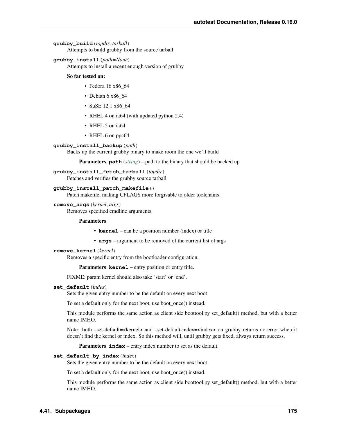## **grubby\_build**(*topdir*, *tarball*)

Attempts to build grubby from the source tarball

# **grubby\_install**(*path=None*)

Attempts to install a recent enough version of grubby

## So far tested on:

- Fedora 16 x86\_64
- Debian 6 x86 64
- SuSE 12.1 x86\_64
- RHEL 4 on ia64 (with updated python 2.4)
- RHEL 5 on ia64
- RHEL 6 on ppc64

## **grubby\_install\_backup**(*path*)

Backs up the current grubby binary to make room the one we'll build

Parameters **path** (*[string](http://docs.python.org/library/string.html#module-string)*) – path to the binary that should be backed up

# **grubby\_install\_fetch\_tarball**(*topdir*) Fetches and verifies the grubby source tarball

#### **grubby\_install\_patch\_makefile**()

Patch makefile, making CFLAGS more forgivable to older toolchains

## **remove\_args**(*kernel*, *args*)

Removes specified cmdline arguments.

#### Parameters

- **kernel** can be a position number (index) or title
- **args** argument to be removed of the current list of args

#### **remove\_kernel**(*kernel*)

Removes a specific entry from the bootloader configuration.

Parameters **kernel** – entry position or entry title.

FIXME: param kernel should also take 'start' or 'end'.

## **set\_default**(*index*)

Sets the given entry number to be the default on every next boot

To set a default only for the next boot, use boot\_once() instead.

This module performs the same action as client side boottool.py set\_default() method, but with a better name IMHO.

Note: both –set-default=<kernel> and –set-default-index=<index> on grubby returns no error when it doesn't find the kernel or index. So this method will, until grubby gets fixed, always return success.

Parameters **index** – entry index number to set as the default.

#### **set\_default\_by\_index**(*index*)

Sets the given entry number to be the default on every next boot

To set a default only for the next boot, use boot\_once() instead.

This module performs the same action as client side boottool.py set default() method, but with a better name IMHO.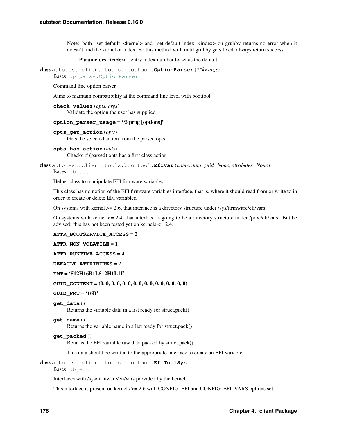Note: both –set-default=<kernel> and –set-default-index=<index> on grubby returns no error when it doesn't find the kernel or index. So this method will, until grubby gets fixed, always return success.

Parameters **index** – entry index number to set as the default.

class autotest.client.tools.boottool.**OptionParser**(*\*\*kwargs*) Bases: [optparse.OptionParser](http://docs.python.org/library/optparse.html#optparse.OptionParser)

Command line option parser

Aims to maintain compatibility at the command line level with boottool

```
check_values(opts, args)
     Validate the option the user has supplied
```
#### **option\_parser\_usage** = '%prog [options]'

**opts\_get\_action**(*opts*) Gets the selected action from the parsed opts

```
opts_has_action(opts)
      Checks if (parsed) opts has a first class action
```
class autotest.client.tools.boottool.**EfiVar**(*name*, *data*, *guid=None*, *attributes=None*) Bases: [object](http://docs.python.org/library/functions.html#object)

Helper class to manipulate EFI firmware variables

This class has no notion of the EFI firmware variables interface, that is, where it should read from or write to in order to create or delete EFI variables.

On systems with kernel >= 2.6, that interface is a directory structure under /sys/firmware/efi/vars.

On systems with kernel <= 2.4, that interface is going to be a directory structure under /proc/efi/vars. But be advised: this has not been tested yet on kernels  $\leq$  2.4.

#### **ATTR\_BOOTSERVICE\_ACCESS** = 2

**ATTR\_NON\_VOLATILE** = 1

**ATTR\_RUNTIME\_ACCESS** = 4

**DEFAULT\_ATTRIBUTES** = 7

## **FMT** = '512H16B1L512H1L1I'

**GUID\_CONTENT** = (0, 0, 0, 0, 0, 0, 0, 0, 0, 0, 0, 0, 0, 0, 0, 0)

## **GUID\_FMT** = '16B'

```
get_data()
```
Returns the variable data in a list ready for struct.pack()

```
get_name()
```
Returns the variable name in a list ready for struct.pack()

# **get\_packed**()

Returns the EFI variable raw data packed by struct.pack()

This data should be written to the appropriate interface to create an EFI variable

class autotest.client.tools.boottool.**EfiToolSys**

```
object
```
Interfaces with /sys/firmware/efi/vars provided by the kernel

This interface is present on kernels >= 2.6 with CONFIG\_EFI and CONFIG\_EFI\_VARS options set.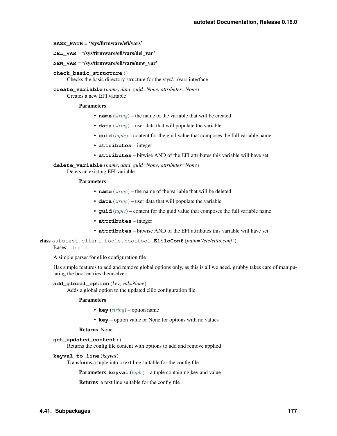<span id="page-180-0"></span>**BASE\_PATH** = '/sys/firmware/efi/vars'

- **DEL\_VAR** = '/sys/firmware/efi/vars/del\_var'
- **NEW\_VAR** = '/sys/firmware/efi/vars/new\_var'
- **check\_basic\_structure**()

Checks the basic directory structure for the /sys/.../vars interface

**create\_variable**(*name*, *data*, *guid=None*, *attributes=None*)

Creates a new EFI variable

#### Parameters

- **name** (*[string](http://docs.python.org/library/string.html#module-string)*) the name of the variable that will be created
- **data** (*[string](http://docs.python.org/library/string.html#module-string)*) user data that will populate the variable
- **guid** (*[tuple](http://docs.python.org/library/functions.html#tuple)*) content for the guid value that composes the full variable name
- **attributes** integer
- **attributes** bitwise AND of the EFI attributes this variable will have set

**delete\_variable**(*name*, *data*, *guid=None*, *attributes=None*) Delets an existing EFI variable

# Parameters

- **name** (*[string](http://docs.python.org/library/string.html#module-string)*) the name of the variable that will be deleted
- **data** (*[string](http://docs.python.org/library/string.html#module-string)*) user data that will populate the variable
- **guid** (*[tuple](http://docs.python.org/library/functions.html#tuple)*) content for the guid value that composes the full variable name
- **attributes** integer
- **attributes** bitwise AND of the EFI attributes this variable will have set

class autotest.client.tools.boottool.**EliloConf**(*path='/etc/elilo.conf '*)

# Bases: [object](http://docs.python.org/library/functions.html#object)

A simple parser for elilo configuration file

Has simple features to add and remove global options only, as this is all we need. grubby takes care of manipulating the boot entries themselves.

#### **add\_global\_option**(*key*, *val=None*)

Adds a global option to the updated elilo configuration file

# Parameters

- **key** (*[string](http://docs.python.org/library/string.html#module-string)*) option name
- **key** option value or None for options with no values

#### Returns None

# **get\_updated\_content**()

Returns the config file content with options to add and remove applied

#### **keyval\_to\_line**(*keyval*)

Transforms a tuple into a text line suitable for the config file

Parameters **keyval** (*[tuple](http://docs.python.org/library/functions.html#tuple)*) – a tuple containing key and value

Returns a text line suitable for the config file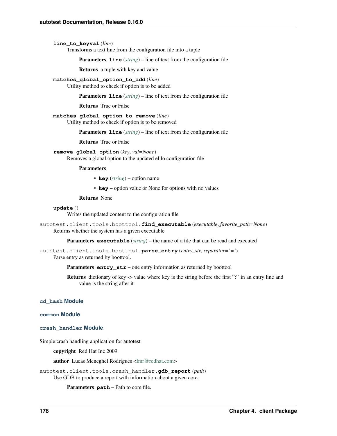# <span id="page-181-2"></span>**line\_to\_keyval**(*line*)

Transforms a text line from the configuration file into a tuple

Parameters line (*[string](http://docs.python.org/library/string.html#module-string)*) – line of text from the configuration file

Returns a tuple with key and value

**matches\_global\_option\_to\_add**(*line*)

Utility method to check if option is to be added

Parameters **line** (*[string](http://docs.python.org/library/string.html#module-string)*) – line of text from the configuration file

Returns True or False

# **matches\_global\_option\_to\_remove**(*line*)

Utility method to check if option is to be removed

Parameters **line** (*[string](http://docs.python.org/library/string.html#module-string)*) – line of text from the configuration file

Returns True or False

# **remove\_global\_option**(*key*, *val=None*)

Removes a global option to the updated elilo configuration file

#### Parameters

- **key** (*[string](http://docs.python.org/library/string.html#module-string)*) option name
- **key** option value or None for options with no values

Returns None

# **update**()

Writes the updated content to the configuration file

autotest.client.tools.boottool.**find\_executable**(*executable*, *favorite\_path=None*) Returns whether the system has a given executable

Parameters **executable** (*[string](http://docs.python.org/library/string.html#module-string)*) – the name of a file that can be read and executed

```
autotest.client.tools.boottool.parse_entry(entry_str, separator='=')
     Parse entry as returned by boottool.
```
Parameters **entry\_str** – one entry information as returned by boottool

Returns dictionary of key -> value where key is the string before the first ":" in an entry line and value is the string after it

# **cd\_hash Module**

# <span id="page-181-0"></span>**common Module**

<span id="page-181-1"></span>**crash\_handler Module**

Simple crash handling application for autotest

copyright Red Hat Inc 2009

author Lucas Meneghel Rodrigues [<lmr@redhat.com>](mailto:lmr@redhat.com)

autotest.client.tools.crash\_handler.**gdb\_report**(*path*) Use GDB to produce a report with information about a given core.

Parameters **path** – Path to core file.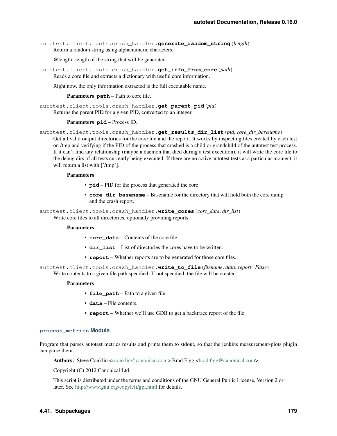<span id="page-182-1"></span>autotest.client.tools.crash\_handler.**generate\_random\_string**(*length*) Return a random string using alphanumeric characters.

@length: length of the string that will be generated.

autotest.client.tools.crash\_handler.**get\_info\_from\_core**(*path*) Reads a core file and extracts a dictionary with useful core information.

Right now, the only information extracted is the full executable name.

Parameters **path** – Path to core file.

autotest.client.tools.crash\_handler.**get\_parent\_pid**(*pid*) Returns the parent PID for a given PID, converted to an integer.

#### Parameters **pid** – Process ID.

autotest.client.tools.crash\_handler.**get\_results\_dir\_list**(*pid*, *core\_dir\_basename*) Get all valid output directories for the core file and the report. It works by inspecting files created by each test on /tmp and verifying if the PID of the process that crashed is a child or grandchild of the autotest test process. If it can't find any relationship (maybe a daemon that died during a test execution), it will write the core file to the debug dirs of all tests currently being executed. If there are no active autotest tests at a particular moment, it will return a list with ['/tmp'].

#### Parameters

- **pid** PID for the process that generated the core
- **core dir basename** Basename for the directory that will hold both the core dump and the crash report.

autotest.client.tools.crash\_handler.**write\_cores**(*core\_data*, *dir\_list*) Write core files to all directories, optionally providing reports.

#### Parameters

- **core\_data** Contents of the core file.
- **dir list** List of directories the cores have to be written.
- **report** Whether reports are to be generated for those core files.

autotest.client.tools.crash\_handler.**write\_to\_file**(*filename*, *data*, *report=False*) Write contents to a given file path specified. If not specified, the file will be created.

#### Parameters

- **file\_path** Path to a given file.
- **data** File contents.
- **report** Whether we'll use GDB to get a backtrace report of the file.

#### <span id="page-182-0"></span>**process\_metrics Module**

Program that parses autotest metrics results and prints them to stdout, so that the jenkins measurement-plots plugin can parse them.

Authors: Steve Conklin [<sconklin@canonical.com>](mailto:sconklin@canonical.com) Brad Figg <br/> <br/>ed.figg@canonical.com>

Copyright (C) 2012 Canonical Ltd.

This script is distributed under the terms and conditions of the GNU General Public License, Version 2 or later. See <http://www.gnu.org/copyleft/gpl.html> for details.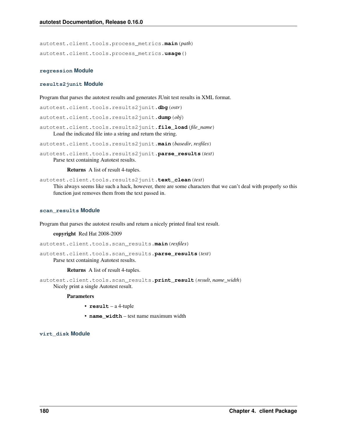<span id="page-183-2"></span>autotest.client.tools.process\_metrics.**main**(*path*) autotest.client.tools.process\_metrics.**usage**()

#### **regression Module**

#### <span id="page-183-0"></span>**results2junit Module**

Program that parses the autotest results and generates JUnit test results in XML format.

autotest.client.tools.results2junit.**dbg**(*ostr*)

autotest.client.tools.results2junit.**dump**(*obj*)

autotest.client.tools.results2junit.**file\_load**(*file\_name*) Load the indicated file into a string and return the string.

autotest.client.tools.results2junit.**main**(*basedir*, *resfiles*)

autotest.client.tools.results2junit.**parse\_results**(*text*) Parse text containing Autotest results.

Returns A list of result 4-tuples.

autotest.client.tools.results2junit.**text\_clean**(*text*) This always seems like such a hack, however, there are some characters that we can't deal with properly so this function just removes them from the text passed in.

#### <span id="page-183-1"></span>**scan\_results Module**

Program that parses the autotest results and return a nicely printed final test result.

#### copyright Red Hat 2008-2009

autotest.client.tools.scan\_results.**main**(*resfiles*)

autotest.client.tools.scan\_results.**parse\_results**(*text*) Parse text containing Autotest results.

Returns A list of result 4-tuples.

autotest.client.tools.scan\_results.**print\_result**(*result*, *name\_width*) Nicely print a single Autotest result.

#### Parameters

- **result** a 4-tuple
- **name\_width** test name maximum width

## **virt\_disk Module**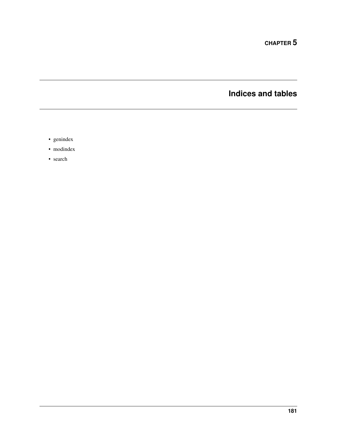**CHAPTER 5**

**Indices and tables**

- genindex
- modindex
- search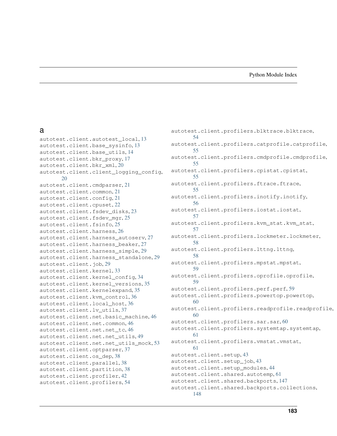# Python Module Index

# a

autotest.client.autotest\_local, [13](#page-16-0) autotest.client.base\_sysinfo, [13](#page-16-1) autotest.client.base\_utils, [14](#page-17-0) autotest.client.bkr\_proxy, [17](#page-20-0) autotest.client.bkr\_xml, [20](#page-23-0) autotest.client.client\_logging\_config, [20](#page-23-1) autotest.client.cmdparser, [21](#page-24-0) autotest.client.common, [21](#page-24-1) autotest.client.config, [21](#page-24-2) autotest.client.cpuset, [22](#page-25-0) autotest.client.fsdev\_disks, [23](#page-26-0) autotest.client.fsdev mgr, [25](#page-28-0) autotest.client.fsinfo, [25](#page-28-1) autotest.client.harness, [26](#page-29-0) autotest.client.harness\_autoserv, [27](#page-30-0) autotest.client.harness beaker, [27](#page-30-1) autotest.client.harness\_simple, [29](#page-32-0) autotest.client.harness\_standalone, [29](#page-32-1) autotest.client.job, [29](#page-32-2) autotest.client.kernel, [33](#page-36-0) autotest.client.kernel\_config, [34](#page-37-0) autotest.client.kernel\_versions, [35](#page-38-0) autotest.client.kernelexpand, [35](#page-38-1) autotest.client.kvm\_control, [36](#page-39-0) autotest.client.local\_host, [36](#page-39-1) autotest.client.lv\_utils, [37](#page-40-0) autotest.client.net.basic\_machine, [46](#page-49-0) autotest.client.net.common, [46](#page-49-1) autotest.client.net.net tc, [46](#page-49-2) autotest.client.net.net\_utils, [49](#page-52-0) autotest.client.net.net utils mock, [53](#page-56-0) autotest.client.optparser, [37](#page-40-1) autotest.client.os\_dep, [38](#page-41-0) autotest.client.parallel, [38](#page-41-1) autotest.client.partition, [38](#page-41-2) autotest.client.profiler, [42](#page-45-0) autotest.client.profilers, [54](#page-57-0)

autotest.client.profilers.blktrace.blktrace, [54](#page-57-1) autotest.client.profilers.catprofile.catprofile, [55](#page-58-0) autotest.client.profilers.cmdprofile.cmdprofile, [55](#page-58-1) autotest.client.profilers.cpistat.cpistat, [55](#page-58-2) autotest.client.profilers.ftrace.ftrace, [55](#page-58-3) autotest.client.profilers.inotify.inotify, [56](#page-59-0) autotest.client.profilers.iostat.iostat, [57](#page-60-0) autotest.client.profilers.kvm\_stat.kvm\_stat, [57](#page-60-1) autotest.client.profilers.lockmeter.lockmeter, [58](#page-61-0) autotest.client.profilers.lttng.lttng, [58](#page-61-1) autotest.client.profilers.mpstat.mpstat, [59](#page-62-0) autotest.client.profilers.oprofile.oprofile, [59](#page-62-1) autotest.client.profilers.perf.perf, [59](#page-62-2) autotest.client.profilers.powertop.powertop, [60](#page-63-0) autotest.client.profilers.readprofile.readprofile, [60](#page-63-1) autotest.client.profilers.sar.sar, [60](#page-63-2) autotest.client.profilers.systemtap.systemtap, [61](#page-64-0) autotest.client.profilers.vmstat.vmstat, [61](#page-64-1) autotest.client.setup, [43](#page-46-0) autotest.client.setup\_job, [43](#page-46-1) autotest.client.setup\_modules, [44](#page-47-0) autotest.client.shared.autotemp, [61](#page-64-2) autotest.client.shared.backports, [147](#page-150-0) autotest.client.shared.backports.collections, [148](#page-151-0)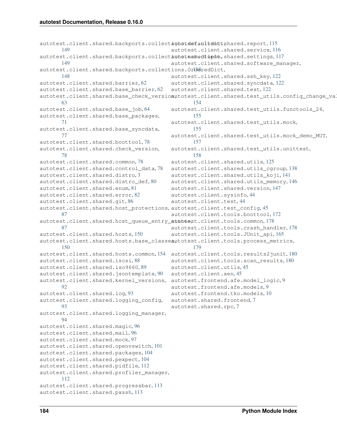```
115
      149
117
      149
autotest.client.shared.backports.collections.OrberedDict,
      148
autotest.client.shared.barrier, 62
autotest.client.shared.base_barrier, 62
autotest.client.shared.base_check_versionutotest.client.shared.test_utils.config_change_validation.com
      63
autotest.client.shared.base_job, 64
autotest.client.shared.base_packages,
      71
autotest.client.shared.base_syncdata,
      77
autotest.client.shared.boottool, 78
autotest.client.shared.check_version,
      78
autotest.client.shared.common, 78
autotest.client.shared.control_data, 78
autotest.client.shared.distro, 3
80
autotest.client.shared.enum, 81
autotest.client.shared.error, 82
autotest.client.shared.git, 86
autotest.client.shared.host_protections,
autotest.client.test_config, 45
      87
autotest.client.shared.host_queue_entry_states,
autotest.client.tools.common, 178
      87
autotest.client.shared.hosts, 150
autotest.client.shared.hosts.base_classeautotest.client.tools.process_metrics,
      150
autotest.client.shared.hosts.common, 154
autotest.client.tools.results2junit, 180
autotest.client.shared.iscsi, 88
autotest.client.shared.iso9660, 89
autotest.client.shared.jsontemplate, 90
autotest.client.shared.kernel_versions,
autotest.frontend.afe.model_logic, 9
      92
autotest.client.shared.log, 93
autotest.client.shared.logging_config,
      93
autotest.client.shared.logging_manager,
      94
autotest.client.shared.magic, 96
autotest.client.shared.mail, 96
autotest.client.shared.mock, 97
autotest.client.shared.openvswitch, 101
autotest.client.shared.packages, 104
autotest.client.shared.pexpect, 104
autotest.client.shared.pidfile, 112
autotest.client.shared.profiler_manager,
      112
autotest.client.shared.progressbar, 113
autotest.client.shared.pxssh, 113
                                       autotest.client.shared.service, 116
                                       autotest.client.shared.software_manager,
                                       autotest.client.shared.ssh_key, 122
                                       autotest.client.shared.syncdata, 122
                                       autotest.client.shared.test, 122
                                              154
                                       autotest.client.shared.test_utils.functools_24,
                                              155
                                       autotest.client.shared.test_utils.mock,
                                              155
                                       autotest.client.shared.test_utils.mock_demo_MUT,
                                              157
                                       autotest.client.shared.test_utils.unittest,
                                              158
                                       autotest.client.shared.utils, 125
                                       autotest.client.shared.utils_cgroup, 138
                                       autotest.client.shared.utils_koji, 141
                                       autotest.client.shared.utils_memory, 146
                                       autotest.client.shared.version, 147
                                       autotest.client.sysinfo, 44
                                       autotest.client.test, 44
                                       autotest.client.tools.boottool, 172
                                       autotest.client.tools.crash_handler, 178
                                       autotest.client.tools.JUnit_api, 165
                                              179
                                       autotest.client.tools.scan_results, 180
                                       autotest.client.utils, 45
                                       autotest.client.xen, 45
                                       autotest.frontend.afe.models, 9
                                       autotest.frontend.tko.models, 10
                                       autotest.shared.frontend, 7
                                       autotest.shared.rpc, 7
```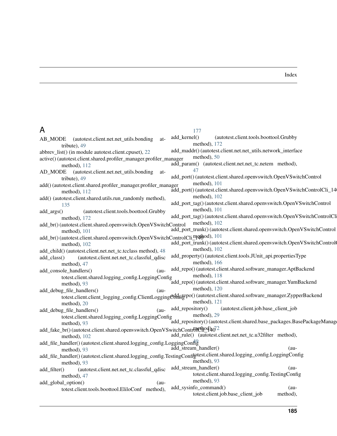# Index

# A

| A                                                                               | 177                                                                                                                   |
|---------------------------------------------------------------------------------|-----------------------------------------------------------------------------------------------------------------------|
| AB_MODE<br>(autotest.client.net.net_utils.bonding<br>at-                        | add_kernel()<br>(autotest.client.tools.boottool.Grubby                                                                |
| tribute), 49                                                                    | method), 172                                                                                                          |
| abbrev_list() (in module autotest.client.cpuset), 22                            | add_maddr()(autotest.client.net.net_utils.network_interface                                                           |
| active() (autotest.client.shared.profiler_manager.profiler_manager              | method), $50$                                                                                                         |
| method), 112                                                                    | add_param() (autotest.client.net.net_tc.netem method),                                                                |
| AD_MODE (autotest.client.net.net_utils.bonding<br>at-                           | 47                                                                                                                    |
| tribute), 49                                                                    | add_port() (autotest.client.shared.openvswitch.OpenVSwitchControl                                                     |
| add() (autotest.client.shared.profiler_manager.profiler_manager                 | method), 101                                                                                                          |
| method), $112$                                                                  | add_port() (autotest.client.shared.openvswitch.OpenVSwitchControlCli_14                                               |
| add() (autotest.client.shared.utils.run_randomly method),                       | method), 102                                                                                                          |
| 135                                                                             | add_port_tag() (autotest.client.shared.openvswitch.OpenVSwitchControl                                                 |
| add_args()<br>(autotest.client.tools.boottool.Grubby                            | method), 101                                                                                                          |
| method), 172                                                                    | add_port_tag()(autotest.client.shared.openvswitch.OpenVSwitchControlCli                                               |
| add_br() (autotest.client.shared.openvswitch.OpenVSwitchControl                 | method), 102                                                                                                          |
| method), 101                                                                    | add_port_trunk() (autotest.client.shared.openvswitch.OpenVSwitchControl                                               |
| add_br() (autotest.client.shared.openvswitch.OpenVSwitchControlCli_mqtbod), 101 | add_port_trunk()(autotest.client.shared.openvswitch.OpenVSwitchControl                                                |
| method), 102                                                                    | method), 102                                                                                                          |
| add_child() (autotest.client.net.net_tc.tcclass method), 48                     | add_property()(autotest.client.tools.JUnit_api.propertiesType                                                         |
| (autotest.client.net.net_tc.classful_qdisc<br>add_class()                       | method), 166                                                                                                          |
| method), 47                                                                     | add_repo()(autotest.client.shared.software_manager.AptBackend                                                         |
| add_console_handlers()<br>$(au-$                                                | method), 118                                                                                                          |
| totest.client.shared.logging_config.LoggingConfig                               | add_repo() (autotest.client.shared.software_manager.YumBackend                                                        |
| method), 93                                                                     | method), 120                                                                                                          |
| add_debug_file_handlers()<br>$(au-$                                             | totest.client.client_logging_config.ClientLogging@dffagepo()(autotest.client.shared.software_manager.ZypperBackend    |
| method), 20                                                                     | method), 121                                                                                                          |
| add_debug_file_handlers()<br>$(au-$                                             | add_repository()<br>(autotest.client.job.base_client_job                                                              |
| totest.client.shared.logging_config.LoggingConfig                               | method), 29                                                                                                           |
| method), 93                                                                     | add_repository() (autotest.client.shared.base_packages.BasePackageManage                                              |
| add_fake_br()(autotest.client.shared.openvswitch.OpenVSwitchControlethod4o72    |                                                                                                                       |
| method), 102                                                                    | add_rule() (autotest.client.net.net_tc.u32filter method),                                                             |
| add_file_handler() (autotest.client.shared.logging_config.LoggingConfig         |                                                                                                                       |
| method), 93                                                                     | add_stream_handler()<br>(au-                                                                                          |
|                                                                                 | add_file_handler()(autotest.client.shared.logging_config.TestingConfigtest.client.shared.logging_config.LoggingConfig |
| method), 93                                                                     | method), 93                                                                                                           |
| (autotest.client.net.net_tc.classful_qdisc<br>add_filter()                      | add_stream_handler()<br>(au-                                                                                          |
| method), 47                                                                     | totest.client.shared.logging_config.TestingConfig                                                                     |
| add_global_option()<br>(au-                                                     | method), 93                                                                                                           |
| totest.client.tools.boottool.EliloConf method),                                 | add_sysinfo_command()<br>$(au-$                                                                                       |
|                                                                                 | totest.client.job.base_client_job<br>method),                                                                         |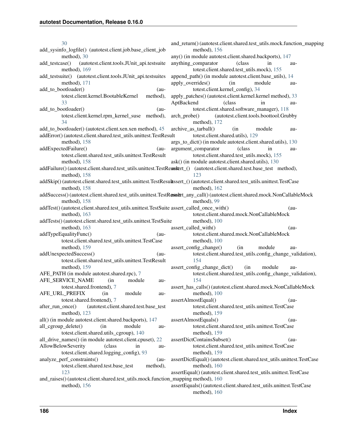[30](#page-33-0) add sysinfo logfile() (autotest.client.job.base client job method), [30](#page-33-0) add\_testcase() (autotest.client.tools.JUnit\_api.testsuite method), [169](#page-172-0) add\_testsuite() (autotest.client.tools.JUnit\_api.testsuites method), [171](#page-174-0) add to bootloader() (autotest.client.kernel.BootableKernel method), [33](#page-36-1) add\_to\_bootloader() (autotest.client.kernel.rpm\_kernel\_suse method), [34](#page-37-1) add\_to\_bootloader() (autotest.client.xen.xen method), [45](#page-48-3) addError() (autotest.client.shared.test\_utils.unittest.TestResult method), [158](#page-161-1) addExpectedFailure() (autotest.client.shared.test\_utils.unittest.TestResult method), [158](#page-161-1) addFailure()(autotest.client.shared.test\_utils.unittest.TestReaustert\_() (autotest.client.shared.test.base\_test method), method), [158](#page-161-1) addSkip() (autotest.client.shared.test\_utils.unittest.TestResult assert\_() (autotest.client.shared.test\_utils.unittest.TestCase method), [158](#page-161-1) addSuccess() (autotest.client.shared.test\_utils.unittest.TestR**essut**rt\_any\_call() (autotest.client.shared.mock.NonCallableMock method), [158](#page-161-1) addTest() (autotest.client.shared.test\_utils.unittest.TestSuite assert\_called\_once\_with() (aumethod), [163](#page-166-0) addTests() (autotest.client.shared.test\_utils.unittest.TestSuite method), [163](#page-166-0) addTypeEqualityFunc() (autotest.client.shared.test\_utils.unittest.TestCase method), [159](#page-162-0) addUnexpectedSuccess() (autotest.client.shared.test\_utils.unittest.TestResult method), [159](#page-162-0) AFE\_PATH (in module autotest.shared.rpc), [7](#page-10-2) AFE\_SERVICE\_NAME (in module autotest.shared.frontend), [7](#page-10-2) AFE\_URL\_PREFIX (in module autotest.shared.frontend), [7](#page-10-2) after\_run\_once() (autotest.client.shared.test.base\_test method), [123](#page-126-0) all() (in module autotest.client.shared.backports), [147](#page-150-2) all\_cgroup\_delete() (in module autotest.client.shared.utils\_cgroup), [140](#page-143-0) all\_drive\_names() (in module autotest.client.cpuset), [22](#page-25-1) AllowBelowSeverity (class in autotest.client.shared.logging\_config), [93](#page-96-2) analyze\_perf\_constraints() (autotest.client.shared.test.base\_test method), [123](#page-126-0) and\_raises() (autotest.client.shared.test\_utils.mock.function\_mapping method), [160](#page-163-0) method), [156](#page-159-0) and\_return() (autotest.client.shared.test\_utils.mock.function\_mapping method), [156](#page-159-0) any() (in module autotest.client.shared.backports), [147](#page-150-2) anything\_comparator (class in autotest.client.shared.test\_utils.mock), [155](#page-158-2) append path() (in module autotest.client.base utils), [14](#page-17-1) apply overrides() (in module autotest.client.kernel\_config), [34](#page-37-1) apply\_patches() (autotest.client.kernel.kernel method), [33](#page-36-1) AptBackend (class in autotest.client.shared.software\_manager), [118](#page-121-1) arch\_probe() (autotest.client.tools.boottool.Grubby method), [172](#page-175-1) archive as tarball() (in module autotest.client.shared.utils), [129](#page-132-0) args to dict() (in module autotest.client.shared.utils), [130](#page-133-0) argument comparator (class in autotest.client.shared.test\_utils.mock), [155](#page-158-2) ask() (in module autotest.client.shared.utils), [130](#page-133-0) [123](#page-126-0) method), [162](#page-165-0) method), [99](#page-102-0) totest.client.shared.mock.NonCallableMock method), [100](#page-103-0) assert\_called\_with() (autotest.client.shared.mock.NonCallableMock method), [100](#page-103-0) assert config\_change() (in module autotest.client.shared.test\_utils.config\_change\_validation), [154](#page-157-2) assert config change dict() (in module autotest.client.shared.test\_utils.config\_change\_validation), [154](#page-157-2) assert\_has\_calls() (autotest.client.shared.mock.NonCallableMock method), [100](#page-103-0) assertAlmostEqual() (autotest.client.shared.test\_utils.unittest.TestCase method), [159](#page-162-0) assertAlmostEquals() (autotest.client.shared.test\_utils.unittest.TestCase method), [159](#page-162-0) assertDictContainsSubset() (autotest.client.shared.test\_utils.unittest.TestCase method), [159](#page-162-0) assertDictEqual() (autotest.client.shared.test\_utils.unittest.TestCase method), [160](#page-163-0) assertEqual() (autotest.client.shared.test\_utils.unittest.TestCase assertEquals() (autotest.client.shared.test\_utils.unittest.TestCase method), [160](#page-163-0)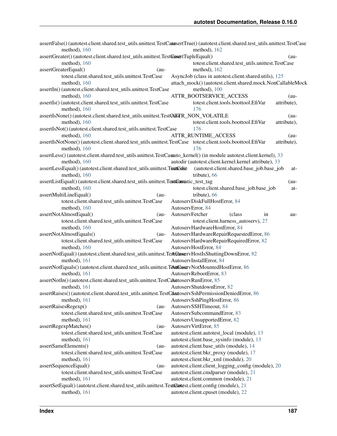|                                                                                                                                        | assertFalse()(autotest.client.shared.test_utils.unittest.TestCasssertTrue()(autotest.client.shared.test_utils.unittest.TestCase |
|----------------------------------------------------------------------------------------------------------------------------------------|---------------------------------------------------------------------------------------------------------------------------------|
| method), 160                                                                                                                           | method), 162                                                                                                                    |
| assertGreater()(autotest.client.shared.test_utils.unittest.TestGssertTupleEqual()                                                      | $(au-$                                                                                                                          |
| method), 160                                                                                                                           | totest.client.shared.test_utils.unittest.TestCase                                                                               |
| assertGreaterEqual()<br>$(au-$                                                                                                         | method), 162                                                                                                                    |
| totest.client.shared.test_utils.unittest.TestCase                                                                                      | AsyncJob (class in autotest.client.shared.utils), 125                                                                           |
| method), 160                                                                                                                           | attach_mock()(autotest.client.shared.mock.NonCallableMock                                                                       |
| assertIn() (autotest.client.shared.test_utils.unittest.TestCase                                                                        | method), 100<br>ATTR_BOOTSERVICE_ACCESS                                                                                         |
| method), 160<br>assertIs() (autotest.client.shared.test_utils.unittest.TestCase                                                        | $(au -$<br>totest.client.tools.boottool.EfiVar<br>attribute),                                                                   |
| method), 160                                                                                                                           | 176                                                                                                                             |
| assertIsNone()(autotest.client.shared.test_utils.unittest.TestQaGTR_NON_VOLATILE                                                       | $(au -$                                                                                                                         |
| method), 160                                                                                                                           | totest.client.tools.boottool.EfiVar<br>attribute),                                                                              |
| assertIsNot() (autotest.client.shared.test_utils.unittest.TestCase                                                                     | 176                                                                                                                             |
| method), 160                                                                                                                           | ATTR_RUNTIME_ACCESS<br>$(au -$                                                                                                  |
| assertIsNotNone() (autotest.client.shared.test_utils.unittest.TestCase totest.client.tools.boottool.EfiVar                             | attribute),<br>176                                                                                                              |
| method), $160$<br>assertLess() (autotest.client.shared.test_utils.unittest.TestCasauto_kernel() (in module autotest.client.kernel), 33 |                                                                                                                                 |
| method), 160                                                                                                                           | autodir (autotest.client.kernel.kernel attribute), 33                                                                           |
| assertLessEqual()(autotest.client.shared.test_utils.unittest.Tastfodise                                                                | (autotest.client.shared.base_job.base_job<br>at-                                                                                |
| method), 160                                                                                                                           | tribute), 66                                                                                                                    |
| assertListEqual() (autotest.client.shared.test_utils.unittest.TeattConstatic_test_tag                                                  | $(au-$                                                                                                                          |
| method), 160                                                                                                                           | totest.client.shared.base_job.base_job<br>at-                                                                                   |
| assertMultiLineEqual()<br>$(au-$                                                                                                       | tribute), 66                                                                                                                    |
| totest.client.shared.test_utils.unittest.TestCase                                                                                      | AutoservDiskFullHostError, 84                                                                                                   |
| method), $160$                                                                                                                         | AutoservError, 84                                                                                                               |
| assertNotAlmostEqual()<br>$(au-$                                                                                                       | AutoservFetcher<br>(class)<br>in<br>au-                                                                                         |
| totest.client.shared.test_utils.unittest.TestCase                                                                                      | totest.client.harness_autoserv), 27                                                                                             |
| method), 160                                                                                                                           | AutoservHardwareHostError, 84                                                                                                   |
| assertNotAlmostEquals()<br>$(au-$                                                                                                      | AutoservHardwareRepairRequestedError, 86                                                                                        |
| totest.client.shared.test_utils.unittest.TestCase                                                                                      | AutoservHardwareRepairRequiredError, 82                                                                                         |
| method), 160                                                                                                                           | AutoservHostError, 84                                                                                                           |
| assertNotEqual() (autotest.client.shared.test_utils.unittest.Text0kwservHostIsShuttingDownError, 82                                    |                                                                                                                                 |
| method), 161                                                                                                                           | AutoservInstallError, 84                                                                                                        |
| assertNotEquals() (autotest.client.shared.test_utils.unittest.TestCaservNotMountedHostError, 86                                        |                                                                                                                                 |
| method), 161                                                                                                                           | AutoservRebootError, 83                                                                                                         |
| assertNotIn() (autotest.client.shared.test_utils.unittest.TestCaNatoservRunError, 85                                                   |                                                                                                                                 |
| AutoservShutdownError, 82<br>method), $161$                                                                                            |                                                                                                                                 |
| assertRaises()(autotest.client.shared.test_utils.unittest.TestCAstdoservSshPermissionDeniedError, 86                                   |                                                                                                                                 |
| method), 161                                                                                                                           | AutoservSshPingHostError, 86                                                                                                    |
| assertRaisesRegexp()<br>$(au-$                                                                                                         | AutoservSSHTimeout, 84                                                                                                          |
| totest.client.shared.test_utils.unittest.TestCase                                                                                      | AutoservSubcommandError, 83                                                                                                     |
| method), $161$                                                                                                                         | AutoservUnsupportedError, 82                                                                                                    |
| assertRegexpMatches()<br>$(au-$                                                                                                        | AutoservVirtError, 85                                                                                                           |
| totest.client.shared.test_utils.unittest.TestCase                                                                                      | autotest.client.autotest_local (module), 13                                                                                     |
| method), 161                                                                                                                           | autotest.client.base_sysinfo (module), 13                                                                                       |
| assertSameElements()<br>$(au-$                                                                                                         | autotest.client.base_utils (module), 14                                                                                         |
| totest.client.shared.test_utils.unittest.TestCase                                                                                      | autotest.client.bkr_proxy (module), 17                                                                                          |
| method), 161                                                                                                                           | autotest.client.bkr_xml (module), 20                                                                                            |
| assertSequenceEqual()<br>$(au-$                                                                                                        | autotest.client.client_logging_config (module), 20                                                                              |
| totest.client.shared.test_utils.unittest.TestCase                                                                                      | autotest.client.cmdparser (module), 21                                                                                          |
| method), $161$                                                                                                                         | autotest.client.common (module), 21                                                                                             |
| assertSetEqual() (autotest.client.shared.test_utils.unittest.TestCtatest.client.config (module), 21                                    |                                                                                                                                 |
| method), 161                                                                                                                           | autotest.client.cpuset (module), 22                                                                                             |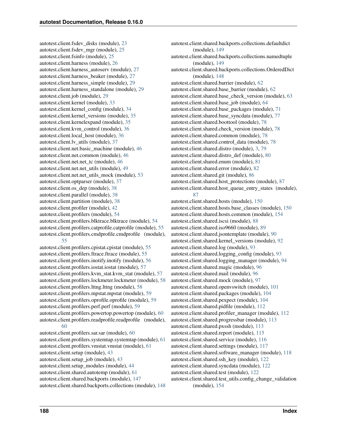autotest.client.fsdev\_disks (module), [23](#page-26-1) autotest.client.fsdev\_mgr (module), [25](#page-28-2) autotest.client.fsinfo (module), [25](#page-28-2) autotest.client.harness (module), [26](#page-29-1) autotest.client.harness\_autoserv (module), [27](#page-30-2) autotest.client.harness\_beaker (module), [27](#page-30-2) autotest.client.harness\_simple (module), [29](#page-32-3) autotest.client.harness\_standalone (module), [29](#page-32-3) autotest.client.job (module), [29](#page-32-3) autotest.client.kernel (module), [33](#page-36-1) autotest.client.kernel\_config (module), [34](#page-37-1) autotest.client.kernel\_versions (module), [35](#page-38-2) autotest.client.kernelexpand (module), [35](#page-38-2) autotest.client.kvm\_control (module), [36](#page-39-2) autotest.client.local\_host (module), [36](#page-39-2) autotest.client.lv\_utils (module), [37](#page-40-2) autotest.client.net.basic\_machine (module), [46](#page-49-3) autotest.client.net.common (module), [46](#page-49-3) autotest.client.net.net tc (module), [46](#page-49-3) autotest.client.net.net\_utils (module), [49](#page-52-1) autotest.client.net.net\_utils\_mock (module), [53](#page-56-1) autotest.client.optparser (module), [37](#page-40-2) autotest.client.os\_dep (module), [38](#page-41-3) autotest.client.parallel (module), [38](#page-41-3) autotest.client.partition (module), [38](#page-41-3) autotest.client.profiler (module), [42](#page-45-1) autotest.client.profilers (module), [54](#page-57-2) autotest.client.profilers.blktrace.blktrace (module), [54](#page-57-2) autotest.client.profilers.catprofile.catprofile (module), [55](#page-58-4) autotest.client.profilers.cmdprofile.cmdprofile (module), [55](#page-58-4) autotest.client.profilers.cpistat.cpistat (module), [55](#page-58-4) autotest.client.profilers.ftrace.ftrace (module), [55](#page-58-4) autotest.client.profilers.inotify.inotify (module), [56](#page-59-1) autotest.client.profilers.iostat.iostat (module), [57](#page-60-2) autotest.client.profilers.kvm\_stat.kvm\_stat (module), [57](#page-60-2) autotest.client.profilers.lockmeter.lockmeter (module), [58](#page-61-2) autotest.client.profilers.lttng.lttng (module), [58](#page-61-2) autotest.client.profilers.mpstat.mpstat (module), [59](#page-62-3) autotest.client.profilers.oprofile.oprofile (module), [59](#page-62-3) autotest.client.profilers.perf.perf (module), [59](#page-62-3) autotest.client.profilers.powertop.powertop (module), [60](#page-63-3) autotest.client.profilers.readprofile.readprofile (module), [60](#page-63-3) autotest.client.profilers.sar.sar (module), [60](#page-63-3)

autotest.client.profilers.systemtap.systemtap (module), [61](#page-64-3) autotest.client.profilers.vmstat.vmstat (module), [61](#page-64-3) autotest.client.setup (module), [43](#page-46-2) autotest.client.setup\_job (module), [43](#page-46-2) autotest.client.setup\_modules (module), [44](#page-47-3) autotest.client.shared.autotemp (module), [61](#page-64-3) autotest.client.shared.backports (module), [147](#page-150-2) autotest.client.shared.backports.collections (module), [148](#page-151-2)

autotest.client.shared.backports.collections.defaultdict (module), [149](#page-152-2) autotest.client.shared.backports.collections.namedtuple (module), [149](#page-152-2) autotest.client.shared.backports.collections.OrderedDict (module), [148](#page-151-2) autotest.client.shared.barrier (module), [62](#page-65-2) autotest.client.shared.base\_barrier (module), [62](#page-65-2) autotest.client.shared.base\_check\_version (module), [63](#page-66-1) autotest.client.shared.base\_job (module), [64](#page-67-1) autotest.client.shared.base\_packages (module), [71](#page-74-1) autotest.client.shared.base\_syncdata (module), [77](#page-80-1) autotest.client.shared.boottool (module), [78](#page-81-4) autotest.client.shared.check\_version (module), [78](#page-81-4) autotest.client.shared.common (module), [78](#page-81-4) autotest.client.shared.control\_data (module), [78](#page-81-4) autotest.client.shared.distro (module), [3,](#page-6-1) [79](#page-82-0) autotest.client.shared.distro\_def (module), [80](#page-83-1) autotest.client.shared.enum (module), [81](#page-84-1) autotest.client.shared.error (module), [82](#page-85-1) autotest.client.shared.git (module), [86](#page-89-1) autotest.client.shared.host\_protections (module), [87](#page-90-2) autotest.client.shared.host\_queue\_entry\_states (module), [87](#page-90-2) autotest.client.shared.hosts (module), [150](#page-153-2) autotest.client.shared.hosts.base\_classes (module), [150](#page-153-2) autotest.client.shared.hosts.common (module), [154](#page-157-2) autotest.client.shared.iscsi (module), [88](#page-91-1) autotest.client.shared.iso9660 (module), [89](#page-92-1) autotest.client.shared.jsontemplate (module), [90](#page-93-1) autotest.client.shared.kernel\_versions (module), [92](#page-95-1) autotest.client.shared.log (module), [93](#page-96-2) autotest.client.shared.logging\_config (module), [93](#page-96-2) autotest.client.shared.logging\_manager (module), [94](#page-97-1) autotest.client.shared.magic (module), [96](#page-99-2) autotest.client.shared.mail (module), [96](#page-99-2) autotest.client.shared.mock (module), [97](#page-100-1) autotest.client.shared.openvswitch (module), [101](#page-104-1) autotest.client.shared.packages (module), [104](#page-107-2) autotest.client.shared.pexpect (module), [104](#page-107-2) autotest.client.shared.pidfile (module), [112](#page-115-2) autotest.client.shared.profiler\_manager (module), [112](#page-115-2) autotest.client.shared.progressbar (module), [113](#page-116-2) autotest.client.shared.pxssh (module), [113](#page-116-2) autotest.client.shared.report (module), [115](#page-118-1) autotest.client.shared.service (module), [116](#page-119-1) autotest.client.shared.settings (module), [117](#page-120-1) autotest.client.shared.software\_manager (module), [118](#page-121-1) autotest.client.shared.ssh\_key (module), [122](#page-125-3) autotest.client.shared.syncdata (module), [122](#page-125-3) autotest.client.shared.test (module), [122](#page-125-3) autotest.client.shared.test\_utils.config\_change\_validation (module), [154](#page-157-2)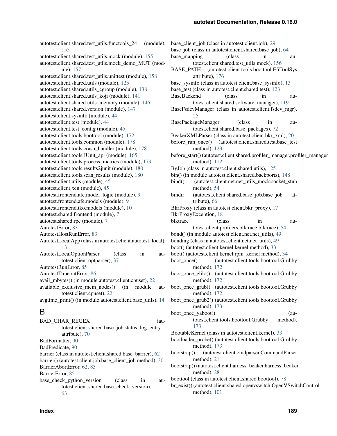autotest.client.shared.test\_utils.functools\_24 (module), [155](#page-158-2) autotest.client.shared.test\_utils.mock (module), [155](#page-158-2) autotest.client.shared.test\_utils.mock\_demo\_MUT (module), [157](#page-160-1) autotest.client.shared.test\_utils.unittest (module), [158](#page-161-1) autotest.client.shared.utils (module), [125](#page-128-1) autotest.client.shared.utils\_cgroup (module), [138](#page-141-1) autotest.client.shared.utils\_koji (module), [141](#page-144-1) autotest.client.shared.utils\_memory (module), [146](#page-149-1) autotest.client.shared.version (module), [147](#page-150-2) autotest.client.sysinfo (module), [44](#page-47-3) autotest.client.test (module), [44](#page-47-3) autotest.client.test\_config (module), [45](#page-48-3) autotest.client.tools.boottool (module), [172](#page-175-1) autotest.client.tools.common (module), [178](#page-181-2) autotest.client.tools.crash\_handler (module), [178](#page-181-2) autotest.client.tools.JUnit\_api (module), [165](#page-168-1) autotest.client.tools.process\_metrics (module), [179](#page-182-1) autotest.client.tools.results2junit (module), [180](#page-183-2) autotest.client.tools.scan\_results (module), [180](#page-183-2) autotest.client.utils (module), [45](#page-48-3) autotest.client.xen (module), [45](#page-48-3) autotest.frontend.afe.model\_logic (module), [9](#page-12-2) autotest.frontend.afe.models (module), [9](#page-12-2) autotest.frontend.tko.models (module), [10](#page-13-1) autotest.shared.frontend (module), [7](#page-10-2) autotest.shared.rpc (module), [7](#page-10-2) AutotestError, [83](#page-86-0) AutotestHostRunError, [83](#page-86-0) AutotestLocalApp (class in autotest.client.autotest\_local), [13](#page-16-2) AutotestLocalOptionParser (class in autotest.client.optparser), [37](#page-40-2) AutotestRunError, [85](#page-88-0) AutotestTimeoutError, [86](#page-89-1) avail\_mbytes() (in module autotest.client.cpuset), [22](#page-25-1) available\_exclusive\_mem\_nodes() (in module autotest.client.cpuset), [22](#page-25-1) avgtime\_print() (in module autotest.client.base\_utils), [14](#page-17-1) B

| <b>BAD_CHAR_REGEX</b>                                      | (au- |
|------------------------------------------------------------|------|
| totest.client.shared.base_job.status_log_entry             |      |
| attribute), 70                                             |      |
| BadFormatter, 90                                           |      |
| BadPredicate, 90                                           |      |
| barrier (class in autotest.client.shared.base_barrier), 62 |      |
| barrier() (autotest.client.job.base_client_job method), 30 |      |
| BarrierAbortError, 62, 83                                  |      |
| BarrierError, 85                                           |      |
| base_check_python_version<br>(class)<br>1n                 | au-  |
| totest.client.shared.base check version),                  |      |
| 63                                                         |      |

base client job (class in autotest.client.job), [29](#page-32-3) base job (class in autotest.client.shared.base job), [64](#page-67-1) base mapping (class in autotest.client.shared.test\_utils.mock), [156](#page-159-0) BASE\_PATH (autotest.client.tools.boottool.EfiToolSys attribute), [176](#page-179-0) base\_sysinfo (class in autotest.client.base\_sysinfo), [13](#page-16-2) base\_test (class in autotest.client.shared.test), [123](#page-126-0) BaseBackend (class in autotest.client.shared.software\_manager), [119](#page-122-0) BaseFsdevManager (class in autotest.client.fsdev\_mgr), [25](#page-28-2) BasePackageManager (class in autotest.client.shared.base\_packages), [72](#page-75-0) BeakerXMLParser (class in autotest.client.bkr\_xml), [20](#page-23-2) before\_run\_once() (autotest.client.shared.test.base\_test method), [123](#page-126-0) before\_start() (autotest.client.shared.profiler\_manager.profiler\_manager method), [112](#page-115-2) BgJob (class in autotest.client.shared.utils), [125](#page-128-1) bin() (in module autotest.client.shared.backports), [148](#page-151-2) bind() (autotest.client.net.net\_utils\_mock.socket\_stub method), [54](#page-57-2) bindir (autotest.client.shared.base\_job.base\_job attribute), [66](#page-69-0) BkrProxy (class in autotest.client.bkr\_proxy), [17](#page-20-1) BkrProxyException, [18](#page-21-0) blktrace (class in autotest.client.profilers.blktrace.blktrace), [54](#page-57-2) bond() (in module autotest.client.net.net\_utils), [49](#page-52-1) bonding (class in autotest.client.net.net\_utils), [49](#page-52-1) boot() (autotest.client.kernel.kernel method), [33](#page-36-1) boot() (autotest.client.kernel.rpm\_kernel method), [34](#page-37-1) boot\_once() (autotest.client.tools.boottool.Grubby method), [172](#page-175-1) boot once elilo() (autotest.client.tools.boottool.Grubby method), [172](#page-175-1) boot\_once\_grub() (autotest.client.tools.boottool.Grubby method), [172](#page-175-1) boot\_once\_grub2() (autotest.client.tools.boottool.Grubby method), [173](#page-176-0) boot\_once\_yaboot() (autotest.client.tools.boottool.Grubby method), [173](#page-176-0) BootableKernel (class in autotest.client.kernel), [33](#page-36-1) bootloader\_probe() (autotest.client.tools.boottool.Grubby method), [173](#page-176-0) bootstrap() (autotest.client.cmdparser.CommandParser method), [21](#page-24-3) bootstrap() (autotest.client.harness\_beaker.harness\_beaker method), [28](#page-31-0) boottool (class in autotest.client.shared.boottool), [78](#page-81-4) br\_exist() (autotest.client.shared.openvswitch.OpenVSwitchControl

method), [101](#page-104-1)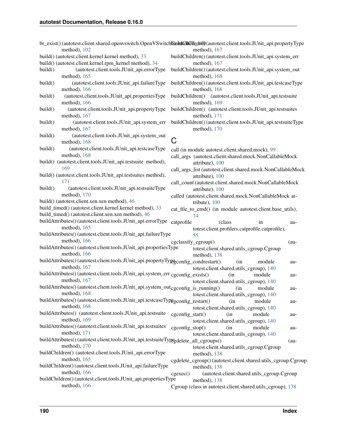| method), 102                                                                                                               | br_exist()(autotest.client.shared.openvswitch.OpenVSwitchbiddfddfddfreh40(autotest.client.tools.JUnit_api.propertyType<br>method), 167 |
|----------------------------------------------------------------------------------------------------------------------------|----------------------------------------------------------------------------------------------------------------------------------------|
| build() (autotest.client.kernel.kernel method), 33                                                                         | buildChildren() (autotest.client.tools.JUnit_api.system_err                                                                            |
| build() (autotest.client.kernel.rpm_kernel method), 34                                                                     | method), 167                                                                                                                           |
| (autotest.client.tools.JUnit_api.errorType<br>build()<br>method), 165                                                      | buildChildren() (autotest.client.tools.JUnit_api.system_out<br>method), 168                                                            |
| build()<br>(autotest.client.tools.JUnit_api.failureType                                                                    | buildChildren() (autotest.client.tools.JUnit_api.testcaseType                                                                          |
| method), 166<br>build()<br>(autotest.client.tools.JUnit_api.propertiesType                                                 | method), 168<br>buildChildren() (autotest.client.tools.JUnit_api.testsuite                                                             |
| method), 166<br>build()<br>(autotest.client.tools.JUnit_api.propertyType                                                   | method), 169<br>buildChildren() (autotest.client.tools.JUnit_api.testsuites                                                            |
| method), 167                                                                                                               | method), 171                                                                                                                           |
| build()<br>(autotest.client.tools.JUnit_api.system_err<br>method), 167                                                     | buildChildren() (autotest.client.tools.JUnit_api.testsuiteType<br>method), 170                                                         |
| build()<br>(autotest.client.tools.JUnit_api.system_out<br>method), 168                                                     | C                                                                                                                                      |
| build()<br>(autotest.client.tools.JUnit_api.testcaseType                                                                   | call (in module autotest.client.shared.mock), 99                                                                                       |
| method), 168<br>build() (autotest.client.tools.JUnit_api.testsuite method),                                                | call_args (autotest.client.shared.mock.NonCallableMock<br>attribute), 100                                                              |
| 169<br>build() (autotest.client.tools.JUnit_api.testsuites method),                                                        | call_args_list (autotest.client.shared.mock.NonCallableMock                                                                            |
| 171                                                                                                                        | attribute), 100                                                                                                                        |
| (autotest.client.tools.JUnit_api.testsuiteType<br>build()                                                                  | call_count (autotest.client.shared.mock.NonCallableMock<br>attribute), 100                                                             |
| method), 170                                                                                                               | called (autotest.client.shared.mock.NonCallableMock at-                                                                                |
| build() (autotest.client.xen.xen method), 46                                                                               | tribute), 100                                                                                                                          |
| build_timed() (autotest.client.kernel.kernel method), 33                                                                   | cat_file_to_cmd() (in module autotest.client.base_utils),                                                                              |
| build_timed() (autotest.client.xen.xen method), 46                                                                         | 14                                                                                                                                     |
| buildAttributes() (autotest.client.tools.JUnit_api.errorType                                                               | catprofile<br>(class)<br>in<br>au-                                                                                                     |
| method), 165                                                                                                               | totest.client.profilers.catprofile.catprofile),                                                                                        |
| buildAttributes() (autotest.client.tools.JUnit_api.failureType<br>method), 166                                             | 55                                                                                                                                     |
| buildAttributes() (autotest.client.tools.JUnit_api.propertiesType                                                          | cgclassify_cgroup()<br>$(au -$                                                                                                         |
| method), 166                                                                                                               | totest.client.shared.utils_cgroup.Cgroup<br>method), 138                                                                               |
| buildAttributes() (autotest.client.tools.JUnit_api.propertyTypegconfig_condrestart()<br>method), 167                       | (in)<br>module<br>au-<br>totest.client.shared.utils_cgroup), 140                                                                       |
| buildAttributes() (autotest.client.tools.JUnit_api.system_err cgconfig_exists()                                            | (in<br>module<br>au-                                                                                                                   |
| method), $167$                                                                                                             | totest.client.shared.utils_cgroup), 140                                                                                                |
| buildAttributes() (autotest.client.tools.JUnit_api.system_out <sub>cgconfig_is_running</sub> () (in module<br>method), 168 | au-<br>totest.client.shared.utils_cgroup), 140                                                                                         |
| buildAttributes() (autotest.client.tools.JUnit_api.testcaseTypggconfig_restart()<br>method), 168                           | (in<br>module<br>au-<br>totest.client.shared.utils_cgroup), 140                                                                        |
| buildAttributes() (autotest.client.tools.JUnit_api.testsuite                                                               | cgconfig_start()<br>module<br>(in                                                                                                      |
| method), 169                                                                                                               | au-<br>totest.client.shared.utils_cgroup), 140                                                                                         |
| buildAttributes() (autotest.client.tools.JUnit_api.testsuites                                                              | cgconfig_stop()<br>(in<br>module<br>au-                                                                                                |
| method), 171                                                                                                               | totest.client.shared.utils_cgroup), 140                                                                                                |
| buildAttributes()(autotest.client.tools.JUnit_api.testsuiteTypegdelete_all_cgroups()                                       | $(au-$                                                                                                                                 |
| method), 170                                                                                                               | totest.client.shared.utils_cgroup.Cgroup                                                                                               |
| buildChildren() (autotest.client.tools.JUnit_api.errorType                                                                 | method), 138                                                                                                                           |
| method), $165$<br>buildChildren() (autotest.client.tools.JUnit_api.failureType                                             | cgdelete_cgroup()(autotest.client.shared.utils_cgroup.Cgroup                                                                           |
| method), 166                                                                                                               | method), 138<br>(autotest.client.shared.utils_cgroup.Cgroup<br>cgexec()                                                                |
| buildChildren() (autotest.client.tools.JUnit_api.propertiesType                                                            | method), 138                                                                                                                           |
| method), 166                                                                                                               | Cgroup (class in autotest.client.shared.utils_cgroup), 138                                                                             |
|                                                                                                                            |                                                                                                                                        |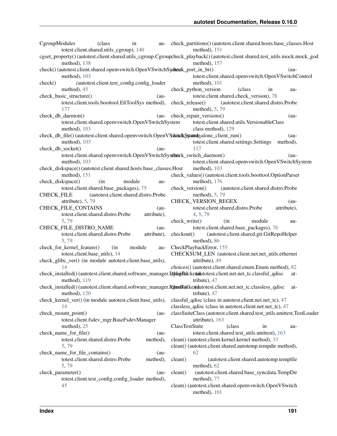|                   | CgroupModules                  | (class<br>totest.client.shared.utils_cgroup), 140                                                                           | in          |         | au- check_partitions()(autotest.client.shared.hosts.base_classes.Host | method), 151                                                            |         |                                           |    |             |  |
|-------------------|--------------------------------|-----------------------------------------------------------------------------------------------------------------------------|-------------|---------|-----------------------------------------------------------------------|-------------------------------------------------------------------------|---------|-------------------------------------------|----|-------------|--|
|                   | method), 138                   | cgset_property()(autotest.client.shared.utils_cgroup.Cgroupcheck_playback()(autotest.client.shared.test_utils.mock.mock_god |             |         |                                                                       | method), 157                                                            |         |                                           |    |             |  |
|                   |                                | check()(autotest.client.shared.openvswitch.OpenVSwitchSystemk_port_in_br()                                                  |             |         |                                                                       |                                                                         |         |                                           |    | $(au-$      |  |
|                   | method), 103                   |                                                                                                                             |             |         |                                                                       | totest.client.shared.openvswitch.OpenVSwitchControl                     |         |                                           |    |             |  |
| check()           |                                | (autotest.client.test_config.config_loader                                                                                  |             |         |                                                                       | method), 101                                                            |         |                                           |    |             |  |
|                   | method), 45                    |                                                                                                                             |             |         |                                                                       | check_python_version                                                    |         | (class                                    | in | au-         |  |
|                   | check_basic_structure()        |                                                                                                                             |             | $(au-$  |                                                                       | totest.client.shared.check_version), 78                                 |         |                                           |    |             |  |
|                   |                                | totest.client.tools.boottool.EfiToolSys method),                                                                            |             |         | check_release()                                                       |                                                                         |         | (autotest.client.shared.distro.Probe      |    |             |  |
|                   | 177                            |                                                                                                                             |             |         |                                                                       | method), 5, 79                                                          |         |                                           |    |             |  |
|                   | check_db_daemon()              |                                                                                                                             |             | $(au-$  |                                                                       | check_repair_versions()                                                 |         |                                           |    | $(au-$      |  |
|                   |                                | totest.client.shared.openvswitch.OpenVSwitchSystem                                                                          |             |         |                                                                       | totest.client.shared.utils.VersionableClass                             |         |                                           |    |             |  |
|                   | method), 103                   |                                                                                                                             |             |         |                                                                       | class method), 129                                                      |         |                                           |    |             |  |
|                   |                                | check_db_file()(autotest.client.shared.openvswitch.OpenVSxhitchSytatednalone_client_run()                                   |             |         |                                                                       |                                                                         |         |                                           |    | $(au-$      |  |
|                   | method), 103                   |                                                                                                                             |             |         |                                                                       | totest.client.shared.settings.Settings                                  |         |                                           |    | method),    |  |
|                   | check_db_socket()              |                                                                                                                             |             | $(au -$ |                                                                       | 117                                                                     |         |                                           |    |             |  |
|                   |                                | totest.client.shared.openvswitch.OpenVSwitchSystherck_switch_daemon()                                                       |             |         |                                                                       |                                                                         |         |                                           |    | $(au-$      |  |
|                   | method), 103                   |                                                                                                                             |             |         |                                                                       | totest.client.shared.openvswitch.OpenVSwitchSystem                      |         |                                           |    |             |  |
|                   |                                | check_diskspace()(autotest.client.shared.hosts.base_classes.Host                                                            |             |         |                                                                       | method), 103                                                            |         |                                           |    |             |  |
|                   | method), 151                   |                                                                                                                             |             |         |                                                                       | check_values() (autotest.client.tools.boottool.OptionParser             |         |                                           |    |             |  |
|                   | check_diskspace()              | (in                                                                                                                         | module      | au-     |                                                                       | method), 176                                                            |         |                                           |    |             |  |
|                   |                                | totest.client.shared.base_packages), 75                                                                                     |             |         | check_version()                                                       |                                                                         |         | (autotest.client.shared.distro.Probe      |    |             |  |
| <b>CHECK_FILE</b> |                                | (autotest.client.shared.distro.Probe                                                                                        |             |         |                                                                       | method), 5, 79                                                          |         |                                           |    |             |  |
|                   | attribute), 5, 79              |                                                                                                                             |             |         |                                                                       | CHECK_VERSION_REGEX                                                     |         |                                           |    | $(au-$      |  |
|                   | CHECK_FILE_CONTAINS            |                                                                                                                             |             | $(au -$ |                                                                       | totest.client.shared.distro.Probe                                       |         |                                           |    | attribute), |  |
|                   |                                | totest.client.shared.distro.Probe                                                                                           | attribute), |         |                                                                       | 4, 5, 79                                                                |         |                                           |    |             |  |
|                   | 5,79                           |                                                                                                                             |             |         | check_write()                                                         |                                                                         | (in     | module                                    |    | au-         |  |
|                   | CHECK_FILE_DISTRO_NAME         |                                                                                                                             |             | $(au -$ |                                                                       | totest.client.shared.base_packages), 76                                 |         |                                           |    |             |  |
|                   |                                | totest.client.shared.distro.Probe                                                                                           | attribute), |         | checkout()                                                            |                                                                         |         | (autotest.client.shared.git.GitRepoHelper |    |             |  |
|                   | 5,79                           |                                                                                                                             |             |         |                                                                       | method), 86                                                             |         |                                           |    |             |  |
|                   | check_for_kernel_feature()     | (in                                                                                                                         | module      | au-     |                                                                       | CheckPlaybackError, 155                                                 |         |                                           |    |             |  |
|                   | totest.client.base_utils), 14  |                                                                                                                             |             |         |                                                                       | CHECKSUM_LEN (autotest.client.net.net_utils.ethernet                    |         |                                           |    |             |  |
|                   |                                | check_glibc_ver() (in module autotest.client.base_utils),                                                                   |             |         |                                                                       | attribute), 49                                                          |         |                                           |    |             |  |
|                   | 14                             |                                                                                                                             |             |         |                                                                       | choices() (autotest.client.shared.enum.Enum method), 82                 |         |                                           |    |             |  |
|                   |                                | check_installed()(autotest.client.shared.software_manager.DthssBuckenalutotest.client.net.net_tc.classful_qdisc             |             |         |                                                                       |                                                                         |         |                                           |    | at-         |  |
|                   | method), 119                   |                                                                                                                             |             |         |                                                                       | tribute), 47                                                            |         |                                           |    |             |  |
|                   | method), 120                   | check_installed()(autotest.client.shared.software_manager.Rhanffatken(dutotest.client.net.net_tc.classless_qdisc at-        |             |         |                                                                       | tribute), $47$                                                          |         |                                           |    |             |  |
|                   |                                | check_kernel_ver() (in module autotest.client.base_utils),                                                                  |             |         |                                                                       | classful_qdisc (class in autotest.client.net.net_tc), 47                |         |                                           |    |             |  |
|                   | 14                             |                                                                                                                             |             |         |                                                                       | classless_qdisc (class in autotest.client.net.net_tc), 47               |         |                                           |    |             |  |
|                   | check_mount_point()            |                                                                                                                             |             | $(au-$  |                                                                       | classSuiteClass (autotest.client.shared.test_utils.unittest.TestLoader  |         |                                           |    |             |  |
|                   |                                | totest.client.fsdev_mgr.BaseFsdevManager                                                                                    |             |         |                                                                       | attribute), 163                                                         |         |                                           |    |             |  |
|                   | method), $25$                  |                                                                                                                             |             |         | ClassTestSuite                                                        |                                                                         | (class) |                                           | in | au-         |  |
|                   | check_name_for_file()          |                                                                                                                             |             | $(au-$  |                                                                       | totest.client.shared.test_utils.unittest), 163                          |         |                                           |    |             |  |
|                   |                                | totest.client.shared.distro.Probe                                                                                           | method),    |         |                                                                       | clean() (autotest.client.kernel.kernel method), 33                      |         |                                           |    |             |  |
|                   | 5,79                           |                                                                                                                             |             |         |                                                                       | clean() (autotest.client.shared.autotemp.tempdir method),               |         |                                           |    |             |  |
|                   | check_name_for_file_contains() |                                                                                                                             |             | $(au-$  |                                                                       | 62                                                                      |         |                                           |    |             |  |
|                   |                                | totest.client.shared.distro.Probe                                                                                           | method),    |         | clean()                                                               |                                                                         |         | (autotest.client.shared.autotemp.tempfile |    |             |  |
|                   | 5,79                           |                                                                                                                             |             |         |                                                                       | method), 62                                                             |         |                                           |    |             |  |
|                   | check_parameter()              |                                                                                                                             |             | $(au-$  | clean()                                                               | (autotest.client.shared.base_syncdata.TempDir                           |         |                                           |    |             |  |
|                   |                                | totest.client.test_config.config_loader method),                                                                            |             |         |                                                                       | method), 77                                                             |         |                                           |    |             |  |
|                   | 45                             |                                                                                                                             |             |         |                                                                       | clean() (autotest.client.shared.openvswitch.OpenVSwitch<br>method), 101 |         |                                           |    |             |  |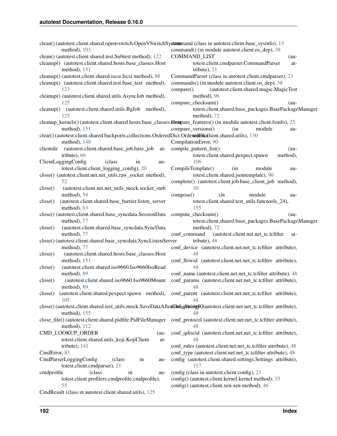| clean() (autotest.client.shared.openvswitch.OpenVSwitchSystemmand (class in autotest.client.base_sysinfo), 13<br>method), $103$ | command() (in module autotest.client.os_dep), 38                                                              |
|---------------------------------------------------------------------------------------------------------------------------------|---------------------------------------------------------------------------------------------------------------|
| clean() (autotest.client.shared.test.Subtest method), 122                                                                       | <b>COMMAND_LIST</b><br>$(au-$                                                                                 |
| cleanup() (autotest.client.shared.hosts.base_classes.Host<br>method), 151                                                       | totest.client.cmdparser.CommandParser<br>at-<br>tribute), 21                                                  |
| cleanup() (autotest.client.shared.iscsi.Iscsi method), 88                                                                       | CommandParser (class in autotest.client.cmdparser), 21                                                        |
| cleanup() (autotest.client.shared.test.base_test method),                                                                       | commands() (in module autotest.client.os_dep), 38                                                             |
| 123                                                                                                                             |                                                                                                               |
|                                                                                                                                 | (autotest.client.shared.magic.MagicTest<br>compare()                                                          |
| cleanup() (autotest.client.shared.utils.AsyncJob method),                                                                       | method), 96                                                                                                   |
| 125                                                                                                                             | compare_checksum()<br>$(au-$                                                                                  |
| (autotest.client.shared.utils.BgJob method),<br>cleanup()<br>125                                                                | totest.client.shared.base_packages.BasePackageManager<br>method), 72                                          |
| cleanup_kernels() (autotest.client.shared.hosts.base_classes.ltompare_features() (in module autotest.client.fsinfo), 25         |                                                                                                               |
| method), $151$                                                                                                                  | compare_versions()<br>(in<br>module<br>au-                                                                    |
| clear() (autotest.client.shared.backports.collections.OrderedDict.OrdenedDictlient.shared.utils), 130                           |                                                                                                               |
| method), $148$                                                                                                                  | CompilationError, 90                                                                                          |
| (autotest.client.shared.base_job.base_job<br>clientdir<br>at-                                                                   | compile_pattern_list()<br>$(au-$                                                                              |
| tribute), 66                                                                                                                    | totest.client.shared.pexpect.spawn<br>method),                                                                |
| ClientLoggingConfig<br>(class)<br>in<br>au-                                                                                     | 106                                                                                                           |
| totest.client.client_logging_config), 20                                                                                        | CompileTemplate()<br>module<br>(in<br>au-                                                                     |
| close() (autotest.client.net.net_utils.raw_socket method),                                                                      | totest.client.shared.jsontemplate), 90                                                                        |
| 52                                                                                                                              | complete() (autotest.client.job.base_client_job method),                                                      |
| (autotest.client.net.net_utils_mock.socket_stub<br>close()                                                                      | 30                                                                                                            |
| method), 54                                                                                                                     | compose()<br>module<br>(in<br>au-                                                                             |
| (autotest.client.shared.base_barrier.listen_server<br>close()                                                                   | totest.client.shared.test_utils.functools_24),                                                                |
| method), 63                                                                                                                     | 155                                                                                                           |
| close() (autotest.client.shared.base_syncdata.SessionData compute_checksum()                                                    | $(au-$                                                                                                        |
| method), 77                                                                                                                     | totest.client.shared.base_packages.BasePackageManager                                                         |
|                                                                                                                                 | method), 72                                                                                                   |
| (autotest.client.shared.base_syncdata.SyncData<br>close()                                                                       |                                                                                                               |
| method), 77                                                                                                                     | conf_command<br>(autotest.client.net.net_tc.tcfilter<br>at-                                                   |
| close()(autotest.client.shared.base_syncdata.SyncListenServer                                                                   | tribute), 48                                                                                                  |
| method), 77                                                                                                                     | conf_device (autotest.client.net.net_tc.tcfilter attribute),                                                  |
| (autotest.client.shared.hosts.base_classes.Host<br>close()                                                                      | 48                                                                                                            |
| method), 151                                                                                                                    | conf_flowid (autotest.client.net.net_tc.tcfilter attribute),                                                  |
| (autotest.client.shared.iso9660.Iso9660IsoRead<br>close()                                                                       | 48                                                                                                            |
| method), 89                                                                                                                     | conf_name (autotest.client.net.net_tc.tcfilter attribute), 48                                                 |
| (autotest.client.shared.iso9660.Iso9660Mount<br>close()                                                                         | conf_params (autotest.client.net.net_tc.tcfilter attribute),                                                  |
| method), 89                                                                                                                     | 48                                                                                                            |
| close()<br>105                                                                                                                  | (autotest.client.shared.pexpect.spawn method), conf_parent (autotest.client.net_tc.tcfilter attribute),<br>48 |
| close()(autotest.client.shared.test_utils.mock.SaveDataAfterColnfsgotionigyQautotest.client.net.net_tc.tcfilter attribute),     |                                                                                                               |
| method), 155                                                                                                                    | 48                                                                                                            |
| close_file() (autotest.client.shared.pidfile.PidFileManager<br>method), 112                                                     | conf_protocol (autotest.client.net.net_tc.tcfilter attribute),<br>48                                          |
| CMD_LOOKUP_ORDER<br>$(au-$                                                                                                      | conf_qdiscid (autotest.client.net.net_tc.tcfilter attribute),                                                 |
| totest.client.shared.utils_koji.KojiClient<br>at-                                                                               | 48                                                                                                            |
| tribute), 141                                                                                                                   | conf_rules (autotest.client.net.net_tc.tcfilter attribute), 48                                                |
| CmdError, 83                                                                                                                    | conf_type (autotest.client.net.net_tc.tcfilter attribute), 48                                                 |
| CmdParserLoggingConfig<br>(class)<br>in<br>au-                                                                                  | config (autotest.client.shared.settings.Settings attribute),                                                  |
|                                                                                                                                 | 117                                                                                                           |
| totest.client.cmdparser), 21                                                                                                    |                                                                                                               |
| cmdprofile<br>(class)<br>in<br>au-<br>totest.client.profilers.cmdprofile.cmdprofile),                                           | config (class in autotest.client.config), 21                                                                  |
|                                                                                                                                 | config() (autotest.client.kernel.kernel method), 33                                                           |
| 55                                                                                                                              | config() (autotest.client.xen.xen method), 46                                                                 |
| CmdResult (class in autotest.client.shared.utils), 125                                                                          |                                                                                                               |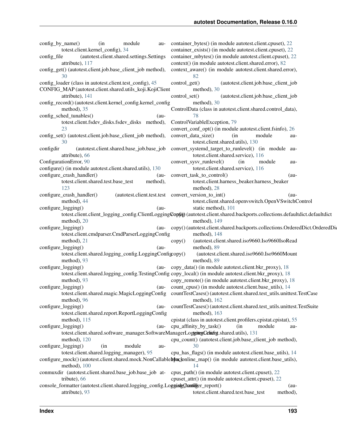| config_by_name()                                                                    | (in<br>module<br>totest.client.kernel_config), 34       | au-                | container_bytes() (in module autotest.client.cpuset), 22<br>container_exists() (in module autotest.client.cpuset), 22         |
|-------------------------------------------------------------------------------------|---------------------------------------------------------|--------------------|-------------------------------------------------------------------------------------------------------------------------------|
| config_file<br>attribute), 117                                                      | (autotest.client.shared.settings.Settings               |                    | container_mbytes() (in module autotest.client.cpuset), 22<br>context() (in module autotest.client.shared.error), 82           |
| config_get() (autotest.client.job.base_client_job method),                          |                                                         |                    | context_aware() (in module autotest.client.shared.error),                                                                     |
| 30                                                                                  |                                                         |                    | 82                                                                                                                            |
| config_loader (class in autotest.client.test_config), 45                            |                                                         |                    | control_get()<br>(autotest.client.job.base_client_job                                                                         |
| CONFIG_MAP (autotest.client.shared.utils_koji.KojiClient                            |                                                         |                    | method), 30                                                                                                                   |
| attribute), 141                                                                     |                                                         |                    | control set()<br>(autotest.client.job.base_client_job                                                                         |
| config_record()(autotest.client.kernel_config.kernel_config                         |                                                         |                    | method), 30                                                                                                                   |
| method), 35                                                                         |                                                         |                    | ControlData (class in autotest.client.shared.control_data),                                                                   |
| config_sched_tunables()                                                             |                                                         | $(au-$             | 78                                                                                                                            |
|                                                                                     | totest.client.fsdev_disks.fsdev_disks method),          |                    | ControlVariableException, 79                                                                                                  |
| 23                                                                                  |                                                         |                    | convert_conf_opt() (in module autotest.client.fsinfo), 26                                                                     |
| config_set() (autotest.client.job.base_client_job method),                          |                                                         |                    | convert_data_size()<br>module<br>(in<br>au-                                                                                   |
| 30                                                                                  |                                                         |                    | totest.client.shared.utils), 130                                                                                              |
| configdir                                                                           | (autotest.client.shared.base_job.base_job               |                    | convert_systemd_target_to_runlevel() (in module au-                                                                           |
| attribute), 66                                                                      |                                                         |                    | totest.client.shared.service), 116                                                                                            |
| ConfigurationError, 90                                                              |                                                         |                    | convert_sysv_runlevel()<br>(in<br>module                                                                                      |
| configure() (in module autotest.client.shared.utils), 130                           |                                                         |                    | au-<br>totest.client.shared.service), 116                                                                                     |
| configure_crash_handler()                                                           |                                                         |                    | convert_task_to_control()<br>$(au-$                                                                                           |
|                                                                                     | totest.client.shared.test.base_test                     | $(au-$<br>method), | totest.client.harness_beaker.harness_beaker                                                                                   |
| 123                                                                                 |                                                         |                    | method), 28                                                                                                                   |
| configure_crash_handler()                                                           |                                                         |                    | (autotest.client.test.test convert_version_to_int()<br>$(au-$                                                                 |
| method), 44                                                                         |                                                         |                    | totest.client.shared.openvswitch.OpenVSwitchControl                                                                           |
| configure_logging()                                                                 |                                                         | $(au-$             | static method), 101                                                                                                           |
|                                                                                     |                                                         |                    | totest.client.client_logging_config.ClientLoggingCopfig (autotest.client.shared.backports.collections.defaultdict.defaultdict |
| method), 20                                                                         |                                                         |                    | method), 149                                                                                                                  |
| configure_logging()                                                                 |                                                         |                    | (au-copy() (autotest.client.shared.backports.collections.OrderedDict.OrderedDic                                               |
|                                                                                     | totest.client.cmdparser.CmdParserLoggingConfig          |                    | method), 148                                                                                                                  |
| method), 21                                                                         |                                                         |                    | (autotest.client.shared.iso9660.Iso9660IsoRead<br>copy()                                                                      |
| configure_logging()                                                                 |                                                         | $(au-$             | method), 89                                                                                                                   |
|                                                                                     | totest.client.shared.logging_config.LoggingConfigcopy() |                    | (autotest.client.shared.iso9660.Iso9660Mount                                                                                  |
| method), 93                                                                         |                                                         |                    | method), 89                                                                                                                   |
| configure_logging()                                                                 |                                                         |                    | (au-copy_data() (in module autotest.client.bkr_proxy), 18                                                                     |
|                                                                                     |                                                         |                    | totest.client.shared.logging_config.TestingConfig copy_local() (in module autotest.client.bkr_proxy), 18                      |
| method), 93                                                                         |                                                         |                    | copy_remote() (in module autotest.client.bkr_proxy), 18                                                                       |
| configure_logging()                                                                 |                                                         |                    | (au- count_cpus() (in module autotest.client.base_utils), 14                                                                  |
|                                                                                     |                                                         |                    | totest.client.shared.magic.MagicLoggingConfig countTestCases()(autotest.client.shared.test_utils.unittest.TestCase            |
| method), 96                                                                         |                                                         |                    | method), 162                                                                                                                  |
| configure_logging()                                                                 |                                                         | $(au-$             | countTestCases()(autotest.client.shared.test_utils.unittest.TestSuite                                                         |
|                                                                                     | totest.client.shared.report.ReportLoggingConfig         |                    | method), $163$                                                                                                                |
| method), $115$                                                                      |                                                         |                    | cpistat (class in autotest.client.profilers.cpistat.cpistat), 55                                                              |
| configure_logging()                                                                 |                                                         | $(au-$             | cpu_affinity_by_task()<br>(in<br>module<br>au-                                                                                |
|                                                                                     |                                                         |                    | totest.client.shared.software_manager.SoftwareManagerLoggitegCclinfigt.shared.utils), 131                                     |
| method), $120$                                                                      |                                                         |                    | cpu_count() (autotest.client.job.base_client_job method),                                                                     |
| configure_logging()                                                                 | module<br>(in                                           | au-                | 30                                                                                                                            |
|                                                                                     | totest.client.shared.logging_manager), 95               |                    | cpu_has_flags() (in module autotest.client.base_utils), 14                                                                    |
|                                                                                     |                                                         |                    | configure_mock() (autotest.client.shared.mock.NonCallablebfoxclonline_map() (in module autotest.client.base_utils),           |
| method), 100                                                                        |                                                         |                    | 14                                                                                                                            |
| conmuxdir (autotest.client.shared.base_job.base_job at-                             |                                                         |                    | cpus_path() (in module autotest.client.cpuset), 22                                                                            |
| tribute), 66                                                                        |                                                         |                    | cpuset_attr() (in module autotest.client.cpuset), 22                                                                          |
| console_formatter (autotest.client.shared.logging_config.LoggingQranfilger_report() |                                                         |                    | $(au-$                                                                                                                        |
| attribute), 93                                                                      |                                                         |                    | totest.client.shared.test.base_test<br>method),                                                                               |
|                                                                                     |                                                         |                    |                                                                                                                               |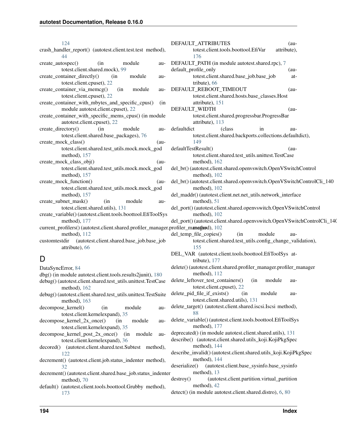[124](#page-127-0) crash\_handler\_report() (autotest.client.test.test method [44](#page-47-3) create\_autospec() (in module totest.client.shared.mock), [99](#page-102-0) create container directly() (in module totest.client.cpuset), [22](#page-25-1) create\_container\_via\_memcg() (in module totest.client.cpuset), [22](#page-25-1) create\_container\_with\_mbytes\_and\_specific\_cpus() (in module autotest.client.cpuset), [22](#page-25-1) create\_container\_with\_specific\_mems\_cpus() (in mod autotest.client.cpuset), [22](#page-25-1)  $create\_directory()$  (in module totest.client.shared.base\_packages), [76](#page-79-0) create\_mock\_class() totest.client.shared.test\_utils.mock.mock\_god method), [157](#page-160-1) create\_mock\_class\_obj() (autotest.client.shared.test\_utils.mock.mock\_god method), [157](#page-160-1) create mock function() (and  $\alpha$ totest.client.shared.test\_utils.mock.mock\_god method), [157](#page-160-1) create\_subnet\_mask() (in module totest.client.shared.utils), [131](#page-134-0) create\_variable() (autotest.client.tools.boottool.EfiTool method), [177](#page-180-0) current\_profilers() (autotest.client.shared.profiler\_mana method), [112](#page-115-2) customtestdir (autotest.client.shared.base\_job.base\_job attribute), [66](#page-69-0) D DataSyncError, [84](#page-87-0) dbg() (in module autotest.client.tools.results2junit), 18

- debug() (autotest.client.shared.test\_utils.unittest.TestCase method), [162](#page-165-0) debug() (autotest.client.shared.test\_utils.unittest.TestSu
- method), [163](#page-166-0)
- decompose\_kernel() (in module totest.client.kernelexpand), [35](#page-38-2)
- $decompose\_kernel_2x\_once()$  (in module totest.client.kernelexpand), [35](#page-38-2)
- decompose kernel post  $2x$  once() (in module totest.client.kernelexpand), [36](#page-39-2)
- decored() (autotest.client.shared.test.Subtest method [122](#page-125-3)
- decrement() (autotest.client.job.status\_indenter method [32](#page-35-0)
- decrement() (autotest.client.shared.base\_job.status\_ind method), [70](#page-73-0)
- default() (autotest.client.tools.boottool.Grubby method), [173](#page-176-0)

|            | DEFAULT_ATTRIBUTES<br>$(au-$                                                     |
|------------|----------------------------------------------------------------------------------|
| d),        | totest.client.tools.boottool.EfiVar<br>attribute),                               |
|            | 176                                                                              |
| au-        | DEFAULT_PATH (in module autotest.shared.rpc), 7                                  |
|            | default_profile_only<br>(au-                                                     |
| au-        | totest.client.shared.base_job.base_job<br>at-                                    |
|            | tribute), 66                                                                     |
| au-        | DEFAULT_REBOOT_TIMEOUT<br>$(au-$                                                 |
|            | totest.client.shared.hosts.base_classes.Host                                     |
| (in        | attribute), 151                                                                  |
|            | DEFAULT_WIDTH<br>(au-                                                            |
| ule        | totest.client.shared.progressbar.ProgressBar                                     |
|            | attribute), 113                                                                  |
| au-        | defaultdict<br>(class<br>in<br>au-                                               |
|            | totest.client.shared.backports.collections.defaultdict),                         |
| au-        | 149                                                                              |
| d          | defaultTestResult()<br>(au-                                                      |
|            | totest.client.shared.test_utils.unittest.TestCase                                |
| au-        | method), 162                                                                     |
| d          | del_br() (autotest.client.shared.openvswitch.OpenVSwitchControl                  |
|            | method), 102                                                                     |
| au-        | del_br()(autotest.client.shared.openvswitch.OpenVSwitchControlCli_140            |
| d          | method), 102                                                                     |
|            | del_maddr()(autotest.client.net.net_utils.network_interface                      |
| au-        | method), 51                                                                      |
| <b>Sys</b> | del_port()(autotest.client.shared.openvswitch.OpenVSwitchControl<br>method), 102 |
|            | del_port()(autotest.client.shared.openvswitch.OpenVSwitchControlCli_140          |
|            | ager.profiler_manathend), 102                                                    |
|            | del_temp_file_copies()<br>module<br>(in<br>au-                                   |
| job        | totest.client.shared.test_utils.config_change_validation),                       |
|            | 155                                                                              |
|            | DEL_VAR (autotest.client.tools.boottool.EfiToolSys at-                           |
|            | tribute), 177                                                                    |
|            | delete()(autotest.client.shared.profiler_manager.profiler_manager                |
| :0         | method), 112                                                                     |
| ase        | delete_leftover_test_containers()<br>module<br>(in<br>au-                        |
|            | totest.client.cpuset), 22                                                        |
| uite       | delete_pid_file_if_exists()<br>module<br>(in<br>au-                              |
|            | totest.client.shared.utils), 131                                                 |
| au-        | delete_target() (autotest.client.shared.iscsi.Iscsi method),                     |
|            | 88                                                                               |
| au-        | delete_variable()(autotest.client.tools.boottool.EfiToolSys                      |
|            | method), 177                                                                     |
| au-        | deprecated() (in module autotest.client.shared.utils), 131                       |
|            | describe() (autotest.client.shared.utils_koji.KojiPkgSpec                        |
| d),        | method), 144                                                                     |
|            | describe_invalid()(autotest.client.shared.utils_koji.KojiPkgSpec                 |
| d),        | method), 144                                                                     |
|            | deserialize()<br>(autotest.client.base_sysinfo.base_sysinfo                      |
| lenter     | method), 13                                                                      |
|            | destroy()<br>(autotest.client.partition.virtual_partition<br>method), 42         |
| d),        |                                                                                  |

detect() (in module autotest.client.shared.distro), [6,](#page-9-0) [80](#page-83-1)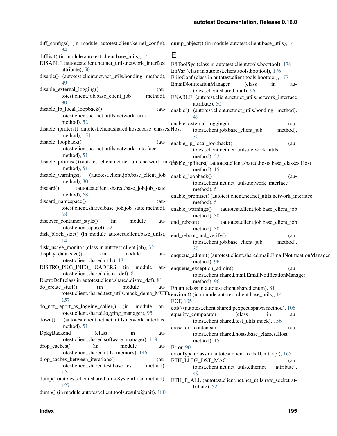diff\_configs() (in module autotest.client.kernel\_config), dump\_object() (in module autotest.client.base\_utils), [14](#page-17-1) [34](#page-37-1) difflist() (in module autotest.client.base\_utils), [14](#page-17-1) DISABLE (autotest.client.net.net\_utils.network\_interface attribute), [50](#page-53-0) disable() (autotest.client.net.net utils.bonding method), [49](#page-52-1) disable external logging() (autotest.client.job.base\_client\_job method), [30](#page-33-0) disable\_ip\_local\_loopback() (autotest.client.net.net\_utils.network\_utils method), [52](#page-55-0) disable\_ipfilters() (autotest.client.shared.hosts.base\_classes.Host method), [151](#page-154-0) disable\_loopback() (autotest.client.net.net\_utils.network\_interface method), [51](#page-54-0) disable\_promisc() (autotest.client.net.net\_utils.network\_interface=ipfilters() (autotest.client.shared.hosts.base\_classes.Host method), [51](#page-54-0) disable\_warnings() (autotest.client.job.base\_client\_job method), [30](#page-33-0) discard() (autotest.client.shared.base\_job.job\_state method), [68](#page-71-0) discard namespace() (autotest.client.shared.base\_job.job\_state method), [68](#page-71-0) discover\_container\_style() (in module autotest.client.cpuset), [22](#page-25-1) disk\_block\_size() (in module autotest.client.base\_utils), [14](#page-17-1) disk usage monitor (class in autotest.client.job), [32](#page-35-0) display\_data\_size() (in module autotest.client.shared.utils), [131](#page-134-0) DISTRO\_PKG\_INFO\_LOADERS (in module autotest.client.shared.distro\_def), [81](#page-84-1) DistroDef (class in autotest.client.shared.distro\_def), [81](#page-84-1) do\_create\_stuff() (in module autotest.client.shared.test\_utils.mock\_demo\_MUT), environ() (in module autotest.client.base\_utils), [14](#page-17-1) [157](#page-160-1) do\_not\_report\_as\_logging\_caller() (in module autotest.client.shared.logging\_manager), [95](#page-98-0) down() (autotest.client.net.net\_utils.network\_interface method), [51](#page-54-0) DpkgBackend (class in autotest.client.shared.software\_manager), [119](#page-122-0) drop\_caches() (in module autotest.client.shared.utils\_memory), [146](#page-149-1) drop caches between iterations() (autotest.client.shared.test.base\_test method), [124](#page-127-0) dump() (autotest.client.shared.utils.SystemLoad method), [127](#page-130-0) dump() (in module autotest.client.tools.results2junit), [180](#page-183-2) E EfiToolSys (class in autotest.client.tools.boottool), [176](#page-179-0) EfiVar (class in autotest.client.tools.boottool), [176](#page-179-0) EliloConf (class in autotest.client.tools.boottool), [177](#page-180-0) EmailNotificationManager (class in autotest.client.shared.mail), [96](#page-99-2) ENABLE (autotest.client.net.net\_utils.network\_interface attribute), [50](#page-53-0) enable() (autotest.client.net.net\_utils.bonding method), [49](#page-52-1) enable\_external\_logging() (autotest.client.job.base\_client\_job method), [30](#page-33-0) enable ip local loopback() (autotest.client.net.net\_utils.network\_utils method), [52](#page-55-0) method), [151](#page-154-0) enable\_loopback() (autotest.client.net.net\_utils.network\_interface method), [51](#page-54-0) enable\_promisc() (autotest.client.net.net\_utils.network\_interface method), [51](#page-54-0) enable\_warnings() (autotest.client.job.base\_client\_job method), [30](#page-33-0) end\_reboot() (autotest.client.job.base\_client\_job method), [30](#page-33-0) end\_reboot\_and\_verify() (autotest.client.job.base\_client\_job method), [30](#page-33-0) enqueue\_admin() (autotest.client.shared.mail.EmailNotificationManager method), [96](#page-99-2) enqueue exception admin() (autotest.client.shared.mail.EmailNotificationManager method), [96](#page-99-2) Enum (class in autotest.client.shared.enum), [81](#page-84-1) EOF, [105](#page-108-0) eof() (autotest.client.shared.pexpect.spawn method), [106](#page-109-0) equality\_comparator (class in autotest.client.shared.test\_utils.mock), [156](#page-159-0) erase\_dir\_contents() (autotest.client.shared.hosts.base\_classes.Host method), [151](#page-154-0) Error, [90](#page-93-1) errorType (class in autotest.client.tools.JUnit\_api), [165](#page-168-1) ETH\_LLDP\_DST\_MAC (autotest.client.net.net\_utils.ethernet attribute), [49](#page-52-1) ETH\_P\_ALL (autotest.client.net.net\_utils.raw\_socket attribute), [52](#page-55-0)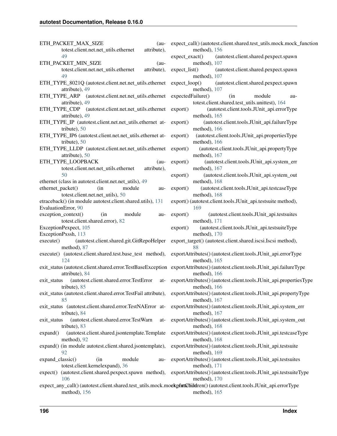ETH\_PACKET\_MAX\_SIZE (autotest.client.net.net\_utils.ethernet attribute), [49](#page-52-1) ETH\_PACKET\_MIN\_SIZE (autotest.client.net.net\_utils.ethernet attribute), [49](#page-52-1) ETH\_TYPE\_8021Q (autotest.client.net.net\_utils.ethernet\_expect\_loop() attribute), [49](#page-52-1) attribute), [49](#page-52-1) ETH\_TYPE\_CDP (autotest.client.net.net\_utils.ethernet attribute), [49](#page-52-1) ETH\_TYPE\_IP (autotest.client.net.net\_utils.ethernet attribute), [50](#page-53-0) ETH\_TYPE\_IP6 (autotest.client.net.net\_utils.ethernet attribute), [50](#page-53-0) ETH\_TYPE\_LLDP (autotest.client.net.net\_utils.ethernet attribute), [50](#page-53-0) ETH\_TYPE\_LOOPBACK (autotest.client.net.net\_utils.ethernet attribute), [50](#page-53-0) ethernet (class in autotest.client.net.net\_utils), [49](#page-52-1) ethernet\_packet() (in module autotest.client.net.net\_utils), [50](#page-53-0) etraceback() (in module autotest.client.shared.utils), [131](#page-134-0) EvaluationError, [90](#page-93-1) exception\_context() (in module autotest.client.shared.error), [82](#page-85-1) ExceptionPexpect, [105](#page-108-0) ExceptionPxssh, [113](#page-116-2) execute() (autotest.client.shared.git.GitRepoHelper method), [87](#page-90-2) execute() (autotest.client.shared.test.base\_test method), [124](#page-127-0) attribute), [84](#page-87-0) exit status (autotest.client.shared.error.TestError attribute), [85](#page-88-0) exit status (autotest.client.shared.error.TestFail attribute), [85](#page-88-0) exit status (autotest.client.shared.error.TestNAError attribute), [84](#page-87-0) exit status (autotest.client.shared.error.TestWarn attribute), [83](#page-86-0) expand() (autotest.client.shared.jsontemplate.Template method), [92](#page-95-1) expand() (in module autotest.client.shared.jsontemplate), [92](#page-95-1) expand\_classic() (in module autotest.client.kernelexpand), [36](#page-39-2) [106](#page-109-0) method), [156](#page-159-0)

ETH\_TYPE\_ARP (autotest.client.net.net\_utils.ethernet expectedFailure() (in module auexit\_status (autotest.client.shared.error.TestBaseException exportAttributes() (autotest.client.tools.JUnit\_api.failureType expect() (autotest.client.shared.pexpect.spawn method), exportAttributes() (autotest.client.tools.JUnit\_api.testsuiteType expect\_call() (autotest.client.shared.test\_utils.mock.mock\_function method), [156](#page-159-0) expect\_exact() (autotest.client.shared.pexpect.spawn method), [107](#page-110-0) expect\_list() (autotest.client.shared.pexpect.spawn method), [107](#page-110-0) (autotest.client.shared.pexpect.spawn method), [107](#page-110-0) totest.client.shared.test\_utils.unittest), [164](#page-167-0) (autotest.client.tools.JUnit\_api.errorType method), [165](#page-168-1) export() (autotest.client.tools.JUnit\_api.failureType method), [166](#page-169-0) export() (autotest.client.tools.JUnit\_api.propertiesType method), [166](#page-169-0) export() (autotest.client.tools.JUnit\_api.propertyType method), [167](#page-170-0) export() (autotest.client.tools.JUnit\_api.system\_err method), [167](#page-170-0) export() (autotest.client.tools.JUnit\_api.system\_out method), [168](#page-171-0) export() (autotest.client.tools.JUnit\_api.testcaseType method), [168](#page-171-0) export() (autotest.client.tools.JUnit\_api.testsuite method), [169](#page-172-0) export() (autotest.client.tools.JUnit\_api.testsuites method), [171](#page-174-0) export() (autotest.client.tools.JUnit\_api.testsuiteType method), [170](#page-173-0) export target() (autotest.client.shared.iscsi.Iscsi method), [88](#page-91-1) exportAttributes() (autotest.client.tools.JUnit\_api.errorType method), [165](#page-168-1) method), [166](#page-169-0) exportAttributes() (autotest.client.tools.JUnit\_api.propertiesType method), [166](#page-169-0) exportAttributes() (autotest.client.tools.JUnit\_api.propertyType method), [167](#page-170-0) exportAttributes() (autotest.client.tools.JUnit\_api.system\_err method), [167](#page-170-0) exportAttributes() (autotest.client.tools.JUnit\_api.system\_out method), [168](#page-171-0) exportAttributes() (autotest.client.tools.JUnit\_api.testcaseType method), [168](#page-171-0) exportAttributes() (autotest.client.tools.JUnit\_api.testsuite method), [169](#page-172-0) exportAttributes() (autotest.client.tools.JUnit\_api.testsuites method), [171](#page-174-0) method), [170](#page-173-0)

expect\_any\_call() (autotest.client.shared.test\_utils.mock.mockpctrtchiddren() (autotest.client.tools.JUnit\_api.errorType method), [165](#page-168-1)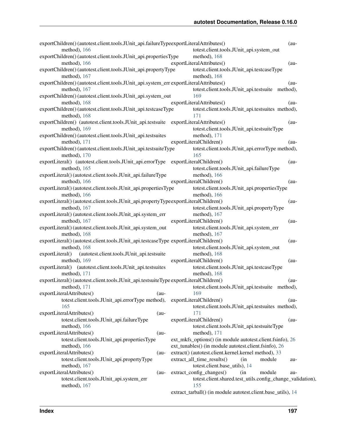| exportChildren() (autotest.client.tools.JUnit_api.failureTypeexportLiteralAttributes() |                                                              | $(au-$  |
|----------------------------------------------------------------------------------------|--------------------------------------------------------------|---------|
| method), 166                                                                           | totest.client.tools.JUnit_api.system_out                     |         |
| exportChildren() (autotest.client.tools.JUnit_api.propertiesType                       | method), 168                                                 |         |
| method), 166                                                                           | exportLiteralAttributes()                                    | $(au -$ |
| exportChildren() (autotest.client.tools.JUnit_api.propertyType                         | totest.client.tools.JUnit_api.testcaseType                   |         |
| method), 167                                                                           | method), 168                                                 |         |
| exportChildren() (autotest.client.tools.JUnit_api.system_err exportLiteralAttributes() |                                                              | $(au-$  |
| method), $167$                                                                         | totest.client.tools.JUnit_api.testsuite method),             |         |
| exportChildren() (autotest.client.tools.JUnit_api.system_out                           | 169                                                          |         |
| method), 168                                                                           | exportLiteralAttributes()                                    | $(au-$  |
| exportChildren() (autotest.client.tools.JUnit_api.testcaseType                         | totest.client.tools.JUnit_api.testsuites method),            |         |
| method), 168                                                                           | 171                                                          |         |
| exportChildren() (autotest.client.tools.JUnit_api.testsuite exportLiteralAttributes()  |                                                              | $(au-$  |
| method), 169                                                                           | totest.client.tools.JUnit_api.testsuiteType                  |         |
| exportChildren() (autotest.client.tools.JUnit_api.testsuites                           | method), 171                                                 |         |
| method), 171                                                                           | exportLiteralChildren()                                      | $(au-$  |
| exportChildren() (autotest.client.tools.JUnit_api.testsuiteType                        | totest.client.tools.JUnit_api.errorType method),             |         |
| method), 170                                                                           | 165                                                          |         |
| exportLiteral() (autotest.client.tools.JUnit_api.errorType exportLiteralChildren()     |                                                              | $(au-$  |
| method), 165                                                                           | totest.client.tools.JUnit_api.failureType                    |         |
| exportLiteral() (autotest.client.tools.JUnit_api.failureType                           | method), 166                                                 |         |
| method), 166                                                                           | exportLiteralChildren()                                      | $(au-$  |
| exportLiteral() (autotest.client.tools.JUnit_api.propertiesType                        | totest.client.tools.JUnit_api.propertiesType                 |         |
| method), 166                                                                           | method), 166                                                 |         |
| exportLiteral()(autotest.client.tools.JUnit_api.propertyTypeexportLiteralChildren()    |                                                              | $(au-$  |
| method), 167                                                                           | totest.client.tools.JUnit_api.propertyType                   |         |
| exportLiteral() (autotest.client.tools.JUnit_api.system_err                            | method), 167                                                 |         |
| method), 167                                                                           | exportLiteralChildren()                                      | $(au-$  |
| exportLiteral()(autotest.client.tools.JUnit_api.system_out                             | totest.client.tools.JUnit_api.system_err                     |         |
| method), 168                                                                           | method), 167                                                 |         |
| exportLiteral() (autotest.client.tools.JUnit_api.testcaseType exportLiteralChildren()  |                                                              | $(au-$  |
| method), 168                                                                           | totest.client.tools.JUnit_api.system_out                     |         |
| (autotest.client.tools.JUnit_api.testsuite<br>exportLiteral()                          | method), 168                                                 |         |
| method), 169                                                                           | exportLiteralChildren()                                      | $(au -$ |
| exportLiteral() (autotest.client.tools.JUnit_api.testsuites                            | totest.client.tools.JUnit_api.testcaseType                   |         |
| method), 171                                                                           | method), $168$                                               |         |
| exportLiteral() (autotest.client.tools.JUnit_api.testsuiteType exportLiteralChildren() |                                                              | (au-    |
| method), $171$                                                                         | totest.client.tools.JUnit_api.testsuite method),             |         |
| exportLiteralAttributes()<br>$(au-$                                                    | 169                                                          |         |
| totest.client.tools.JUnit_api.errorType method),                                       | exportLiteralChildren()                                      | $(au-$  |
| 165                                                                                    | totest.client.tools.JUnit_api.testsuites method),            |         |
| exportLiteralAttributes()<br>$(au-$                                                    | 171                                                          |         |
| totest.client.tools.JUnit_api.failureType                                              | exportLiteralChildren()                                      | $(au-$  |
| method), $166$                                                                         | totest.client.tools.JUnit_api.testsuiteType                  |         |
| exportLiteralAttributes()<br>$(au-$                                                    | method), $171$                                               |         |
| totest.client.tools.JUnit_api.propertiesType                                           | ext_mkfs_options() (in module autotest.client.fsinfo), 26    |         |
| method), $166$                                                                         | ext_tunables() (in module autotest.client.fsinfo), 26        |         |
| exportLiteralAttributes()<br>$(au-$                                                    | extract() (autotest.client.kernel.kernel method), 33         |         |
| totest.client.tools.JUnit_api.propertyType                                             | extract_all_time_results()<br>(in<br>module                  | au-     |
| method), $167$                                                                         | totest.client.base_utils), 14                                |         |
| exportLiteralAttributes()<br>$(au-$                                                    | extract_config_changes()<br>(in<br>module                    | au-     |
| totest.client.tools.JUnit_api.system_err                                               | totest.client.shared.test_utils.config_change_validation),   |         |
| method), $167$                                                                         | 155                                                          |         |
|                                                                                        | extract_tarball() (in module autotest.client.base_utils), 14 |         |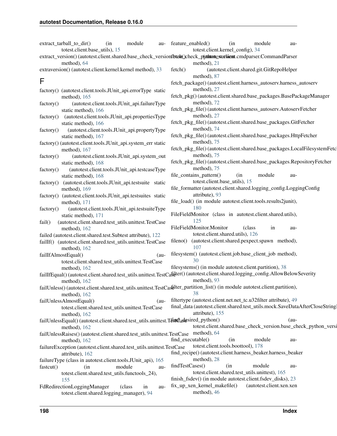|                     | extract_tarball_to_dir()<br>totest.client.base_utils), 15             | (in    | module       |        | au- feature_enabled()                                                                                                           | (in<br>totest.client.kernel_config), 34 | module                                                          | au-    |  |
|---------------------|-----------------------------------------------------------------------|--------|--------------|--------|---------------------------------------------------------------------------------------------------------------------------------|-----------------------------------------|-----------------------------------------------------------------|--------|--|
|                     |                                                                       |        |              |        | extract_version()(autotest.client.shared.base_check_versionfbtshe()check_p(sthtontestextsient.cmdparser.CommandParser           |                                         |                                                                 |        |  |
|                     | method), 64                                                           |        |              |        | method), 21                                                                                                                     |                                         |                                                                 |        |  |
|                     | extraversion() (autotest.client.kernel.kernel method), 33             |        |              |        | fetch()                                                                                                                         |                                         | (autotest.client.shared.git.GitRepoHelper                       |        |  |
|                     |                                                                       |        |              |        | method), 87                                                                                                                     |                                         |                                                                 |        |  |
| F                   |                                                                       |        |              |        | fetch_package()(autotest.client.harness_autoserv.harness_autoserv                                                               |                                         |                                                                 |        |  |
|                     |                                                                       |        |              |        | method), 27                                                                                                                     |                                         |                                                                 |        |  |
|                     | factory() (autotest.client.tools.JUnit_api.errorType static           |        |              |        | fetch_pkg()(autotest.client.shared.base_packages.BasePackageManager                                                             |                                         |                                                                 |        |  |
|                     | method), 165                                                          |        |              |        | method), 72                                                                                                                     |                                         |                                                                 |        |  |
| factory()           | (autotest.client.tools.JUnit_api.failureType                          |        |              |        | fetch_pkg_file() (autotest.client.harness_autoserv.AutoservFetcher                                                              |                                         |                                                                 |        |  |
|                     | static method), 166                                                   |        |              |        | method), 27                                                                                                                     |                                         |                                                                 |        |  |
| factory()           | (autotest.client.tools.JUnit_api.propertiesType                       |        |              |        | fetch_pkg_file() (autotest.client.shared.base_packages.GitFetcher                                                               |                                         |                                                                 |        |  |
|                     | static method), 166                                                   |        |              |        | method), 74                                                                                                                     |                                         |                                                                 |        |  |
| factory()           | (autotest.client.tools.JUnit_api.propertyType                         |        |              |        |                                                                                                                                 |                                         |                                                                 |        |  |
|                     | static method), 167                                                   |        |              |        | fetch_pkg_file() (autotest.client.shared.base_packages.HttpFetcher                                                              |                                         |                                                                 |        |  |
|                     | factory() (autotest.client.tools.JUnit_api.system_err static          |        |              |        | method), 75                                                                                                                     |                                         |                                                                 |        |  |
|                     | method), 167                                                          |        |              |        | fetch_pkg_file()(autotest.client.shared.base_packages.LocalFilesystemFetc                                                       |                                         |                                                                 |        |  |
| factory()           | (autotest.client.tools.JUnit_api.system_out                           |        |              |        | method), 75                                                                                                                     |                                         |                                                                 |        |  |
|                     | static method), 168                                                   |        |              |        | fetch_pkg_file() (autotest.client.shared.base_packages.RepositoryFetcher                                                        |                                         |                                                                 |        |  |
| factory()           | (autotest.client.tools.JUnit_api.testcaseType                         |        |              |        | method), 75                                                                                                                     |                                         |                                                                 |        |  |
|                     | static method), 168                                                   |        |              |        | file_contains_pattern()                                                                                                         | (in                                     | module                                                          | au-    |  |
| factory()           | (autotest.client.tools.JUnit_api.testsuite static                     |        |              |        |                                                                                                                                 | totest.client.base_utils), 15           |                                                                 |        |  |
|                     | method), 169                                                          |        |              |        | file_formatter (autotest.client.shared.logging_config.LoggingConfig                                                             |                                         |                                                                 |        |  |
|                     | factory() (autotest.client.tools.JUnit_api.testsuites static          |        |              |        | attribute), 93                                                                                                                  |                                         |                                                                 |        |  |
|                     | method), 171                                                          |        |              |        | file_load() (in module autotest.client.tools.results2junit),                                                                    |                                         |                                                                 |        |  |
| factory()           | (autotest.client.tools.JUnit_api.testsuiteType                        |        |              |        | 180                                                                                                                             |                                         |                                                                 |        |  |
|                     | static method), 171                                                   |        |              |        | FileFieldMonitor (class in autotest.client.shared.utils),                                                                       |                                         |                                                                 |        |  |
| fail()              | (autotest.client.shared.test_utils.unittest.TestCase                  |        |              |        | 125                                                                                                                             |                                         |                                                                 |        |  |
|                     | method), $162$                                                        |        |              |        | FileFieldMonitor.Monitor                                                                                                        |                                         | (class)<br>in                                                   | au-    |  |
|                     | failed (autotest.client.shared.test.Subtest attribute), 122           |        |              |        |                                                                                                                                 | totest.client.shared.utils), 126        |                                                                 |        |  |
|                     | failIf() (autotest.client.shared.test_utils.unittest.TestCase         |        |              |        | fileno() (autotest.client.shared.pexpect.spawn method),                                                                         |                                         |                                                                 |        |  |
|                     | method), $162$                                                        |        |              |        | 107                                                                                                                             |                                         |                                                                 |        |  |
| failIfAlmostEqual() |                                                                       |        |              | $(au-$ | filesystem() (autotest.client.job.base_client_job method),                                                                      |                                         |                                                                 |        |  |
|                     | totest.client.shared.test_utils.unittest.TestCase                     |        |              |        | 30                                                                                                                              |                                         |                                                                 |        |  |
|                     | method), $162$                                                        |        |              |        | filesystems() (in module autotest.client.partition), 38                                                                         |                                         |                                                                 |        |  |
|                     |                                                                       |        |              |        | failIfEqual()(autotest.client.shared.test_utils.unittest.TestCasdler()(autotest.client.shared.logging_config.AllowBelowSeverity |                                         |                                                                 |        |  |
|                     | method), $162$                                                        |        |              |        | method), 93                                                                                                                     |                                         |                                                                 |        |  |
|                     |                                                                       |        |              |        | failUnless() (autotest.client.shared.test_utils.unittest.TestCastiller_partition_list() (in module autotest.client.partition),  |                                         |                                                                 |        |  |
|                     | method), 162                                                          |        |              |        | 38                                                                                                                              |                                         |                                                                 |        |  |
|                     | failUnlessAlmostEqual()                                               |        |              | $(au-$ | filtertype (autotest.client.net.net_tc.u32filter attribute), 49                                                                 |                                         |                                                                 |        |  |
|                     | totest.client.shared.test_utils.unittest.TestCase                     |        |              |        | final_data (autotest.client.shared.test_utils.mock.SaveDataAfterCloseString                                                     |                                         |                                                                 |        |  |
|                     | method), 162                                                          |        |              |        | attribute), 155                                                                                                                 |                                         |                                                                 |        |  |
|                     |                                                                       |        |              |        | failUnlessEqual() (autotest.client.shared.test_utils.unittest.Tendagesired_python()                                             |                                         |                                                                 | $(au-$ |  |
|                     | method), 162                                                          |        |              |        |                                                                                                                                 |                                         | totest.client.shared.base_check_version.base_check_python_versi |        |  |
|                     |                                                                       |        |              |        | failUnlessRaises()(autotest.client.shared.test_utils.unittest.TestCase method), 64                                              |                                         |                                                                 |        |  |
|                     | method), 162                                                          |        |              |        | find_executable()                                                                                                               | (in                                     | module                                                          | au-    |  |
|                     | failureException (autotest.client.shared.test_utils.unittest.TestCase |        |              |        |                                                                                                                                 | totest.client.tools.boottool), 178      |                                                                 |        |  |
|                     | attribute), 162                                                       |        |              |        | find_recipe() (autotest.client.harness_beaker.harness_beaker                                                                    |                                         |                                                                 |        |  |
|                     | failureType (class in autotest.client.tools.JUnit_api), 165           |        |              |        | method), 28                                                                                                                     |                                         |                                                                 |        |  |
| fastcut()           | (in                                                                   | module |              | au-    | findTestCases()                                                                                                                 | (in                                     | module                                                          | au-    |  |
|                     | totest.client.shared.test_utils.functools_24),                        |        |              |        |                                                                                                                                 |                                         | totest.client.shared.test_utils.unittest), 165                  |        |  |
|                     | 155                                                                   |        |              |        | finish_fsdev() (in module autotest.client.fsdev_disks), 23                                                                      |                                         |                                                                 |        |  |
|                     | FdRedirectionLoggingManager                                           |        | (class<br>in | au-    | fix_up_xen_kernel_makefile()                                                                                                    |                                         | (autotest.client.xen.xen                                        |        |  |
|                     | totest.client.shared.logging_manager), 94                             |        |              |        | method), 46                                                                                                                     |                                         |                                                                 |        |  |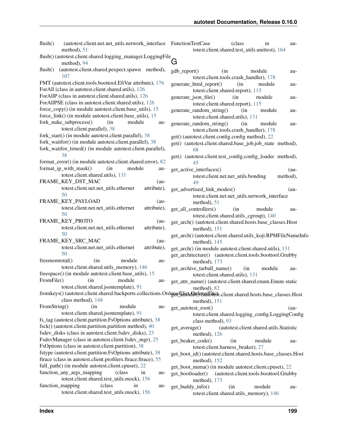| flush()<br>(autotest.client.net.net_utils.network_interface FunctionTestCase<br>method), 51                                 | (class)<br>in<br>au-<br>totest.client.shared.test_utils.unittest), 164                                                                 |
|-----------------------------------------------------------------------------------------------------------------------------|----------------------------------------------------------------------------------------------------------------------------------------|
| flush() (autotest.client.shared.logging_manager.LoggingFile<br>method), 94                                                  | G                                                                                                                                      |
| (autotest.client.shared.pexpect.spawn method),<br>flush()<br>107                                                            | gdb_report()<br>(in<br>module<br>au-<br>totest.client.tools.crash_handler), 178                                                        |
| FMT (autotest.client.tools.boottool.EfiVar attribute), 176<br>ForAll (class in autotest.client.shared.utils), 126           | generate_html_report()<br>(in<br>module<br>au-<br>totest.client.shared.report), 115                                                    |
| ForAllP (class in autotest.client.shared.utils), 126<br>ForAllPSE (class in autotest.client.shared.utils), 126              | generate_json_file()<br>(in<br>module<br>au-<br>totest.client.shared.report), 115                                                      |
| force_copy() (in module autotest.client.base_utils), 15<br>force_link() (in module autotest.client.base_utils), 15          | generate_random_string()<br>(in<br>module<br>au-<br>totest.client.shared.utils), 131                                                   |
| fork_nuke_subprocess()<br>module<br>(in<br>au-<br>totest.client.parallel), 38                                               | generate_random_string()<br>(in<br>module<br>au-<br>totest.client.tools.crash_handler), 178                                            |
| fork_start() (in module autotest.client.parallel), 38<br>fork_waitfor() (in module autotest.client.parallel), 38            | get() (autotest.client.config.config method), 22<br>get() (autotest.client.shared.base_job.job_state method),                          |
| fork_waitfor_timed() (in module autotest.client.parallel),<br>38                                                            | 68                                                                                                                                     |
| format_error() (in module autotest.client.shared.error), 82<br>format_ip_with_mask()<br>(in<br>module<br>au-                | get() (autotest.client.test_config.config_loader method),<br>45                                                                        |
| totest.client.shared.utils), 131<br>FRAME_KEY_DST_MAC<br>$(au-$                                                             | get_active_interfaces()<br>$(au-$<br>method),<br>totest.client.net.net_utils.bonding                                                   |
| totest.client.net.net_utils.ethernet<br>attribute),<br>50                                                                   | 49<br>get_advertised_link_modes()<br>$(au-$                                                                                            |
| FRAME_KEY_PAYLOAD<br>$(au-$                                                                                                 | totest.client.net.net_utils.network_interface<br>method), 51                                                                           |
| totest.client.net.net_utils.ethernet<br>attribute),<br>50                                                                   | get_all_controllers()<br>(in<br>module<br>au-<br>totest.client.shared.utils_cgroup), 140                                               |
| FRAME_KEY_PROTO<br>$(au-$<br>totest.client.net.net_utils.ethernet<br>attribute),                                            | get_arch() (autotest.client.shared.hosts.base_classes.Host<br>method), 151                                                             |
| 50<br>FRAME_KEY_SRC_MAC<br>$(au -$                                                                                          | get_arch()(autotest.client.shared.utils_koji.RPMFileNameInfo<br>method), 145                                                           |
| totest.client.net.net_utils.ethernet<br>attribute),<br>50                                                                   | get_arch() (in module autotest.client.shared.utils), 131<br>get_architecture() (autotest.client.tools.boottool.Grubby                  |
| freememtotal()<br>module<br>(in<br>au-<br>totest.client.shared.utils_memory), 146                                           | method), 173<br>get_archive_tarball_name()<br>(in<br>module<br>au-                                                                     |
| freespace() (in module autotest.client.base_utils), 15<br>FromFile()<br>(in<br>module<br>au-                                | totest.client.shared.utils), 131<br>get_attr_name() (autotest.client.shared.enum.Enum static                                           |
| totest.client.shared.jsontemplate), 91                                                                                      | method), 82<br>fromkeys()(autotest.client.shared.backports.collections.OrdggdDift607rOquidDift54.client.shared.hosts.base_classes.Host |
| class method), 148<br>FromString()<br>module<br>(in<br>au-                                                                  | method), 151<br>get_autotest_root()<br>$(au-$                                                                                          |
| totest.client.shared.jsontemplate), 91<br>fs_tag (autotest.client.partition.FsOptions attribute), 38                        | totest.client.shared.logging_config.LoggingConfig<br>class method), 93                                                                 |
| fsck() (autotest.client.partition.partition method), 40<br>fsdev_disks (class in autotest.client.fsdev_disks), 23           | (autotest.client.shared.utils.Statistic<br>get_average()<br>method), 126                                                               |
| FsdevManager (class in autotest.client.fsdev_mgr), 25<br>FsOptions (class in autotest.client.partition), 38                 | get_beaker_code()<br>module<br>(in<br>au-<br>totest.client.harness_beaker), 27                                                         |
| fstype (autotest.client.partition.FsOptions attribute), 38<br>ftrace (class in autotest.client.profilers.ftrace.ftrace), 55 | get_boot_id()(autotest.client.shared.hosts.base_classes.Host<br>method), 152                                                           |
| full_path() (in module autotest.client.cpuset), 22<br>function_any_args_mapping<br>(class)<br>in<br>au-                     | get_boot_numa() (in module autotest.client.cpuset), 22                                                                                 |
| totest.client.shared.test_utils.mock), 156<br>function_mapping<br>(class)<br>in<br>au-                                      | get_bootloader()<br>(autotest.client.tools.boottool.Grubby<br>method), 173                                                             |
| totest.client.shared.test_utils.mock), 156                                                                                  | get_buddy_info()<br>(in<br>module<br>au-<br>totest.client.shared.utils_memory), 146                                                    |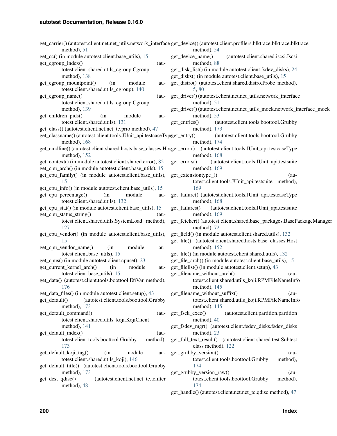| method), 51                                                                                                                          | get_carrier()(autotest.client.net_utils.network_interface get_device()(autotest.client.profilers.blktrace.blktrace.blktrace<br>method), 54 |
|--------------------------------------------------------------------------------------------------------------------------------------|--------------------------------------------------------------------------------------------------------------------------------------------|
| get_cc() (in module autotest.client.base_utils), 15                                                                                  | get_device_name()<br>(autotest.client.shared.iscsi.Iscsi                                                                                   |
| get_cgroup_index()<br>$(au-$                                                                                                         | method), 88                                                                                                                                |
| totest.client.shared.utils_cgroup.Cgroup                                                                                             | get_disk_list() (in module autotest.client.fsdev_disks), 24                                                                                |
| method), 138                                                                                                                         | get_disks() (in module autotest.client.base_utils), 15                                                                                     |
| get_cgroup_mountpoint()<br>module<br>(in<br>au-                                                                                      | get_distro() (autotest.client.shared.distro.Probe method),                                                                                 |
| totest.client.shared.utils_cgroup), 140                                                                                              | 5,80                                                                                                                                       |
| get_cgroup_name()<br>$(au-$                                                                                                          | get_driver() (autotest.client.net.net_utils.network_interface                                                                              |
| totest.client.shared.utils_cgroup.Cgroup                                                                                             | method), 51                                                                                                                                |
| method), $139$                                                                                                                       | get_driver() (autotest.client.net.net_utils_mock.network_interface_mock                                                                    |
| get_children_pids()<br>module<br>(in                                                                                                 | method), 53                                                                                                                                |
| au-                                                                                                                                  |                                                                                                                                            |
| totest.client.shared.utils), 131                                                                                                     | get_entries()<br>(autotest.client.tools.boottool.Grubby                                                                                    |
| get_class() (autotest.client.net.net_tc.prio method), 47                                                                             | method), 173                                                                                                                               |
| get_classname()(autotest.client.tools.JUnit_api.testcaseTypget_entry()<br>method), 168                                               | (autotest.client.tools.boottool.Grubby<br>method), 174                                                                                     |
| get_cmdline()(autotest.client.shared.hosts.base_classes.Hosget_error() (autotest.client.tools.JUnit_api.testcaseType<br>method), 152 | method), 168                                                                                                                               |
| get_context() (in module autotest.client.shared.error), 82                                                                           | get_errors()<br>(autotest.client.tools.JUnit_api.testsuite                                                                                 |
| get_cpu_arch() (in module autotest.client.base_utils), 15                                                                            | method), 169                                                                                                                               |
| get_cpu_family() (in module autotest.client.base_utils),                                                                             | get_extensiontype_()<br>$(au-$                                                                                                             |
| 15                                                                                                                                   | totest.client.tools.JUnit_api.testsuite method),                                                                                           |
| get_cpu_info() (in module autotest.client.base_utils), 15                                                                            | 169                                                                                                                                        |
| get_cpu_percentage()<br>module<br>(in)<br>au-                                                                                        | get_failure() (autotest.client.tools.JUnit_api.testcaseType                                                                                |
| totest.client.shared.utils), 132                                                                                                     | method), 168                                                                                                                               |
| get_cpu_stat() (in module autotest.client.base_utils), 15                                                                            | get_failures()<br>(autotest.client.tools.JUnit_api.testsuite                                                                               |
| get_cpu_status_string()<br>$(au-$                                                                                                    | method), 169                                                                                                                               |
| totest.client.shared.utils.SystemLoad method),                                                                                       | get_fetcher() (autotest.client.shared.base_packages.BasePackageManager                                                                     |
| 127                                                                                                                                  | method), 72                                                                                                                                |
| get_cpu_vendor() (in module autotest.client.base_utils),                                                                             | get_field() (in module autotest.client.shared.utils), 132                                                                                  |
| 15                                                                                                                                   | get_file() (autotest.client.shared.hosts.base_classes.Host                                                                                 |
| get_cpu_vendor_name()<br>module<br>(in<br>au-                                                                                        | method), $152$                                                                                                                             |
| totest.client.base_utils), 15                                                                                                        | get_file() (in module autotest.client.shared.utils), 132                                                                                   |
| get_cpus() (in module autotest.client.cpuset), 23                                                                                    | get_file_arch() (in module autotest.client.base_utils), 15                                                                                 |
| get_current_kernel_arch()<br>(in<br>module<br>au-                                                                                    | get_filelist() (in module autotest.client.setup), 43                                                                                       |
| totest.client.base_utils), 15                                                                                                        | get_filename_without_arch()<br>$(au-$                                                                                                      |
| get_data() (autotest.client.tools.boottool.EfiVar method),                                                                           | totest.client.shared.utils_koji.RPMFileNameInfo                                                                                            |
| 176                                                                                                                                  | method), $145$                                                                                                                             |
| get_data_files() (in module autotest.client.setup), 43                                                                               | get_filename_without_suffix()<br>$(au-$                                                                                                    |
| get_default()<br>(autotest.client.tools.boottool.Grubby                                                                              | totest.client.shared.utils_koji.RPMFileNameInfo                                                                                            |
| method), 173                                                                                                                         | method), $145$                                                                                                                             |
| get_default_command()                                                                                                                | get_fsck_exec()<br>(autotest.client.partition.partition                                                                                    |
| $(au-$<br>totest.client.shared.utils_koji.KojiClient                                                                                 | method), 40                                                                                                                                |
|                                                                                                                                      |                                                                                                                                            |
| method), $141$                                                                                                                       | get_fsdev_mgr() (autotest.client.fsdev_disks.fsdev_disks                                                                                   |
| get_default_index()<br>$(au-$                                                                                                        | method), 23                                                                                                                                |
| totest.client.tools.boottool.Grubby<br>method),<br>173                                                                               | get_full_text_result() (autotest.client.shared.test.Subtest                                                                                |
| module                                                                                                                               | class method), 122                                                                                                                         |
| get_default_koji_tag()<br>(in)<br>au-                                                                                                | get_grubby_version()<br>$(au-$                                                                                                             |
| totest.client.shared.utils_koji), 146                                                                                                | totest.client.tools.boottool.Grubby<br>method),                                                                                            |
| get_default_title() (autotest.client.tools.boottool.Grubby                                                                           | 174                                                                                                                                        |
| method), 173                                                                                                                         | get_grubby_version_raw()<br>$(au-$                                                                                                         |
| (autotest.client.net.net_tc.tcfilter<br>get_dest_qdisc()                                                                             | totest.client.tools.boottool.Grubby<br>method),                                                                                            |
| method), 48                                                                                                                          | 174                                                                                                                                        |
|                                                                                                                                      | get_handle() (autotest.client.net.net_tc.qdisc method), 47                                                                                 |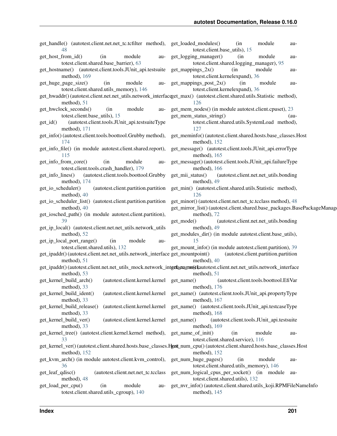| get_handle() (autotest.client.net.net_tc.tcfilter method),<br>48                                                                                                 | get_loaded_modules()<br>(in<br>module<br>au-<br>totest.client.base_utils), 15                                                            |
|------------------------------------------------------------------------------------------------------------------------------------------------------------------|------------------------------------------------------------------------------------------------------------------------------------------|
| module<br>get_host_from_id()<br>(in<br>au-<br>totest.client.shared.base_barrier), 63                                                                             | get_logging_manager()<br>(in<br>module<br>au-<br>totest.client.shared.logging_manager), 95                                               |
| get_hostname() (autotest.client.tools.JUnit_api.testsuite                                                                                                        | $get\_mappings_2x()$<br>(in<br>module<br>au-                                                                                             |
| method), 169                                                                                                                                                     | totest.client.kernelexpand), 36                                                                                                          |
| (in<br>get_huge_page_size()<br>module<br>au-                                                                                                                     | $get\_mappings\_post_2x()$<br>(in<br>module<br>au-                                                                                       |
| totest.client.shared.utils_memory), 146<br>get_hwaddr()(autotest.client.net.net_utils.network_interfaceget_max()(autotest.client.shared.utils.Statistic method), | totest.client.kernelexpand), 36                                                                                                          |
| method), 51                                                                                                                                                      | 126                                                                                                                                      |
| module<br>get_hwclock_seconds()<br>(in<br>au-                                                                                                                    | get_mem_nodes() (in module autotest.client.cpuset), 23                                                                                   |
| totest.client.base_utils), 15                                                                                                                                    | get_mem_status_string()<br>$(au-$                                                                                                        |
| (autotest.client.tools.JUnit_api.testsuiteType<br>$get_id()$<br>method), 171                                                                                     | totest.client.shared.utils.SystemLoad method),<br>127                                                                                    |
| get_info() (autotest.client.tools.boottool.Grubby method),<br>174                                                                                                | get_meminfo() (autotest.client.shared.hosts.base_classes.Host                                                                            |
| get_info_file() (in module autotest.client.shared.report),                                                                                                       | method), 152<br>get_message() (autotest.client.tools.JUnit_api.errorType                                                                 |
| 115                                                                                                                                                              | method), 165                                                                                                                             |
| module<br>get_info_from_core()<br>(in<br>au-<br>totest.client.tools.crash_handler), 179                                                                          | get_message()(autotest.client.tools.JUnit_api.failureType<br>method), 166                                                                |
| (autotest.client.tools.boottool.Grubby<br>get_info_lines()<br>method), 174                                                                                       | get_mii_status()<br>(autotest.client.net.net_utils.bonding<br>method), 49                                                                |
| (autotest.client.partition.partition<br>get_io_scheduler()                                                                                                       | get_min() (autotest.client.shared.utils.Statistic method),                                                                               |
| method), 40                                                                                                                                                      | 126                                                                                                                                      |
| get_io_scheduler_list() (autotest.client.partition.partition<br>method), 40                                                                                      | get_minor() (autotest.client.net.net_tc.tcclass method), 48<br>get_mirror_list() (autotest.client.shared.base_packages.BasePackageManage |
| get_iosched_path() (in module autotest.client.partition),                                                                                                        | method), 72                                                                                                                              |
|                                                                                                                                                                  |                                                                                                                                          |
| 39                                                                                                                                                               | (autotest.client.net.net_utils.bonding<br>get_mode()                                                                                     |
| get_ip_local() (autotest.client.net.net_utils.network_utils                                                                                                      | method), 49                                                                                                                              |
| method), 52                                                                                                                                                      | get_modules_dir() (in module autotest.client.base_utils),                                                                                |
| get_ip_local_port_range()<br>(in<br>module<br>au-<br>totest.client.shared.utils), 132                                                                            | 15<br>get_mount_info() (in module autotest.client.partition), 39                                                                         |
| get_ipaddr()(autotest.client.net.net_utils.network_interface get_mountpoint()                                                                                    | (autotest.client.partition.partition                                                                                                     |
| method), 51<br>get_ipaddr()(autotest.client.net.net_utils_mock.network_intgrfaceumookkautotest.client.net.net_utils.network_interface                            | method), 40                                                                                                                              |
| method), 53<br>(autotest.client.kernel.kernel get_name()<br>get_kernel_build_arch()                                                                              | method), 51<br>(autotest.client.tools.boottool.EfiVar                                                                                    |
| method), 33                                                                                                                                                      | method), $176$                                                                                                                           |
| get_kernel_build_ident()                                                                                                                                         | (autotest.client.kernel.kernel get_name() (autotest.client.tools.JUnit_api.propertyType                                                  |
| method), 33<br>(autotest.client.kernel.kernel                                                                                                                    | method), 167                                                                                                                             |
| get_kernel_build_release()<br>method), 33                                                                                                                        | get_name() (autotest.client.tools.JUnit_api.testcaseType<br>method), 168                                                                 |
| get_kernel_build_ver()<br>(autotest.client.kernel.kernel                                                                                                         | get_name()<br>(autotest.client.tools.JUnit_api.testsuite                                                                                 |
| method), 33<br>get_kernel_tree() (autotest.client.kernel.kernel method),                                                                                         | method), 169<br>get_name_of_init()<br>module<br>(in<br>au-                                                                               |
| 33                                                                                                                                                               | totest.client.shared.service), 116                                                                                                       |
| method), 152                                                                                                                                                     | get_kernel_ver()(autotest.client.shared.hosts.base_classes.Host_num_cpu()(autotest.client.shared.hosts.base_classes.Host<br>method), 152 |
| get_kvm_arch() (in module autotest.client.kvm_control),<br>36                                                                                                    | get_num_huge_pages()<br>module<br>(in<br>au-<br>totest.client.shared.utils_memory), 146                                                  |
| get_leaf_qdisc()<br>(autotest.client.net.net_tc.tcclass                                                                                                          | get_num_logical_cpus_per_socket() (in module<br>au-                                                                                      |
| method), 48<br>get_load_per_cpu()<br>module<br>(in<br>au-<br>totest.client.shared.utils_cgroup), 140                                                             | totest.client.shared.utils), 132<br>get_nvr_info()(autotest.client.shared.utils_koji.RPMFileNameInfo<br>method), $145$                   |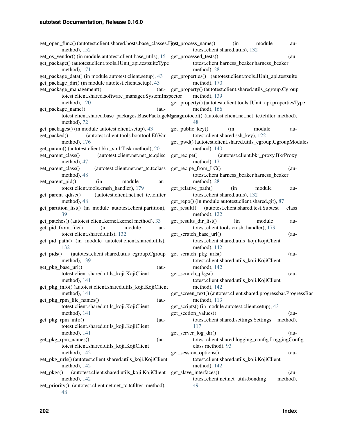| get_open_func()(autotest.client.shared.hosts.base_classes.Hgstt_process_name()<br>method), $152$                                                                | (in<br>module<br>au-<br>totest.client.shared.utils), 132                                                           |
|-----------------------------------------------------------------------------------------------------------------------------------------------------------------|--------------------------------------------------------------------------------------------------------------------|
| get_os_vendor() (in module autotest.client.base_utils), 15 get_processed_tests()<br>get_package()(autotest.client.tools.JUnit_api.testsuiteType<br>method), 171 | $(au-$<br>totest.client.harness_beaker.harness_beaker<br>method), 28                                               |
| get_package_data() (in module autotest.client.setup), 43<br>get_package_dir() (in module autotest.client.setup), 43                                             | get_properties() (autotest.client.tools.JUnit_api.testsuite<br>method), 170                                        |
| get_package_management()<br>$(au-$<br>totest.client.shared.software_manager.SystemInspector                                                                     | get_property() (autotest.client.shared.utils_cgroup.Cgroup<br>method), 139                                         |
| method), $120$<br>get_package_name()<br>(au-                                                                                                                    | get_property() (autotest.client.tools.JUnit_api.propertiesType<br>method), 166                                     |
| method), 72                                                                                                                                                     | totest.client.shared.base_packages.BasePackageMgataganotocol() (autotest.client.net.net_tc.tcfilter method),<br>48 |
| get_packages() (in module autotest.client.setup), 43                                                                                                            | get_public_key()<br>module<br>(in<br>au-                                                                           |
| (autotest.client.tools.boottool.EfiVar<br>get_packed()<br>method), $176$                                                                                        | totest.client.shared.ssh_key), 122<br>get_pwd()(autotest.client.shared.utils_cgroup.CgroupModules                  |
| get_param() (autotest.client.bkr_xml.Task method), 20<br>(autotest.client.net.net_tc.qdisc<br>get_parent_class()                                                | method), 140<br>$get\_recipe()$<br>(autotest.client.bkr_proxy.BkrProxy                                             |
| method), 47                                                                                                                                                     | method), 17                                                                                                        |
| get_parent_class()<br>(autotest.client.net.net_tc.tcclass<br>method), 48                                                                                        | get_recipe_from_LC()<br>$(au-$<br>totest.client.harness_beaker.harness_beaker                                      |
| module<br>get_parent_pid()<br>(in<br>au-<br>totest.client.tools.crash_handler), 179                                                                             | method), 28<br>get_relative_path()<br>(in<br>module<br>au-                                                         |
| get_parent_qdisc()<br>(autotest.client.net.net_tc.tcfilter<br>method), 48                                                                                       | totest.client.shared.utils), 132<br>get_repo() (in module autotest.client.shared.git), 87                          |
| get_partition_list() (in module autotest.client.partition),<br>39                                                                                               | get_result() (autotest.client.shared.test.Subtest<br>class<br>method), 122                                         |
| get_patches() (autotest.client.kernel.kernel method), 33<br>get_pid_from_file()<br>(in<br>module<br>au-                                                         | get_results_dir_list()<br>module<br>(in<br>au-<br>totest.client.tools.crash_handler), 179                          |
| totest.client.shared.utils), 132                                                                                                                                | get_scratch_base_url()<br>$(au-$                                                                                   |
| get_pid_path() (in module autotest.client.shared.utils),<br>132                                                                                                 | totest.client.shared.utils_koji.KojiClient<br>method), 142                                                         |
| (autotest.client.shared.utils_cgroup.Cgroup<br>get_pids()<br>method), 139                                                                                       | get_scratch_pkg_urls()<br>$(au-$<br>totest.client.shared.utils_koji.KojiClient                                     |
| get_pkg_base_url()<br>$(au-$<br>totest.client.shared.utils_koji.KojiClient                                                                                      | method), 142<br>get_scratch_pkgs()<br>$(au-$                                                                       |
| method), $141$<br>get_pkg_info()(autotest.client.shared.utils_koji.KojiClient                                                                                   | totest.client.shared.utils_koji.KojiClient<br>method), $142$                                                       |
| method), 141                                                                                                                                                    | get_screen_text() (autotest.client.shared.progressbar.ProgressBar                                                  |
| get_pkg_rpm_file_names()<br>$(au-$<br>totest.client.shared.utils_koji.KojiClient                                                                                | method), $113$<br>get_scripts() (in module autotest.client.setup), 43                                              |
| method), $141$<br>get_pkg_rpm_info()<br>$(au-$<br>totest.client.shared.utils_koji.KojiClient                                                                    | get_section_values()<br>$(au-$<br>totest.client.shared.settings.Settings<br>method),<br>117                        |
| method), $141$                                                                                                                                                  | get_server_log_dir()<br>$(au-$                                                                                     |
| get_pkg_rpm_names()<br>$(au-$<br>totest.client.shared.utils_koji.KojiClient                                                                                     | totest.client.shared.logging_config.LoggingConfig<br>class method), 93                                             |
| method), 142<br>get_pkg_urls() (autotest.client.shared.utils_koji.KojiClient                                                                                    | get_session_options()<br>$(au-$<br>totest.client.shared.utils_koji.KojiClient                                      |
| method), 142                                                                                                                                                    | method), 142                                                                                                       |
| (autotest.client.shared.utils_koji.KojiClient get_slave_interfaces()<br>get_pkgs()<br>method), $142$                                                            | $(au-$<br>totest.client.net.net_utils.bonding<br>method),                                                          |
| get_priority() (autotest.client.net.net_tc.tcfilter method),<br>48                                                                                              | 49                                                                                                                 |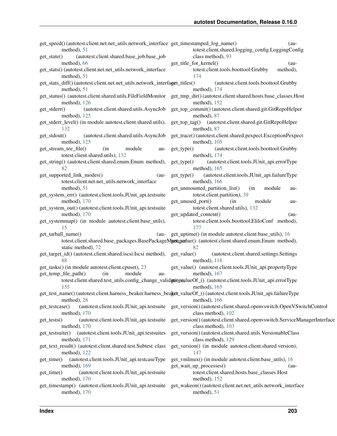| get_speed()(autotest.client.net.net_utils.network_interface_get_timestamped_log_name()<br>method), 51 | $(au-$<br>totest.client.shared.logging_config.LoggingConfig                                                                                |
|-------------------------------------------------------------------------------------------------------|--------------------------------------------------------------------------------------------------------------------------------------------|
| (autotest.client.shared.base_job.base_job<br>get_state()                                              | class method), 93                                                                                                                          |
| method), 66                                                                                           | get_title_for_kernel()<br>$(au-$                                                                                                           |
| get_stats() (autotest.client.net.net_utils.network_interface                                          | totest.client.tools.boottool.Grubby<br>method),                                                                                            |
| method), 51                                                                                           | 174                                                                                                                                        |
| get_stats_diff() (autotest.client.net.net_utils.network_interfaget_titles()<br>method), 51            | (autotest.client.tools.boottool.Grubby                                                                                                     |
|                                                                                                       | method), $174$<br>get_status() (autotest.client.shared.utils.FileFieldMonitor get_tmp_dir()(autotest.client.shared.hosts.base_classes.Host |
| method), $126$                                                                                        | method), $152$                                                                                                                             |
| (autotest.client.shared.utils.AsyncJob<br>get_stderr()                                                | get_top_commit() (autotest.client.shared.git.GitRepoHelper                                                                                 |
| method), $125$                                                                                        | method), 87                                                                                                                                |
| get_stderr_level() (in module autotest.client.shared.utils),                                          | get_top_tag() (autotest.client.shared.git.GitRepoHelper                                                                                    |
| 132                                                                                                   | method), 87                                                                                                                                |
| (autotest.client.shared.utils.AsyncJob<br>get_stdout()                                                | get_trace() (autotest.client.shared.pexpect.ExceptionPexpect                                                                               |
| method), $125$                                                                                        | method), $105$                                                                                                                             |
| get_stream_tee_file()<br>(in<br>module<br>au-                                                         | (autotest.client.tools.boottool.Grubby<br>$get_type()$                                                                                     |
| totest.client.shared.utils), 132                                                                      | method), 174                                                                                                                               |
| get_string() (autotest.client.shared.enum.Enum method),                                               | (autotest.client.tools.JUnit_api.errorType<br>$get_type()$                                                                                 |
| 82                                                                                                    | method), $165$                                                                                                                             |
| get_supported_link_modes()<br>$(au-$                                                                  | (autotest.client.tools.JUnit_api.failureType<br>$get_type()$                                                                               |
| totest.client.net.net_utils.network_interface                                                         | method), 166                                                                                                                               |
| method), $51$                                                                                         | get_unmounted_partition_list()<br>module<br>(in<br>au-                                                                                     |
| get_system_err() (autotest.client.tools.JUnit_api.testsuite                                           | totest.client.partition), 39                                                                                                               |
| method), 170                                                                                          | get_unused_port()<br>module<br>(in<br>au-                                                                                                  |
| get_system_out() (autotest.client.tools.JUnit_api.testsuite                                           | totest.client.shared.utils), 132                                                                                                           |
| method), $170$                                                                                        | get_updated_content()<br>(au-                                                                                                              |
| get_systemmap() (in module autotest.client.base_utils),                                               | totest.client.tools.boottool.EliloConf method),                                                                                            |
| 15                                                                                                    | 177                                                                                                                                        |
| get_tarball_name()<br>$(au-$                                                                          | get_uptime() (in module autotest.client.base_utils), 16                                                                                    |
| static method), 72                                                                                    | totest.client.shared.base_packages.BasePackageMgatggalue() (autotest.client.shared.enum.Enum method),<br>82                                |
| get_target_id() (autotest.client.shared.iscsi.Iscsi method), get_value()                              | (autotest.client.shared.settings.Settings                                                                                                  |
| 88                                                                                                    | method), $118$                                                                                                                             |
| get_tasks() (in module autotest.client.cpuset), 23                                                    | get_value() (autotest.client.tools.JUnit_api.propertyType                                                                                  |
| get_temp_file_path()<br>module<br>(in<br>au-                                                          | method), $167$                                                                                                                             |
|                                                                                                       | totest.client.shared.test_utils.config_change_validation)alueOf_() (autotest.client.tools.JUnit_api.errorType                              |
| 155                                                                                                   | method), $165$                                                                                                                             |
|                                                                                                       | get_test_name()(autotest.client.harness_beaker.harness_beaker_valueOf_()(autotest.client.tools.JUnit_api.failureType                       |
| method), 28                                                                                           | method), 166                                                                                                                               |
| get_testcase()<br>(autotest.client.tools.JUnit_api.testsuite                                          | get_version() (autotest.client.shared.openvswitch.OpenVSwitchControl                                                                       |
| method), 170                                                                                          | class method), 102                                                                                                                         |
| (autotest.client.tools.JUnit_api.testsuite<br>$get\_tests()$                                          | get_version() (autotest.client.shared.openvswitch.ServiceManagerInterface                                                                  |
| method), 170                                                                                          | class method), 103                                                                                                                         |
| (autotest.client.tools.JUnit_api.testsuites<br>get_testsuite()                                        | get_version() (autotest.client.shared.utils.VersionableClass                                                                               |
| method), 171                                                                                          | class method), 129                                                                                                                         |
| get_text_result() (autotest.client.shared.test.Subtest class                                          | get_version() (in module autotest.client.shared.version),                                                                                  |
| method), 122                                                                                          | 147                                                                                                                                        |
| (autotest.client.tools.JUnit_api.testcaseType<br>get_time()                                           | get_vmlinux() (in module autotest.client.base_utils), 16                                                                                   |
| method), 169                                                                                          | get_wait_up_processes()<br>$(au-$                                                                                                          |
| (autotest.client.tools.JUnit_api.testsuite<br>get_time()                                              | totest.client.shared.hosts.base_classes.Host                                                                                               |
| method), 170<br>get_timestamp() (autotest.client.tools.JUnit_api.testsuite                            | method), 152<br>get_wakeon() (autotest.client.net.net_utils.network_interface                                                              |
| method), 170                                                                                          | method), 51                                                                                                                                |
|                                                                                                       |                                                                                                                                            |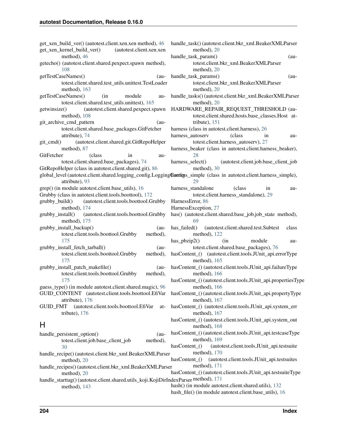| get_xen_build_ver() (autotest.client.xen.xen method), 46<br>get_xen_kernel_build_ver()<br>(autotest.client.xen.xen    | handle_task() (autotest.client.bkr_xml.BeakerXMLParser<br>method), 20 |
|-----------------------------------------------------------------------------------------------------------------------|-----------------------------------------------------------------------|
| method), 46                                                                                                           | handle_task_param()<br>$(au-$                                         |
| getecho() (autotest.client.shared.pexpect.spawn method),                                                              | totest.client.bkr_xml.BeakerXMLParser                                 |
| 108                                                                                                                   | method), $20$                                                         |
| getTestCaseNames()<br>$(au-$                                                                                          | handle_task_params()<br>$(au-$                                        |
| totest.client.shared.test_utils.unittest.TestLoader                                                                   | totest.client.bkr_xml.BeakerXMLParser                                 |
| method), $163$                                                                                                        | method), 20                                                           |
| getTestCaseNames()<br>(in<br>module<br>au-                                                                            | handle_tasks()(autotest.client.bkr_xml.BeakerXMLParser                |
| totest.client.shared.test_utils.unittest), 165                                                                        | method), $20$                                                         |
| (autotest.client.shared.pexpect.spawn<br>getwinsize()                                                                 | HARDWARE_REPAIR_REQUEST_THRESHOLD (au-                                |
| method), 108                                                                                                          | totest.client.shared.hosts.base_classes.Host at-                      |
| git_archive_cmd_pattern<br>$(au-$                                                                                     | tribute), $151$                                                       |
| totest.client.shared.base_packages.GitFetcher                                                                         | harness (class in autotest.client.harness), 26                        |
| attribute), 74                                                                                                        | (class<br>harness_autoserv<br>in<br>au-                               |
| (autotest.client.shared.git.GitRepoHelper<br>git_cmd()                                                                | totest.client.harness_autoserv), 27                                   |
| method), 87                                                                                                           | harness_beaker (class in autotest.client.harness_beaker),             |
| GitFetcher<br>(class)<br>in<br>au-                                                                                    | 28                                                                    |
| totest.client.shared.base_packages), 74                                                                               | harness_select()<br>(autotest.client.job.base_client_job              |
| GitRepoHelper (class in autotest.client.shared.git), 86                                                               | method), 30                                                           |
| global_level (autotest.client.shared.logging_config.LoggingGonfigss_simple (class in autotest.client.harness_simple), |                                                                       |
| attribute), 93                                                                                                        | 29                                                                    |
| grep() (in module autotest.client.base_utils), 16                                                                     | harness_standalone<br>(class)<br>in<br>au-                            |
| Grubby (class in autotest.client.tools.boottool), 172                                                                 | totest.client.harness_standalone), 29                                 |
| grubby_build()<br>(autotest.client.tools.boottool.Grubby                                                              | HarnessError, 86                                                      |
| method), 174                                                                                                          | HarnessException, 27                                                  |
| grubby_install()<br>(autotest.client.tools.boottool.Grubby                                                            | has() (autotest.client.shared.base_job.job_state method),             |
| method), 175                                                                                                          | 69                                                                    |
| grubby_install_backup()<br>$(au-$                                                                                     | has_failed()<br>(autotest.client.shared.test.Subtest<br>class         |
| totest.client.tools.boottool.Grubby<br>method),                                                                       | method), $122$                                                        |
| 175                                                                                                                   | (in<br>$has\_pbzip2()$<br>module<br>au-                               |
| grubby_install_fetch_tarball()<br>$(au -$                                                                             | totest.client.shared.base_packages), 76                               |
| totest.client.tools.boottool.Grubby<br>method),                                                                       | hasContent_() (autotest.client.tools.JUnit_api.errorType              |
| 175                                                                                                                   | method), $165$                                                        |
| grubby_install_patch_makefile()<br>$(au-$                                                                             | hasContent_() (autotest.client.tools.JUnit_api.failureType            |
| totest.client.tools.boottool.Grubby<br>method),                                                                       | method), $166$                                                        |
| 175                                                                                                                   | hasContent_() (autotest.client.tools.JUnit_api.propertiesType         |
| guess_type() (in module autotest.client.shared.magic), 96                                                             | method), $166$                                                        |
| GUID_CONTENT (autotest.client.tools.boottool.EfiVar                                                                   | hasContent_() (autotest.client.tools.JUnit_api.propertyType           |
| attribute), 176                                                                                                       | method), 167                                                          |
| <b>GUID FMT</b><br>(autotest.client.tools.boottool.EfiVar<br>at-                                                      | hasContent_() (autotest.client.tools.JUnit_api.system_err             |
| tribute), 176                                                                                                         | method), 167                                                          |
|                                                                                                                       | hasContent_() (autotest.client.tools.JUnit_api.system_out             |
| Н                                                                                                                     | method), 168                                                          |
| handle_persistent_option()<br>$(au -$                                                                                 | hasContent_() (autotest.client.tools.JUnit_api.testcaseType           |
| totest.client.job.base_client_job<br>method),                                                                         | method), 169                                                          |
| 30                                                                                                                    | (autotest.client.tools.JUnit_api.testsuite<br>$hasContent_()$         |
| handle_recipe()(autotest.client.bkr_xml.BeakerXMLParser                                                               | method), 170                                                          |
| method), 20                                                                                                           | hasContent_() (autotest.client.tools.JUnit_api.testsuites             |
| handle_recipes() (autotest.client.bkr_xml.BeakerXMLParser                                                             | method), 171                                                          |
| method), 20                                                                                                           | hasContent_() (autotest.client.tools.JUnit_api.testsuiteType          |
| handle_starttag() (autotest.client.shared.utils_koji.KojiDirIndexParser method), 171                                  |                                                                       |
| method), 143                                                                                                          | hash() (in module autotest.client.shared.utils), 132                  |
|                                                                                                                       | hash_file() (in module autotest.client.base_utils), 16                |
|                                                                                                                       |                                                                       |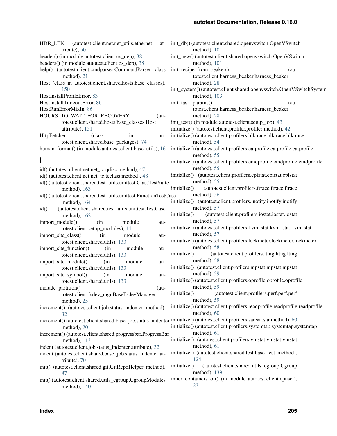HDR\_LEN (autotest.client.net.net\_utils.ethernet attribute), [50](#page-53-0) header() (in module autotest.client.os dep), [38](#page-41-3) headers() (in module autotest.client.os\_dep), [38](#page-41-3) help() (autotest.client.cmdparser.CommandParser class method), [21](#page-24-3) Host (class in autotest.client.shared.hosts.base\_classes), [150](#page-153-2) HostInstallProfileError, [83](#page-86-0) HostInstallTimeoutError, [86](#page-89-1) HostRunErrorMixIn, [86](#page-89-1) HOURS\_TO\_WAIT\_FOR\_RECOVERY (autotest.client.shared.hosts.base\_classes.Host attribute), [151](#page-154-0) HttpFetcher (class in autotest.client.shared.base\_packages), [74](#page-77-0) human format() (in module autotest.client.base utils), [16](#page-19-0) I id() (autotest.client.net.net\_tc.qdisc method), [47](#page-50-0) id() (autotest.client.net.net\_tc.tcclass method), [48](#page-51-0) id() (autotest.client.shared.test\_utils.unittest.ClassTestSuite method), [163](#page-166-0) id() (autotest.client.shared.test\_utils.unittest.FunctionTestCase method), [164](#page-167-0) id() (autotest.client.shared.test\_utils.unittest.TestCase method), [162](#page-165-0) import module() (in module autotest.client.setup\_modules), [44](#page-47-3) import site class() (in module autotest.client.shared.utils), [133](#page-136-0) import site function() (in module autotest.client.shared.utils), [133](#page-136-0) import\_site\_module() (in module autotest.client.shared.utils), [133](#page-136-0) import\_site\_symbol() (in module autotest.client.shared.utils), [133](#page-136-0) include\_partition() (autotest.client.fsdev\_mgr.BaseFsdevManager method), [25](#page-28-2) increment() (autotest.client.job.status indenter method),  $32$ increment() (autotest.client.shared.base\_job.status\_indenter initialize() (autotest.client.profilers.sar.sar.sar method), [60](#page-63-3) method), [70](#page-73-0) increment() (autotest.client.shared.progressbar.ProgressBar method), [113](#page-116-2) indent (autotest.client.job.status indenter attribute), [32](#page-35-0) indent (autotest.client.shared.base\_job.status\_indenter attribute), [70](#page-73-0) init() (autotest.client.shared.git.GitRepoHelper method), [87](#page-90-2) init() (autotest.client.shared.utils\_cgroup.CgroupModules method), [140](#page-143-0)

init\_db() (autotest.client.shared.openvswitch.OpenVSwitch method), [101](#page-104-1) init\_new() (autotest.client.shared.openvswitch.OpenVSwitch method), [101](#page-104-1) init recipe from beaker() (autotest.client.harness\_beaker.harness\_beaker method), [28](#page-31-0) init\_system() (autotest.client.shared.openvswitch.OpenVSwitchSystem method), [103](#page-106-0) init\_task\_params() (autotest.client.harness\_beaker.harness\_beaker method), [28](#page-31-0) init\_test() (in module autotest.client.setup\_job), [43](#page-46-2) initialize() (autotest.client.profiler.profiler method), [42](#page-45-1) initialize() (autotest.client.profilers.blktrace.blktrace.blktrace method), [54](#page-57-2) initialize() (autotest.client.profilers.catprofile.catprofile.catprofile method), [55](#page-58-4) initialize() (autotest.client.profilers.cmdprofile.cmdprofile.cmdprofile method), [55](#page-58-4) initialize() (autotest.client.profilers.cpistat.cpistat.cpistat method), [55](#page-58-4) initialize() (autotest.client.profilers.ftrace.ftrace.ftrace method), [56](#page-59-1) initialize() (autotest.client.profilers.inotify.inotify.inotify method), [57](#page-60-2) initialize() (autotest.client.profilers.iostat.iostat.iostat method), [57](#page-60-2) initialize() (autotest.client.profilers.kvm\_stat.kvm\_stat.kvm\_stat method), [57](#page-60-2) initialize() (autotest.client.profilers.lockmeter.lockmeter.lockmeter method), [58](#page-61-2) initialize() (autotest.client.profilers.lttng.lttng.lttng method), [58](#page-61-2) initialize() (autotest.client.profilers.mpstat.mpstat.mpstat method), [59](#page-62-3) initialize() (autotest.client.profilers.oprofile.oprofile.oprofile method), [59](#page-62-3) initialize() (autotest.client.profilers.perf.perf.perf method), [59](#page-62-3) initialize() (autotest.client.profilers.readprofile.readprofile.readprofile method), [60](#page-63-3) initialize() (autotest.client.profilers.systemtap.systemtap.systemtap method), [61](#page-64-3) initialize() (autotest.client.profilers.vmstat.vmstat.vmstat method), [61](#page-64-3) initialize() (autotest.client.shared.test.base\_test method), [124](#page-127-0) initialize() (autotest.client.shared.utils\_cgroup.Cgroup method), [139](#page-142-0) inner\_containers\_of() (in module autotest.client.cpuset),

[23](#page-26-1)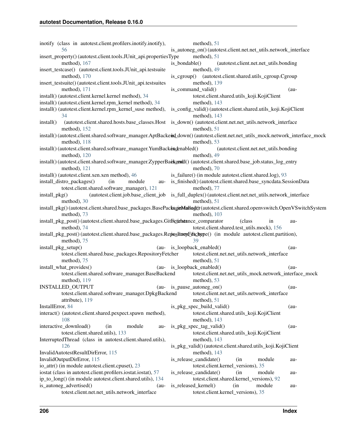inotify (class in autotest.client.profilers.inotify.inotify), [56](#page-59-1) insert\_property() (autotest.client.tools.JUnit\_api.propertiesType method), [167](#page-170-0) insert\_testcase() (autotest.client.tools.JUnit\_api.testsuite method), [170](#page-173-0) insert\_testsuite() (autotest.client.tools.JUnit\_api.testsuites method), [171](#page-174-0) install() (autotest.client.kernel.kernel method), [34](#page-37-1) install() (autotest.client.kernel.rpm\_kernel method), [34](#page-37-1) install() (autotest.client.kernel.rpm\_kernel\_suse method), [34](#page-37-1) install() (autotest.client.shared.hosts.base\_classes.Host is\_down() (autotest.client.net.net\_utils.network\_interface method), [152](#page-155-0) install() (autotest.client.shared.software\_manager.AptBackend\_down() (autotest.client.net.net\_utils\_mock.network\_interface\_mock method), [118](#page-121-1) install() (autotest.client.shared.software\_manager.YumBackendenabled() method), [120](#page-123-0) install() (autotest.client.shared.software\_manager.ZypperBackend() (autotest.client.shared.base\_job.status\_log\_entry method), [121](#page-124-0) install() (autotest.client.xen.xen method), [46](#page-49-3) install\_distro\_packages() (in module autotest.client.shared.software\_manager), [121](#page-124-0) install\_pkg() (autotest.client.job.base\_client\_job is\_full\_duplex() (autotest.client.net.net\_utils.network\_interface method), [30](#page-33-0) install\_pkg() (autotest.client.shared.base\_packages.BasePackageMallager(autotest.client.shared.openvswitch.OpenVSwitchSystem method), [73](#page-76-0) install\_pkg\_post() (autotest.client.shared.base\_packages.GitFetintetance\_comparator (class in aumethod), [74](#page-77-0) install\_pkg\_post() (autotest.client.shared.base\_packages.RepositoryFetschype() (in module autotest.client.partition), method), [75](#page-78-0)  $install$ \_pkg\_setup() totest.client.shared.base\_packages.RepositoryFetcher method), [75](#page-78-0) install\_what\_provides() totest.client.shared.software\_manager.BaseBackend method), [119](#page-122-0) INSTALLED\_OUTPUT totest.client.shared.software\_manager.DpkgBackend attribute), [119](#page-122-0) InstallError, [84](#page-87-0) interact() (autotest.client.shared.pexpect.spawn method), [108](#page-111-0) interactive\_download() (in module autotest.client.shared.utils), [133](#page-136-0) InterruptedThread (class in autotest.client.shared.utils), [126](#page-129-0) InvalidAutotestResultDirError, [115](#page-118-1) InvalidOutputDirError, [115](#page-118-1) io attr() (in module autotest.client.cpuset), [23](#page-26-1) iostat (class in autotest.client.profilers.iostat.iostat), [57](#page-60-2) ip to long() (in module autotest.client.shared.utils), [134](#page-137-0) is autoneg advertised() (autotest.client.net.net\_utils.network\_interface method), [51](#page-54-0) is autoneg on() (autotest.client.net.net utils.network interface method), [51](#page-54-0) is\_bondable() (autotest.client.net.net\_utils.bonding method), [49](#page-52-1) is cgroup() (autotest.client.shared.utils cgroup.Cgroup method), [139](#page-142-0) is command valid() (autotest.client.shared.utils\_koji.KojiClient method), [143](#page-146-0) is\_config\_valid() (autotest.client.shared.utils\_koji.KojiClient method), [143](#page-146-0) method), [51](#page-54-0) method), [53](#page-56-1) (autotest.client.net.net\_utils.bonding method), [49](#page-52-1) method), [70](#page-73-0) is\_failure() (in module autotest.client.shared.log), [93](#page-96-2) is\_finished() (autotest.client.shared.base\_syncdata.SessionData method), [77](#page-80-1) method), [51](#page-54-0) method), [103](#page-106-0) totest.client.shared.test\_utils.mock), [156](#page-159-0) [39](#page-42-0) (au- is loopback enabled() (autotest.client.net.net\_utils.network\_interface method), [51](#page-54-0) (au- is loopback enabled() (autotest.client.net.net\_utils\_mock.network\_interface\_mock method), [53](#page-56-1) is\_pause\_autoneg\_on() (autotest.client.net.net\_utils.network\_interface method), [51](#page-54-0) is pkg spec build valid()  $(au$ totest.client.shared.utils\_koji.KojiClient method), [143](#page-146-0) is\_pkg\_spec\_tag\_valid() (autotest.client.shared.utils\_koji.KojiClient method), [143](#page-146-0) is\_pkg\_valid() (autotest.client.shared.utils\_koji.KojiClient method), [143](#page-146-0) is release candidate() (in module autotest.client.kernel\_versions), [35](#page-38-2) is\_release\_candidate() (in module autotest.client.shared.kernel\_versions), [92](#page-95-1) is released kernel() (in module autotest.client.kernel\_versions), [35](#page-38-2)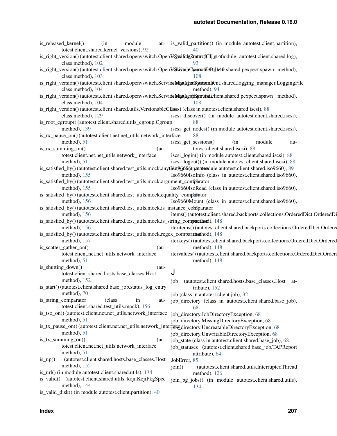|            | is_released_kernel()<br>totest.client.shared.kernel_versions), 92 | (in     | module    | au- is_valid_partition() (in module autotest.client.partition),<br>40                                                                    |
|------------|-------------------------------------------------------------------|---------|-----------|------------------------------------------------------------------------------------------------------------------------------------------|
|            | class method), 102                                                |         |           | is_right_version() (autotest.client.shared.openvswitch.OpenVsSwatchGtattrs(IC)(in14fdodule autotest.client.shared.log),                  |
|            |                                                                   |         |           |                                                                                                                                          |
|            | class method), 103                                                |         |           | is_right_version()(autotest.client.shared.openvswitch.OpenVsSilwitchOcanttotH3Bclieft0.shared.pexpect.spawn method),<br>108              |
|            | class method), 104                                                |         |           | is_right_version() (autotest.client.shared.openvswitch.ServideMtay(a) ganSytetstnaDent.shared.logging_manager.LoggingFile<br>method), 94 |
|            |                                                                   |         |           | is_right_version() (autotest.client.shared.openvswitch.ServideMtan(agetalyotenitclient.shared.pexpect.spawn method),                     |
|            | class method), 104                                                |         |           | 108                                                                                                                                      |
|            |                                                                   |         |           | is_right_version() (autotest.client.shared.utils.VersionableCllsssi (class in autotest.client.shared.iscsi), 88                          |
|            | class method), 129                                                |         |           | iscsi_discover() (in module autotest.client.shared.iscsi),                                                                               |
|            | is_root_cgroup()(autotest.client.shared.utils_cgroup.Cgroup       |         |           | 88                                                                                                                                       |
|            | method), 139                                                      |         |           | iscsi_get_nodes() (in module autotest.client.shared.iscsi),                                                                              |
|            | is_rx_pause_on() (autotest.client.net.net_utils.network_interface |         |           | 88                                                                                                                                       |
|            | method), 51                                                       |         |           | module<br>iscsi_get_sessions()<br>(in<br>au-                                                                                             |
|            | $is_{rx\_summing\_on()}$                                          |         | $(au-$    | totest.client.shared.iscsi), 88                                                                                                          |
|            | totest.client.net.net_utils.network_interface                     |         |           | iscsi_login() (in module autotest.client.shared.iscsi), 88                                                                               |
|            | method), 51                                                       |         |           | iscsi_logout() (in module autotest.client.shared.iscsi), 88                                                                              |
|            |                                                                   |         |           | is_satisfied_by()(autotest.client.shared.test_utils.mock.anythion9660m parametrical autotest.client.shared.iso9660), 89                  |
|            | method), 155                                                      |         |           | Iso9660IsoInfo (class in autotest.client.shared.iso9660),                                                                                |
|            |                                                                   |         |           | is_satisfied_by()(autotest.client.shared.test_utils.mock.argument_comparator                                                             |
|            | method), 155                                                      |         |           |                                                                                                                                          |
|            |                                                                   |         |           | Iso9660IsoRead (class in autotest.client.shared.iso9660),                                                                                |
|            |                                                                   |         |           | is_satisfied_by()(autotest.client.shared.test_utils.mock.equality_compa0ator                                                             |
|            | method), $156$                                                    |         |           | Iso9660Mount (class in autotest.client.shared.iso9660),                                                                                  |
|            |                                                                   |         |           | is_satisfied_by()(autotest.client.shared.test_utils.mock.is_instance_comparator                                                          |
|            | method), 156                                                      |         |           | items() (autotest.client.shared.backports.collections.OrderedDict.OrderedDi                                                              |
|            |                                                                   |         |           | is_satisfied_by()(autotest.client.shared.test_utils.mock.is_string_comparathord), 148                                                    |
|            | method), 156                                                      |         |           | iteritems() (autotest.client.shared.backports.collections.OrderedDict.Ordere                                                             |
|            |                                                                   |         |           | is_satisfied_by()(autotest.client.shared.test_utils.mock.regex_comparatethod), 148                                                       |
|            | method), 157                                                      |         |           | iterkeys() (autotest.client.shared.backports.collections.OrderedDict.Ordered                                                             |
|            | is_scatter_gather_on()                                            |         | $(au-$    | method), 148                                                                                                                             |
|            | totest.client.net.net_utils.network_interface                     |         |           | itervalues()(autotest.client.shared.backports.collections.OrderedDict.Ordere                                                             |
|            | method), 51                                                       |         |           | method), $148$                                                                                                                           |
|            | is_shutting_down()                                                |         | $(au-$    | J                                                                                                                                        |
|            | totest.client.shared.hosts.base_classes.Host                      |         |           |                                                                                                                                          |
|            | method), 152                                                      |         |           | (autotest.client.shared.hosts.base_classes.Host at-<br>job                                                                               |
|            | is_start()(autotest.client.shared.base_job.status_log_entry       |         |           | tribute), $152$                                                                                                                          |
|            | method), 70                                                       |         |           | job (class in autotest.client.job), 32                                                                                                   |
|            | is_string_comparator                                              | (class) | in<br>au- | job_directory (class in autotest.client.shared.base_job),                                                                                |
|            | totest.client.shared.test_utils.mock), 156                        |         |           | 68                                                                                                                                       |
|            | is_tso_on()(autotest.client.net.net_utils.network_interface       |         |           | job_directory.JobDirectoryException, 68                                                                                                  |
|            | method), 51                                                       |         |           | job_directory.MissingDirectoryException, 68                                                                                              |
|            |                                                                   |         |           | is_tx_pause_on()(autotest.client.net.net_utils.network_interfabedirectory.UncreatableDirectoryException, 68                              |
|            | method), 51                                                       |         |           | job_directory.UnwritableDirectoryException, 68                                                                                           |
|            | $is_{tx\_summing\_on()}$                                          |         | $(au-$    | job_state (class in autotest.client.shared.base_job), 68                                                                                 |
|            | totest.client.net.net_utils.network_interface                     |         |           | job_statuses (autotest.client.shared.base_job.TAPReport                                                                                  |
|            | method), 51                                                       |         |           | attribute), 64                                                                                                                           |
| $is\_up()$ | (autotest.client.shared.hosts.base_classes.Host                   |         |           | JobError, 85                                                                                                                             |
|            | method), 152                                                      |         |           | join()<br>(autotest.client.shared.utils.InterruptedThread                                                                                |
|            | is_url() (in module autotest.client.shared.utils), 134            |         |           | method), 126                                                                                                                             |
|            | is_valid() (autotest.client.shared.utils_koji.KojiPkgSpec         |         |           | join_bg_jobs() (in module autotest.client.shared.utils),                                                                                 |
|            | method), 144                                                      |         |           | 134                                                                                                                                      |
|            | is_valid_disk() (in module autotest.client.partition), 40         |         |           |                                                                                                                                          |
|            |                                                                   |         |           |                                                                                                                                          |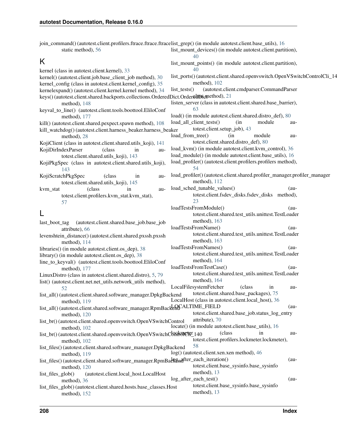| join_command()(autotest.client.profilers.ftrace.ftrace.ftracelist_grep()(in module autotest.client.base_utils), 16 |                                                                          |        |
|--------------------------------------------------------------------------------------------------------------------|--------------------------------------------------------------------------|--------|
| static method), 56                                                                                                 | list_mount_devices() (in module autotest.client.partition),<br>40        |        |
| Κ                                                                                                                  | list_mount_points() (in module autotest.client.partition),               |        |
| kernel (class in autotest.client.kernel), 33                                                                       | 40                                                                       |        |
| kernel() (autotest.client.job.base_client_job method), 30                                                          | list_ports()(autotest.client.shared.openvswitch.OpenVSwitchControlCli_14 |        |
| kernel_config (class in autotest.client.kernel_config), 35                                                         | method), 102                                                             |        |
| kernelexpand() (autotest.client.kernel.kernel method), 34                                                          | (autotest.client.cmdparser.CommandParser<br>$list_test()$                |        |
| keys() (autotest.client.shared.backports.collections.OrderedDict.Order&HDStatedod), 21                             |                                                                          |        |
| method), 148                                                                                                       | listen_server (class in autotest.client.shared.base_barrier),            |        |
| keyval_to_line() (autotest.client.tools.boottool.EliloConf                                                         | 63                                                                       |        |
| method), $177$                                                                                                     | load() (in module autotest.client.shared.distro_def), 80                 |        |
| kill() (autotest.client.shared.pexpect.spawn method), 108                                                          | load_all_client_tests()<br>(in<br>module                                 | au-    |
| kill_watchdog()(autotest.client.harness_beaker.harness_beaker                                                      | totest.client.setup_job), 43                                             |        |
| method), 28                                                                                                        | load_from_tree()<br>(in<br>module                                        | au-    |
| KojiClient (class in autotest.client.shared.utils_koji), 141                                                       | totest.client.shared.distro_def), 80                                     |        |
| KojiDirIndexParser<br>(class<br>in<br>au-                                                                          | load_kvm() (in module autotest.client.kvm_control), 36                   |        |
| totest.client.shared.utils_koji), 143                                                                              | load_module() (in module autotest.client.base_utils), 16                 |        |
| KojiPkgSpec (class in autotest.client.shared.utils_koji),                                                          | load_profiler() (autotest.client.profilers.profilers method),            |        |
| 143                                                                                                                | 54                                                                       |        |
| KojiScratchPkgSpec<br>(class)<br>in<br>au-                                                                         | load_profiler()(autotest.client.shared.profiler_manager.profiler_manager |        |
| totest.client.shared.utils_koji), 145                                                                              | method), 112                                                             |        |
| (class)<br>kvm_stat<br>in<br>au-                                                                                   | load_sched_tunable_values()                                              | $(au-$ |
| totest.client.profilers.kvm_stat.kvm_stat),                                                                        | totest.client.fsdev_disks.fsdev_disks method),                           |        |
| 57                                                                                                                 | 23                                                                       |        |
|                                                                                                                    | loadTestsFromModule()<br>$(au-$                                          |        |
| L                                                                                                                  | totest.client.shared.test_utils.unittest.TestLoader                      |        |
| (autotest.client.shared.base_job.base_job<br>last_boot_tag                                                         | method), 163                                                             |        |
| attribute), 66                                                                                                     | loadTestsFromName()                                                      | $(au-$ |
| levenshtein_distance()(autotest.client.shared.pxssh.pxssh                                                          | totest.client.shared.test_utils.unittest.TestLoader                      |        |
| method), 114                                                                                                       | method), 163                                                             |        |
| libraries() (in module autotest.client.os_dep), 38                                                                 | loadTestsFromNames()                                                     | $(au-$ |
| library() (in module autotest.client.os_dep), 38                                                                   | totest.client.shared.test_utils.unittest.TestLoader                      |        |
| line_to_keyval() (autotest.client.tools.boottool.EliloConf                                                         | method), 164                                                             |        |
| method), 177                                                                                                       | loadTestsFromTestCase()                                                  | $(au-$ |
| LinuxDistro (class in autotest.client.shared.distro), 5, 79                                                        | totest.client.shared.test_utils.unittest.TestLoader<br>method), 164      |        |
| list() (autotest.client.net.net_utils.network_utils method),                                                       | LocalFilesystemFetcher<br>(class)                                        |        |
| 52                                                                                                                 | 1n<br>totest.client.shared.base_packages), 75                            | au-    |
| list_all()(autotest.client.shared.software_manager.DpkgBackend                                                     | LocalHost (class in autotest.client.local_host), 36                      |        |
| method), 119                                                                                                       | $(au-$                                                                   |        |
| list_all() (autotest.client.shared.software_manager.RpmBackenCALTIME_FIELD                                         | totest.client.shared.base_job.status_log_entry                           |        |
| method), 120                                                                                                       | attribute), 70                                                           |        |
| list_br()(autotest.client.shared.openvswitch.OpenVSwitchControl                                                    | locate() (in module autotest.client.base_utils), 16                      |        |
| method), 102<br>list_br() (autotest.client.shared.openvswitch.OpenVSwitchCbRrRDCfFr 140                            | (class)<br>in                                                            | au-    |
| method), $102$                                                                                                     | totest.client.profilers.lockmeter.lockmeter),                            |        |
| list_files()(autotest.client.shared.software_manager.DpkgBackend                                                   | 58                                                                       |        |
| method), 119                                                                                                       | log() (autotest.client.xen.xen method), 46                               |        |
| list_files() (autotest.client.shared.software_manager.RpmBacREnafter_each_iteration()                              | $(au-$                                                                   |        |
| method), 120                                                                                                       | totest.client.base_sysinfo.base_sysinfo                                  |        |
| (autotest.client.local_host.LocalHost<br>list_files_glob()                                                         | method), $13$                                                            |        |
| method), 36                                                                                                        | log_after_each_test()<br>$(au-$                                          |        |
| list_files_glob()(autotest.client.shared.hosts.base_classes.Host                                                   | totest.client.base_sysinfo.base_sysinfo                                  |        |
| method), 152                                                                                                       | method), 13                                                              |        |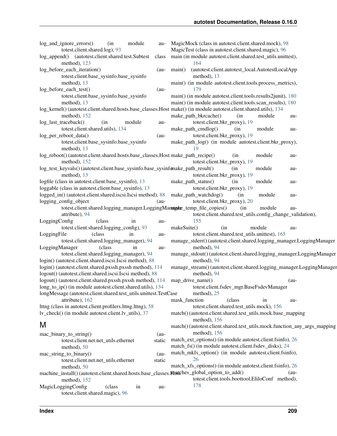| log_and_ignore_errors()<br>module<br>(in<br>au-<br>totest.client.shared.log), 93                                  | MagicMock (class in autotest.client.shared.mock), 98<br>MagicTest (class in autotest.client.shared.magic), 96        |
|-------------------------------------------------------------------------------------------------------------------|----------------------------------------------------------------------------------------------------------------------|
| log_append() (autotest.client.shared.test.Subtest<br>class<br>method), 123                                        | main (in module autotest.client.shared.test_utils.unittest),<br>164                                                  |
| log_before_each_iteration()<br>$(au-$<br>totest.client.base_sysinfo.base_sysinfo                                  | main()<br>(autotest.client.autotest_local.AutotestLocalApp<br>method), 13                                            |
| method), 13<br>log_before_each_test()<br>$(au-$                                                                   | main() (in module autotest.client.tools.process_metrics),<br>179                                                     |
| totest.client.base_sysinfo.base_sysinfo                                                                           | main() (in module autotest.client.tools.results2junit), 180                                                          |
| method), 13                                                                                                       | main() (in module autotest.client.tools.scan_results), 180                                                           |
| log_kernel() (autotest.client.shared.hosts.base_classes.Host make() (in module autotest.client.shared.utils), 134 |                                                                                                                      |
| method), $152$                                                                                                    | make_path_bkrcache()<br>(in<br>module<br>au-                                                                         |
| log_last_traceback()<br>module<br>(in<br>au-                                                                      | totest.client.bkr_proxy), 19                                                                                         |
| totest.client.shared.utils), 134                                                                                  | make_path_cmdlog()<br>(in<br>module<br>au-                                                                           |
| log_per_reboot_data()<br>$(au-$                                                                                   | totest.client.bkr_proxy), 19                                                                                         |
| totest.client.base_sysinfo.base_sysinfo<br>method), 13                                                            | make_path_log() (in module autotest.client.bkr_proxy),                                                               |
| log_reboot() (autotest.client.shared.hosts.base_classes.Host make_path_recipe()<br>method), $152$                 | module<br>(in<br>au-<br>totest.client.bkr_proxy), 19                                                                 |
| log_test_keyvals()(autotest.client.base_sysinfo.base_sysinfomake_path_result()<br>method), 13                     | module<br>(in<br>au-<br>totest.client.bkr_proxy), 19                                                                 |
| logfile (class in autotest.client.base_sysinfo), 13                                                               | make_path_status()<br>(in<br>module<br>au-                                                                           |
| loggable (class in autotest.client.base_sysinfo), 13                                                              | totest.client.bkr_proxy), 19                                                                                         |
| logged_in() (autotest.client.shared.iscsi.Iscsi method), 88                                                       | make_path_watchdog()<br>module<br>(in<br>au-                                                                         |
| logging_config_object<br>$(au-$                                                                                   | totest.client.bkr_proxy), 20                                                                                         |
| totest.client.shared.logging_manager.LoggingManageretemp_file_copies()<br>attribute), 94                          | (in<br>module<br>au-<br>totest.client.shared.test_utils.config_change_validation),                                   |
| LoggingConfig<br>(class<br>in<br>au-                                                                              | 155                                                                                                                  |
| totest.client.shared.logging_config), 93<br>LoggingFile<br>in                                                     | makeSuite()<br>module<br>(in<br>au-<br>totest.client.shared.test_utils.unittest), 165                                |
| (class)<br>au-<br>totest.client.shared.logging_manager), 94                                                       | manage_stderr() (autotest.client.shared.logging_manager.LoggingManager                                               |
| LoggingManager<br>(class)<br>in<br>au-                                                                            | method), 94                                                                                                          |
| totest.client.shared.logging_manager), 94                                                                         | manage_stdout() (autotest.client.shared.logging_manager.LoggingManager                                               |
| login() (autotest.client.shared.iscsi.Iscsi method), 88                                                           | method), 94                                                                                                          |
| login() (autotest.client.shared.pxssh.pxssh method), 114                                                          | manage_stream() (autotest.client.shared.logging_manager.LoggingManager                                               |
| logout() (autotest.client.shared.iscsi.Iscsi method), 88                                                          | method), 94                                                                                                          |
| logout() (autotest.client.shared.pxssh.pxssh method), 114                                                         | map_drive_name()<br>$(au-$                                                                                           |
| long_to_ip() (in module autotest.client.shared.utils), 134                                                        | totest.client.fsdev_mgr.BaseFsdevManager                                                                             |
| longMessage (autotest.client.shared.test_utils.unittest.TestCase                                                  | method), 25                                                                                                          |
| attribute), 162                                                                                                   | mask_function<br>(class<br>in<br>au-                                                                                 |
| lttng (class in autotest.client.profilers.lttng.lttng), 58                                                        | totest.client.shared.test_utils.mock), 156                                                                           |
| ly check() (in module autotest.client.ly utils), 37                                                               | match()(autotest.client.shared.test_utils.mock.base_mapping                                                          |
| M                                                                                                                 | method), 156                                                                                                         |
|                                                                                                                   | match() (autotest.client.shared.test_utils.mock.function_any_args_mapping                                            |
| mac_binary_to_string()<br>$(au -$                                                                                 | method), 156                                                                                                         |
| totest.client.net.net_utils.ethernet<br>static                                                                    | match_ext_options() (in module autotest.client.fsinfo), 26<br>match_fs() (in module autotest.client.fsdev_disks), 24 |
| method), 50                                                                                                       | match_mkfs_option() (in module autotest.client.fsinfo),                                                              |
| mac_string_to_binary()<br>$(au-$<br>totest.client.net.net_utils.ethernet<br>static                                | 26                                                                                                                   |
| method), 50                                                                                                       | match_xfs_options() (in module autotest.client.fsinfo), 26                                                           |
| machine_install()(autotest.client.shared.hosts.base_classes.mostphes_global_option_to_add()                       | $(au-$                                                                                                               |
| method), 152                                                                                                      | totest.client.tools.boottool.EliloConf method),                                                                      |
| MagicLoggingConfig<br>(class<br>in<br>au-                                                                         | 178                                                                                                                  |
| totest.client.shared.magic), 96                                                                                   |                                                                                                                      |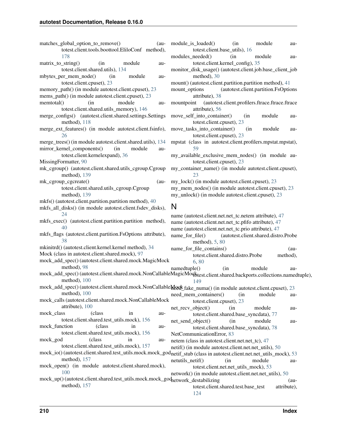- matches global option to remove() (autotest.client.tools.boottool.EliloConf method), [178](#page-181-2)
- matrix\_to\_string() (in module autotest.client.shared.utils), [134](#page-137-0)
- mbytes per mem node() (in module autotest.client.cpuset), [23](#page-26-1)
- memory path() (in module autotest.client.cpuset), [23](#page-26-1)
- mems\_path() (in module autotest.client.cpuset), [23](#page-26-1)
- memtotal() (in module autotest.client.shared.utils\_memory), [146](#page-149-1)
- merge\_configs() (autotest.client.shared.settings.Settings method), [118](#page-121-1)
- merge\_ext\_features() (in module autotest.client.fsinfo), [26](#page-29-1)
- merge\_trees() (in module autotest.client.shared.utils), [134](#page-137-0)
- mirror kernel components() (in module autotest.client.kernelexpand), [36](#page-39-2)
- MissingFormatter, [90](#page-93-1)
- mk\_cgroup() (autotest.client.shared.utils\_cgroup.Cgroup method), [139](#page-142-0)
- mk\_cgroup\_cgcreate() (autotest.client.shared.utils\_cgroup.Cgroup method), [139](#page-142-0)
- mkfs() (autotest.client.partition.partition method), [40](#page-43-0)
- mkfs all disks() (in module autotest.client.fsdev disks), [24](#page-27-0)
- mkfs\_exec() (autotest.client.partition.partition method), [40](#page-43-0)
- mkfs\_flags (autotest.client.partition.FsOptions attribute), [38](#page-41-3)
- mkinitrd() (autotest.client.kernel.kernel method), [34](#page-37-1)
- Mock (class in autotest.client.shared.mock), [97](#page-100-1)
- mock\_add\_spec() (autotest.client.shared.mock.MagicMock method), [98](#page-101-0)
- module is loaded() (in module autotest.client.base\_utils), [16](#page-19-0)
- modules needed() (in module au-totest.client.kernel\_config), [35](#page-38-2)
- monitor\_disk\_usage() (autotest.client.job.base\_client\_job method), [30](#page-33-0)
- mount() (autotest.client.partition.partition method), [41](#page-44-0)
- mount options (autotest.client.partition.FsOptions) attribute), [38](#page-41-3)
- mountpoint (autotest.client.profilers.ftrace.ftrace.ftrace attribute), [56](#page-59-1)
- move\_self\_into\_container() (in module autotest.client.cpuset), [23](#page-26-1)
- move\_tasks\_into\_container() (in module autotest.client.cpuset), [23](#page-26-1)
- mpstat (class in autotest.client.profilers.mpstat.mpstat), [59](#page-62-3)
- my available exclusive mem nodes() (in module autotest.client.cpuset), [23](#page-26-1)
- my\_container\_name() (in module autotest.client.cpuset), [23](#page-26-1)

my lock() (in module autotest.client.cpuset), [23](#page-26-1)

my\_mem\_nodes() (in module autotest.client.cpuset), [23](#page-26-1) my\_unlock() (in module autotest.client.cpuset), [23](#page-26-1)

# N

mock\_add\_spec() (autotest.client.shared.mock.NonCallableMagicMoqk method), [100](#page-103-0) mock\_add\_spec() (autotest.client.shared.mock.NonCallableMock\_fake\_numa() (in module autotest.client.cpuset), [23](#page-26-1) method), [100](#page-103-0) mock\_calls (autotest.client.shared.mock.NonCallableMock attribute), [100](#page-103-0) mock class (class in autotest.client.shared.test\_utils.mock), [156](#page-159-0) mock\_function (class in autotest.client.shared.test\_utils.mock), [156](#page-159-0) mock\_god (class in autotest.client.shared.test\_utils.mock), [157](#page-160-1) mock\_io() (autotest.client.shared.test\_utils.mock.mock\_god netif\_stub (class in autotest.client.net.net\_utils\_mock), [53](#page-56-1) method), [157](#page-160-1) mock\_open() (in module autotest.client.shared.mock), mock\_up() (autotest.client.shared.test\_utils.mock.mock\_god network\_destabilizing (aumethod), [157](#page-160-1) name (autotest.client.net.net\_tc.netem attribute), [47](#page-50-0) name (autotest.client.net.net\_tc.pfifo attribute), [47](#page-50-0) name (autotest.client.net.net\_tc.prio attribute), [47](#page-50-0) name\_for\_file() (autotest.client.shared.distro.Probe method), [5,](#page-8-0) [80](#page-83-1) name\_for\_file\_contains() (autotest.client.shared.distro.Probe method), [6,](#page-9-0) [80](#page-83-1) namedtuple() (in module auibtest.client.shared.backports.collections.namedtuple), [149](#page-152-2) need mem containers() (in module autotest.client.cpuset), [23](#page-26-1) net recv object() (in module autotest.client.shared.base\_syncdata), [77](#page-80-1) net send object() (in module autotest.client.shared.base\_syncdata), [78](#page-81-4) NetCommunicationError, [83](#page-86-0) netem (class in autotest.client.net.net\_tc), [47](#page-50-0) netif() (in module autotest.client.net.net\_utils), [50](#page-53-0) netutils netif() (in module au-totest.client.net.net\_utils\_mock), [53](#page-56-1) network() (in module autotest.client.net.net\_utils), [50](#page-53-0) totest.client.shared.test.base\_test attribute), [124](#page-127-0)

[100](#page-103-0)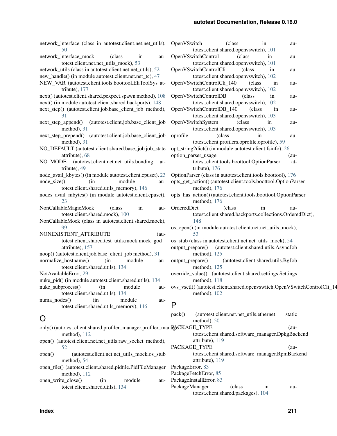| network_interface (class in autotest.client.net.net_utils),<br>50                                                     | OpenVSwitch<br>(class)<br>in<br>au-<br>totest.client.shared.openvswitch), 101                                           |
|-----------------------------------------------------------------------------------------------------------------------|-------------------------------------------------------------------------------------------------------------------------|
| network_interface_mock<br>(class)<br>in<br>au-<br>totest.client.net.net_utils_mock), 53                               | OpenVSwitchControl<br>(class<br>in<br>au-<br>totest.client.shared.openvswitch), 101                                     |
| network_utils (class in autotest.client.net.net_utils), 52<br>new_handle() (in module autotest.client.net.net_tc), 47 | OpenVSwitchControlCli<br>(class)<br>in<br>au-<br>totest.client.shared.openvswitch), 102                                 |
| NEW_VAR (autotest.client.tools.boottool.EfiToolSys at-<br>tribute), 177                                               | OpenVSwitchControlCli_140<br>(class<br>in<br>au-<br>totest.client.shared.openvswitch), 102                              |
| next() (autotest.client.shared.pexpect.spawn method), 108<br>next() (in module autotest.client.shared.backports), 148 | OpenVSwitchControlDB<br>(class)<br>in<br>au-<br>totest.client.shared.openvswitch), 102                                  |
| next_step() (autotest.client.job.base_client_job method),<br>31                                                       | OpenVSwitchControlDB_140<br>(class)<br>in<br>au-<br>totest.client.shared.openvswitch), 103                              |
| next_step_append() (autotest.client.job.base_client_job<br>method), 31                                                | OpenVSwitchSystem<br>(class)<br>in<br>au-<br>totest.client.shared.openvswitch), 103                                     |
| next_step_prepend() (autotest.client.job.base_client_job<br>method), 31                                               | oprofile<br>(class)<br>in<br>au-<br>totest.client.profilers.oprofile.oprofile), 59                                      |
| NO_DEFAULT (autotest.client.shared.base_job.job_state                                                                 | opt_string2dict() (in module autotest.client.fsinfo), 26                                                                |
| attribute), 68<br>NO_MODE<br>(autotest.client.net.net_utils.bonding<br>at-                                            | option_parser_usage<br>(au-<br>totest.client.tools.boottool.OptionParser<br>at-                                         |
| tribute), 49                                                                                                          | tribute), $176$                                                                                                         |
| node_avail_kbytes() (in module autotest.client.cpuset), 23                                                            | OptionParser (class in autotest.client.tools.boottool), 176                                                             |
| node_size()<br>module<br>(in<br>au-                                                                                   | opts_get_action() (autotest.client.tools.boottool.OptionPa                                                              |
| totest.client.shared.utils_memory), 146                                                                               | method), 176                                                                                                            |
| nodes_avail_mbytes() (in module autotest.client.cpuset),                                                              | opts_has_action() (autotest.client.tools.boottool.OptionPa                                                              |
| 23                                                                                                                    | method), 176                                                                                                            |
| NonCallableMagicMock<br>(class)<br>in<br>au-                                                                          | OrderedDict<br>(class)<br>in<br>au-                                                                                     |
| totest.client.shared.mock), 100<br>NonCallableMock (class in autotest.client.shared.mock),                            | totest.client.shared.backports.collections.Order<br>148                                                                 |
| 99                                                                                                                    | os_open() (in module autotest.client.net.net_utils_mock),                                                               |
| NONEXISTENT_ATTRIBUTE<br>$(au-$                                                                                       | 53                                                                                                                      |
| totest.client.shared.test_utils.mock.mock_god<br>attribute), 157                                                      | os_stub (class in autotest.client.net.net_utils_mock), 54<br>(autotest.client.shared.utils.AsyncJob<br>output_prepare() |
| noop() (autotest.client.job.base_client_job method), 31                                                               | method), 125                                                                                                            |
| normalize_hostname()<br>(in<br>module<br>au-<br>totest.client.shared.utils), 134                                      | (autotest.client.shared.utils.BgJob<br>output_prepare()<br>method), $125$                                               |
| NotAvailableError, 29<br>nuke_pid() (in module autotest.client.shared.utils), 134                                     | override_value() (autotest.client.shared.settings.Settings<br>method), 118                                              |
| $nuke\_subprocess()$<br>(in<br>module<br>au-                                                                          | ovs_vsctl()(autotest.client.shared.openvswitch.OpenVSw                                                                  |
| totest.client.shared.utils), 134                                                                                      | method), $102$                                                                                                          |
| numa_nodes()<br>module<br>(in<br>au-                                                                                  |                                                                                                                         |
| totest.client.shared.utils_memory), 146                                                                               | P                                                                                                                       |
| Ő                                                                                                                     | pack()<br>(autotest.client.net.net_utils.ethernet<br>static<br>method), 50                                              |
| only() (autotest.client.shared.profiler_manager.profiler_manRACKAGE_TYPE                                              | (au-                                                                                                                    |
| method), 112                                                                                                          | totest.client.shared.software_manager.DpkgBac                                                                           |
| open() (autotest.client.net.net_utils.raw_socket method),                                                             | attribute), 119                                                                                                         |
| 52                                                                                                                    | PACKAGE_TYPE<br>(au-<br>totest.client.shared.software_manager.RpmBacl                                                   |
| (autotest.client.net.net_utils_mock.os_stub<br>open()<br>method), 54                                                  | attribute), 119                                                                                                         |
| open_file() (autotest.client.shared.pidfile.PidFileManager                                                            | PackageError, 83                                                                                                        |
| method), 112                                                                                                          | PackageFetchError, 85                                                                                                   |

open\_write\_close() (in module totest.client.shared.utils), [134](#page-137-0)

|                  | totest.client.shared.openvswitch), 101                                  |                                     |    |        |  |
|------------------|-------------------------------------------------------------------------|-------------------------------------|----|--------|--|
|                  | OpenVSwitchControl                                                      | (class                              | in | au-    |  |
|                  | totest.client.shared.openvswitch), 101                                  |                                     |    |        |  |
|                  | OpenVSwitchControlCli                                                   | (class                              | in | au-    |  |
|                  | totest.client.shared.openvswitch), 102                                  |                                     |    |        |  |
|                  | OpenVSwitchControlCli_140                                               | (class                              | in | au-    |  |
|                  | totest.client.shared.openvswitch), 102                                  |                                     |    |        |  |
|                  | OpenVSwitchControlDB                                                    | (class                              | in | au-    |  |
|                  | totest.client.shared.openvswitch), 102                                  |                                     |    |        |  |
|                  | OpenVSwitchControlDB_140 (class                                         |                                     | in | au-    |  |
|                  | totest.client.shared.openvswitch), 103                                  |                                     |    |        |  |
|                  | OpenVSwitchSystem                                                       | (class                              | in | au-    |  |
|                  | totest.client.shared.openvswitch), 103                                  |                                     |    |        |  |
|                  | (class                                                                  | in                                  |    |        |  |
| oprofile         |                                                                         |                                     |    | au-    |  |
|                  | totest.client.profilers.oprofile.oprofile), 59                          |                                     |    |        |  |
|                  | opt_string2dict() (in module autotest.client.fsinfo), 26                |                                     |    |        |  |
|                  | option_parser_usage                                                     |                                     |    | $(au-$ |  |
|                  | totest.client.tools.boottool.OptionParser                               |                                     |    | at-    |  |
|                  | tribute), 176                                                           |                                     |    |        |  |
|                  | OptionParser (class in autotest.client.tools.boottool), 176             |                                     |    |        |  |
|                  | opts_get_action() (autotest.client.tools.boottool.OptionParser          |                                     |    |        |  |
|                  | method), 176                                                            |                                     |    |        |  |
|                  | opts_has_action() (autotest.client.tools.boottool.OptionParser          |                                     |    |        |  |
|                  | method), 176                                                            |                                     |    |        |  |
| OrderedDict      | (class                                                                  |                                     | in | au-    |  |
|                  | totest.client.shared.backports.collections.OrderedDict),                |                                     |    |        |  |
|                  | 148                                                                     |                                     |    |        |  |
|                  | os_open() (in module autotest.client.net.net_utils_mock),               |                                     |    |        |  |
|                  | 53                                                                      |                                     |    |        |  |
|                  | os_stub (class in autotest.client.net.net_utils_mock), 54               |                                     |    |        |  |
|                  | output_prepare() (autotest.client.shared.utils.AsyncJob                 |                                     |    |        |  |
|                  | method), 125                                                            |                                     |    |        |  |
| output_prepare() |                                                                         | (autotest.client.shared.utils.BgJob |    |        |  |
|                  | method), 125                                                            |                                     |    |        |  |
|                  |                                                                         |                                     |    |        |  |
|                  | override_value() (autotest.client.shared.settings.Settings              |                                     |    |        |  |
|                  | method), 118                                                            |                                     |    |        |  |
|                  | ovs_vsctl()(autotest.client.shared.openvswitch.OpenVSwitchControlCli_14 |                                     |    |        |  |
|                  | method), $102$                                                          |                                     |    |        |  |
| P                |                                                                         |                                     |    |        |  |
|                  |                                                                         |                                     |    |        |  |
| pack()           | (autotest.client.net.net_utils.ethernet                                 |                                     |    | static |  |
|                  | method), 50                                                             |                                     |    |        |  |
|                  | <b>RACKAGE_TYPE</b>                                                     |                                     |    | $(au-$ |  |
|                  | totest.client.shared.software_manager.DpkgBackend                       |                                     |    |        |  |
|                  | attribute), 119                                                         |                                     |    |        |  |
|                  | PACKAGE_TYPE                                                            |                                     |    | $(au-$ |  |
|                  | totest.client.shared.software_manager.RpmBackend                        |                                     |    |        |  |
|                  |                                                                         |                                     |    |        |  |

au- PackageInstallError, [83](#page-86-0)

PackageManager (class in autotest.client.shared.packages), [104](#page-107-2)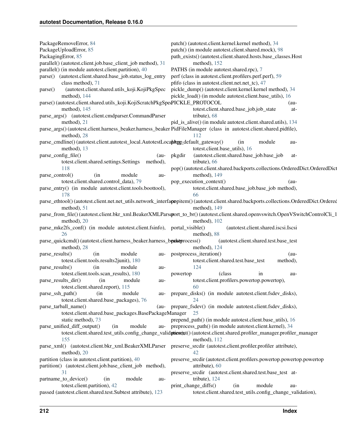| PackageRemoveError, 84                                                            | patch() (autotest.client.kernel.kernel method), 34                                                                                    |
|-----------------------------------------------------------------------------------|---------------------------------------------------------------------------------------------------------------------------------------|
| PackageUploadError, 85                                                            | patch() (in module autotest.client.shared.mock), 98                                                                                   |
| PackagingError, 85                                                                | path_exists() (autotest.client.shared.hosts.base_classes.Host                                                                         |
| parallel() (autotest.client.job.base_client_job method), 31                       | method), 152                                                                                                                          |
| parallel() (in module autotest.client.partition), 40                              | PATHS (in module autotest.shared.rpc), 7                                                                                              |
| parse() (autotest.client.shared.base_job.status_log_entry                         | perf (class in autotest.client.profilers.perf.perf), 59                                                                               |
| class method), 71                                                                 | pfifo (class in autotest.client.net.net_tc), 47                                                                                       |
| (autotest.client.shared.utils_koji.KojiPkgSpec<br>parse()                         | pickle_dump() (autotest.client.kernel.kernel method), 34                                                                              |
| method), 144                                                                      | pickle_load() (in module autotest.client.base_utils), 16                                                                              |
| parse() (autotest.client.shared.utils_koji.KojiScratchPkgSpedPICKLE_PROTOCOL      | $(au-$                                                                                                                                |
| method), 145<br>parse_args() (autotest.client.cmdparser.CommandParser             | totest.client.shared.base_job.job_state<br>at-<br>tribute), 68                                                                        |
| method), 21                                                                       | pid_is_alive() (in module autotest.client.shared.utils), 134                                                                          |
|                                                                                   | parse_args()(autotest.client.harness_beaker.harness_beaker PidFileManager (class in autotest.client.shared.pidfile),                  |
| method), 28                                                                       | 112                                                                                                                                   |
| parse_cmdline()(autotest.client.autotest_local.AutotestLocaphpy_default_gateway() | module<br>(in<br>au-                                                                                                                  |
| method), 13                                                                       | totest.client.base_utils), 16                                                                                                         |
| parse_config_file()<br>$(au-$                                                     | (autotest.client.shared.base_job.base_job<br>pkgdir<br>at-                                                                            |
| method),<br>totest.client.shared.settings.Settings                                | tribute), 66                                                                                                                          |
| 118                                                                               | pop() (autotest.client.shared.backports.collections.OrderedDict.OrderedDict                                                           |
| (in<br>module<br>parse_control()<br>au-                                           | method), 149                                                                                                                          |
| totest.client.shared.control_data), 79                                            | pop_execution_context()<br>$(au-$                                                                                                     |
| parse_entry() (in module autotest.client.tools.boottool),                         | totest.client.shared.base_job.base_job method),                                                                                       |
| 178                                                                               | 66                                                                                                                                    |
|                                                                                   | parse_ethtool() (autotest.client.net_utils.network_interfapopitem() (autotest.client.shared.backports.collections.OrderedDict.Ordered |
| method), 51                                                                       | method), 149                                                                                                                          |
|                                                                                   | parse_from_file()(autotest.client.bkr_xml.BeakerXMLParsqrort_to_br()(autotest.client.shared.openvswitch.OpenVSwitchControlCli_1       |
| method), 20                                                                       | method), $102$                                                                                                                        |
| parse_mke2fs_conf() (in module autotest.client.fsinfo), portal_visible()<br>26    | (autotest.client.shared.iscsi.Iscsi<br>method), 88                                                                                    |
| parse_quickcmd()(autotest.client.harness_beaker.harness_beakeprocess()            | (autotest.client.shared.test.base_test                                                                                                |
| method), 28                                                                       | method), 124                                                                                                                          |
| module<br>(in<br>parse_results()<br>au-                                           | postprocess_iteration()<br>$(au-$                                                                                                     |
| totest.client.tools.results2junit), 180                                           | totest.client.shared.test.base_test<br>method),                                                                                       |
| module<br>parse_results()<br>(in)<br>au-                                          | 124                                                                                                                                   |
| totest.client.tools.scan_results), 180                                            | (class<br>in<br>powertop<br>au-                                                                                                       |
| parse_results_dir()<br>(in<br>module<br>au-                                       | totest.client.profilers.powertop.powertop),                                                                                           |
| totest.client.shared.report), 115                                                 | 60.                                                                                                                                   |
| parse_ssh_path()<br>module<br>(in<br>au-                                          | prepare_disks() (in module autotest.client.fsdev_disks),                                                                              |
| totest.client.shared.base_packages), 76                                           | 24                                                                                                                                    |
| parse_tarball_name()                                                              | (au- prepare_fsdev() (in module autotest.client.fsdev_disks),                                                                         |
| totest.client.shared.base_packages.BasePackageManager                             | 25                                                                                                                                    |
| static method), 73                                                                | prepend_path() (in module autotest.client.base_utils), 16                                                                             |
| parse_unified_diff_output()<br>module<br>(in                                      | au- preprocess_path() (in module autotest.client.kernel), 34                                                                          |
|                                                                                   | totest.client.shared.test_utils.config_change_validpticare);t() (autotest.client.shared.profiler_manager.profiler_manager             |
| 155                                                                               | method), $112$                                                                                                                        |
|                                                                                   | parse_xml() (autotest.client.bkr_xml.BeakerXMLParser preserve_srcdir (autotest.client.profiler.profiler attribute),<br>42             |
| method), 20<br>partition (class in autotest.client.partition), 40                 |                                                                                                                                       |
| partition() (autotest.client.job.base_client_job method),                         | preserve_srcdir (autotest.client.profilers.powertop.powertop.powertop<br>attribute), 60                                               |
| 31                                                                                | preserve_srcdir (autotest.client.shared.test.base_test at-                                                                            |
| partname_to_device()<br>(in<br>module<br>au-                                      | tribute), 124                                                                                                                         |
| totest.client.partition), 42                                                      | print_change_diffs()<br>module<br>(in<br>au-                                                                                          |
| passed (autotest.client.shared.test.Subtest attribute), 123                       | totest.client.shared.test_utils.config_change_validation),                                                                            |
|                                                                                   |                                                                                                                                       |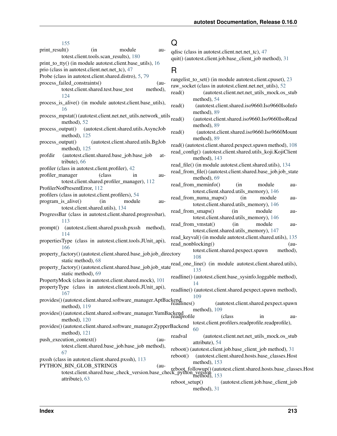| 155                                                                                    |                                                 |                                     |          | Q              |                                                                                                                        |                                             |          |
|----------------------------------------------------------------------------------------|-------------------------------------------------|-------------------------------------|----------|----------------|------------------------------------------------------------------------------------------------------------------------|---------------------------------------------|----------|
| print_result()                                                                         | (in                                             | module                              | au-      |                | qdisc (class in autotest.client.net.net_tc), 47                                                                        |                                             |          |
|                                                                                        | totest.client.tools.scan_results), 180          |                                     |          |                | quit() (autotest.client.job.base_client_job method), 31                                                                |                                             |          |
| print_to_tty() (in module autotest.client.base_utils), 16                              |                                                 |                                     |          |                |                                                                                                                        |                                             |          |
| prio (class in autotest.client.net.net_tc), 47                                         |                                                 |                                     |          | R              |                                                                                                                        |                                             |          |
| Probe (class in autotest.client.shared.distro), 5, 79                                  |                                                 |                                     |          |                | rangelist_to_set() (in module autotest.client.cpuset), 23                                                              |                                             |          |
| process_failed_constraints()                                                           |                                                 |                                     | $(au-$   |                | raw_socket (class in autotest.client.net.net_utils), 52                                                                |                                             |          |
| 124                                                                                    | totest.client.shared.test.base_test             |                                     | method), | read()         |                                                                                                                        | (autotest.client.net.net_utils_mock.os_stub |          |
| process_is_alive() (in module autotest.client.base_utils),                             |                                                 |                                     |          |                | method), 54                                                                                                            |                                             |          |
| 16                                                                                     |                                                 |                                     |          | read()         | (autotest.client.shared.iso9660.Iso9660IsoInfo                                                                         |                                             |          |
| process_mpstat() (autotest.client.net.net_utils.network_utils                          |                                                 |                                     |          |                | method), 89                                                                                                            |                                             |          |
| method), 52                                                                            |                                                 |                                     |          | read()         | (autotest.client.shared.iso9660.Iso9660IsoRead<br>method), 89                                                          |                                             |          |
| process_output()                                                                       | (autotest.client.shared.utils.AsyncJob          |                                     |          | read()         | (autotest.client.shared.iso9660.Iso9660Mount                                                                           |                                             |          |
| method), 125                                                                           |                                                 |                                     |          |                | method), 89                                                                                                            |                                             |          |
| process_output()                                                                       |                                                 | (autotest.client.shared.utils.BgJob |          |                | read() (autotest.client.shared.pexpect.spawn method), 108                                                              |                                             |          |
| method), 125                                                                           |                                                 |                                     |          |                | read_config() (autotest.client.shared.utils_koji.KojiClient                                                            |                                             |          |
| profdir<br>tribute), 66                                                                | (autotest.client.shared.base_job.base_job       |                                     | at-      |                | method), 143                                                                                                           |                                             |          |
| profiler (class in autotest.client.profiler), 42                                       |                                                 |                                     |          |                | read_file() (in module autotest.client.shared.utils), 134                                                              |                                             |          |
| profiler_manager                                                                       | (class                                          | in                                  | au-      |                | read_from_file()(autotest.client.shared.base_job.job_state                                                             |                                             |          |
|                                                                                        | totest.client.shared.profiler_manager), 112     |                                     |          |                | method), 69                                                                                                            |                                             |          |
| ProfilerNotPresentError, 112                                                           |                                                 |                                     |          |                | read_from_meminfo()<br>totest.client.shared.utils_memory), 146                                                         | (in<br>module                               | au-      |
| profilers (class in autotest.client.profilers), 54                                     |                                                 |                                     |          |                | read_from_numa_maps()                                                                                                  | module<br>(in                               | au-      |
| program_is_alive()                                                                     | (in                                             | module                              | au-      |                | totest.client.shared.utils_memory), 146                                                                                |                                             |          |
|                                                                                        | totest.client.shared.utils), 134                |                                     |          |                | read_from_smaps()<br>(in                                                                                               | module                                      | au-      |
| ProgressBar (class in autotest.client.shared.progressbar),<br>113                      |                                                 |                                     |          |                | totest.client.shared.utils_memory), 146                                                                                |                                             |          |
| prompt()                                                                               | (autotest.client.shared.pxssh.pxssh method),    |                                     |          |                | read_from_vmstat()<br>(in                                                                                              | module                                      | au-      |
| 114                                                                                    |                                                 |                                     |          |                | totest.client.shared.utils_memory), 147                                                                                |                                             |          |
| propertiesType (class in autotest.client.tools.JUnit_api),                             |                                                 |                                     |          |                | read_keyval() (in module autotest.client.shared.utils), 135<br>read_nonblocking()                                      |                                             | $(au-$   |
| 166                                                                                    |                                                 |                                     |          |                | totest.client.shared.pexpect.spawn                                                                                     |                                             | method), |
| property_factory()(autotest.client.shared.base_job.job_directory<br>static method), 68 |                                                 |                                     |          |                | 108                                                                                                                    |                                             |          |
|                                                                                        |                                                 |                                     |          |                | property_factory()(autotest.client.shared.base_job.job_state read_one_line() (in module autotest.client.shared.utils), |                                             |          |
| static method), 69                                                                     |                                                 |                                     |          |                | readline() (autotest.client.base_sysinfo.loggable method),                                                             |                                             |          |
| PropertyMock (class in autotest.client.shared.mock), 101                               |                                                 |                                     |          |                | 14                                                                                                                     |                                             |          |
| propertyType (class in autotest.client.tools.JUnit_api),<br>167                        |                                                 |                                     |          |                | readline() (autotest.client.shared.pexpect.spawn method),<br>109                                                       |                                             |          |
| provides() (autotest.client.shared.software_manager.AptBackend.com                     |                                                 |                                     |          |                |                                                                                                                        | (autotest.client.shared.pexpect.spawn       |          |
| method), $119$                                                                         |                                                 |                                     |          |                | method), 109                                                                                                           |                                             |          |
| method), $120$                                                                         |                                                 |                                     |          |                | (class                                                                                                                 | in                                          | au-      |
| provides() (autotest.client.shared.software_manager.ZypperBackend                      |                                                 |                                     |          |                | totest.client.profilers.readprofile.readprofile),                                                                      |                                             |          |
| method), 121                                                                           |                                                 |                                     |          |                | 60                                                                                                                     |                                             |          |
| push_execution_context()                                                               |                                                 |                                     | $(au-$   | readval        | attribute), 54                                                                                                         | (autotest.client.net.net_utils_mock.os_stub |          |
|                                                                                        | totest.client.shared.base_job.base_job method), |                                     |          |                | reboot() (autotest.client.job.base_client_job method), 31                                                              |                                             |          |
| 67                                                                                     |                                                 |                                     |          | reboot()       | (autotest.client.shared.hosts.base_classes.Host                                                                        |                                             |          |
| pxssh (class in autotest.client.shared.pxssh), 113                                     |                                                 |                                     |          |                | method), 153                                                                                                           |                                             |          |
| PYTHON_BIN_GLOB_STRINGS                                                                |                                                 |                                     | $(au-$   |                |                                                                                                                        |                                             |          |
| attribute), 63                                                                         |                                                 |                                     |          |                | LOB_STKINGS<br>totest.client.shared.base_check_version.base_check_python_version<br>method), 153                       |                                             |          |
|                                                                                        |                                                 |                                     |          | reboot_setup() | thod(21)                                                                                                               | (autotest.client.job.base_client_job        |          |

method), [31](#page-34-0)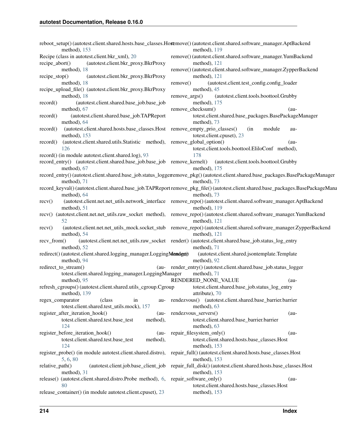|                                                                                                             | reboot_setup()(autotest.client.shared.hosts.base_classes.Hostemove()(autotest.client.shared.software_manager.AptBackend                    |
|-------------------------------------------------------------------------------------------------------------|--------------------------------------------------------------------------------------------------------------------------------------------|
| method), 153                                                                                                | method), $119$                                                                                                                             |
| Recipe (class in autotest.client.bkr_xml), 20                                                               | remove() (autotest.client.shared.software_manager.YumBackend                                                                               |
| recipe_abort()<br>(autotest.client.bkr_proxy.BkrProxy                                                       | method), 121                                                                                                                               |
| method), 18                                                                                                 | remove()(autotest.client.shared.software_manager.ZypperBackend                                                                             |
| (autotest.client.bkr_proxy.BkrProxy<br>recipe_stop()                                                        | method), 121                                                                                                                               |
| method), 18<br>recipe_upload_file() (autotest.client.bkr_proxy.BkrProxy                                     | (autotest.client.test_config.config_loader<br>remove()<br>method), 45                                                                      |
| method), 18                                                                                                 | (autotest.client.tools.boottool.Grubby<br>remove_args()                                                                                    |
| (autotest.client.shared.base_job.base_job<br>record()                                                       | method), 175                                                                                                                               |
| method), 67                                                                                                 | remove_checksum()<br>$(au-$                                                                                                                |
| (autotest.client.shared.base_job.TAPReport<br>record()                                                      | totest.client.shared.base_packages.BasePackageManager                                                                                      |
| method), 64                                                                                                 | method), 73                                                                                                                                |
| (autotest.client.shared.hosts.base_classes.Host remove_empty_prio_classes()<br>record()                     | (in<br>module<br>au-                                                                                                                       |
| method), 153                                                                                                | totest.client.cpuset), 23                                                                                                                  |
| (autotest.client.shared.utils.Statistic method), remove_global_option()<br>record()                         | $(au-$                                                                                                                                     |
| 126                                                                                                         | totest.client.tools.boottool.EliloConf method),                                                                                            |
| record() (in module autotest.client.shared.log), 93                                                         | 178                                                                                                                                        |
| record_entry() (autotest.client.shared.base_job.base_job remove_kernel()                                    | (autotest.client.tools.boottool.Grubby                                                                                                     |
| method), 67                                                                                                 | method), 175                                                                                                                               |
|                                                                                                             | record_entry()(autotest.client.shared.base_job.status_loggeremove_pkg()(autotest.client.shared.base_packages.BasePackageManager            |
| method), 71                                                                                                 | method), 73                                                                                                                                |
|                                                                                                             | record_keyval() (autotest.client.shared.base_job.TAPReport remove_pkg_file() (autotest.client.shared.base_packages.BasePackageMana         |
| method), 64                                                                                                 | method), 73                                                                                                                                |
| recv()                                                                                                      | (autotest.client.net.net_utils.network_interface remove_repo()(autotest.client.shared.software_manager.AptBackend                          |
| method), 51                                                                                                 | method), 119<br>recv() (autotest.client.net.net_utils.raw_socket method), remove_repo()(autotest.client.shared.software_manager.YumBackend |
| 52                                                                                                          | method), 121                                                                                                                               |
| recv()                                                                                                      | (autotest.client.net.net_utils_mock.socket_stub remove_repo()(autotest.client.shared.software_manager.ZypperBackend                        |
| method), 54                                                                                                 | method), 121                                                                                                                               |
| recv_from()                                                                                                 | (autotest.client.net.net_utils.raw_socket render() (autotest.client.shared.base_job.status_log_entry                                       |
| method), 52                                                                                                 | method), 71                                                                                                                                |
| redirect() (autotest.client.shared.logging_manager.LoggingMender(t)                                         | (autotest.client.shared.jsontemplate.Template                                                                                              |
| method), 94                                                                                                 | method), 92                                                                                                                                |
| redirect_to_stream()                                                                                        | (au- render_entry()(autotest.client.shared.base_job.status_logger                                                                          |
| totest.client.shared.logging_manager.LoggingManager                                                         | method), 71                                                                                                                                |
| method), 95                                                                                                 | RENDERED_NONE_VALUE<br>$(au-$                                                                                                              |
| refresh_cgroups()(autotest.client.shared.utils_cgroup.Cgroup totest.client.shared.base_job.status_log_entry |                                                                                                                                            |
| method), 139                                                                                                | attribute), 70                                                                                                                             |
| (class)<br>regex_comparator<br>in                                                                           | au- rendezvous() (autotest.client.shared.base_barrier.barrier                                                                              |
| totest.client.shared.test_utils.mock), 157                                                                  | method), 63                                                                                                                                |
| register_after_iteration_hook()<br>$(au-$                                                                   | rendezvous_servers()<br>$(au-$                                                                                                             |
| totest.client.shared.test.base_test<br>method),                                                             | totest.client.shared.base_barrier.barrier                                                                                                  |
| 124                                                                                                         | method), 63                                                                                                                                |
| register_before_iteration_hook()<br>$(au-$<br>totest.client.shared.test.base_test                           | repair_filesystem_only()<br>$(au-$                                                                                                         |
| method),<br>124                                                                                             | totest.client.shared.hosts.base_classes.Host<br>method), $153$                                                                             |
|                                                                                                             | register_probe() (in module autotest.client.shared.distro), repair_full() (autotest.client.shared.hosts.base_classes.Host                  |
| 5, 6, 80                                                                                                    | method), $153$                                                                                                                             |
| relative_path()                                                                                             | (autotest.client.job.base_client_job repair_full_disk()(autotest.client.shared.hosts.base_classes.Host                                     |
| method), 31                                                                                                 | method), 153                                                                                                                               |
| release() (autotest.client.shared.distro.Probe method), 6,                                                  | repair_software_only()<br>$(au-$                                                                                                           |
| 80                                                                                                          | totest.client.shared.hosts.base_classes.Host                                                                                               |
| release_container() (in module autotest.client.cpuset), 23                                                  | method), $153$                                                                                                                             |
|                                                                                                             |                                                                                                                                            |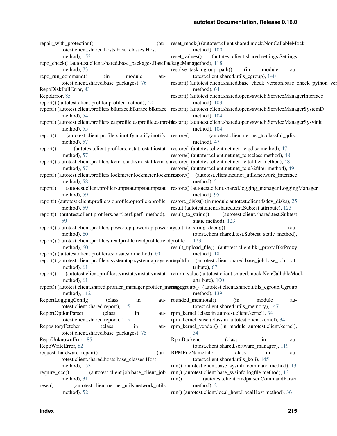| repair_with_protection()<br>totest.client.shared.hosts.base_classes.Host<br>method), 153                                | (au- reset_mock() (autotest.client.shared.mock.NonCallableMock<br>method), 100<br>(autotest.client.shared.settings.Settings<br>reset values()          |
|-------------------------------------------------------------------------------------------------------------------------|--------------------------------------------------------------------------------------------------------------------------------------------------------|
| repo_check()(autotest.client.shared.base_packages.BasePackageManagethod), 118                                           |                                                                                                                                                        |
| method), 73                                                                                                             | resolve_task_cgroup_path()<br>module<br>(in<br>au-                                                                                                     |
| repo_run_command()<br>(in<br>module<br>au-                                                                              | totest.client.shared.utils_cgroup), 140                                                                                                                |
| totest.client.shared.base_packages), 76                                                                                 | restart()(autotest.client.shared.base_check_version.base_check_python_ver                                                                              |
| RepoDiskFullError, 83                                                                                                   | method), 64                                                                                                                                            |
| RepoError, 85                                                                                                           | restart() (autotest.client.shared.openvswitch.ServiceManagerInterface                                                                                  |
| report() (autotest.client.profiler.profiler method), 42                                                                 | method), $103$                                                                                                                                         |
| method), 54                                                                                                             | report() (autotest.client.profilers.blktrace.blktrace.blktrace restart() (autotest.client.shared.openvswitch.ServiceManagerSystemD<br>method), 104     |
| method), 55                                                                                                             | report() (autotest.client.profilers.catprofile.catprofile.catprofilestart() (autotest.client.shared.openvswitch.ServiceManagerSysvinit<br>method), 104 |
| (autotest.client.profilers.inotify.inotify.inotify restore()<br>report()                                                | (autotest.client.net.net_tc.classful_qdisc                                                                                                             |
| method), 57                                                                                                             | method), 47                                                                                                                                            |
| report()                                                                                                                | (autotest.client.profilers.iostat.iostat.iostat_restore() (autotest.client.net_tc.qdisc method), 47                                                    |
| method), 57                                                                                                             | restore() (autotest.client.net.net_tc.tcclass method), 48                                                                                              |
| report() (autotest.client.profilers.kvm_stat.kvm_stat.kvm_statestore() (autotest.client.net_tc.tcfilter method), 48     |                                                                                                                                                        |
| method), 57                                                                                                             | restore() (autotest.client.net.net_tc.u32filter method), 49                                                                                            |
| report() (autotest.client.profilers.lockmeter.lockmeter.lockmetstore() (autotest.client.net.net_utils.network_interface |                                                                                                                                                        |
| method), 58                                                                                                             | method), 51                                                                                                                                            |
| report()                                                                                                                | (autotest.client.profilers.mpstat.mpstat.mpstat restore()(autotest.client.shared.logging_manager.LoggingManager                                        |
| method), 59                                                                                                             | method), 95                                                                                                                                            |
| report() (autotest.client.profilers.oprofile.oprofile.oprofile                                                          | restore_disks() (in module autotest.client.fsdev_disks), 25                                                                                            |
| method), 59                                                                                                             | result (autotest.client.shared.test.Subtest attribute), 123                                                                                            |
| (autotest.client.profilers.perf.perf.perf method), result_to_string()<br>report()                                       | (autotest.client.shared.test.Subtest                                                                                                                   |
| 59                                                                                                                      | static method), 123                                                                                                                                    |
| report() (autotest.client.profilers.powertop.powertop.powertopsult_to_string_debug()                                    | $(au-$                                                                                                                                                 |
| method), 60                                                                                                             | totest.client.shared.test.Subtest static method),                                                                                                      |
| report() (autotest.client.profilers.readprofile.readprofile.readprofile                                                 | 123                                                                                                                                                    |
| method), 60                                                                                                             | result_upload_file() (autotest.client.bkr_proxy.BkrProxy                                                                                               |
| report() (autotest.client.profilers.sar.sar.sar method), 60                                                             | method), 18                                                                                                                                            |
| report() (autotest.client.profilers.systemtap.systemtap.systemtapultdir (autotest.client.shared.base_job.base_job at-   |                                                                                                                                                        |
| method), 61                                                                                                             | tribute), 67                                                                                                                                           |
| report()                                                                                                                | (autotest.client.profilers.vmstat.vmstat.vmstat return_value (autotest.client.shared.mock.NonCallableMock                                              |
| method), $61$                                                                                                           | attribute), 100                                                                                                                                        |
| report() (autotest.client.shared.profiler_manager.profiler_managergroup() (autotest.client.shared.utils_cgroup.Cgroup   |                                                                                                                                                        |
| method), $112$                                                                                                          | method), 139                                                                                                                                           |
| ReportLoggingConfig<br>(class<br>in<br>au-                                                                              | rounded_memtotal()<br>module<br>(in<br>au-                                                                                                             |
| totest.client.shared.report), 115                                                                                       | totest.client.shared.utils_memory), 147                                                                                                                |
| ReportOptionParser<br>(class<br>in<br>au-                                                                               | rpm_kernel (class in autotest.client.kernel), 34                                                                                                       |
| totest.client.shared.report), 115                                                                                       | rpm_kernel_suse (class in autotest.client.kernel), 34                                                                                                  |
| RepositoryFetcher<br>(class)<br>in<br>au-                                                                               | rpm_kernel_vendor() (in module autotest.client.kernel),                                                                                                |
| totest.client.shared.base_packages), 75                                                                                 | 34                                                                                                                                                     |
| RepoUnknownError, 85                                                                                                    | RpmBackend<br>(class<br>in<br>au-                                                                                                                      |
| RepoWriteError, 82                                                                                                      | totest.client.shared.software_manager), 119                                                                                                            |
| request_hardware_repair()<br>$(au-$                                                                                     | RPMFileNameInfo<br>(class)<br>in<br>au-                                                                                                                |
| totest.client.shared.hosts.base_classes.Host                                                                            | totest.client.shared.utils_koji), 145                                                                                                                  |
| method), 153                                                                                                            | run() (autotest.client.base_sysinfo.command method), 13                                                                                                |
| (autotest.client.job.base_client_job<br>$require\_gcc()$                                                                | run() (autotest.client.base_sysinfo.logfile method), 13                                                                                                |
| method), 31                                                                                                             | (autotest.client.cmdparser.CommandParser<br>run()                                                                                                      |
| (autotest.client.net.net_utils.network_utils<br>reset()                                                                 | method), 21                                                                                                                                            |
| method), 52                                                                                                             | run() (autotest.client.local_host.LocalHost method), 36                                                                                                |
|                                                                                                                         |                                                                                                                                                        |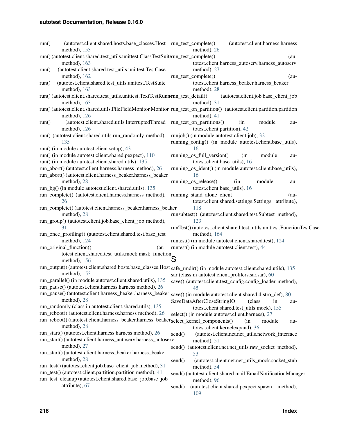| run() | (autotest.client.shared.hosts.base_classes.Host run_test_complete()<br>method), 153                                       |        | method), 26                   | (autotest.client.harness.harness                                       |        |
|-------|---------------------------------------------------------------------------------------------------------------------------|--------|-------------------------------|------------------------------------------------------------------------|--------|
|       | run()(autotest.client.shared.test_utils.unittest.ClassTestSuiterun_test_complete()                                        |        |                               |                                                                        | $(au-$ |
|       | method), 163                                                                                                              |        |                               | totest.client.harness_autoserv.harness_autoserv                        |        |
| run() | (autotest.client.shared.test_utils.unittest.TestCase                                                                      |        | method), 27                   |                                                                        |        |
|       | method), 162                                                                                                              |        | run_test_complete()           |                                                                        | $(au-$ |
| run() | (autotest.client.shared.test_utils.unittest.TestSuite                                                                     |        |                               | totest.client.harness_beaker.harness_beaker                            |        |
|       | method), 163                                                                                                              |        | method), 28                   |                                                                        |        |
|       | run() (autotest.client.shared.test_utils.unittest.TextTestRunnerun_test_detail()                                          |        |                               | (autotest.client.job.base_client_job                                   |        |
|       | method), 163                                                                                                              |        | method), 31                   |                                                                        |        |
|       | run() (autotest.client.shared.utils.FileFieldMonitor.Monitor run_test_on_partition() (autotest.client.partition.partition |        |                               |                                                                        |        |
|       | method), 126                                                                                                              |        | method), 41                   |                                                                        |        |
|       | (autotest.client.shared.utils.InterruptedThread run_test_on_partitions()                                                  |        |                               | (in<br>module                                                          |        |
| run() |                                                                                                                           |        |                               |                                                                        | au-    |
|       | method), 126                                                                                                              |        | totest.client.partition), 42  |                                                                        |        |
|       | run() (autotest.client.shared.utils.run_randomly method),                                                                 |        |                               | runjob() (in module autotest.client.job), 32                           |        |
|       | 135                                                                                                                       |        |                               | running_config() (in module autotest.client.base_utils),               |        |
|       | run() (in module autotest.client.setup), 43                                                                               |        | 16                            |                                                                        |        |
|       | run() (in module autotest.client.shared.pexpect), 110                                                                     |        | running_os_full_version()     | module<br>(in                                                          | au-    |
|       | run() (in module autotest.client.shared.utils), 135                                                                       |        | totest.client.base_utils), 16 |                                                                        |        |
|       | run_abort() (autotest.client.harness.harness method), 26                                                                  |        |                               | running_os_ident() (in module autotest.client.base_utils),             |        |
|       | run_abort()(autotest.client.harness_beaker.harness_beaker                                                                 |        | 16                            |                                                                        |        |
|       | method), 28                                                                                                               |        | running_os_release()          | module<br>(in                                                          | au-    |
|       | run_bg() (in module autotest.client.shared.utils), 135                                                                    |        | totest.client.base_utils), 16 |                                                                        |        |
|       | run_complete() (autotest.client.harness.harness method),                                                                  |        | running_stand_alone_client    |                                                                        | $(au-$ |
|       | 26                                                                                                                        |        |                               | totest.client.shared.settings.Settings attribute),                     |        |
|       | run_complete()(autotest.client.harness_beaker.harness_beaker                                                              |        | 118                           |                                                                        |        |
|       | method), 28                                                                                                               |        |                               | runsubtest() (autotest.client.shared.test.Subtest method),             |        |
|       | run_group() (autotest.client.job.base_client_job method),                                                                 |        | 123                           |                                                                        |        |
|       | 31                                                                                                                        |        |                               | runTest() (autotest.client.shared.test_utils.unittest.FunctionTestCase |        |
|       | run_once_profiling() (autotest.client.shared.test.base_test                                                               |        | method), 164                  |                                                                        |        |
|       | method), 124                                                                                                              |        |                               | runtest() (in module autotest.client.shared.test), 124                 |        |
|       | run_original_function()<br>$(au-$                                                                                         |        |                               | runtest() (in module autotest.client.test), 44                         |        |
|       | nal_tunction()<br>totest.client.shared.test_utils.mock.mask_function                                                      |        |                               |                                                                        |        |
|       | method), 156                                                                                                              |        |                               |                                                                        |        |
|       | run_output() (autotest.client.shared.hosts.base_classes.Host safe_rmdir() (in module autotest.client.shared.utils), 135   |        |                               |                                                                        |        |
|       | method), 153                                                                                                              |        |                               | sar (class in autotest.client.profilers.sar.sar), 60                   |        |
|       | run_parallel() (in module autotest.client.shared.utils), 135                                                              |        |                               | save() (autotest.client.test_config.config_loader method),             |        |
|       | run_pause() (autotest.client.harness.harness method), 26                                                                  |        | 45                            |                                                                        |        |
|       | run_pause()(autotest.client.harness_beaker.harness_beaker save()(in module autotest.client.shared.distro_def), 80         |        |                               |                                                                        |        |
|       | method), 28                                                                                                               |        |                               |                                                                        |        |
|       | run_randomly (class in autotest.client.shared.utils), 135                                                                 |        | SaveDataAfterCloseStringIO    | (class<br>in                                                           | au-    |
|       | run_reboot() (autotest.client.harness.harness method), 26                                                                 |        |                               | totest.client.shared.test_utils.mock), 155                             |        |
|       |                                                                                                                           |        |                               | select() (in module autotest.client.harness), 27                       |        |
|       | run_reboot()(autotest.client.harness_beaker.harness_beaker <sub>select_kernel_components()</sub>                          |        |                               | (in<br>module                                                          | au-    |
|       | method), 28                                                                                                               |        |                               | totest.client.kernelexpand), 36                                        |        |
|       | run_start() (autotest.client.harness.harness method), 26                                                                  | send() |                               | (autotest.client.net.net_utils.network_interface                       |        |
|       | run_start() (autotest.client.harness_autoserv.harness_autoserv                                                            |        | method), 51                   |                                                                        |        |
|       | method), 27                                                                                                               |        |                               | send() (autotest.client.net.net_utils.raw_socket method),              |        |
|       | run_start()(autotest.client.harness_beaker.harness_beaker                                                                 |        | 53                            |                                                                        |        |
|       | method), 28                                                                                                               | send() |                               | (autotest.client.net.net_utils_mock.socket_stub                        |        |
|       | run_test()(autotest.client.job.base_client_job method), 31                                                                |        | method), 54                   |                                                                        |        |
|       | run_test() (autotest.client.partition.partition method), 41                                                               |        |                               | send() (autotest.client.shared.mail.EmailNotificationManager           |        |
|       | run_test_cleanup (autotest.client.shared.base_job.base_job                                                                |        | method), 96                   |                                                                        |        |
|       | attribute), 67                                                                                                            | send() |                               | (autotest.client.shared.pexpect.spawn method),                         |        |
|       |                                                                                                                           |        | 109                           |                                                                        |        |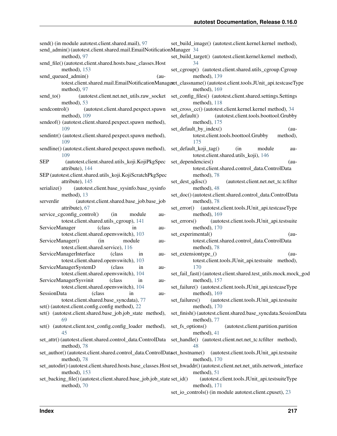| send() (in module autotest.client.shared.mail), 97<br>send_admin() (autotest.client.shared.mail.EmailNotificationManager 34 | set_build_image() (autotest.client.kernel.kernel method),                                                                                |
|-----------------------------------------------------------------------------------------------------------------------------|------------------------------------------------------------------------------------------------------------------------------------------|
| method), 97<br>send_file()(autotest.client.shared.hosts.base_classes.Host                                                   | set_build_target() (autotest.client.kernel.kernel method),<br>34                                                                         |
| method), 153<br>send_queued_admin()<br>$(au-$                                                                               | set_cgroup() (autotest.client.shared.utils_cgroup.Cgroup<br>method), 139                                                                 |
|                                                                                                                             | totest.client.shared.mail.EmailNotificationManagert_classname()(autotest.client.tools.JUnit_api.testcaseType                             |
| method), 97<br>$send_to()$                                                                                                  | method), 169<br>(autotest.client.net.net_utils.raw_socket set_config_files() (autotest.client.shared.settings.Settings                   |
| method), 53                                                                                                                 | method), 118                                                                                                                             |
| sendcontrol()<br>(autotest.client.shared.pexpect.spawn<br>method), 109                                                      | set_cross_cc() (autotest.client.kernel.kernel method), 34<br>(autotest.client.tools.boottool.Grubby<br>set_default()                     |
| sendeof() (autotest.client.shared.pexpect.spawn method),                                                                    | method), $175$                                                                                                                           |
| 109                                                                                                                         | set_default_by_index()<br>$(au-$                                                                                                         |
| sendintr() (autotest.client.shared.pexpect.spawn method),<br>109                                                            | totest.client.tools.boottool.Grubby<br>method),<br>175                                                                                   |
| sendline() (autotest.client.shared.pexpect.spawn method),<br>109                                                            | set_default_koji_tag()<br>(in<br>module<br>au-<br>totest.client.shared.utils_koji), 146                                                  |
| <b>SEP</b><br>(autotest.client.shared.utils_koji.KojiPkgSpec                                                                | set_dependencies()<br>$(au-$                                                                                                             |
| attribute), 144                                                                                                             | totest.client.shared.control_data.ControlData                                                                                            |
| SEP (autotest.client.shared.utils_koji.KojiScratchPkgSpec                                                                   | method), 78                                                                                                                              |
| attribute), 145                                                                                                             | set_dest_qdisc()<br>(autotest.client.net.net_tc.tcfilter                                                                                 |
| (autotest.client.base_sysinfo.base_sysinfo<br>serialize()<br>method), 13                                                    | method), 48<br>set_doc()(autotest.client.shared.control_data.ControlData                                                                 |
| (autotest.client.shared.base_job.base_job<br>serverdir                                                                      | method), 78                                                                                                                              |
| attribute), 67                                                                                                              | (autotest.client.tools.JUnit_api.testcaseType<br>$set_error()$                                                                           |
| service_cgconfig_control()<br>(in<br>module<br>au-                                                                          | method), 169                                                                                                                             |
| totest.client.shared.utils_cgroup), 141                                                                                     | (autotest.client.tools.JUnit_api.testsuite<br>$set_error()$                                                                              |
| ServiceManager<br>(class<br>in<br>au-                                                                                       | method), 170                                                                                                                             |
| totest.client.shared.openvswitch), 103<br>ServiceManager()<br>(in<br>module<br>au-                                          | set_experimental()<br>$(au-$<br>totest.client.shared.control_data.ControlData                                                            |
| totest.client.shared.service), 116                                                                                          | method), 78                                                                                                                              |
| ServiceManagerInterface<br>(class<br>in<br>au-                                                                              | set_extensiontype_()<br>$(au-$                                                                                                           |
| totest.client.shared.openvswitch), 103                                                                                      | totest.client.tools.JUnit_api.testsuite method),                                                                                         |
| ServiceManagerSystemD<br>(class<br>in<br>au-                                                                                | 170                                                                                                                                      |
| totest.client.shared.openvswitch), 104                                                                                      | set_fail_fast() (autotest.client.shared.test_utils.mock.mock_god                                                                         |
| ServiceManagerSysvinit<br>(class)<br>in<br>au-<br>totest.client.shared.openvswitch), 104                                    | method), 157<br>set_failure() (autotest.client.tools.JUnit_api.testcaseType                                                              |
| SessionData<br>(class)<br>in<br>au-                                                                                         | method), 169                                                                                                                             |
| totest.client.shared.base_syncdata), 77                                                                                     | (autotest.client.tools.JUnit_api.testsuite<br>set_failures()                                                                             |
| set() (autotest.client.config.config method), 22                                                                            | method), 170                                                                                                                             |
| set() (autotest.client.shared.base_job.job_state method),                                                                   | set_finish()(autotest.client.shared.base_syncdata.SessionData                                                                            |
| 69<br>set() (autotest.client.test_config.config_loader method),                                                             | method), 77<br>set_fs_options()<br>(autotest.client.partition.partition                                                                  |
| 45                                                                                                                          | method), 41                                                                                                                              |
| set_attr()(autotest.client.shared.control_data.ControlData<br>method), 78                                                   | set_handle() (autotest.client.net.net_tc.tcfilter method),<br>48                                                                         |
| set_author() (autotest.client.shared.control_data.ControlDataet_hostname()<br>method), 78                                   | (autotest.client.tools.JUnit_api.testsuite<br>method), 170                                                                               |
| method), 153                                                                                                                | set_autodir()(autotest.client.shared.hosts.base_classes.Host set_hwaddr()(autotest.client.net.net_utils.network_interface<br>method), 51 |
| set_backing_file() (autotest.client.shared.base_job.job_state set_id()                                                      | (autotest.client.tools.JUnit_api.testsuiteType                                                                                           |
| method), 70                                                                                                                 | method), 171                                                                                                                             |

set\_io\_controls() (in module autotest.client.cpuset), [23](#page-26-0)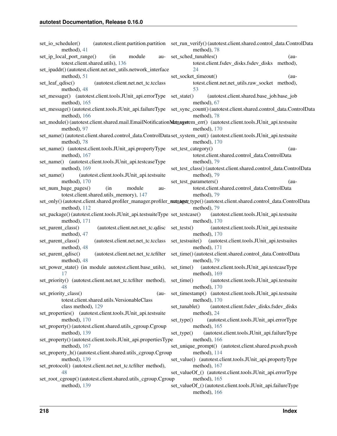| set_io_scheduler()<br>method), 41                                                                                                    | (autotest.client.partition.partition set_run_verify()(autotest.client.shared.control_data.ControlData<br>method), 78                         |
|--------------------------------------------------------------------------------------------------------------------------------------|----------------------------------------------------------------------------------------------------------------------------------------------|
| set_ip_local_port_range()<br>(in<br>module<br>au-<br>totest.client.shared.utils), 136                                                | set_sched_tunables()<br>$(au-$<br>totest.client.fsdev_disks.fsdev_disks method),                                                             |
| set_ipaddr() (autotest.client.net.net_utils.network_interface                                                                        | 24                                                                                                                                           |
| method), 51                                                                                                                          | set_socket_timeout()<br>$(au-$                                                                                                               |
| set_leaf_qdisc()<br>(autotest.client.net.net_tc.tcclass<br>method), 48                                                               | totest.client.net.net_utils.raw_socket method),<br>53                                                                                        |
| set_message() (autotest.client.tools.JUnit_api.errorType                                                                             | set_state()<br>(autotest.client.shared.base_job.base_job                                                                                     |
| method), $165$                                                                                                                       | method), 67                                                                                                                                  |
| set_message() (autotest.client.tools.JUnit_api.failureType<br>method), $166$                                                         | set_sync_count() (autotest.client.shared.control_data.ControlData<br>method), 78                                                             |
| set_module()(autotest.client.shared.mail.EmailNotificationNatnagetem_err()(autotest.client.tools.JUnit_api.testsuite                 |                                                                                                                                              |
| method), 97                                                                                                                          | method), 170                                                                                                                                 |
| set_name()(autotest.client.shared.control_data.ControlData set_system_out()(autotest.client.tools.JUnit_api.testsuite<br>method), 78 | method), 170                                                                                                                                 |
| set_name() (autotest.client.tools.JUnit_api.propertyType                                                                             | set_test_category()<br>$(au-$                                                                                                                |
| method), 167                                                                                                                         | totest.client.shared.control_data.ControlData                                                                                                |
| set_name() (autotest.client.tools.JUnit_api.testcaseType                                                                             | method), 79                                                                                                                                  |
| method), 169<br>(autotest.client.tools.JUnit_api.testsuite<br>set_name()                                                             | set_test_class()(autotest.client.shared.control_data.ControlData<br>method), 79                                                              |
| method), $170$                                                                                                                       | set_test_parameters()<br>$(au-$                                                                                                              |
| set_num_huge_pages()<br>(in<br>module<br>au-                                                                                         | totest.client.shared.control_data.ControlData                                                                                                |
| totest.client.shared.utils_memory), 147                                                                                              | method), 79                                                                                                                                  |
| method), 112                                                                                                                         | set_only() (autotest.client.shared.profiler_manager.profiler_managert_type() (autotest.client.shared.control_data.ControlData<br>method), 79 |
| set_package()(autotest.client.tools.JUnit_api.testsuiteType set_testcase()<br>method), $171$                                         | (autotest.client.tools.JUnit_api.testsuite<br>method), $170$                                                                                 |
| (autotest.client.net.net_tc.qdisc<br>set_parent_class()<br>method), 47                                                               | set_tests()<br>(autotest.client.tools.JUnit_api.testsuite<br>method), $170$                                                                  |
| (autotest.client.net.net_tc.tcclass<br>set_parent_class()<br>method), 48                                                             | (autotest.client.tools.JUnit_api.testsuites<br>set_testsuite()<br>method), 171                                                               |
| (autotest.client.net.net_tc.tcfilter<br>set_parent_qdisc()<br>method), 48                                                            | set_time() (autotest.client.shared.control_data.ControlData<br>method), 79                                                                   |
| set_power_state() (in module autotest.client.base_utils),<br>17                                                                      | set_time()<br>(autotest.client.tools.JUnit_api.testcaseType<br>method), $169$                                                                |
| set_priority() (autotest.client.net.net_tc.tcfilter method),<br>48                                                                   | set_time()<br>(autotest.client.tools.JUnit_api.testsuite<br>method), 170                                                                     |
| set_priority_class()<br>(au-<br>totest.client.shared.utils.VersionableClass                                                          | set_timestamp() (autotest.client.tools.JUnit_api.testsuite<br>method), 170                                                                   |
| class method), 129                                                                                                                   | (autotest.client.fsdev_disks.fsdev_disks<br>set tunable()                                                                                    |
| set_properties() (autotest.client.tools.JUnit_api.testsuite<br>method), 170                                                          | method), 24<br>(autotest.client.tools.JUnit_api.errorType<br>set_type()                                                                      |
| set_property() (autotest.client.shared.utils_cgroup.Cgroup<br>method), 139                                                           | method), 165                                                                                                                                 |
| set_property()(autotest.client.tools.JUnit_api.propertiesType                                                                        | (autotest.client.tools.JUnit_api.failureType<br>$set_type()$<br>method), 166                                                                 |
| method), 167                                                                                                                         | set_unique_prompt() (autotest.client.shared.pxssh.pxssh                                                                                      |
| set_property_h() (autotest.client.shared.utils_cgroup.Cgroup<br>method), 139                                                         | method), 114<br>set_value() (autotest.client.tools.JUnit_api.propertyType                                                                    |
| set_protocol() (autotest.client.net.net_tc.tcfilter method),                                                                         | method), 167                                                                                                                                 |
| 48<br>set_root_cgroup() (autotest.client.shared.utils_cgroup.Cgroup                                                                  | set_valueOf_() (autotest.client.tools.JUnit_api.errorType<br>method), 165                                                                    |
| method), 139                                                                                                                         | set_valueOf_() (autotest.client.tools.JUnit_api.failureType                                                                                  |
|                                                                                                                                      | method), 166                                                                                                                                 |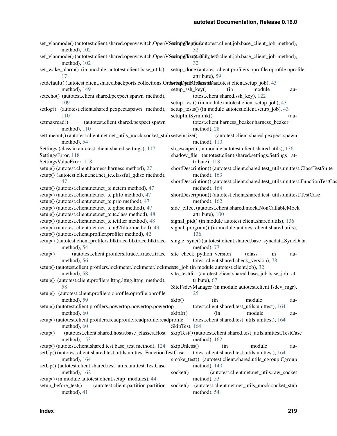| set_vlanmode()(autotest.client.shared.openvswitch.OpenVSsxittph@optjoqautotest.client.job.base_client_job method),<br>method), 102    | 32.                                                                                                                                         |
|---------------------------------------------------------------------------------------------------------------------------------------|---------------------------------------------------------------------------------------------------------------------------------------------|
| set_vlanmode()(autotest.client.shared.openvswitch.OpenVSsettuph@instjol@iltode\$0.client.job.base_client_job method),<br>method), 102 | 32                                                                                                                                          |
| 17                                                                                                                                    | set_wake_alarm() (in module autotest.client.base_utils), setup_done (autotest.client.profilers.oprofile.oprofile.oprofile<br>attribute), 59 |
| setdefault() (autotest.client.shared.backports.collections.OrdsrtupDjctbQcdassedDacttotest.client.setup_job), 43                      |                                                                                                                                             |
| method), 149<br>setecho() (autotest.client.shared.pexpect.spawn method),                                                              | setup_ssh_key()<br>(in<br>module<br>au-<br>totest.client.shared.ssh_key), 122                                                               |
| 109                                                                                                                                   | setup_test() (in module autotest.client.setup_job), 43                                                                                      |
| (autotest.client.shared.pexpect.spawn method),<br>setlog()<br>110                                                                     | setup_tests() (in module autotest.client.setup_job), 43<br>setupInitSymlink()<br>$(au-$                                                     |
| setmaxread()<br>(autotest.client.shared.pexpect.spawn                                                                                 | totest.client.harness_beaker.harness_beaker                                                                                                 |
| method), $110$                                                                                                                        | method), 28                                                                                                                                 |
| settimeout() (autotest.client.net.net_utils_mock.socket_stub setwinsize()                                                             | (autotest.client.shared.pexpect.spawn                                                                                                       |
| method), 54                                                                                                                           | method), 110                                                                                                                                |
| Settings (class in autotest.client.shared.settings), 117                                                                              | sh_escape() (in module autotest.client.shared.utils), 136                                                                                   |
| SettingsError, 118                                                                                                                    | shadow_file (autotest.client.shared.settings.Settings at-                                                                                   |
| SettingsValueError, 118                                                                                                               | tribute), $118$                                                                                                                             |
| setup() (autotest.client.harness.harness method), 27                                                                                  | shortDescription() (autotest.client.shared.test_utils.unittest.ClassTestSuite                                                               |
| setup() (autotest.client.net.net_tc.classful_qdisc method),<br>47                                                                     | method), 163<br>shortDescription() (autotest.client.shared.test_utils.unittest.FunctionTestCas                                              |
| setup() (autotest.client.net.net_tc.netem method), 47                                                                                 | method), 164                                                                                                                                |
| setup() (autotest.client.net.net_tc.pfifo method), 47                                                                                 | shortDescription() (autotest.client.shared.test_utils.unittest.TestCase                                                                     |
| setup() (autotest.client.net.net_tc.prio method), 47                                                                                  | method), 162                                                                                                                                |
| setup() (autotest.client.net.net_tc.qdisc method), 47                                                                                 | side_effect (autotest.client.shared.mock.NonCallableMock                                                                                    |
| setup() (autotest.client.net.net_tc.tcclass method), 48                                                                               | attribute), 100                                                                                                                             |
| setup() (autotest.client.net.net_tc.tcfilter method), 48                                                                              | signal_pid() (in module autotest.client.shared.utils), 136                                                                                  |
| setup() (autotest.client.net.net_tc.u32filter method), 49                                                                             | signal_program() (in module autotest.client.shared.utils),                                                                                  |
| setup() (autotest.client.profiler.profiler method), 42                                                                                | 136                                                                                                                                         |
| setup() (autotest.client.profilers.blktrace.blktrace.blktrace                                                                         | single_sync() (autotest.client.shared.base_syncdata.SyncData                                                                                |
| method), 54                                                                                                                           | method), 77<br>in                                                                                                                           |
| (autotest.client.profilers.ftrace.ftrace.ftrace<br>setup()<br>method), 56                                                             | site_check_python_version<br>(class)<br>au-<br>totest.client.shared.check_version), 78                                                      |
| setup() (autotest.client.profilers.lockmeter.lockmeter.lockmetete_job (in module autotest.client.job), 32                             |                                                                                                                                             |
| method), 58                                                                                                                           | site_testdir (autotest.client.shared.base_job.base_job at-<br>tribute), 67                                                                  |
| setup() (autotest.client.profilers.lttng.lttng.lttng method),<br>58.                                                                  | SiteFsdevManager (in module autotest.client.fsdev_mgr),                                                                                     |
| setup() (autotest.client.profilers.oprofile.oprofile.oprofile                                                                         | 25                                                                                                                                          |
| method), 59                                                                                                                           | module<br>skip()<br>(in<br>au-                                                                                                              |
| setup() (autotest.client.profilers.powertop.powertop.powertop                                                                         | totest.client.shared.test_utils.unittest), 164                                                                                              |
| method), 60                                                                                                                           | skipIf()<br>module<br>(in<br>au-                                                                                                            |
| setup() (autotest.client.profilers.readprofile.readprofile.readprofile<br>method), 60                                                 | totest.client.shared.test_utils.unittest), 164<br>SkipTest, 164                                                                             |
| (autotest.client.shared.hosts.base_classes.Host<br>setup()<br>method), $153$                                                          | skipTest() (autotest.client.shared.test_utils.unittest.TestCase<br>method), 162                                                             |
| setup() (autotest.client.shared.test.base_test method), 124                                                                           | skipUnless()<br>module<br>(in<br>au-                                                                                                        |
| setUp() (autotest.client.shared.test_utils.unittest.FunctionTestCase<br>method), 164                                                  | totest.client.shared.test_utils.unittest), 164<br>smoke_test() (autotest.client.shared.utils_cgroup.Cgroup                                  |
| setUp() (autotest.client.shared.test_utils.unittest.TestCase<br>method), 162                                                          | method), 140<br>(autotest.client.net.net_utils.raw_socket<br>socket()                                                                       |
| setup() (in module autotest.client.setup_modules), 44                                                                                 | method), 53                                                                                                                                 |
| (autotest.client.partition.partition<br>setup_before_test()                                                                           | (autotest.client.net.net_utils_mock.socket_stub<br>socket()                                                                                 |
| method), 41                                                                                                                           | method), 54                                                                                                                                 |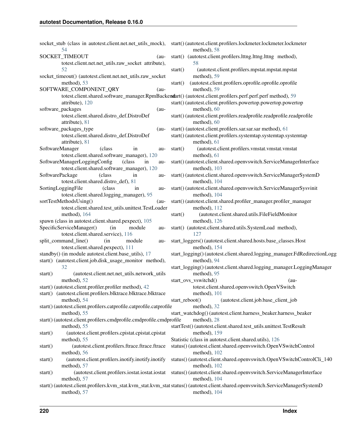| 54                                                                                                               | socket_stub (class in autotest.client.net.net_utils_mock), start()(autotest.client.profilers.lockmeter.lockmeter.lockmeter<br>method), 58 |
|------------------------------------------------------------------------------------------------------------------|-------------------------------------------------------------------------------------------------------------------------------------------|
| <b>SOCKET TIMEOUT</b><br>$(au-$                                                                                  | start() (autotest.client.profilers.lttng.lttng.lttng method),                                                                             |
| totest.client.net.net_utils.raw_socket attribute),                                                               | 58                                                                                                                                        |
| 52                                                                                                               | (autotest.client.profilers.mpstat.mpstat.mpstat<br>start()                                                                                |
| socket_timeout() (autotest.client.net.net_utils.raw_socket                                                       | method), 59                                                                                                                               |
| method), 53                                                                                                      | (autotest.client.profilers.oprofile.oprofile.oprofile<br>start()                                                                          |
| SOFTWARE_COMPONENT_QRY<br>$(au-$                                                                                 | method), 59                                                                                                                               |
|                                                                                                                  | totest.client.shared.software_manager.RpmBackendart() (autotest.client.profilers.perf.perf.perf method), 59                               |
| attribute), 120                                                                                                  | start() (autotest.client.profilers.powertop.powertop.powertop                                                                             |
| software_packages<br>$(au -$                                                                                     | method), 60                                                                                                                               |
| totest.client.shared.distro_def.DistroDef                                                                        | start() (autotest.client.profilers.readprofile.readprofile.readprofile                                                                    |
| attribute), 81                                                                                                   | method), 60                                                                                                                               |
| software_packages_type<br>$(au-$                                                                                 | start() (autotest.client.profilers.sar.sar.sar method), 61                                                                                |
| totest.client.shared.distro_def.DistroDef                                                                        | start() (autotest.client.profilers.systemtap.systemtap.systemtap                                                                          |
| attribute), 81                                                                                                   | method), 61                                                                                                                               |
| SoftwareManager<br>(class<br>in<br>au-                                                                           | (autotest.client.profilers.vmstat.vmstat.vmstat<br>start()                                                                                |
| totest.client.shared.software_manager), 120                                                                      | method), 61                                                                                                                               |
| SoftwareManagerLoggingConfig<br>(class)<br>in<br>au-                                                             | start() (autotest.client.shared.openvswitch.ServiceManagerInterface                                                                       |
| totest.client.shared.software_manager), 120                                                                      | method), 103                                                                                                                              |
| SoftwarePackage<br>in<br>(class)<br>au-                                                                          | start() (autotest.client.shared.openvswitch.ServiceManagerSystemD                                                                         |
| totest.client.shared.distro_def), 81                                                                             | method), 104                                                                                                                              |
| SortingLoggingFile<br>(class)<br>in<br>au-                                                                       | start() (autotest.client.shared.openvswitch.ServiceManagerSysvinit                                                                        |
| totest.client.shared.logging_manager), 95                                                                        | method), 104                                                                                                                              |
| sortTestMethodsUsing()<br>$(au-$                                                                                 | start() (autotest.client.shared.profiler_manager.profiler_manager                                                                         |
| totest.client.shared.test_utils.unittest.TestLoader                                                              | method), $112$                                                                                                                            |
| method), 164                                                                                                     | (autotest.client.shared.utils.FileFieldMonitor<br>start()                                                                                 |
| spawn (class in autotest.client.shared.pexpect), 105                                                             | method), 126                                                                                                                              |
| SpecificServiceManager()<br>(in<br>module<br>au-                                                                 | start() (autotest.client.shared.utils.SystemLoad method),                                                                                 |
| totest.client.shared.service), 116                                                                               | 127                                                                                                                                       |
| split_command_line()<br>module<br>(in<br>au-                                                                     | start_loggers()(autotest.client.shared.hosts.base_classes.Host                                                                            |
| totest.client.shared.pexpect), 111                                                                               | method), 154                                                                                                                              |
| standby() (in module autotest.client.base_utils), 17<br>start() (autotest.client.job.disk_usage_monitor method), | start_logging()(autotest.client.shared.logging_manager.FdRedirectionLogg<br>method), 94                                                   |
| 32                                                                                                               | start_logging() (autotest.client.shared.logging_manager.LoggingManager                                                                    |
| (autotest.client.net.net_utils.network_utils<br>start()                                                          | method), 95                                                                                                                               |
| method), 52                                                                                                      | start_ovs_vswitchd()<br>$(au-$                                                                                                            |
| start() (autotest.client.profiler.profiler method), 42                                                           | totest.client.shared.openvswitch.OpenVSwitch                                                                                              |
| start() (autotest.client.profilers.blktrace.blktrace.blktrace                                                    | method), 101                                                                                                                              |
| method), 54                                                                                                      | start_reboot()<br>(autotest.client.job.base_client_job                                                                                    |
| start() (autotest.client.profilers.catprofile.catprofile.catprofile                                              | method), 32                                                                                                                               |
| method), 55                                                                                                      | start_watchdog()(autotest.client.harness_beaker.harness_beaker                                                                            |
| start() (autotest.client.profilers.cmdprofile.cmdprofile.cmdprofile                                              | method), 28                                                                                                                               |
| method), 55                                                                                                      | startTest() (autotest.client.shared.test_utils.unittest.TestResult                                                                        |
| (autotest.client.profilers.cpistat.cpistat.cpistat<br>start()                                                    | method), 159                                                                                                                              |
| method), 55                                                                                                      | Statistic (class in autotest.client.shared.utils), 126                                                                                    |
| (autotest.client.profilers.ftrace.ftrace.ftrace<br>start()                                                       | status() (autotest.client.shared.openvswitch.OpenVSwitchControl                                                                           |
| method), 56                                                                                                      | method), 102                                                                                                                              |
| (autotest.client.profilers.inotify.inotify.inotify<br>start()                                                    | status() (autotest.client.shared.openvswitch.OpenVSwitchControlCli_140                                                                    |
| method), 57                                                                                                      | method), 102                                                                                                                              |
| (autotest.client.profilers.iostat.iostat.iostat<br>start()                                                       | status() (autotest.client.shared.openvswitch.ServiceManagerInterface                                                                      |
| method), 57                                                                                                      | method), 104                                                                                                                              |
|                                                                                                                  | start() (autotest.client.profilers.kvm_stat.kvm_stat.kvm_stat status() (autotest.client.shared.openvswitch.ServiceManagerSystemD          |
| method), 57                                                                                                      | method), 104                                                                                                                              |
|                                                                                                                  |                                                                                                                                           |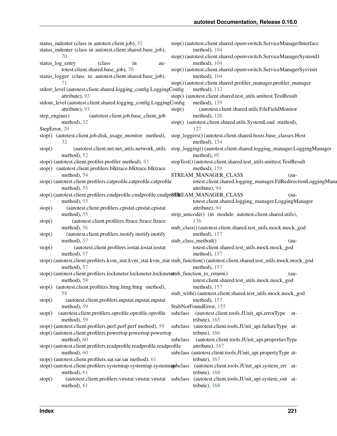## **autotest Documentation, Release 0.16.0**

status indenter (class in autotest.client.job), [32](#page-35-0) status indenter (class in autotest.client.shared.base job), [70](#page-73-0) status\_log\_entry (class in autotest.client.shared.base\_job), [70](#page-73-0) status logger (class in autotest.client.shared.base job), [71](#page-74-0) stderr\_level (autotest.client.shared.logging\_config.LoggingConfig attribute), [93](#page-96-0) stdout\_level (autotest.client.shared.logging\_config.LoggingConfig attribute), [93](#page-96-0) step\_engine() (autotest.client.job.base\_client\_job method), [32](#page-35-0) StepError, [29](#page-32-0) stop() (autotest.client.job.disk\_usage\_monitor method), [32](#page-35-0) stop() (autotest.client.net.net\_utils.network\_utils method), [52](#page-55-0) stop() (autotest.client.profiler.profiler method), [43](#page-46-0) stop() (autotest.client.profilers.blktrace.blktrace.blktrace method), [54](#page-57-0) stop() (autotest.client.profilers.catprofile.catprofile.catprofile method), [55](#page-58-0) stop() (autotest.client.profilers.cmdprofile.cmdprofile.cmdpr**6fIRE**EAM\_MANAGER\_CLASS (aumethod), [55](#page-58-0) stop() (autotest.client.profilers.cpistat.cpistat.cpistat method), [55](#page-58-0) stop() (autotest.client.profilers.ftrace.ftrace.ftrace method), [56](#page-59-0) stop() (autotest.client.profilers.inotify.inotify.inotify method), [57](#page-60-0) stop() (autotest.client.profilers.iostat.iostat.iostat method), [57](#page-60-0) stop() (autotest.client.profilers.kvm\_stat.kvm\_stat.kvm\_stat stub\_function() (autotest.client.shared.test\_utils.mock.mock\_god method), [57](#page-60-0) stop() (autotest.client.profilers.lockmeter.lockmeter.lockmet**st**ub\_function\_to\_return() (aumethod), [58](#page-61-0) stop() (autotest.client.profilers.lttng.lttng.lttng method), [58](#page-61-0) stop() (autotest.client.profilers.mpstat.mpstat.mpstat method), [59](#page-62-0) stop() (autotest.client.profilers.oprofile.oprofile.oprofile method), [59](#page-62-0) stop() (autotest.client.profilers.perf.perf.perf method), [59](#page-62-0) stop() (autotest.client.profilers.powertop.powertop.powertop method), [60](#page-63-0) stop() (autotest.client.profilers.readprofile.readprofile.readprofile method), [60](#page-63-0) stop() (autotest.client.profilers.sar.sar.sar method), [61](#page-64-0) stop() (autotest.client.profilers.systemtap.systemtap.systemtapbclass method), [61](#page-64-0) stop() (autotest.client.profilers.vmstat.vmstat.vmstat subclass method), [61](#page-64-0) stop() (autotest.client.shared.openvswitch.ServiceManagerInterface method), [104](#page-107-0) stop() (autotest.client.shared.openvswitch.ServiceManagerSystemD method), [104](#page-107-0) stop() (autotest.client.shared.openvswitch.ServiceManagerSysvinit method), [104](#page-107-0) stop() (autotest.client.shared.profiler\_manager.profiler\_manager method), [112](#page-115-0) stop() (autotest.client.shared.test\_utils.unittest.TestResult method), [159](#page-162-0) stop() (autotest.client.shared.utils.FileFieldMonitor method), [126](#page-129-0) stop() (autotest.client.shared.utils.SystemLoad method), [127](#page-130-0) stop\_loggers() (autotest.client.shared.hosts.base\_classes.Host method), [154](#page-157-0) stop\_logging() (autotest.client.shared.logging\_manager.LoggingManager method), [95](#page-98-0) stopTest() (autotest.client.shared.test\_utils.unittest.TestResult method), [159](#page-162-0) STREAM\_MANAGER\_CLASS (autotest.client.shared.logging\_manager.FdRedirectionLoggingMana attribute), [94](#page-97-0) totest.client.shared.logging\_manager.LoggingManager attribute), [94](#page-97-0) strip\_unicode() (in module autotest.client.shared.utils), [136](#page-139-0) stub\_class() (autotest.client.shared.test\_utils.mock.mock\_god method), [157](#page-160-0) stub class method() (autotest.client.shared.test\_utils.mock.mock\_god method), [157](#page-160-0) method), [157](#page-160-0) totest.client.shared.test\_utils.mock.mock\_god method), [157](#page-160-0) stub\_with() (autotest.client.shared.test\_utils.mock.mock\_god method), [157](#page-160-0) StubNotFoundError, [155](#page-158-0) subclass (autotest.client.tools.JUnit\_api.errorType attribute), [165](#page-168-0) subclass (autotest.client.tools.JUnit\_api.failureType attribute), [166](#page-169-0) subclass (autotest.client.tools.JUnit\_api.propertiesType attribute), [167](#page-170-0) subclass (autotest.client.tools.JUnit\_api.propertyType attribute), [167](#page-170-0) (autotest.client.tools.JUnit\_api.system\_err attribute), [168](#page-171-0) (autotest.client.tools.JUnit\_api.system\_out attribute), [168](#page-171-0)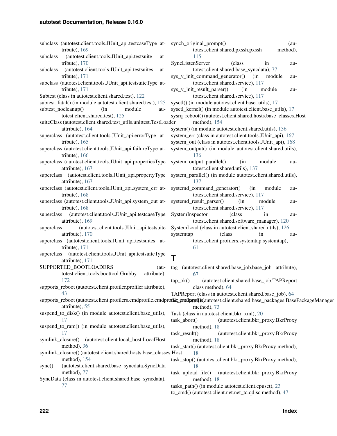| subclass (autotest.client.tools.JUnit_api.testcaseType at-<br>tribute), 169                   | synch_original<br>totes                      |
|-----------------------------------------------------------------------------------------------|----------------------------------------------|
| (autotest.client.tools.JUnit_api.testsuite<br>subclass<br>at-<br>tribute), 170                | 115<br>SyncListenSer                         |
| (autotest.client.tools.JUnit_api.testsuites<br>subclass<br>at-<br>tribute), 171               | totes<br>sys_v_init_cor                      |
| subclass (autotest.client.tools.JUnit_api.testsuiteType at-                                   | totes                                        |
| tribute), 171<br>Subtest (class in autotest.client.shared.test), 122                          | sys_v_init_rest<br>totes                     |
| subtest_fatal() (in module autotest.client.shared.test), 125                                  | $systl()$ (in mo                             |
| (in<br>module<br>subtest_nocleanup()<br>au-                                                   | sysctl_kernel()                              |
| totest.client.shared.test), 125                                                               | sysrq_reboot()                               |
| suiteClass (autotest.client.shared.test_utils.unittest.TestLoader                             | meth                                         |
| attribute), 164                                                                               | system() (in m                               |
| superclass (autotest.client.tools.JUnit_api.errorType at-<br>tribute), $165$                  | system_err (cla<br>system_out (cl            |
| superclass (autotest.client.tools.JUnit_api.failureType at-                                   | system_output                                |
| tribute), 166<br>superclass (autotest.client.tools.JUnit_api.propertiesType                   | 136                                          |
| attribute), 167                                                                               | system_output<br>totes                       |
| (autotest.client.tools.JUnit_api.propertyType<br>superclass<br>attribute), 167                | system_paralle<br>137                        |
| superclass (autotest.client.tools.JUnit_api.system_err at-<br>tribute), 168                   | systemd_comn<br>totes                        |
| superclass (autotest.client.tools.JUnit_api.system_out at-<br>tribute), 168                   | systemd_result<br>totes                      |
| (autotest.client.tools.JUnit_api.testcaseType<br>superclass                                   | SystemInspect                                |
| attribute), 169                                                                               | totes                                        |
| (autotest.client.tools.JUnit_api.testsuite<br>superclass                                      | SystemLoad (c                                |
| attribute), 170                                                                               | systemtap                                    |
| (autotest.client.tools.JUnit_api.testsuites<br>superclass<br>-at<br>tribute), 171             | totes<br>61                                  |
|                                                                                               |                                              |
| (autotest.client.tools.JUnit_api.testsuiteType<br>superclass<br>attribute), 171               | T                                            |
| SUPPORTED_BOOTLOADERS<br>$(au-$                                                               | tag<br>(autotest.                            |
| totest.client.tools.boottool.Grubby<br>attribute),<br>172                                     | 67<br>$tap_ok()$<br>$\overline{\phantom{a}}$ |
| supports_reboot (autotest.client.profiler.profiler attribute),                                | class                                        |
| 43                                                                                            | TAPReport (cl.                               |
| supports_reboot (autotest.client.profilers.cmdprofile.cmdprofile.padagefile<br>attribute), 55 | meth                                         |
| suspend_to_disk() (in module autotest.client.base_utils),<br>17                               | Task (class in a<br>task_abort()             |
| suspend_to_ram() (in module autotest.client.base_utils),                                      | meth                                         |
| 17                                                                                            | $task\_result()$                             |
| symlink_closure() (autotest.client.local_host.LocalHost<br>method), 36                        | meth<br>task_start() (au                     |
| symlink_closure() (autotest.client.shared.hosts.base_classes.Host                             | 18                                           |
| method), 154<br>(autotest.client.shared.base_syncdata.SyncData<br>sync()                      | task_stop() (au<br>18                        |
| method), 77                                                                                   | task_upload_fi                               |
| SyncData (class in autotest.client.shared.base_syncdata),                                     | meth                                         |
| 77                                                                                            | tasks_path() (ii                             |

ginal prompt() (autotest.client.shared.pxssh.pxssh method), [115](#page-118-0) enServer (class in autotest.client.shared.base\_syncdata), [77](#page-80-0) it command generator() (in module autotest.client.shared.service), [117](#page-120-0) it result parser() (in module autotest.client.shared.service), [117](#page-120-0) n module autotest.client.base\_utils), [17](#page-20-0) rnel() (in module autotest.client.base\_utils), [17](#page-20-0) sysrq\_reboot() (autotest.client.shared.hosts.base\_classes.Host method), [154](#page-157-0) in module autotest.client.shared.utils), [136](#page-139-0) rr (class in autotest.client.tools.JUnit\_api), [167](#page-170-0) ut (class in autotest.client.tools.JUnit\_api), [168](#page-171-0) utput() (in module autotest.client.shared.utils), [136](#page-139-0) utput\_parallel() (in module autotest.client.shared.utils), [137](#page-140-0) arallel() (in module autotest.client.shared.utils), [137](#page-140-0) command\_generator() (in module autotest.client.shared.service), [117](#page-120-0) result parser() (in module autotest.client.shared.service), [117](#page-120-0) spector (class in autotest.client.shared.software\_manager), [120](#page-123-0) bad (class in autotest.client.shared.utils), [126](#page-129-0) systemtap (class in autotest.client.profilers.systemtap.systemtap), [61](#page-64-0) test.client.shared.base\_job.base\_job\_attribute), [67](#page-70-0) (autotest.client.shared.base\_job.TAPReport class method), [64](#page-67-0) ort (class in autotest.client.shared.base\_job), [64](#page-67-0) torally (autotest.client.shared.base\_packages.BasePackageManager method), [73](#page-76-0)  $\sin$  autotest.client.bkr  $xml$ ), [20](#page-23-0) tt() (autotest.client.bkr\_proxy.BkrProxy method), [18](#page-21-0) lt() (autotest.client.bkr\_proxy.BkrProxy method), [18](#page-21-0) t() (autotest.client.bkr\_proxy.BkrProxy method), [18](#page-21-0)

() (autotest.client.bkr\_proxy.BkrProxy method), [18](#page-21-0)

ad\_file() (autotest.client.bkr\_proxy.BkrProxy method), [18](#page-21-0)

 $h()$  (in module autotest.client.cpuset), [23](#page-26-0) tc\_cmd() (autotest.client.net.net\_tc.qdisc method), [47](#page-50-0)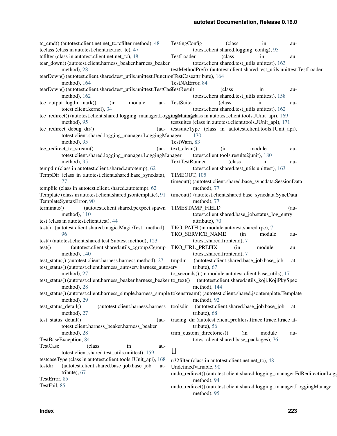tc\_cmd() (autotest.client.net.net\_tc.tcfilter method), [48](#page-51-0) tcclass (class in autotest.client.net.net tc), [47](#page-50-0) tcfilter (class in autotest.client.net.net\_tc), [48](#page-51-0) tear\_down() (autotest.client.harness\_beaker.harness\_beaker method), [28](#page-31-0) tearDown() (autotest.client.shared.test\_utils.unittest.FunctionTestCase attribute), [164](#page-167-0) method), [164](#page-167-0) tearDown() (autotest.client.shared.test\_utils.unittest.TestCasTestResult (class in aumethod), [162](#page-165-0) tee\_output\_logdir\_mark() (in module autotest.client.kernel), [34](#page-37-0) tee\_redirect() (autotest.client.shared.logging\_manager.Logg**ingMaimagerass** in autotest.client.tools.JUnit\_api), [169](#page-172-0) method), [95](#page-98-0) tee\_redirect\_debug\_dir() (autotest.client.shared.logging\_manager.LoggingManager method), [95](#page-98-0) tee\_redirect\_to\_stream() (autotest.client.shared.logging\_manager.LoggingManager method), [95](#page-98-0) tempdir (class in autotest.client.shared.autotemp), [62](#page-65-0) TempDir (class in autotest.client.shared.base\_syncdata), [77](#page-80-0) tempfile (class in autotest.client.shared.autotemp), [62](#page-65-0) Template (class in autotest.client.shared.jsontemplate), [91](#page-94-0) TemplateSyntaxError, [90](#page-93-0) terminate() (autotest.client.shared.pexpect.spawn method), [110](#page-113-0) test (class in autotest.client.test), [44](#page-47-0) test() (autotest.client.shared.magic.MagicTest method), [96](#page-99-0) test() (autotest.client.shared.test.Subtest method), [123](#page-126-0) test() (autotest.client.shared.utils\_cgroup.Cgroup method), [140](#page-143-0) test\_status() (autotest.client.harness.harness method), [27](#page-30-0) test\_status() (autotest.client.harness\_autoserv.harness\_autoserv method), [27](#page-30-0) test status() (autotest.client.harness beaker.harness beaker to text() method), [28](#page-31-0) test\_status() (autotest.client.harness\_simple.harness\_simple tokenstream() (autotest.client.shared.jsontemplate.Template method), [29](#page-32-0) test\_status\_detail() (autotest.client.harness.harness method), [27](#page-30-0) test status detail() (autotest.client.harness\_beaker.harness\_beaker method), [28](#page-31-0) TestBaseException, [84](#page-87-0) TestCase (class in autotest.client.shared.test\_utils.unittest), [159](#page-162-0) testcaseType (class in autotest.client.tools.JUnit\_api), [168](#page-171-0) testdir (autotest.client.shared.base\_job.base\_job attribute), [67](#page-70-0) TestError, [85](#page-88-0) TestFail, [85](#page-88-0) TestingConfig (class in autotest.client.shared.logging\_config), [93](#page-96-0) TestLoader (class in autotest.client.shared.test\_utils.unittest), [163](#page-166-0) testMethodPrefix (autotest.client.shared.test\_utils.unittest.TestLoader TestNAError, [84](#page-87-0) totest.client.shared.test\_utils.unittest), [158](#page-161-0) TestSuite (class in autotest.client.shared.test\_utils.unittest), [162](#page-165-0) testsuites (class in autotest.client.tools.JUnit\_api), [171](#page-174-0) testsuiteType (class in autotest.client.tools.JUnit\_api), [170](#page-173-0) TestWarn, [83](#page-86-0) text clean() (in module autotest.client.tools.results2junit), [180](#page-183-0) TextTestRunner (class in autotest.client.shared.test\_utils.unittest), [163](#page-166-0) TIMEOUT, [105](#page-108-0) timeout() (autotest.client.shared.base\_syncdata.SessionData method), [77](#page-80-0) timeout() (autotest.client.shared.base\_syncdata.SyncData method), [77](#page-80-0) TIMESTAMP\_FIELD (autotest.client.shared.base\_job.status\_log\_entry attribute), [70](#page-73-0) TKO\_PATH (in module autotest.shared.rpc), [7](#page-10-0) TKO\_SERVICE\_NAME (in module autotest.shared.frontend), [7](#page-10-0) TKO\_URL\_PREFIX (in module autotest.shared.frontend), [7](#page-10-0) tmpdir (autotest.client.shared.base\_job.base\_job attribute), [67](#page-70-0) to seconds() (in module autotest.client.base utils), [17](#page-20-0)  $t$ autotest.client.shared.utils koji.KojiPkgSpec method), [144](#page-147-0) method), [92](#page-95-0) toolsdir (autotest.client.shared.base\_job.base\_job attribute), [68](#page-71-0) tracing\_dir (autotest.client.profilers.ftrace.ftrace.ftrace attribute), [56](#page-59-0) trim\_custom\_directories() (in module autotest.client.shared.base\_packages), [76](#page-79-0) U u32filter (class in autotest.client.net.net\_tc), [48](#page-51-0) UndefinedVariable, [90](#page-93-0) undo\_redirect() (autotest.client.shared.logging\_manager.FdRedirectionLogg method), [94](#page-97-0) undo\_redirect() (autotest.client.shared.logging\_manager.LoggingManager method), [95](#page-98-0)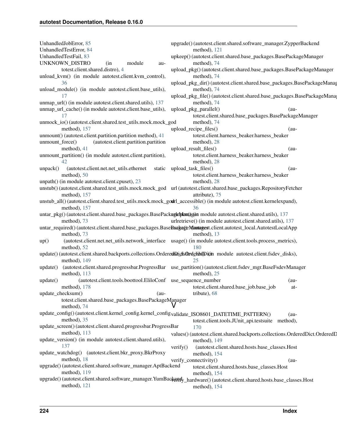| UnhandledJobError, 85<br>UnhandledTestError, 84                                                                        | upgrade()(autotest.client.shared.software_manager.ZypperBackend<br>method), 121                                         |
|------------------------------------------------------------------------------------------------------------------------|-------------------------------------------------------------------------------------------------------------------------|
| UnhandledTestFail, 83                                                                                                  | upkeep() (autotest.client.shared.base_packages.BasePackageManager                                                       |
| UNKNOWN_DISTRO<br>(in<br>module<br>au-                                                                                 | method), 74                                                                                                             |
| totest.client.shared.distro), 4                                                                                        | upload_pkg()(autotest.client.shared.base_packages.BasePackageManager                                                    |
| unload_kvm() (in module autotest.client.kvm_control),                                                                  | method), 74                                                                                                             |
| 36                                                                                                                     | upload_pkg_dir()(autotest.client.shared.base_packages.BasePackageManag                                                  |
| unload_module() (in module autotest.client.base_utils),                                                                | method), 74                                                                                                             |
| 17                                                                                                                     | upload_pkg_file()(autotest.client.shared.base_packages.BasePackageMana                                                  |
| unmap_url() (in module autotest.client.shared.utils), 137                                                              | method), 74                                                                                                             |
| unmap_url_cache() (in module autotest.client.base_utils),                                                              | upload_pkg_parallel()<br>(au-                                                                                           |
| 17                                                                                                                     | totest.client.shared.base_packages.BasePackageManager                                                                   |
| unmock_io()(autotest.client.shared.test_utils.mock.mock_god                                                            | method), 74                                                                                                             |
| method), 157                                                                                                           | upload_recipe_files()<br>$(au-$                                                                                         |
| unmount() (autotest.client.partition.partition method), 41                                                             | totest.client.harness_beaker.harness_beaker                                                                             |
| (autotest.client.partition.partition<br>unmount_force()                                                                | method), 28                                                                                                             |
| method), 41                                                                                                            | upload_result_files()<br>$(au-$                                                                                         |
| unmount_partition() (in module autotest.client.partition),                                                             | totest.client.harness_beaker.harness_beaker                                                                             |
| 42                                                                                                                     | method), 28                                                                                                             |
| (autotest.client.net.net_utils.ethernet<br>unpack()                                                                    | static upload_task_files()<br>$(au-$                                                                                    |
| method), 50                                                                                                            | totest.client.harness_beaker.harness_beaker                                                                             |
| unpath() (in module autotest.client.cpuset), 23                                                                        | method), 28                                                                                                             |
|                                                                                                                        | unstub()(autotest.client.shared.test_utils.mock.mock_god url(autotest.client.shared.base_packages.RepositoryFetcher     |
| method), 157                                                                                                           | attribute), 75                                                                                                          |
| unstub_all() (autotest.client.shared.test_utils.mock.mock_godrl_accessible() (in module autotest.client.kernelexpand), |                                                                                                                         |
| method), 157                                                                                                           | 36                                                                                                                      |
| untar_pkg() (autotest.client.shared.base_packages.BasePackagebtan@gen module autotest.client.shared.utils), 137        |                                                                                                                         |
| method), 73                                                                                                            | urlretrieve() (in module autotest.client.shared.utils), 137                                                             |
| untar_required()(autotest.client.shared.base_packages.BaseBaakageMantagest.client.autotest_local.AutotestLocalApp      |                                                                                                                         |
| method), 73                                                                                                            | method), 13                                                                                                             |
| up()                                                                                                                   | (autotest.client.net.net_utils.network_interface usage() (in module autotest.client.tools.process_metrics),             |
| method), 52                                                                                                            | 180                                                                                                                     |
| update()(autotest.client.shared.backports.collections.OrderedDidtsOrdehttDidth module autotest.client.fsdev_disks),    |                                                                                                                         |
| method), 149                                                                                                           | 25                                                                                                                      |
| update()                                                                                                               | (autotest.client.shared.progressbar.ProgressBar use_partition()(autotest.client.fsdev_mgr.BaseFsdevManager              |
| method), 113                                                                                                           | method), 25                                                                                                             |
| (autotest.client.tools.boottool.EliloConf use_sequence_number<br>update()                                              | $(au-$                                                                                                                  |
| method), $178$                                                                                                         | totest.client.shared.base_job.base_job<br>at-                                                                           |
| update_checksum()<br>$(au-$                                                                                            | tribute), 68                                                                                                            |
| totest.client.shared.base_packages.BasePackageManager                                                                  |                                                                                                                         |
| method), 74                                                                                                            |                                                                                                                         |
| update_config()(autotest.client.kernel_config.kernel_configvalidate_ISO8601_DATETIME_PATTERN()                         | $(au-$                                                                                                                  |
| method), 35                                                                                                            | totest.client.tools.JUnit_api.testsuite method),                                                                        |
| update_screen()(autotest.client.shared.progressbar.ProgressBar                                                         | 170                                                                                                                     |
| method), 113                                                                                                           | values() (autotest.client.shared.backports.collections.OrderedDict.OrderedD                                             |
| update_version() (in module autotest.client.shared.utils),                                                             | method), 149                                                                                                            |
| 137                                                                                                                    | verify()<br>(autotest.client.shared.hosts.base_classes.Host                                                             |
| update_watchdog() (autotest.client.bkr_proxy.BkrProxy                                                                  | method), 154                                                                                                            |
| method), 18                                                                                                            | verify_connectivity()<br>$(au-$                                                                                         |
| upgrade()(autotest.client.shared.software_manager.AptBackend                                                           | totest.client.shared.hosts.base_classes.Host                                                                            |
| method), 119                                                                                                           | method), 154                                                                                                            |
|                                                                                                                        | upgrade()(autotest.client.shared.software_manager.YumBackendy_hardware()(autotest.client.shared.hosts.base_classes.Host |
| method), 121                                                                                                           | method), 154                                                                                                            |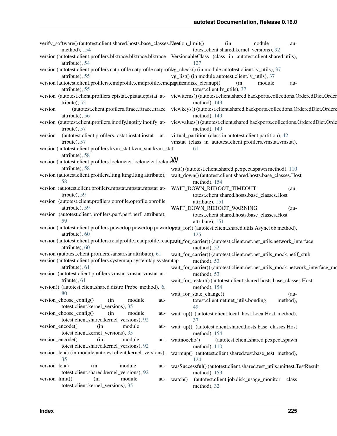| verify_software()(autotest.client.shared.hosts.base_classes.hostion_limit()                                                                           | module<br>(in<br>au-                                                                                                                                      |
|-------------------------------------------------------------------------------------------------------------------------------------------------------|-----------------------------------------------------------------------------------------------------------------------------------------------------------|
| method), 154                                                                                                                                          | totest.client.shared.kernel_versions), 92                                                                                                                 |
| version (autotest.client.profilers.blktrace.blktrace.blktrace VersionableClass (class in autotest.client.shared.utils),<br>attribute), 54             | 127                                                                                                                                                       |
| version (autotest.client.profilers.catprofile.catprofile.catprofileg_check() (in module autotest.client.lv_utils), 37<br>attribute), 55               | vg_list() (in module autotest.client.lv_utils), 37                                                                                                        |
| version (autotest.client.profilers.cmdprofile.cmdprofile.cmdpxpfilamdisk_cleanup()<br>attribute), 55                                                  | (in<br>module<br>au-<br>totest.client.lv_utils), 37                                                                                                       |
| tribute), 55                                                                                                                                          | version (autotest.client.profilers.cpistat.cpistat.cpistat at- viewitems()(autotest.client.shared.backports.collections.OrderedDict.Order<br>method), 149 |
| (autotest.client.profilers.ftrace.ftrace.ftrace<br>version<br>attribute), 56                                                                          | viewkeys() (autotest.client.shared.backports.collections.OrderedDict.Ordere<br>method), 149                                                               |
| version (autotest.client.profilers.inotify.inotify.inotify at-<br>tribute), 57                                                                        | viewvalues() (autotest.client.shared.backports.collections.OrderedDict.Orde<br>method), 149                                                               |
| (autotest.client.profilers.iostat.iostat.iostat<br>version<br>at-<br>tribute), 57                                                                     | virtual_partition (class in autotest.client.partition), 42<br>vmstat (class in autotest.client.profilers.vmstat.vmstat),                                  |
| version (autotest.client.profilers.kvm_stat.kvm_stat.kvm_stat                                                                                         | 61                                                                                                                                                        |
| attribute), 58                                                                                                                                        |                                                                                                                                                           |
| version (autotest.client.profilers.lockmeter.lockmeter.lockme $\mathsf{\mathsf{W}}$                                                                   |                                                                                                                                                           |
| attribute), 58<br>version (autotest.client.profilers.lttng.lttng.lttng attribute),                                                                    | wait() (autotest.client.shared.pexpect.spawn method), 110                                                                                                 |
| 58                                                                                                                                                    | wait_down() (autotest.client.shared.hosts.base_classes.Host<br>method), 154                                                                               |
| version (autotest.client.profilers.mpstat.mpstat.mpstat at-                                                                                           | WAIT_DOWN_REBOOT_TIMEOUT<br>$(au-$                                                                                                                        |
| tribute), 59                                                                                                                                          | totest.client.shared.hosts.base_classes.Host                                                                                                              |
| version (autotest.client.profilers.oprofile.oprofile.oprofile<br>attribute), 59                                                                       | attribute), 151                                                                                                                                           |
| version (autotest.client.profilers.perf.perf.perf attribute),                                                                                         | WAIT_DOWN_REBOOT_WARNING<br>$(au-$<br>totest.client.shared.hosts.base_classes.Host                                                                        |
| 59                                                                                                                                                    | attribute), 151                                                                                                                                           |
| version (autotest.client.profilers.powertop.powertop.powertopait_for() (autotest.client.shared.utils.AsyncJob method),<br>attribute), 60              | 125                                                                                                                                                       |
| version (autotest.client.profilers.readprofile.readprofile.readprofilefor_carrier()(autotest.client.net.net_utils.network_interface<br>attribute), 60 | method), 52                                                                                                                                               |
| version (autotest.client.profilers.sar.sar.sar attribute), 61                                                                                         | wait_for_carrier()(autotest.client.net.net_utils_mock.netif_stub                                                                                          |
| version (autotest.client.profilers.systemtap.systemtap.systemtap<br>attribute), 61                                                                    | method), 53<br>wait_for_carrier() (autotest.client.net.net_utils_mock.network_interface_mo                                                                |
| version (autotest.client.profilers.vmstat.vmstat.vmstat at-                                                                                           | method), 53                                                                                                                                               |
| tribute), $61$                                                                                                                                        | wait_for_restart() (autotest.client.shared.hosts.base_classes.Host                                                                                        |
| version() (autotest.client.shared.distro.Probe method), 6,                                                                                            | method), $154$                                                                                                                                            |
| 80<br>version_choose_config()<br>module<br>(in                                                                                                        | wait_for_state_change()<br>$(au-$                                                                                                                         |
| au-<br>totest.client.kernel_versions), 35                                                                                                             | totest.client.net.net_utils.bonding<br>method),<br>49                                                                                                     |
| version_choose_config()<br>(in<br>module<br>au-                                                                                                       | wait_up() (autotest.client.local_host.LocalHost method),                                                                                                  |
| totest.client.shared.kernel_versions), 92                                                                                                             | 37                                                                                                                                                        |
| version_encode()<br>module<br>(in<br>au-                                                                                                              | wait_up() (autotest.client.shared.hosts.base_classes.Host                                                                                                 |
| totest.client.kernel_versions), 35                                                                                                                    | method), 154                                                                                                                                              |
| version encode()<br>(in<br>module<br>au-<br>totest.client.shared.kernel_versions), 92                                                                 | waitnoecho()<br>(autotest.client.shared.pexpect.spawn<br>method), $110$                                                                                   |
| version_len() (in module autotest.client.kernel_versions),                                                                                            | warmup() (autotest.client.shared.test.base_test method),                                                                                                  |
| 35                                                                                                                                                    | 124                                                                                                                                                       |
| version_len()<br>module<br>(in<br>au-                                                                                                                 | wasSuccessful() (autotest.client.shared.test_utils.unittest.TestResult                                                                                    |
| totest.client.shared.kernel_versions), 92<br>version_limit()<br>(in<br>module<br>$\text{watch}()$<br>au-                                              | method), 159                                                                                                                                              |
|                                                                                                                                                       | (autotest.client.job.disk_usage_monitor<br>class                                                                                                          |